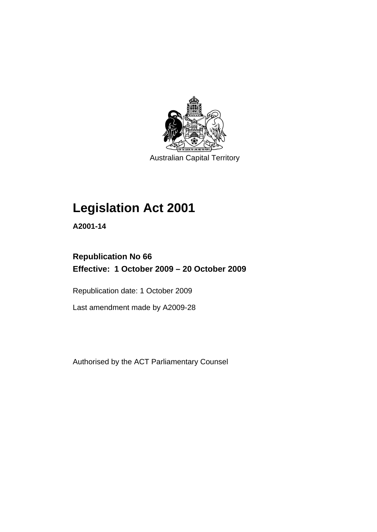

Australian Capital Territory

# **[Legislation Act 2001](#page-16-0)**

**A2001-14** 

## **Republication No 66 Effective: 1 October 2009 – 20 October 2009**

Republication date: 1 October 2009

Last amendment made by A2009-28

Authorised by the ACT Parliamentary Counsel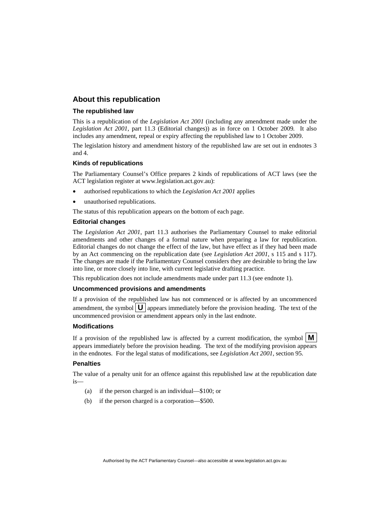## **About this republication**

#### **The republished law**

This is a republication of the *Legislation Act 2001* (including any amendment made under the *Legislation Act 2001*, part 11.3 (Editorial changes)) as in force on 1 October 2009*.* It also includes any amendment, repeal or expiry affecting the republished law to 1 October 2009.

The legislation history and amendment history of the republished law are set out in endnotes 3 and 4.

#### **Kinds of republications**

The Parliamentary Counsel's Office prepares 2 kinds of republications of ACT laws (see the ACT legislation register at www.legislation.act.gov.au):

- authorised republications to which the *Legislation Act 2001* applies
- unauthorised republications.

The status of this republication appears on the bottom of each page.

#### **Editorial changes**

The *Legislation Act 2001*, part 11.3 authorises the Parliamentary Counsel to make editorial amendments and other changes of a formal nature when preparing a law for republication. Editorial changes do not change the effect of the law, but have effect as if they had been made by an Act commencing on the republication date (see *Legislation Act 2001*, s 115 and s 117). The changes are made if the Parliamentary Counsel considers they are desirable to bring the law into line, or more closely into line, with current legislative drafting practice.

This republication does not include amendments made under part 11.3 (see endnote 1).

#### **Uncommenced provisions and amendments**

If a provision of the republished law has not commenced or is affected by an uncommenced amendment, the symbol  $\mathbf{U}$  appears immediately before the provision heading. The text of the uncommenced provision or amendment appears only in the last endnote.

#### **Modifications**

If a provision of the republished law is affected by a current modification, the symbol  $\mathbf{M}$ appears immediately before the provision heading. The text of the modifying provision appears in the endnotes. For the legal status of modifications, see *Legislation Act 2001*, section 95.

#### **Penalties**

The value of a penalty unit for an offence against this republished law at the republication date is—

- (a) if the person charged is an individual—\$100; or
- (b) if the person charged is a corporation—\$500.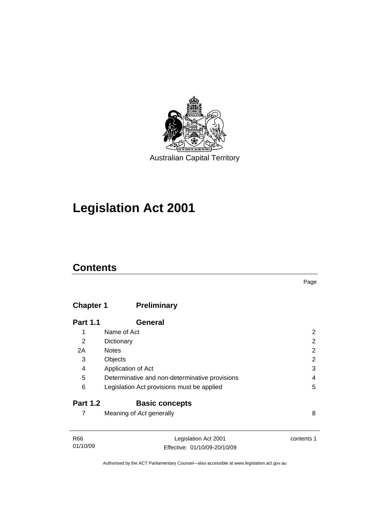

# **[Legislation Act 2001](#page-16-0)**

## **Contents**

## **Chapter 1 Preliminary**

| <b>Part 1.1</b> | <b>General</b>                                 |   |
|-----------------|------------------------------------------------|---|
| 1               | Name of Act                                    | 2 |
| 2               | Dictionary                                     | 2 |
| 2A              | <b>Notes</b>                                   | 2 |
| 3               | Objects                                        | 2 |
| 4               | Application of Act                             | 3 |
| 5               | Determinative and non-determinative provisions | 4 |
| 6               | Legislation Act provisions must be applied     | 5 |
| <b>Part 1.2</b> | <b>Basic concepts</b>                          |   |
|                 | Meaning of Act generally                       | 8 |

| R66      | Legislation Act 2001         | contents 1 |
|----------|------------------------------|------------|
| 01/10/09 | Effective: 01/10/09-20/10/09 |            |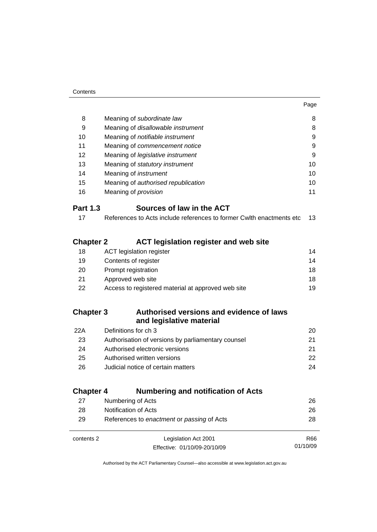01/10/09

| 8                | Meaning of subordinate law                                           | 8  |
|------------------|----------------------------------------------------------------------|----|
| 9                | Meaning of disallowable instrument                                   | 8  |
| 10               | Meaning of <i>notifiable instrument</i>                              | 9  |
| 11               | Meaning of commencement notice                                       | 9  |
| 12               | Meaning of legislative instrument                                    | 9  |
| 13               | Meaning of statutory instrument                                      | 10 |
| 14               | Meaning of <i>instrument</i>                                         | 10 |
| 15               | Meaning of authorised republication                                  | 10 |
| 16               | Meaning of <i>provision</i>                                          | 11 |
| <b>Part 1.3</b>  | Sources of law in the ACT                                            |    |
| 17               | References to Acts include references to former Cwlth enactments etc | 13 |
| <b>Chapter 2</b> | <b>ACT legislation register and web site</b>                         |    |
| 18               | <b>ACT</b> legislation register                                      | 14 |
| 19               | Contents of register                                                 | 14 |
| 20               | Prompt registration                                                  | 18 |
| 21               | Approved web site                                                    | 18 |
| 22               | Access to registered material at approved web site                   | 19 |
| <b>Chapter 3</b> | Authorised versions and evidence of laws<br>and legislative material |    |
| 22A              | Definitions for ch 3                                                 | 20 |
| 23               | Authorisation of versions by parliamentary counsel                   | 21 |
| 24               | Authorised electronic versions                                       | 21 |
| 25               | Authorised written versions<br>22                                    |    |
| 26               | Judicial notice of certain matters                                   | 24 |
| <b>Chapter 4</b> | <b>Numbering and notification of Acts</b>                            |    |
| 27               | Numbering of Acts                                                    | 26 |
| 28               | Notification of Acts                                                 | 26 |
|                  |                                                                      |    |

| 29         | References to enactment or passing of Acts | 28  |
|------------|--------------------------------------------|-----|
| contents 2 | Legislation Act 2001                       | R66 |

Effective: 01/10/09-20/10/09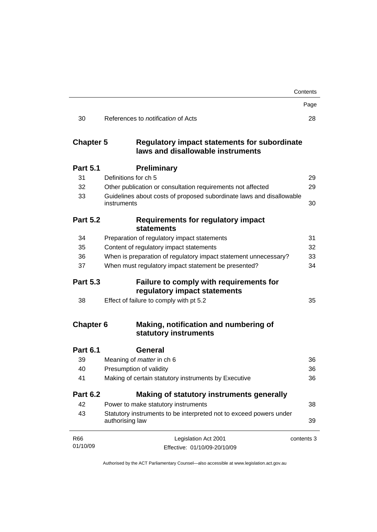|                                                                                                              | Contents   |
|--------------------------------------------------------------------------------------------------------------|------------|
|                                                                                                              | Page       |
| References to <i>notification</i> of Acts                                                                    | 28         |
| <b>Chapter 5</b><br><b>Regulatory impact statements for subordinate</b><br>laws and disallowable instruments |            |
| <b>Preliminary</b>                                                                                           |            |
| Definitions for ch 5                                                                                         | 29         |
| Other publication or consultation requirements not affected                                                  | 29         |
| Guidelines about costs of proposed subordinate laws and disallowable<br>instruments                          | 30         |
| <b>Part 5.2</b><br>Requirements for regulatory impact<br>statements                                          |            |
| Preparation of regulatory impact statements                                                                  | 31         |
| Content of regulatory impact statements                                                                      | 32         |
| When is preparation of regulatory impact statement unnecessary?                                              | 33         |
| When must regulatory impact statement be presented?                                                          | 34         |
| <b>Part 5.3</b><br>Failure to comply with requirements for<br>regulatory impact statements                   |            |
| Effect of failure to comply with pt 5.2                                                                      | 35         |
| <b>Chapter 6</b><br>Making, notification and numbering of<br>statutory instruments                           |            |
| General                                                                                                      |            |
| Meaning of <i>matter</i> in ch 6                                                                             | 36         |
| Presumption of validity                                                                                      | 36         |
| Making of certain statutory instruments by Executive                                                         | 36         |
| <b>Part 6.2</b><br>Making of statutory instruments generally                                                 |            |
| Power to make statutory instruments                                                                          | 38         |
| Statutory instruments to be interpreted not to exceed powers under<br>authorising law                        | 39         |
| Legislation Act 2001                                                                                         | contents 3 |
|                                                                                                              |            |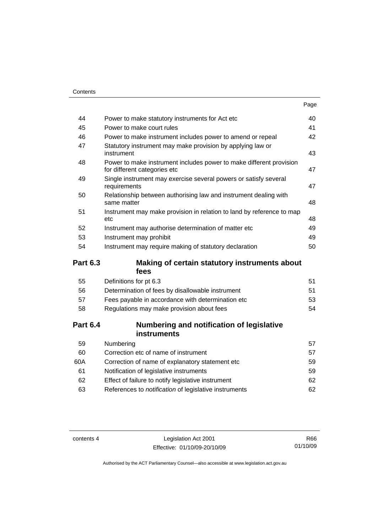|                 |                                                                                                     | Page |
|-----------------|-----------------------------------------------------------------------------------------------------|------|
| 44              | Power to make statutory instruments for Act etc                                                     | 40   |
| 45              | Power to make court rules                                                                           | 41   |
| 46              | Power to make instrument includes power to amend or repeal                                          | 42   |
| 47              | Statutory instrument may make provision by applying law or<br>instrument                            | 43   |
| 48              | Power to make instrument includes power to make different provision<br>for different categories etc | 47   |
| 49              | Single instrument may exercise several powers or satisfy several<br>requirements                    | 47   |
| 50              | Relationship between authorising law and instrument dealing with<br>same matter                     | 48   |
| 51              | Instrument may make provision in relation to land by reference to map<br>etc                        | 48   |
| 52              | Instrument may authorise determination of matter etc                                                | 49   |
| 53              | Instrument may prohibit                                                                             | 49   |
| 54              | Instrument may require making of statutory declaration                                              | 50   |
| <b>Part 6.3</b> | Making of certain statutory instruments about                                                       |      |
|                 | fees                                                                                                |      |
| 55              | Definitions for pt 6.3                                                                              | 51   |
| 56              | Determination of fees by disallowable instrument                                                    | 51   |
| 57              | Fees payable in accordance with determination etc                                                   | 53   |
| 58              | Regulations may make provision about fees                                                           | 54   |
| <b>Part 6.4</b> | Numbering and notification of legislative<br>instruments                                            |      |
| 59              | Numbering                                                                                           | 57   |
| 60              | Correction etc of name of instrument                                                                | 57   |
| 60A             | Correction of name of explanatory statement etc                                                     | 59   |
| 61              | Notification of legislative instruments                                                             | 59   |
| 62              | Effect of failure to notify legislative instrument                                                  | 62   |
| 63              | References to notification of legislative instruments                                               | 62   |

contents 4 Legislation Act 2001 Effective: 01/10/09-20/10/09

R66 01/10/09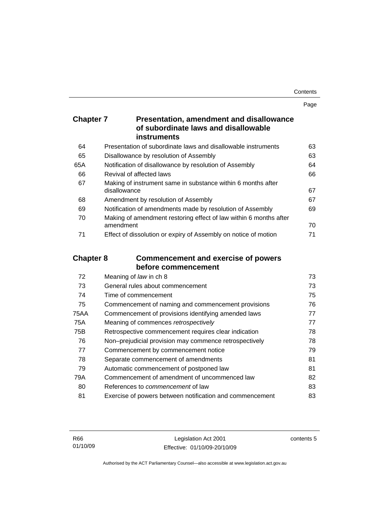Page

| <b>Chapter 7</b> | <b>Presentation, amendment and disallowance</b> |
|------------------|-------------------------------------------------|
|                  | of subordinate laws and disallowable            |
|                  | <b>instruments</b>                              |

| 64  | Presentation of subordinate laws and disallowable instruments     | 63 |
|-----|-------------------------------------------------------------------|----|
| 65  | Disallowance by resolution of Assembly                            | 63 |
| 65A | Notification of disallowance by resolution of Assembly            | 64 |
| 66  | Revival of affected laws                                          | 66 |
| 67  | Making of instrument same in substance within 6 months after      |    |
|     | disallowance                                                      | 67 |
| 68  | Amendment by resolution of Assembly                               | 67 |
| 69  | Notification of amendments made by resolution of Assembly         | 69 |
| 70  | Making of amendment restoring effect of law within 6 months after |    |
|     | amendment                                                         | 70 |
| 71  | Effect of dissolution or expiry of Assembly on notice of motion   | 71 |
|     |                                                                   |    |

## **Chapter 8 Commencement and exercise of powers before commencement**

| Meaning of law in ch 8                                   | 73 |
|----------------------------------------------------------|----|
| General rules about commencement                         | 73 |
| Time of commencement                                     | 75 |
| Commencement of naming and commencement provisions       | 76 |
| Commencement of provisions identifying amended laws      | 77 |
| Meaning of commences retrospectively                     | 77 |
| Retrospective commencement requires clear indication     | 78 |
| Non-prejudicial provision may commence retrospectively   | 78 |
| Commencement by commencement notice                      | 79 |
| Separate commencement of amendments                      | 81 |
| Automatic commencement of postponed law                  | 81 |
| Commencement of amendment of uncommenced law             | 82 |
| References to <i>commencement</i> of law                 | 83 |
| Exercise of powers between notification and commencement | 83 |
|                                                          |    |

contents 5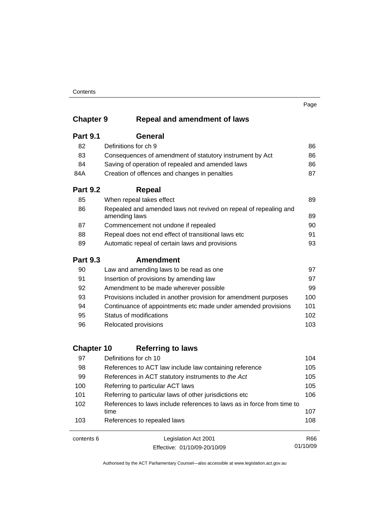#### **Contents**

## **Chapter 9 Repeal and amendment of laws**

| <b>Part 9.1</b> | General                                                                           |     |
|-----------------|-----------------------------------------------------------------------------------|-----|
| 82              | Definitions for ch 9                                                              | 86  |
| 83              | Consequences of amendment of statutory instrument by Act                          | 86  |
| 84              | Saving of operation of repealed and amended laws                                  | 86  |
| 84A             | Creation of offences and changes in penalties                                     | 87  |
| <b>Part 9.2</b> | Repeal                                                                            |     |
| 85              | When repeal takes effect                                                          | 89  |
| 86              | Repealed and amended laws not revived on repeal of repealing and<br>amending laws | 89  |
| 87              | Commencement not undone if repealed                                               | 90  |
| 88              | Repeal does not end effect of transitional laws etc                               | 91  |
| 89              | Automatic repeal of certain laws and provisions                                   | 93  |
| <b>Part 9.3</b> | <b>Amendment</b>                                                                  |     |
| 90              | Law and amending laws to be read as one                                           | 97  |
| 91              | Insertion of provisions by amending law                                           | 97  |
| 92              | Amendment to be made wherever possible                                            | 99  |
| 93              | Provisions included in another provision for amendment purposes                   | 100 |
| 94              | Continuance of appointments etc made under amended provisions                     | 101 |
| 95              | Status of modifications                                                           | 102 |
| 96              | Relocated provisions                                                              | 103 |
|                 |                                                                                   |     |

## **Chapter 10 Referring to laws**

| 97  | Definitions for ch 10                                                          | 104 |
|-----|--------------------------------------------------------------------------------|-----|
| 98  | References to ACT law include law containing reference                         | 105 |
| 99  | References in ACT statutory instruments to the Act                             | 105 |
| 100 | Referring to particular ACT laws                                               | 105 |
| 101 | Referring to particular laws of other jurisdictions etc                        | 106 |
| 102 | References to laws include references to laws as in force from time to<br>time | 107 |
| 103 | References to repealed laws                                                    | 108 |
|     |                                                                                |     |

contents 6 Legislation Act 2001 Effective: 01/10/09-20/10/09 R66 01/10/09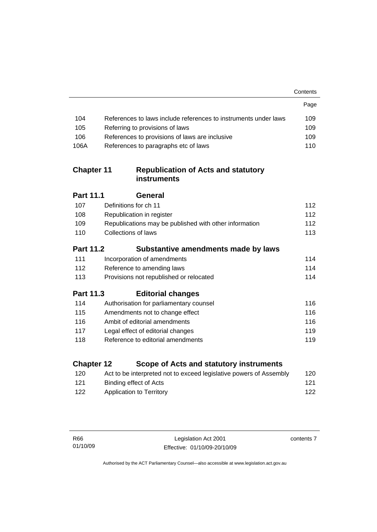|                   |                                                                    | Contents |
|-------------------|--------------------------------------------------------------------|----------|
|                   |                                                                    | Page     |
| 104               | References to laws include references to instruments under laws    | 109      |
| 105               | Referring to provisions of laws                                    | 109      |
| 106               | References to provisions of laws are inclusive                     | 109      |
| 106A              | References to paragraphs etc of laws                               | 110      |
| <b>Chapter 11</b> | <b>Republication of Acts and statutory</b><br><b>instruments</b>   |          |
| <b>Part 11.1</b>  | <b>General</b>                                                     |          |
| 107               | Definitions for ch 11                                              | 112      |
| 108               | Republication in register                                          | 112      |
| 109               | Republications may be published with other information             | 112      |
| 110               | <b>Collections of laws</b>                                         | 113      |
| <b>Part 11.2</b>  | Substantive amendments made by laws                                |          |
| 111               | Incorporation of amendments                                        | 114      |
| 112               | Reference to amending laws                                         | 114      |
| 113               | Provisions not republished or relocated                            | 114      |
| <b>Part 11.3</b>  | <b>Editorial changes</b>                                           |          |
| 114               | Authorisation for parliamentary counsel                            | 116      |
| 115               | Amendments not to change effect                                    | 116      |
| 116               | Ambit of editorial amendments                                      | 116      |
| 117               | Legal effect of editorial changes                                  | 119      |
| 118               | Reference to editorial amendments                                  | 119      |
| <b>Chapter 12</b> | Scope of Acts and statutory instruments                            |          |
| 120               | Act to be interpreted not to exceed legislative powers of Assembly | 120      |
| 121               | <b>Binding effect of Acts</b>                                      | 121      |
| 122               | <b>Application to Territory</b>                                    | 122      |
|                   |                                                                    |          |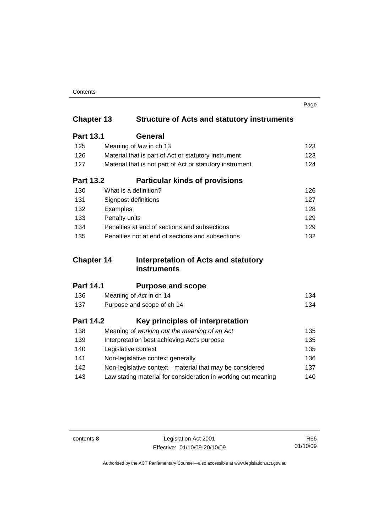| Contents |
|----------|
|----------|

|                   |                                                               | Page |
|-------------------|---------------------------------------------------------------|------|
| <b>Chapter 13</b> | <b>Structure of Acts and statutory instruments</b>            |      |
| <b>Part 13.1</b>  | General                                                       |      |
| 125               | Meaning of law in ch 13                                       | 123  |
| 126               | Material that is part of Act or statutory instrument          | 123  |
| 127               | Material that is not part of Act or statutory instrument      | 124  |
| <b>Part 13.2</b>  | <b>Particular kinds of provisions</b>                         |      |
| 130               | What is a definition?                                         | 126  |
| 131               | Signpost definitions                                          | 127  |
| 132               | Examples                                                      | 128  |
| 133               | Penalty units                                                 | 129  |
| 134               | Penalties at end of sections and subsections                  | 129  |
| 135               | Penalties not at end of sections and subsections              | 132  |
| <b>Chapter 14</b> | Interpretation of Acts and statutory                          |      |
|                   | <b>instruments</b>                                            |      |
| <b>Part 14.1</b>  | <b>Purpose and scope</b>                                      |      |
| 136               | Meaning of Act in ch 14                                       | 134  |
| 137               | Purpose and scope of ch 14                                    | 134  |
| <b>Part 14.2</b>  | Key principles of interpretation                              |      |
| 138               | Meaning of working out the meaning of an Act                  | 135  |
| 139               | Interpretation best achieving Act's purpose                   | 135  |
| 140               | Legislative context                                           | 135  |
| 141               | Non-legislative context generally                             | 136  |
| 142               | Non-legislative context-material that may be considered       | 137  |
| 143               | Law stating material for consideration in working out meaning | 140  |

contents 8 Legislation Act 2001 Effective: 01/10/09-20/10/09

R66 01/10/09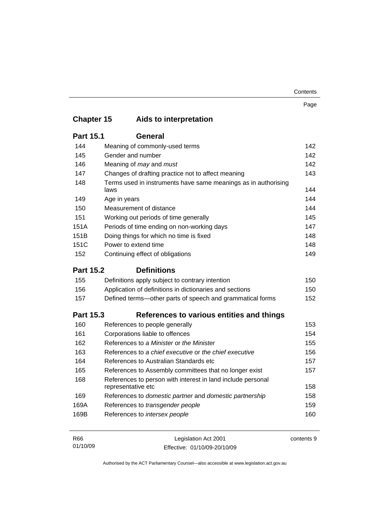| Contents |
|----------|
|----------|

|                   |              |                                                                                   | Page       |
|-------------------|--------------|-----------------------------------------------------------------------------------|------------|
| <b>Chapter 15</b> |              | Aids to interpretation                                                            |            |
| <b>Part 15.1</b>  |              | <b>General</b>                                                                    |            |
| 144               |              | Meaning of commonly-used terms                                                    | 142        |
| 145               |              | Gender and number                                                                 | 142        |
| 146               |              | Meaning of may and must                                                           | 142        |
| 147               |              | Changes of drafting practice not to affect meaning                                | 143        |
| 148               | laws         | Terms used in instruments have same meanings as in authorising                    | 144        |
| 149               | Age in years |                                                                                   | 144        |
| 150               |              | Measurement of distance                                                           | 144        |
| 151               |              | Working out periods of time generally                                             | 145        |
| 151A              |              | Periods of time ending on non-working days                                        | 147        |
| 151B              |              | Doing things for which no time is fixed                                           | 148        |
| 151C              |              | Power to extend time                                                              | 148        |
| 152               |              | Continuing effect of obligations                                                  | 149        |
| <b>Part 15.2</b>  |              | <b>Definitions</b>                                                                |            |
| 155               |              | Definitions apply subject to contrary intention                                   | 150        |
| 156               |              | Application of definitions in dictionaries and sections                           | 150        |
| 157               |              | Defined terms—other parts of speech and grammatical forms                         | 152        |
| <b>Part 15.3</b>  |              | References to various entities and things                                         |            |
| 160               |              | References to people generally                                                    | 153        |
| 161               |              | Corporations liable to offences                                                   | 154        |
| 162               |              | References to a Minister or the Minister                                          | 155        |
| 163               |              | References to a chief executive or the chief executive                            | 156        |
| 164               |              | References to Australian Standards etc.                                           | 157        |
| 165               |              | References to Assembly committees that no longer exist                            | 157        |
| 168               |              | References to person with interest in land include personal<br>representative etc | 158        |
| 169               |              | References to domestic partner and domestic partnership                           | 158        |
| 169A              |              | References to transgender people                                                  | 159        |
| 169B              |              | References to intersex people                                                     | 160        |
| R66               |              | Legislation Act 2001                                                              | contents 9 |

Authorised by the ACT Parliamentary Counsel—also accessible at www.legislation.act.gov.au

Effective: 01/10/09-20/10/09

01/10/09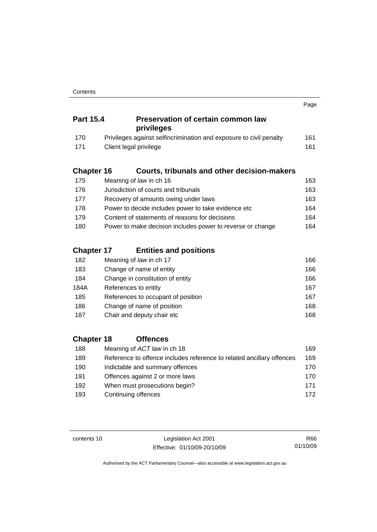|                   |                                                                       | Page |
|-------------------|-----------------------------------------------------------------------|------|
| <b>Part 15.4</b>  | <b>Preservation of certain common law</b><br>privileges               |      |
| 170               | Privileges against selfincrimination and exposure to civil penalty    | 161  |
| 171               | Client legal privilege                                                | 161  |
| <b>Chapter 16</b> | <b>Courts, tribunals and other decision-makers</b>                    |      |
| 175               | Meaning of law in ch 16                                               | 163  |
| 176               | Jurisdiction of courts and tribunals                                  | 163  |
| 177               | Recovery of amounts owing under laws                                  | 163  |
| 178               | Power to decide includes power to take evidence etc                   | 164  |
| 179               | Content of statements of reasons for decisions                        | 164  |
| 180               | Power to make decision includes power to reverse or change            | 164  |
| <b>Chapter 17</b> | <b>Entities and positions</b>                                         |      |
| 182               | Meaning of law in ch 17                                               | 166  |
| 183               | Change of name of entity                                              | 166  |
| 184               | Change in constitution of entity                                      | 166  |
| 184A              | References to entity                                                  | 167  |
| 185               | References to occupant of position                                    | 167  |
| 186               | Change of name of position                                            | 168  |
| 187               | Chair and deputy chair etc                                            | 168  |
| <b>Chapter 18</b> | <b>Offences</b>                                                       |      |
| 188               | Meaning of ACT law in ch 18                                           | 169  |
| 189               | Reference to offence includes reference to related ancillary offences | 169  |
| 190               | Indictable and summary offences                                       | 170  |

| 1 J V | mulclable and summary offerices | 1 I U |
|-------|---------------------------------|-------|
| 191   | Offences against 2 or more laws | 170   |
| 192   | When must prosecutions begin?   | 171   |
| 193   | Continuing offences             | 172   |
|       |                                 |       |

contents 10 Legislation Act 2001 Effective: 01/10/09-20/10/09

R66 01/10/09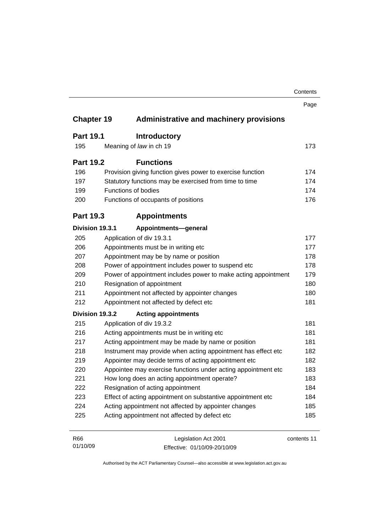|                   |                                                                | Contents    |
|-------------------|----------------------------------------------------------------|-------------|
|                   |                                                                | Page        |
| <b>Chapter 19</b> | <b>Administrative and machinery provisions</b>                 |             |
| <b>Part 19.1</b>  | <b>Introductory</b>                                            |             |
| 195               | Meaning of law in ch 19                                        | 173         |
| <b>Part 19.2</b>  | <b>Functions</b>                                               |             |
| 196               | Provision giving function gives power to exercise function     | 174         |
| 197               | Statutory functions may be exercised from time to time         | 174         |
| 199               | <b>Functions of bodies</b>                                     |             |
| 200               | Functions of occupants of positions                            | 176         |
| <b>Part 19.3</b>  | <b>Appointments</b>                                            |             |
| Division 19.3.1   | Appointments-general                                           |             |
| 205               | Application of div 19.3.1                                      | 177         |
| 206               | Appointments must be in writing etc                            | 177         |
| 207               | Appointment may be by name or position                         |             |
| 208               | Power of appointment includes power to suspend etc             |             |
| 209               | Power of appointment includes power to make acting appointment | 179         |
| 210               | Resignation of appointment                                     | 180         |
| 211               | Appointment not affected by appointer changes                  | 180         |
| 212               | Appointment not affected by defect etc                         | 181         |
| Division 19.3.2   | <b>Acting appointments</b>                                     |             |
| 215               | Application of div 19.3.2                                      | 181         |
| 216               | Acting appointments must be in writing etc                     |             |
| 217               | Acting appointment may be made by name or position             | 181         |
| 218               | Instrument may provide when acting appointment has effect etc  |             |
| 219               | Appointer may decide terms of acting appointment etc           | 182         |
| 220               | Appointee may exercise functions under acting appointment etc  | 183         |
| 221               | How long does an acting appointment operate?                   | 183         |
| 222               | Resignation of acting appointment                              | 184         |
| 223               | Effect of acting appointment on substantive appointment etc    | 184         |
| 224               | Acting appointment not affected by appointer changes           | 185         |
| 225               | Acting appointment not affected by defect etc                  | 185         |
| R66               | Legislation Act 2001                                           | contents 11 |

Authorised by the ACT Parliamentary Counsel—also accessible at www.legislation.act.gov.au

Effective: 01/10/09-20/10/09

01/10/09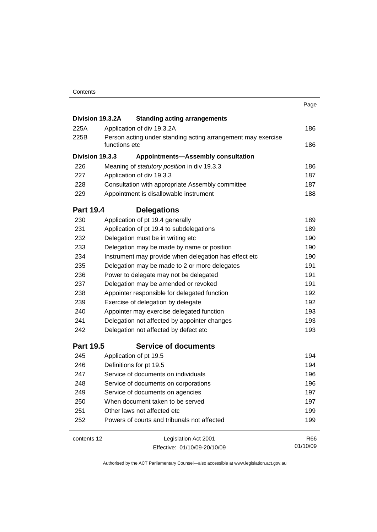|                                                                                       |                                                       |                                                  | Page     |
|---------------------------------------------------------------------------------------|-------------------------------------------------------|--------------------------------------------------|----------|
| Division 19.3.2A                                                                      |                                                       | <b>Standing acting arrangements</b>              |          |
| 225A                                                                                  |                                                       | Application of div 19.3.2A                       | 186      |
| 225B<br>Person acting under standing acting arrangement may exercise<br>functions etc |                                                       | 186                                              |          |
| Division 19.3.3                                                                       |                                                       | <b>Appointments-Assembly consultation</b>        |          |
| 226                                                                                   |                                                       | Meaning of statutory position in div 19.3.3      | 186      |
| 227                                                                                   |                                                       | Application of div 19.3.3                        | 187      |
| 228                                                                                   |                                                       | Consultation with appropriate Assembly committee | 187      |
| 229                                                                                   |                                                       | Appointment is disallowable instrument           | 188      |
| <b>Part 19.4</b>                                                                      |                                                       | <b>Delegations</b>                               |          |
| 230                                                                                   |                                                       | Application of pt 19.4 generally                 | 189      |
| 231                                                                                   |                                                       | Application of pt 19.4 to subdelegations         | 189      |
| 232                                                                                   |                                                       | Delegation must be in writing etc                | 190      |
| 233                                                                                   |                                                       | Delegation may be made by name or position       | 190      |
| 234                                                                                   | Instrument may provide when delegation has effect etc |                                                  |          |
| 235                                                                                   | Delegation may be made to 2 or more delegates         |                                                  | 191      |
| 236                                                                                   |                                                       | Power to delegate may not be delegated           | 191      |
| 237                                                                                   |                                                       | Delegation may be amended or revoked             | 191      |
| 238                                                                                   |                                                       | Appointer responsible for delegated function     | 192      |
| 239                                                                                   |                                                       | Exercise of delegation by delegate               | 192      |
| 240                                                                                   |                                                       | Appointer may exercise delegated function        | 193      |
| 241                                                                                   |                                                       | Delegation not affected by appointer changes     | 193      |
| 242                                                                                   |                                                       | Delegation not affected by defect etc            | 193      |
| <b>Part 19.5</b>                                                                      |                                                       | <b>Service of documents</b>                      |          |
| 245                                                                                   |                                                       | Application of pt 19.5                           | 194      |
| 246                                                                                   |                                                       | Definitions for pt 19.5                          | 194      |
| 247                                                                                   |                                                       | Service of documents on individuals              | 196      |
| 248                                                                                   |                                                       | Service of documents on corporations             | 196      |
| 249                                                                                   |                                                       | Service of documents on agencies                 | 197      |
| 250                                                                                   |                                                       | When document taken to be served                 | 197      |
| 251                                                                                   |                                                       | Other laws not affected etc                      | 199      |
| 252                                                                                   |                                                       | Powers of courts and tribunals not affected      | 199      |
| contents 12                                                                           |                                                       | Legislation Act 2001                             | R66      |
|                                                                                       | Effective: 01/10/09-20/10/09                          |                                                  | 01/10/09 |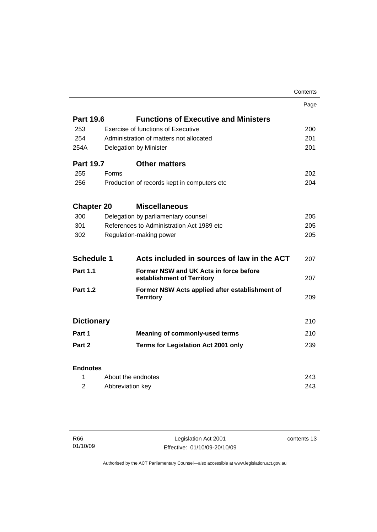|                   |                                           |                                                                      | Contents |
|-------------------|-------------------------------------------|----------------------------------------------------------------------|----------|
|                   |                                           |                                                                      | Page     |
| <b>Part 19.6</b>  |                                           | <b>Functions of Executive and Ministers</b>                          |          |
| 253               |                                           | <b>Exercise of functions of Executive</b>                            | 200      |
| 254               | Administration of matters not allocated   |                                                                      | 201      |
| 254A              | Delegation by Minister                    |                                                                      |          |
| <b>Part 19.7</b>  |                                           | <b>Other matters</b>                                                 |          |
| 255               | <b>Forms</b>                              |                                                                      | 202      |
| 256               |                                           | Production of records kept in computers etc.                         | 204      |
| <b>Chapter 20</b> |                                           | <b>Miscellaneous</b>                                                 |          |
| 300               |                                           | Delegation by parliamentary counsel                                  | 205      |
| 301               | References to Administration Act 1989 etc |                                                                      | 205      |
| 302               |                                           | Regulation-making power                                              | 205      |
| <b>Schedule 1</b> |                                           | Acts included in sources of law in the ACT                           | 207      |
| <b>Part 1.1</b>   |                                           | Former NSW and UK Acts in force before<br>establishment of Territory | 207      |
| <b>Part 1.2</b>   |                                           | Former NSW Acts applied after establishment of<br><b>Territory</b>   | 209      |
| <b>Dictionary</b> |                                           |                                                                      | 210      |
| Part 1            |                                           | <b>Meaning of commonly-used terms</b>                                | 210      |
| Part 2            |                                           | <b>Terms for Legislation Act 2001 only</b>                           | 239      |
| <b>Endnotes</b>   |                                           |                                                                      |          |
| 1                 | About the endnotes                        |                                                                      | 243      |
| 2                 | Abbreviation key                          |                                                                      | 243      |

| R66      |  |
|----------|--|
| 01/10/09 |  |

Legislation Act 2001 Effective: 01/10/09-20/10/09 contents 13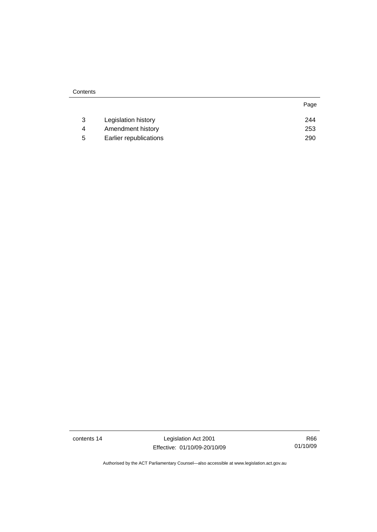|   | Legislation history    | 244 |
|---|------------------------|-----|
|   | Amendment history      | 253 |
| 5 | Earlier republications | 290 |

contents 14 Legislation Act 2001 Effective: 01/10/09-20/10/09

R66 01/10/09

Page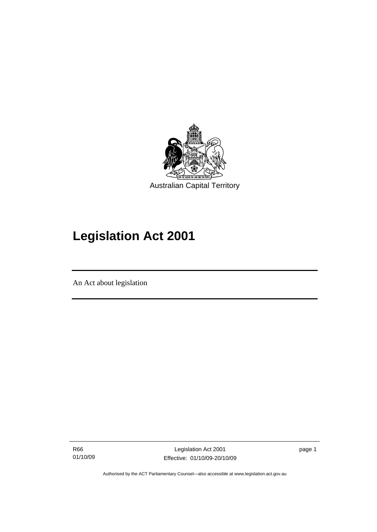<span id="page-16-0"></span>

# **Legislation Act 2001**

An Act about legislation

I

R66 01/10/09

Legislation Act 2001 Effective: 01/10/09-20/10/09 page 1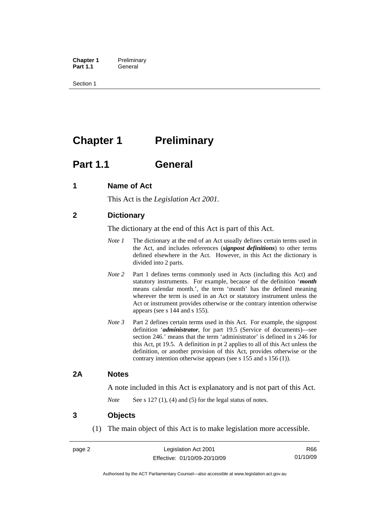<span id="page-17-0"></span>**Chapter 1** Preliminary<br>**Part 1.1** General General

Section 1

## **Chapter 1** Preliminary

## **Part 1.1 General**

## **1 Name of Act**

This Act is the *Legislation Act 2001.* 

## **2 Dictionary**

The dictionary at the end of this Act is part of this Act.

- *Note 1* The dictionary at the end of an Act usually defines certain terms used in the Act, and includes references (*signpost definitions*) to other terms defined elsewhere in the Act. However, in this Act the dictionary is divided into 2 parts.
- *Note* 2 Part 1 defines terms commonly used in Acts (including this Act) and statutory instruments. For example, because of the definition '*month* means calendar month.', the term 'month' has the defined meaning wherever the term is used in an Act or statutory instrument unless the Act or instrument provides otherwise or the contrary intention otherwise appears (see s 144 and s 155).
- *Note 3* Part 2 defines certain terms used in this Act. For example, the signpost definition '*administrator*, for part 19.5 (Service of documents)—see section 246.' means that the term 'administrator' is defined in s 246 for this Act, pt 19.5. A definition in pt 2 applies to all of this Act unless the definition, or another provision of this Act, provides otherwise or the contrary intention otherwise appears (see s 155 and s 156 (1)).

## **2A Notes**

A note included in this Act is explanatory and is not part of this Act.

*Note* See s 127 (1), (4) and (5) for the legal status of notes.

### **3 Objects**

(1) The main object of this Act is to make legislation more accessible.

R66 01/10/09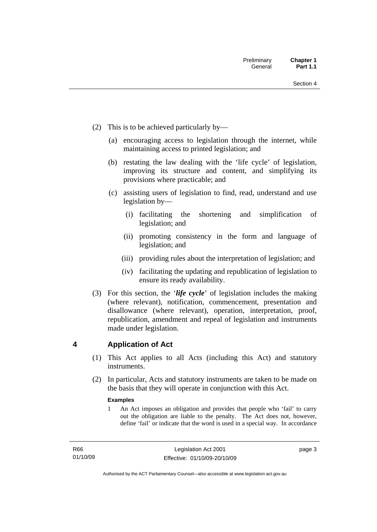- <span id="page-18-0"></span> (2) This is to be achieved particularly by—
	- (a) encouraging access to legislation through the internet, while maintaining access to printed legislation; and
	- (b) restating the law dealing with the 'life cycle' of legislation, improving its structure and content, and simplifying its provisions where practicable; and
	- (c) assisting users of legislation to find, read, understand and use legislation by—
		- (i) facilitating the shortening and simplification of legislation; and
		- (ii) promoting consistency in the form and language of legislation; and
		- (iii) providing rules about the interpretation of legislation; and
		- (iv) facilitating the updating and republication of legislation to ensure its ready availability.
- (3) For this section, the '*life cycle*' of legislation includes the making (where relevant), notification, commencement, presentation and disallowance (where relevant), operation, interpretation, proof, republication, amendment and repeal of legislation and instruments made under legislation.

## **4 Application of Act**

- (1) This Act applies to all Acts (including this Act) and statutory **instruments**
- (2) In particular, Acts and statutory instruments are taken to be made on the basis that they will operate in conjunction with this Act.

#### **Examples**

1 An Act imposes an obligation and provides that people who 'fail' to carry out the obligation are liable to the penalty. The Act does not, however, define 'fail' or indicate that the word is used in a special way. In accordance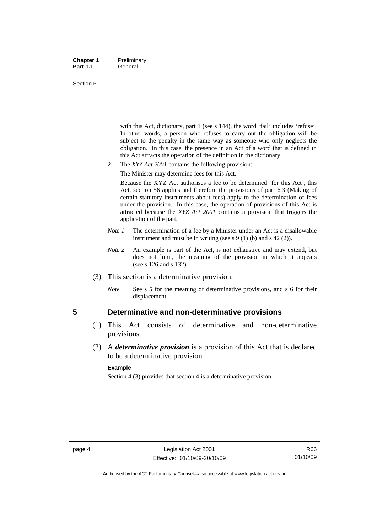#### <span id="page-19-0"></span>**Chapter 1** Preliminary Part 1.1 **General**

#### Section 5

with this Act, dictionary, part 1 (see s 144), the word 'fail' includes 'refuse'. In other words, a person who refuses to carry out the obligation will be subject to the penalty in the same way as someone who only neglects the obligation. In this case, the presence in an Act of a word that is defined in this Act attracts the operation of the definition in the dictionary.

- 2 The *XYZ Act 2001* contains the following provision:
	- The Minister may determine fees for this Act.

Because the XYZ Act authorises a fee to be determined 'for this Act', this Act, section 56 applies and therefore the provisions of part 6.3 (Making of certain statutory instruments about fees) apply to the determination of fees under the provision. In this case, the operation of provisions of this Act is attracted because the *XYZ Act 2001* contains a provision that triggers the application of the part.

- *Note 1* The determination of a fee by a Minister under an Act is a disallowable instrument and must be in writing (see s 9 (1) (b) and s 42 (2)).
- *Note* 2 An example is part of the Act, is not exhaustive and may extend, but does not limit, the meaning of the provision in which it appears (see s 126 and s 132).
- (3) This section is a determinative provision.
	- *Note* See s 5 for the meaning of determinative provisions, and s 6 for their displacement.

### **5 Determinative and non-determinative provisions**

- (1) This Act consists of determinative and non-determinative provisions.
- (2) A *determinative provision* is a provision of this Act that is declared to be a determinative provision.

#### **Example**

Section 4 (3) provides that section 4 is a determinative provision.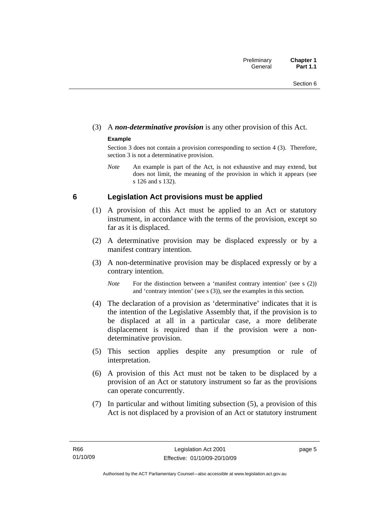## <span id="page-20-0"></span>(3) A *non-determinative provision* is any other provision of this Act.

### **Example**

Section 3 does not contain a provision corresponding to section 4 (3). Therefore, section 3 is not a determinative provision.

*Note* An example is part of the Act, is not exhaustive and may extend, but does not limit, the meaning of the provision in which it appears (see s 126 and s 132).

## **6 Legislation Act provisions must be applied**

- (1) A provision of this Act must be applied to an Act or statutory instrument, in accordance with the terms of the provision, except so far as it is displaced.
- (2) A determinative provision may be displaced expressly or by a manifest contrary intention.
- (3) A non-determinative provision may be displaced expressly or by a contrary intention.

*Note* For the distinction between a 'manifest contrary intention' (see s (2)) and 'contrary intention' (see s (3)), see the examples in this section.

- (4) The declaration of a provision as 'determinative' indicates that it is the intention of the Legislative Assembly that, if the provision is to be displaced at all in a particular case, a more deliberate displacement is required than if the provision were a nondeterminative provision.
- (5) This section applies despite any presumption or rule of interpretation.
- (6) A provision of this Act must not be taken to be displaced by a provision of an Act or statutory instrument so far as the provisions can operate concurrently.
- (7) In particular and without limiting subsection (5), a provision of this Act is not displaced by a provision of an Act or statutory instrument

page 5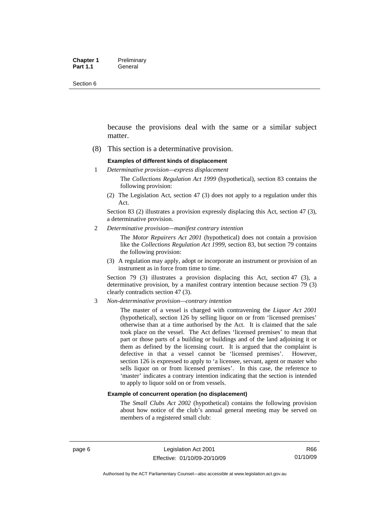Section 6

because the provisions deal with the same or a similar subject matter.

(8) This section is a determinative provision.

#### **Examples of different kinds of displacement**

1 *Determinative provision—express displacement*

The *Collections Regulation Act 1999* (hypothetical), section 83 contains the following provision:

(2) The Legislation Act, section 47 (3) does not apply to a regulation under this Act.

Section 83 (2) illustrates a provision expressly displacing this Act, section 47 (3), a determinative provision.

2 *Determinative provision—manifest contrary intention*

The *Motor Repairers Act 2001* (hypothetical) does not contain a provision like the *Collections Regulation Act 1999*, section 83, but section 79 contains the following provision:

(3) A regulation may apply, adopt or incorporate an instrument or provision of an instrument as in force from time to time.

Section 79 (3) illustrates a provision displacing this Act, section 47 (3), a determinative provision, by a manifest contrary intention because section 79 (3) clearly contradicts section 47 (3).

3 *Non-determinative provision—contrary intention*

The master of a vessel is charged with contravening the *Liquor Act 2001* (hypothetical), section 126 by selling liquor on or from 'licensed premises' otherwise than at a time authorised by the Act. It is claimed that the sale took place on the vessel. The Act defines 'licensed premises' to mean that part or those parts of a building or buildings and of the land adjoining it or them as defined by the licensing court. It is argued that the complaint is defective in that a vessel cannot be 'licensed premises'. However, section 126 is expressed to apply to 'a licensee, servant, agent or master who sells liquor on or from licensed premises'. In this case, the reference to 'master' indicates a contrary intention indicating that the section is intended to apply to liquor sold on or from vessels.

#### **Example of concurrent operation (no displacement)**

The *Small Clubs Act 2002* (hypothetical) contains the following provision about how notice of the club's annual general meeting may be served on members of a registered small club: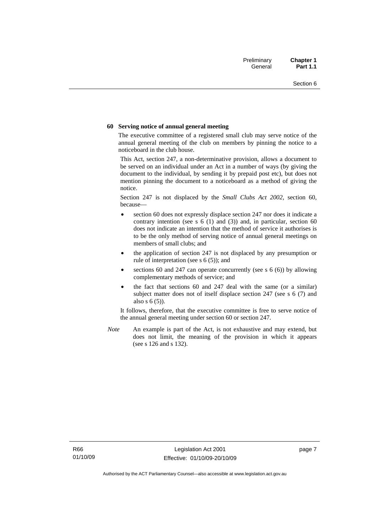#### **60 Serving notice of annual general meeting**

The executive committee of a registered small club may serve notice of the annual general meeting of the club on members by pinning the notice to a noticeboard in the club house.

This Act, section 247, a non-determinative provision, allows a document to be served on an individual under an Act in a number of ways (by giving the document to the individual, by sending it by prepaid post etc), but does not mention pinning the document to a noticeboard as a method of giving the notice.

Section 247 is not displaced by the *Small Clubs Act 2002*, section 60, because—

- section 60 does not expressly displace section 247 nor does it indicate a contrary intention (see s  $6(1)$  and  $(3)$ ) and, in particular, section  $60$ does not indicate an intention that the method of service it authorises is to be the only method of serving notice of annual general meetings on members of small clubs; and
- the application of section 247 is not displaced by any presumption or rule of interpretation (see s 6 (5)); and
- sections 60 and 247 can operate concurrently (see s  $6(6)$ ) by allowing complementary methods of service; and
- the fact that sections 60 and 247 deal with the same (or a similar) subject matter does not of itself displace section 247 (see s 6 (7) and also s 6 (5)).

It follows, therefore, that the executive committee is free to serve notice of the annual general meeting under section 60 or section 247.

*Note* An example is part of the Act, is not exhaustive and may extend, but does not limit, the meaning of the provision in which it appears (see s 126 and s 132).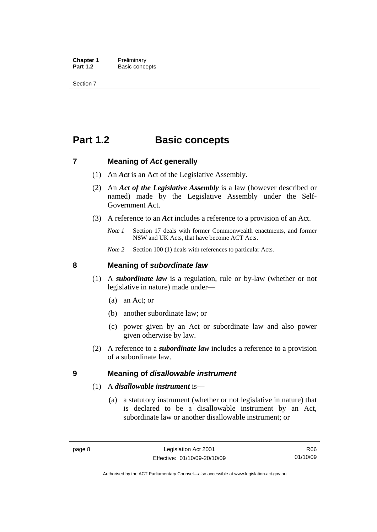<span id="page-23-0"></span>**Chapter 1** Preliminary<br>**Part 1.2** Basic conce **Basic concepts** 

Section 7

## **Part 1.2 Basic concepts**

### **7 Meaning of** *Act* **generally**

- (1) An *Act* is an Act of the Legislative Assembly.
- (2) An *Act of the Legislative Assembly* is a law (however described or named) made by the Legislative Assembly under the Self-Government Act.
- (3) A reference to an *Act* includes a reference to a provision of an Act.
	- *Note 1* Section 17 deals with former Commonwealth enactments, and former NSW and UK Acts, that have become ACT Acts.
	- *Note 2* Section 100 (1) deals with references to particular Acts.

### **8 Meaning of** *subordinate law*

- (1) A *subordinate law* is a regulation, rule or by-law (whether or not legislative in nature) made under—
	- (a) an Act; or
	- (b) another subordinate law; or
	- (c) power given by an Act or subordinate law and also power given otherwise by law.
- (2) A reference to a *subordinate law* includes a reference to a provision of a subordinate law.

### **9 Meaning of** *disallowable instrument*

### (1) A *disallowable instrument* is—

 (a) a statutory instrument (whether or not legislative in nature) that is declared to be a disallowable instrument by an Act, subordinate law or another disallowable instrument; or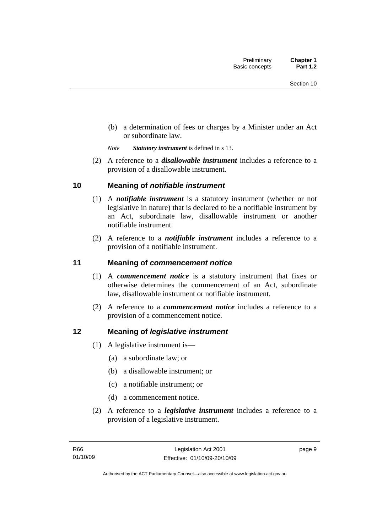<span id="page-24-0"></span> (b) a determination of fees or charges by a Minister under an Act or subordinate law.

*Note Statutory instrument* is defined in s 13.

 (2) A reference to a *disallowable instrument* includes a reference to a provision of a disallowable instrument.

## **10 Meaning of** *notifiable instrument*

- (1) A *notifiable instrument* is a statutory instrument (whether or not legislative in nature) that is declared to be a notifiable instrument by an Act, subordinate law, disallowable instrument or another notifiable instrument.
- (2) A reference to a *notifiable instrument* includes a reference to a provision of a notifiable instrument.

## **11 Meaning of** *commencement notice*

- (1) A *commencement notice* is a statutory instrument that fixes or otherwise determines the commencement of an Act, subordinate law, disallowable instrument or notifiable instrument.
- (2) A reference to a *commencement notice* includes a reference to a provision of a commencement notice.

## **12 Meaning of** *legislative instrument*

- (1) A legislative instrument is—
	- (a) a subordinate law; or
	- (b) a disallowable instrument; or
	- (c) a notifiable instrument; or
	- (d) a commencement notice.
- (2) A reference to a *legislative instrument* includes a reference to a provision of a legislative instrument.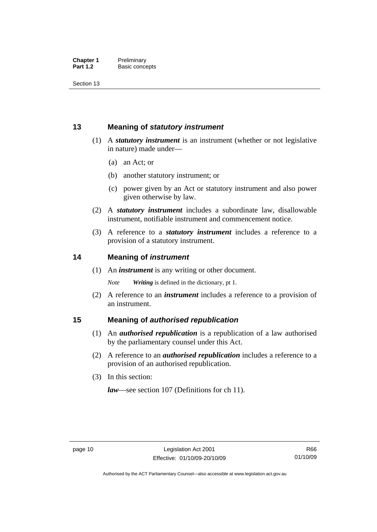<span id="page-25-0"></span>Section 13

## **13 Meaning of** *statutory instrument*

- (1) A *statutory instrument* is an instrument (whether or not legislative in nature) made under—
	- (a) an Act; or
	- (b) another statutory instrument; or
	- (c) power given by an Act or statutory instrument and also power given otherwise by law.
- (2) A *statutory instrument* includes a subordinate law, disallowable instrument, notifiable instrument and commencement notice.
- (3) A reference to a *statutory instrument* includes a reference to a provision of a statutory instrument.

## **14 Meaning of** *instrument*

(1) An *instrument* is any writing or other document.

*Note Writing* is defined in the dictionary, pt 1.

 (2) A reference to an *instrument* includes a reference to a provision of an instrument.

## **15 Meaning of** *authorised republication*

- (1) An *authorised republication* is a republication of a law authorised by the parliamentary counsel under this Act.
- (2) A reference to an *authorised republication* includes a reference to a provision of an authorised republication.
- (3) In this section:

*law*—see section 107 (Definitions for ch 11).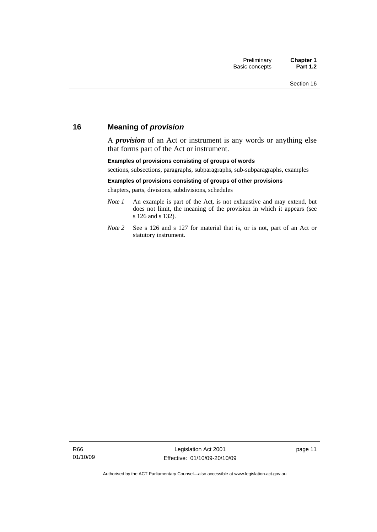## <span id="page-26-0"></span>**16 Meaning of** *provision*

A *provision* of an Act or instrument is any words or anything else that forms part of the Act or instrument.

#### **Examples of provisions consisting of groups of words**

sections, subsections, paragraphs, subparagraphs, sub-subparagraphs, examples

#### **Examples of provisions consisting of groups of other provisions**

chapters, parts, divisions, subdivisions, schedules

- *Note 1* An example is part of the Act, is not exhaustive and may extend, but does not limit, the meaning of the provision in which it appears (see s 126 and s 132).
- *Note 2* See s 126 and s 127 for material that is, or is not, part of an Act or statutory instrument.

page 11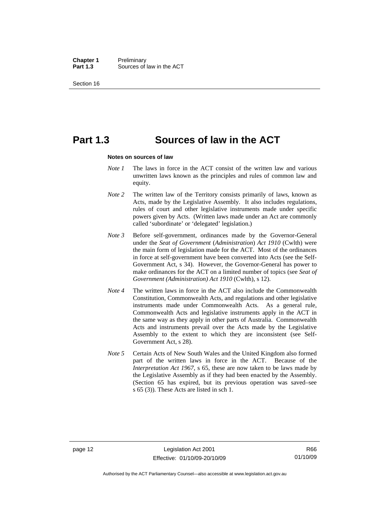**Chapter 1** Preliminary<br>**Part 1.3** Sources of Sources of law in the ACT

Section 16

## **Part 1.3 Sources of law in the ACT**

#### **Notes on sources of law**

- *Note 1* The laws in force in the ACT consist of the written law and various unwritten laws known as the principles and rules of common law and equity.
- *Note* 2 The written law of the Territory consists primarily of laws, known as Acts, made by the Legislative Assembly. It also includes regulations, rules of court and other legislative instruments made under specific powers given by Acts. (Written laws made under an Act are commonly called 'subordinate' or 'delegated' legislation.)
- *Note 3* Before self-government, ordinances made by the Governor-General under the *Seat of Government* (*Administration*) *Act 1910* (Cwlth) were the main form of legislation made for the ACT. Most of the ordinances in force at self-government have been converted into Acts (see the Self-Government Act, s 34). However, the Governor-General has power to make ordinances for the ACT on a limited number of topics (see *Seat of Government (Administration) Act 1910* (Cwlth), s 12).
- *Note 4* The written laws in force in the ACT also include the Commonwealth Constitution, Commonwealth Acts, and regulations and other legislative instruments made under Commonwealth Acts. As a general rule, Commonwealth Acts and legislative instruments apply in the ACT in the same way as they apply in other parts of Australia. Commonwealth Acts and instruments prevail over the Acts made by the Legislative Assembly to the extent to which they are inconsistent (see Self-Government Act, s 28).
- *Note 5* Certain Acts of New South Wales and the United Kingdom also formed part of the written laws in force in the ACT. Because of the *Interpretation Act 1967*, s 65, these are now taken to be laws made by the Legislative Assembly as if they had been enacted by the Assembly. (Section 65 has expired, but its previous operation was saved–see s 65 (3)). These Acts are listed in sch 1.

Authorised by the ACT Parliamentary Counsel—also accessible at www.legislation.act.gov.au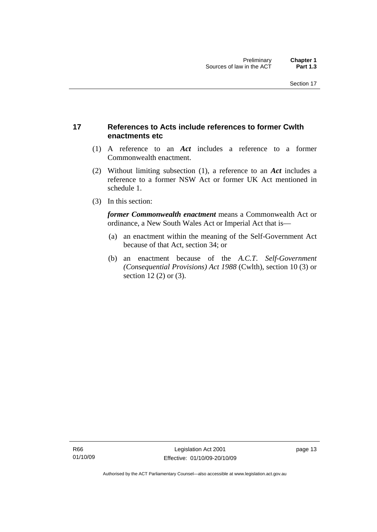## <span id="page-28-0"></span>**17 References to Acts include references to former Cwlth enactments etc**

- (1) A reference to an *Act* includes a reference to a former Commonwealth enactment.
- (2) Without limiting subsection (1), a reference to an *Act* includes a reference to a former NSW Act or former UK Act mentioned in schedule 1.
- (3) In this section:

*former Commonwealth enactment* means a Commonwealth Act or ordinance, a New South Wales Act or Imperial Act that is—

- (a) an enactment within the meaning of the Self-Government Act because of that Act, section 34; or
- (b) an enactment because of the *A.C.T*. *Self-Government (Consequential Provisions) Act 1988* (Cwlth), section 10 (3) or section 12 (2) or (3).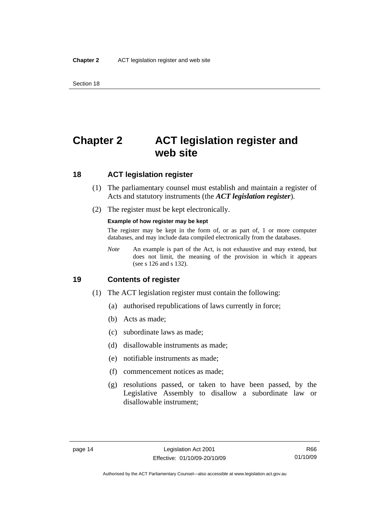<span id="page-29-0"></span>Section 18

## **Chapter 2 ACT legislation register and web site**

## **18 ACT legislation register**

- (1) The parliamentary counsel must establish and maintain a register of Acts and statutory instruments (the *ACT legislation register*).
- (2) The register must be kept electronically.

#### **Example of how register may be kept**

The register may be kept in the form of, or as part of, 1 or more computer databases, and may include data compiled electronically from the databases.

*Note* An example is part of the Act, is not exhaustive and may extend, but does not limit, the meaning of the provision in which it appears (see s 126 and s 132).

### **19 Contents of register**

- (1) The ACT legislation register must contain the following:
	- (a) authorised republications of laws currently in force;
	- (b) Acts as made;
	- (c) subordinate laws as made;
	- (d) disallowable instruments as made;
	- (e) notifiable instruments as made;
	- (f) commencement notices as made;
	- (g) resolutions passed, or taken to have been passed, by the Legislative Assembly to disallow a subordinate law or disallowable instrument;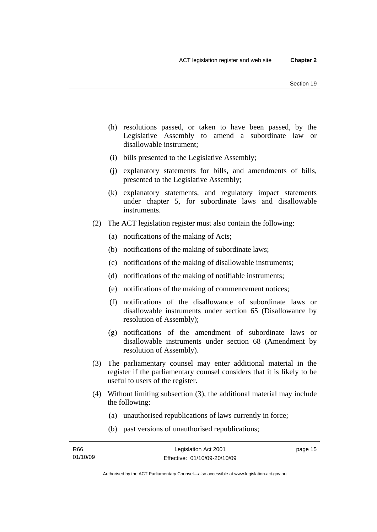- (h) resolutions passed, or taken to have been passed, by the Legislative Assembly to amend a subordinate law or disallowable instrument;
- (i) bills presented to the Legislative Assembly;
- (j) explanatory statements for bills, and amendments of bills, presented to the Legislative Assembly;
- (k) explanatory statements, and regulatory impact statements under chapter 5, for subordinate laws and disallowable instruments.
- (2) The ACT legislation register must also contain the following:
	- (a) notifications of the making of Acts;
	- (b) notifications of the making of subordinate laws;
	- (c) notifications of the making of disallowable instruments;
	- (d) notifications of the making of notifiable instruments;
	- (e) notifications of the making of commencement notices;
	- (f) notifications of the disallowance of subordinate laws or disallowable instruments under section 65 (Disallowance by resolution of Assembly);
	- (g) notifications of the amendment of subordinate laws or disallowable instruments under section 68 (Amendment by resolution of Assembly).
- (3) The parliamentary counsel may enter additional material in the register if the parliamentary counsel considers that it is likely to be useful to users of the register.
- (4) Without limiting subsection (3), the additional material may include the following:
	- (a) unauthorised republications of laws currently in force;
	- (b) past versions of unauthorised republications;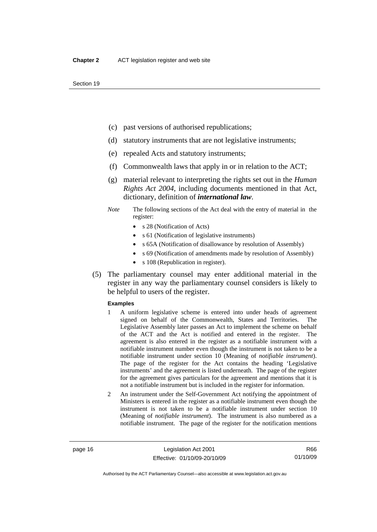- (c) past versions of authorised republications;
- (d) statutory instruments that are not legislative instruments;
- (e) repealed Acts and statutory instruments;
- (f) Commonwealth laws that apply in or in relation to the ACT;
- (g) material relevant to interpreting the rights set out in the *Human Rights Act 2004*, including documents mentioned in that Act, dictionary, definition of *international law*.
- *Note* The following sections of the Act deal with the entry of material in the register:
	- s 28 (Notification of Acts)
	- s 61 (Notification of legislative instruments)
	- s 65A (Notification of disallowance by resolution of Assembly)
	- s 69 (Notification of amendments made by resolution of Assembly)
	- s 108 (Republication in register).
- (5) The parliamentary counsel may enter additional material in the register in any way the parliamentary counsel considers is likely to be helpful to users of the register.

#### **Examples**

- 1 A uniform legislative scheme is entered into under heads of agreement signed on behalf of the Commonwealth, States and Territories. The Legislative Assembly later passes an Act to implement the scheme on behalf of the ACT and the Act is notified and entered in the register. The agreement is also entered in the register as a notifiable instrument with a notifiable instrument number even though the instrument is not taken to be a notifiable instrument under section 10 (Meaning of *notifiable instrument*). The page of the register for the Act contains the heading 'Legislative instruments' and the agreement is listed underneath. The page of the register for the agreement gives particulars for the agreement and mentions that it is not a notifiable instrument but is included in the register for information.
- 2 An instrument under the Self-Government Act notifying the appointment of Ministers is entered in the register as a notifiable instrument even though the instrument is not taken to be a notifiable instrument under section 10 (Meaning of *notifiable instrument*). The instrument is also numbered as a notifiable instrument. The page of the register for the notification mentions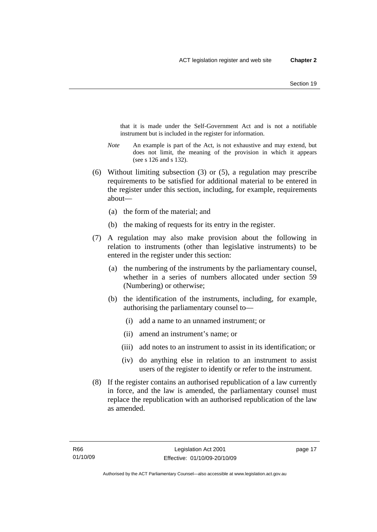that it is made under the Self-Government Act and is not a notifiable instrument but is included in the register for information.

- *Note* An example is part of the Act, is not exhaustive and may extend, but does not limit, the meaning of the provision in which it appears (see s 126 and s 132).
- (6) Without limiting subsection (3) or (5), a regulation may prescribe requirements to be satisfied for additional material to be entered in the register under this section, including, for example, requirements about—
	- (a) the form of the material; and
	- (b) the making of requests for its entry in the register.
- (7) A regulation may also make provision about the following in relation to instruments (other than legislative instruments) to be entered in the register under this section:
	- (a) the numbering of the instruments by the parliamentary counsel, whether in a series of numbers allocated under section 59 (Numbering) or otherwise;
	- (b) the identification of the instruments, including, for example, authorising the parliamentary counsel to—
		- (i) add a name to an unnamed instrument; or
		- (ii) amend an instrument's name; or
		- (iii) add notes to an instrument to assist in its identification; or
		- (iv) do anything else in relation to an instrument to assist users of the register to identify or refer to the instrument.
- (8) If the register contains an authorised republication of a law currently in force, and the law is amended, the parliamentary counsel must replace the republication with an authorised republication of the law as amended.

page 17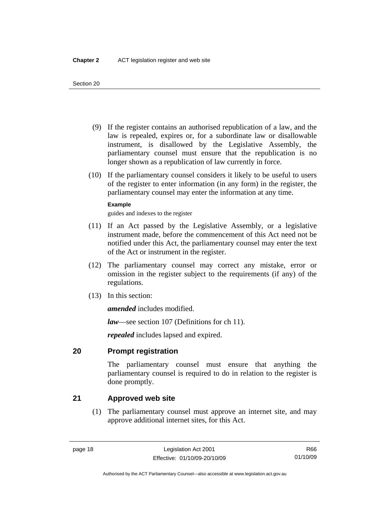- <span id="page-33-0"></span> (9) If the register contains an authorised republication of a law, and the law is repealed, expires or, for a subordinate law or disallowable instrument, is disallowed by the Legislative Assembly, the parliamentary counsel must ensure that the republication is no longer shown as a republication of law currently in force.
- (10) If the parliamentary counsel considers it likely to be useful to users of the register to enter information (in any form) in the register, the parliamentary counsel may enter the information at any time.

### **Example**

guides and indexes to the register

- (11) If an Act passed by the Legislative Assembly, or a legislative instrument made, before the commencement of this Act need not be notified under this Act, the parliamentary counsel may enter the text of the Act or instrument in the register.
- (12) The parliamentary counsel may correct any mistake, error or omission in the register subject to the requirements (if any) of the regulations.
- (13) In this section:

*amended* includes modified.

*law*—see section 107 (Definitions for ch 11).

*repealed* includes lapsed and expired.

## **20 Prompt registration**

The parliamentary counsel must ensure that anything the parliamentary counsel is required to do in relation to the register is done promptly.

## **21 Approved web site**

 (1) The parliamentary counsel must approve an internet site, and may approve additional internet sites, for this Act.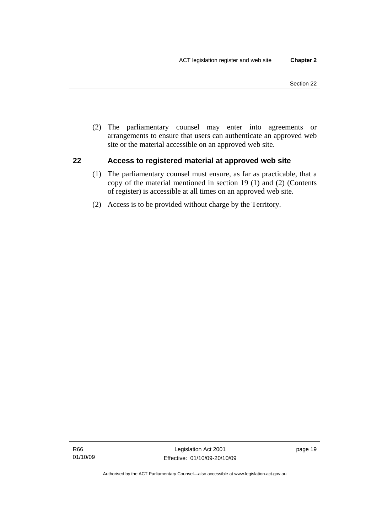<span id="page-34-0"></span> (2) The parliamentary counsel may enter into agreements or arrangements to ensure that users can authenticate an approved web site or the material accessible on an approved web site.

## **22 Access to registered material at approved web site**

- (1) The parliamentary counsel must ensure, as far as practicable, that a copy of the material mentioned in section 19 (1) and (2) (Contents of register) is accessible at all times on an approved web site.
- (2) Access is to be provided without charge by the Territory.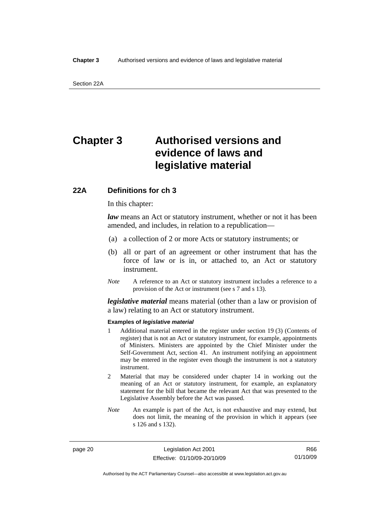## <span id="page-35-0"></span>**Chapter 3 Authorised versions and evidence of laws and legislative material**

## **22A Definitions for ch 3**

In this chapter:

*law* means an Act or statutory instrument, whether or not it has been amended, and includes, in relation to a republication—

- (a) a collection of 2 or more Acts or statutory instruments; or
- (b) all or part of an agreement or other instrument that has the force of law or is in, or attached to, an Act or statutory instrument.
- *Note* A reference to an Act or statutory instrument includes a reference to a provision of the Act or instrument (see s 7 and s 13).

*legislative material* means material (other than a law or provision of a law) relating to an Act or statutory instrument.

#### **Examples of** *legislative material*

- 1 Additional material entered in the register under section 19 (3) (Contents of register) that is not an Act or statutory instrument, for example, appointments of Ministers. Ministers are appointed by the Chief Minister under the Self-Government Act, section 41. An instrument notifying an appointment may be entered in the register even though the instrument is not a statutory instrument.
- 2 Material that may be considered under chapter 14 in working out the meaning of an Act or statutory instrument, for example, an explanatory statement for the bill that became the relevant Act that was presented to the Legislative Assembly before the Act was passed.
- *Note* An example is part of the Act, is not exhaustive and may extend, but does not limit, the meaning of the provision in which it appears (see s 126 and s 132).

page 20 Legislation Act 2001 Effective: 01/10/09-20/10/09

R66 01/10/09

Authorised by the ACT Parliamentary Counsel—also accessible at www.legislation.act.gov.au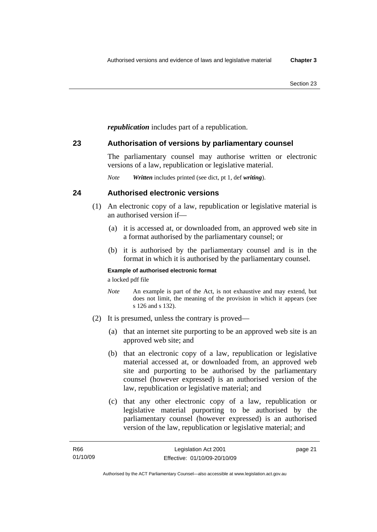*republication* includes part of a republication.

## **23 Authorisation of versions by parliamentary counsel**

The parliamentary counsel may authorise written or electronic versions of a law, republication or legislative material.

*Note Written* includes printed (see dict, pt 1, def *writing*).

## **24 Authorised electronic versions**

- (1) An electronic copy of a law, republication or legislative material is an authorised version if—
	- (a) it is accessed at, or downloaded from, an approved web site in a format authorised by the parliamentary counsel; or
	- (b) it is authorised by the parliamentary counsel and is in the format in which it is authorised by the parliamentary counsel.

## **Example of authorised electronic format**

a locked pdf file

- *Note* An example is part of the Act, is not exhaustive and may extend, but does not limit, the meaning of the provision in which it appears (see s 126 and s 132).
- (2) It is presumed, unless the contrary is proved—
	- (a) that an internet site purporting to be an approved web site is an approved web site; and
	- (b) that an electronic copy of a law, republication or legislative material accessed at, or downloaded from, an approved web site and purporting to be authorised by the parliamentary counsel (however expressed) is an authorised version of the law, republication or legislative material; and
	- (c) that any other electronic copy of a law, republication or legislative material purporting to be authorised by the parliamentary counsel (however expressed) is an authorised version of the law, republication or legislative material; and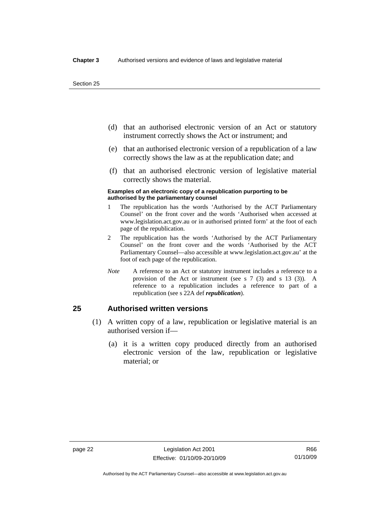- (d) that an authorised electronic version of an Act or statutory instrument correctly shows the Act or instrument; and
- (e) that an authorised electronic version of a republication of a law correctly shows the law as at the republication date; and
- (f) that an authorised electronic version of legislative material correctly shows the material.

#### **Examples of an electronic copy of a republication purporting to be authorised by the parliamentary counsel**

- 1 The republication has the words 'Authorised by the ACT Parliamentary Counsel' on the front cover and the words 'Authorised when accessed at www.legislation.act.gov.au or in authorised printed form' at the foot of each page of the republication.
- 2 The republication has the words 'Authorised by the ACT Parliamentary Counsel' on the front cover and the words 'Authorised by the ACT Parliamentary Counsel—also accessible at www.legislation.act.gov.au' at the foot of each page of the republication.
- *Note* A reference to an Act or statutory instrument includes a reference to a provision of the Act or instrument (see s 7 (3) and s 13 (3)). A reference to a republication includes a reference to part of a republication (see s 22A def *republication*).

## **25 Authorised written versions**

- (1) A written copy of a law, republication or legislative material is an authorised version if—
	- (a) it is a written copy produced directly from an authorised electronic version of the law, republication or legislative material; or

Authorised by the ACT Parliamentary Counsel—also accessible at www.legislation.act.gov.au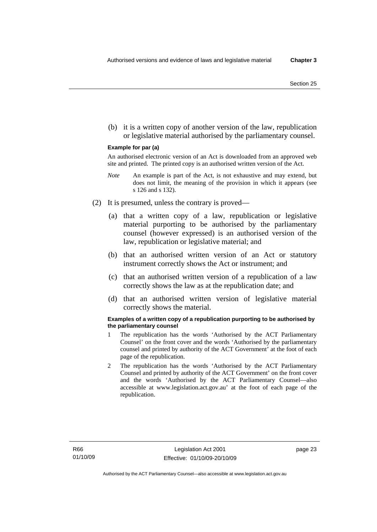(b) it is a written copy of another version of the law, republication or legislative material authorised by the parliamentary counsel.

#### **Example for par (a)**

An authorised electronic version of an Act is downloaded from an approved web site and printed. The printed copy is an authorised written version of the Act.

- *Note* An example is part of the Act, is not exhaustive and may extend, but does not limit, the meaning of the provision in which it appears (see s 126 and s 132).
- (2) It is presumed, unless the contrary is proved—
	- (a) that a written copy of a law, republication or legislative material purporting to be authorised by the parliamentary counsel (however expressed) is an authorised version of the law, republication or legislative material; and
	- (b) that an authorised written version of an Act or statutory instrument correctly shows the Act or instrument; and
	- (c) that an authorised written version of a republication of a law correctly shows the law as at the republication date; and
	- (d) that an authorised written version of legislative material correctly shows the material.

#### **Examples of a written copy of a republication purporting to be authorised by the parliamentary counsel**

- 1 The republication has the words 'Authorised by the ACT Parliamentary Counsel' on the front cover and the words 'Authorised by the parliamentary counsel and printed by authority of the ACT Government' at the foot of each page of the republication.
- 2 The republication has the words 'Authorised by the ACT Parliamentary Counsel and printed by authority of the ACT Government' on the front cover and the words 'Authorised by the ACT Parliamentary Counsel—also accessible at www.legislation.act.gov.au' at the foot of each page of the republication.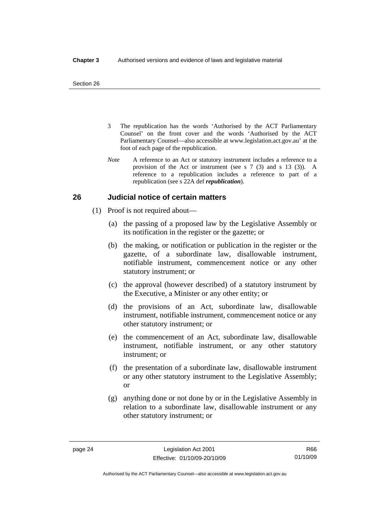- 3 The republication has the words 'Authorised by the ACT Parliamentary Counsel' on the front cover and the words 'Authorised by the ACT Parliamentary Counsel—also accessible at www.legislation.act.gov.au' at the foot of each page of the republication.
- *Note* A reference to an Act or statutory instrument includes a reference to a provision of the Act or instrument (see s 7 (3) and s 13 (3)). A reference to a republication includes a reference to part of a republication (see s 22A def *republication*).

## **26 Judicial notice of certain matters**

- (1) Proof is not required about—
	- (a) the passing of a proposed law by the Legislative Assembly or its notification in the register or the gazette; or
	- (b) the making, or notification or publication in the register or the gazette, of a subordinate law, disallowable instrument, notifiable instrument, commencement notice or any other statutory instrument; or
	- (c) the approval (however described) of a statutory instrument by the Executive, a Minister or any other entity; or
	- (d) the provisions of an Act, subordinate law, disallowable instrument, notifiable instrument, commencement notice or any other statutory instrument; or
	- (e) the commencement of an Act, subordinate law, disallowable instrument, notifiable instrument, or any other statutory instrument; or
	- (f) the presentation of a subordinate law, disallowable instrument or any other statutory instrument to the Legislative Assembly; or
	- (g) anything done or not done by or in the Legislative Assembly in relation to a subordinate law, disallowable instrument or any other statutory instrument; or

R66 01/10/09

Authorised by the ACT Parliamentary Counsel—also accessible at www.legislation.act.gov.au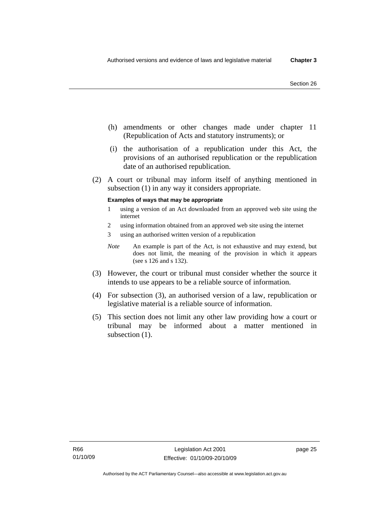- (h) amendments or other changes made under chapter 11 (Republication of Acts and statutory instruments); or
- (i) the authorisation of a republication under this Act, the provisions of an authorised republication or the republication date of an authorised republication.
- (2) A court or tribunal may inform itself of anything mentioned in subsection (1) in any way it considers appropriate.

#### **Examples of ways that may be appropriate**

- 1 using a version of an Act downloaded from an approved web site using the internet
- 2 using information obtained from an approved web site using the internet
- 3 using an authorised written version of a republication
- *Note* An example is part of the Act, is not exhaustive and may extend, but does not limit, the meaning of the provision in which it appears (see s 126 and s 132).
- (3) However, the court or tribunal must consider whether the source it intends to use appears to be a reliable source of information.
- (4) For subsection (3), an authorised version of a law, republication or legislative material is a reliable source of information.
- (5) This section does not limit any other law providing how a court or tribunal may be informed about a matter mentioned in subsection  $(1)$ .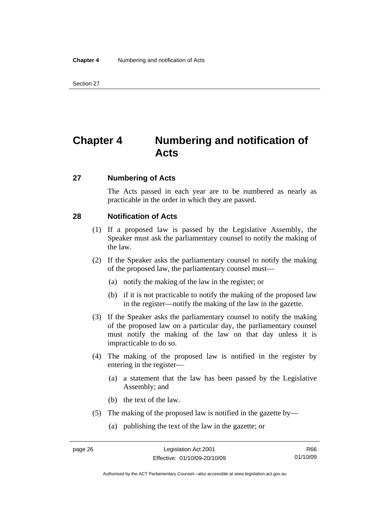## **Chapter 4 Numbering and notification of Acts**

## **27 Numbering of Acts**

The Acts passed in each year are to be numbered as nearly as practicable in the order in which they are passed.

## **28 Notification of Acts**

- (1) If a proposed law is passed by the Legislative Assembly, the Speaker must ask the parliamentary counsel to notify the making of the law.
- (2) If the Speaker asks the parliamentary counsel to notify the making of the proposed law, the parliamentary counsel must—
	- (a) notify the making of the law in the register; or
	- (b) if it is not practicable to notify the making of the proposed law in the register—notify the making of the law in the gazette.
- (3) If the Speaker asks the parliamentary counsel to notify the making of the proposed law on a particular day, the parliamentary counsel must notify the making of the law on that day unless it is impracticable to do so.
- (4) The making of the proposed law is notified in the register by entering in the register—
	- (a) a statement that the law has been passed by the Legislative Assembly; and
	- (b) the text of the law.
- (5) The making of the proposed law is notified in the gazette by—
	- (a) publishing the text of the law in the gazette; or

Authorised by the ACT Parliamentary Counsel—also accessible at www.legislation.act.gov.au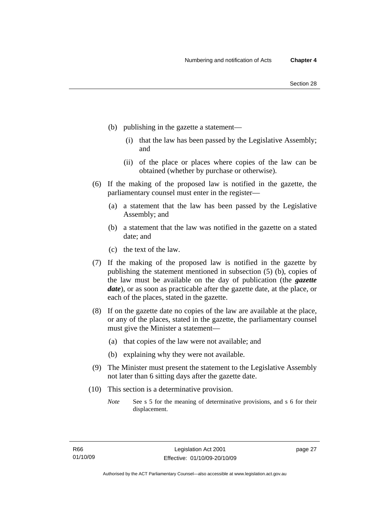- (b) publishing in the gazette a statement—
	- (i) that the law has been passed by the Legislative Assembly; and
	- (ii) of the place or places where copies of the law can be obtained (whether by purchase or otherwise).
- (6) If the making of the proposed law is notified in the gazette, the parliamentary counsel must enter in the register—
	- (a) a statement that the law has been passed by the Legislative Assembly; and
	- (b) a statement that the law was notified in the gazette on a stated date; and
	- (c) the text of the law.
- (7) If the making of the proposed law is notified in the gazette by publishing the statement mentioned in subsection (5) (b), copies of the law must be available on the day of publication (the *gazette date*), or as soon as practicable after the gazette date, at the place, or each of the places, stated in the gazette.
- (8) If on the gazette date no copies of the law are available at the place, or any of the places, stated in the gazette, the parliamentary counsel must give the Minister a statement—
	- (a) that copies of the law were not available; and
	- (b) explaining why they were not available.
- (9) The Minister must present the statement to the Legislative Assembly not later than 6 sitting days after the gazette date.
- (10) This section is a determinative provision.
	- *Note* See s 5 for the meaning of determinative provisions, and s 6 for their displacement.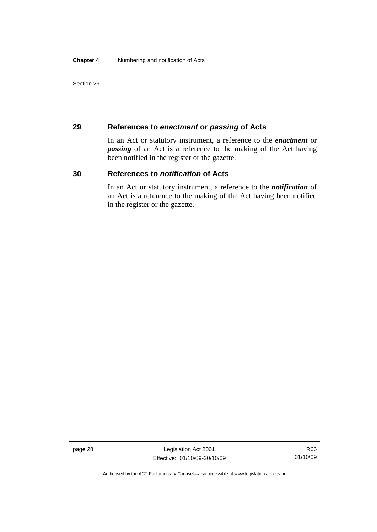## **29 References to** *enactment* **or** *passing* **of Acts**

In an Act or statutory instrument, a reference to the *enactment* or *passing* of an Act is a reference to the making of the Act having been notified in the register or the gazette.

## **30 References to** *notification* **of Acts**

In an Act or statutory instrument, a reference to the *notification* of an Act is a reference to the making of the Act having been notified in the register or the gazette.

page 28 Legislation Act 2001 Effective: 01/10/09-20/10/09

R66 01/10/09

Authorised by the ACT Parliamentary Counsel—also accessible at www.legislation.act.gov.au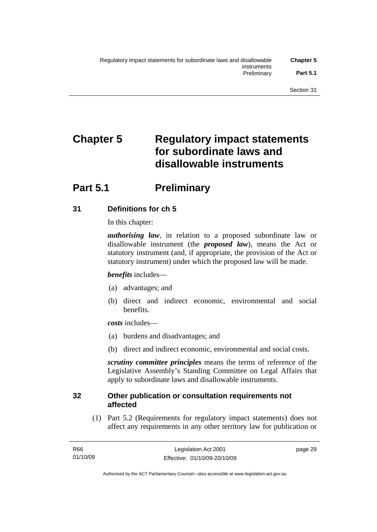# **Chapter 5 Regulatory impact statements for subordinate laws and disallowable instruments**

## **Part 5.1** Preliminary

## **31 Definitions for ch 5**

In this chapter:

*authorising law*, in relation to a proposed subordinate law or disallowable instrument (the *proposed law*), means the Act or statutory instrument (and, if appropriate, the provision of the Act or statutory instrument) under which the proposed law will be made.

## *benefits* includes—

- (a) advantages; and
- (b) direct and indirect economic, environmental and social benefits.

*costs* includes—

- (a) burdens and disadvantages; and
- (b) direct and indirect economic, environmental and social costs.

*scrutiny committee principles* means the terms of reference of the Legislative Assembly's Standing Committee on Legal Affairs that apply to subordinate laws and disallowable instruments.

## **32 Other publication or consultation requirements not affected**

 (1) Part 5.2 (Requirements for regulatory impact statements) does not affect any requirements in any other territory law for publication or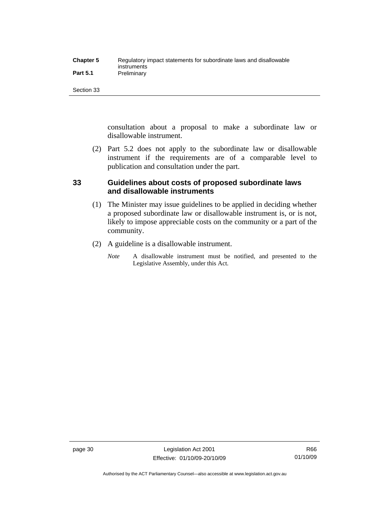| <b>Chapter 5</b> | Regulatory impact statements for subordinate laws and disallowable |
|------------------|--------------------------------------------------------------------|
|                  | instruments                                                        |
| <b>Part 5.1</b>  | Preliminary                                                        |

consultation about a proposal to make a subordinate law or disallowable instrument.

 (2) Part 5.2 does not apply to the subordinate law or disallowable instrument if the requirements are of a comparable level to publication and consultation under the part.

## **33 Guidelines about costs of proposed subordinate laws and disallowable instruments**

- (1) The Minister may issue guidelines to be applied in deciding whether a proposed subordinate law or disallowable instrument is, or is not, likely to impose appreciable costs on the community or a part of the community.
- (2) A guideline is a disallowable instrument.
	- *Note* A disallowable instrument must be notified, and presented to the Legislative Assembly, under this Act.

page 30 Legislation Act 2001 Effective: 01/10/09-20/10/09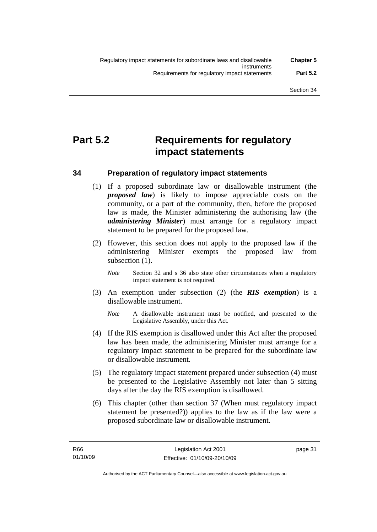## **Part 5.2 Requirements for regulatory impact statements**

## **34 Preparation of regulatory impact statements**

- (1) If a proposed subordinate law or disallowable instrument (the *proposed law*) is likely to impose appreciable costs on the community, or a part of the community, then, before the proposed law is made, the Minister administering the authorising law (the *administering Minister*) must arrange for a regulatory impact statement to be prepared for the proposed law.
- (2) However, this section does not apply to the proposed law if the administering Minister exempts the proposed law from subsection (1).
	- *Note* Section 32 and s 36 also state other circumstances when a regulatory impact statement is not required.
- (3) An exemption under subsection (2) (the *RIS exemption*) is a disallowable instrument.
	- *Note* A disallowable instrument must be notified, and presented to the Legislative Assembly, under this Act.
- (4) If the RIS exemption is disallowed under this Act after the proposed law has been made, the administering Minister must arrange for a regulatory impact statement to be prepared for the subordinate law or disallowable instrument.
- (5) The regulatory impact statement prepared under subsection (4) must be presented to the Legislative Assembly not later than 5 sitting days after the day the RIS exemption is disallowed.
- (6) This chapter (other than section 37 (When must regulatory impact statement be presented?)) applies to the law as if the law were a proposed subordinate law or disallowable instrument.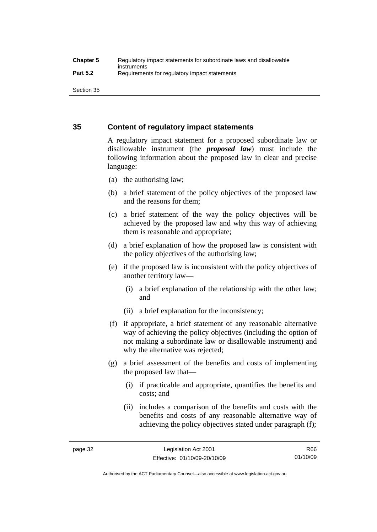## **35 Content of regulatory impact statements**

A regulatory impact statement for a proposed subordinate law or disallowable instrument (the *proposed law*) must include the following information about the proposed law in clear and precise language:

- (a) the authorising law;
- (b) a brief statement of the policy objectives of the proposed law and the reasons for them;
- (c) a brief statement of the way the policy objectives will be achieved by the proposed law and why this way of achieving them is reasonable and appropriate;
- (d) a brief explanation of how the proposed law is consistent with the policy objectives of the authorising law;
- (e) if the proposed law is inconsistent with the policy objectives of another territory law—
	- (i) a brief explanation of the relationship with the other law; and
	- (ii) a brief explanation for the inconsistency;
- (f) if appropriate, a brief statement of any reasonable alternative way of achieving the policy objectives (including the option of not making a subordinate law or disallowable instrument) and why the alternative was rejected;
- (g) a brief assessment of the benefits and costs of implementing the proposed law that—
	- (i) if practicable and appropriate, quantifies the benefits and costs; and
	- (ii) includes a comparison of the benefits and costs with the benefits and costs of any reasonable alternative way of achieving the policy objectives stated under paragraph (f);

Authorised by the ACT Parliamentary Counsel—also accessible at www.legislation.act.gov.au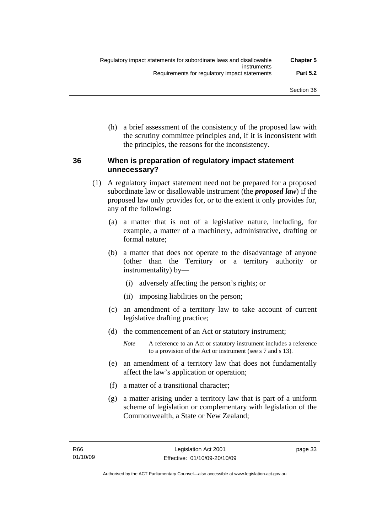(h) a brief assessment of the consistency of the proposed law with the scrutiny committee principles and, if it is inconsistent with the principles, the reasons for the inconsistency.

## **36 When is preparation of regulatory impact statement unnecessary?**

- (1) A regulatory impact statement need not be prepared for a proposed subordinate law or disallowable instrument (the *proposed law*) if the proposed law only provides for, or to the extent it only provides for, any of the following:
	- (a) a matter that is not of a legislative nature, including, for example, a matter of a machinery, administrative, drafting or formal nature;
	- (b) a matter that does not operate to the disadvantage of anyone (other than the Territory or a territory authority or instrumentality) by—
		- (i) adversely affecting the person's rights; or
		- (ii) imposing liabilities on the person;
	- (c) an amendment of a territory law to take account of current legislative drafting practice;
	- (d) the commencement of an Act or statutory instrument;
		- *Note* A reference to an Act or statutory instrument includes a reference to a provision of the Act or instrument (see s 7 and s 13).
	- (e) an amendment of a territory law that does not fundamentally affect the law's application or operation;
	- (f) a matter of a transitional character;
	- (g) a matter arising under a territory law that is part of a uniform scheme of legislation or complementary with legislation of the Commonwealth, a State or New Zealand;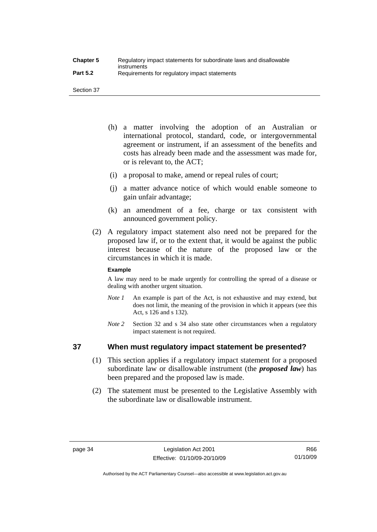- (h) a matter involving the adoption of an Australian or international protocol, standard, code, or intergovernmental agreement or instrument, if an assessment of the benefits and costs has already been made and the assessment was made for, or is relevant to, the ACT;
- (i) a proposal to make, amend or repeal rules of court;
- (j) a matter advance notice of which would enable someone to gain unfair advantage;
- (k) an amendment of a fee, charge or tax consistent with announced government policy.
- (2) A regulatory impact statement also need not be prepared for the proposed law if, or to the extent that, it would be against the public interest because of the nature of the proposed law or the circumstances in which it is made.

## **Example**

A law may need to be made urgently for controlling the spread of a disease or dealing with another urgent situation.

- *Note 1* An example is part of the Act, is not exhaustive and may extend, but does not limit, the meaning of the provision in which it appears (see this Act, s 126 and s 132).
- *Note* 2 Section 32 and s 34 also state other circumstances when a regulatory impact statement is not required.

## **37 When must regulatory impact statement be presented?**

- (1) This section applies if a regulatory impact statement for a proposed subordinate law or disallowable instrument (the *proposed law*) has been prepared and the proposed law is made.
- (2) The statement must be presented to the Legislative Assembly with the subordinate law or disallowable instrument.

Authorised by the ACT Parliamentary Counsel—also accessible at www.legislation.act.gov.au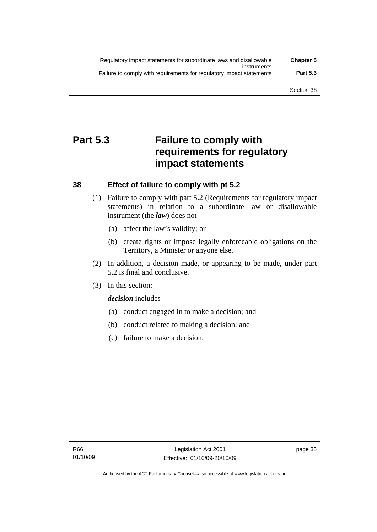| Regulatory impact statements for subordinate laws and disallowable   | <b>Chapter 5</b> |
|----------------------------------------------------------------------|------------------|
| instruments                                                          |                  |
| Failure to comply with requirements for regulatory impact statements | <b>Part 5.3</b>  |

## **Part 5.3 Failure to comply with requirements for regulatory impact statements**

## **38 Effect of failure to comply with pt 5.2**

- (1) Failure to comply with part 5.2 (Requirements for regulatory impact statements) in relation to a subordinate law or disallowable instrument (the *law*) does not—
	- (a) affect the law's validity; or
	- (b) create rights or impose legally enforceable obligations on the Territory, a Minister or anyone else.
- (2) In addition, a decision made, or appearing to be made, under part 5.2 is final and conclusive.
- (3) In this section:

*decision* includes—

- (a) conduct engaged in to make a decision; and
- (b) conduct related to making a decision; and
- (c) failure to make a decision.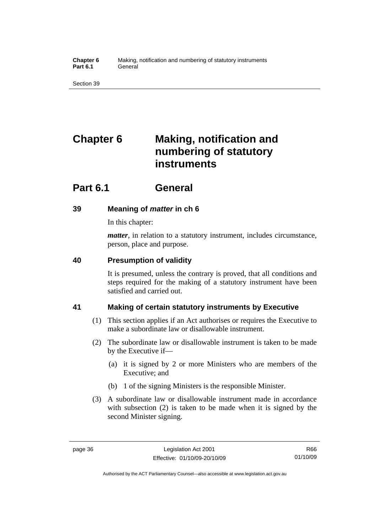**Chapter 6** Making, notification and numbering of statutory instruments Part 6.1 **General** 

Section 39

# **Chapter 6 Making, notification and numbering of statutory instruments**

## **Part 6.1 General**

## **39 Meaning of** *matter* **in ch 6**

In this chapter:

*matter*, in relation to a statutory instrument, includes circumstance, person, place and purpose.

## **40 Presumption of validity**

It is presumed, unless the contrary is proved, that all conditions and steps required for the making of a statutory instrument have been satisfied and carried out.

## **41 Making of certain statutory instruments by Executive**

- (1) This section applies if an Act authorises or requires the Executive to make a subordinate law or disallowable instrument.
- (2) The subordinate law or disallowable instrument is taken to be made by the Executive if—
	- (a) it is signed by 2 or more Ministers who are members of the Executive; and
	- (b) 1 of the signing Ministers is the responsible Minister.
- (3) A subordinate law or disallowable instrument made in accordance with subsection (2) is taken to be made when it is signed by the second Minister signing.

Authorised by the ACT Parliamentary Counsel—also accessible at www.legislation.act.gov.au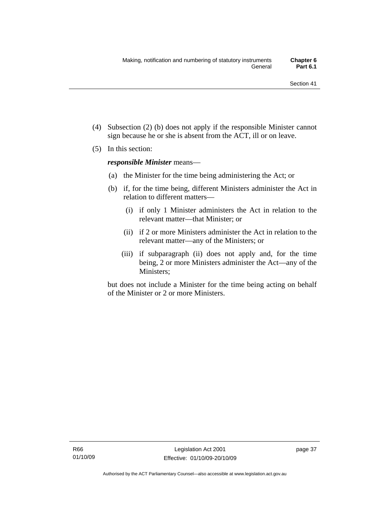- (4) Subsection (2) (b) does not apply if the responsible Minister cannot sign because he or she is absent from the ACT, ill or on leave.
- (5) In this section:

*responsible Minister* means—

- (a) the Minister for the time being administering the Act; or
- (b) if, for the time being, different Ministers administer the Act in relation to different matters—
	- (i) if only 1 Minister administers the Act in relation to the relevant matter—that Minister; or
	- (ii) if 2 or more Ministers administer the Act in relation to the relevant matter—any of the Ministers; or
	- (iii) if subparagraph (ii) does not apply and, for the time being, 2 or more Ministers administer the Act—any of the Ministers;

but does not include a Minister for the time being acting on behalf of the Minister or 2 or more Ministers.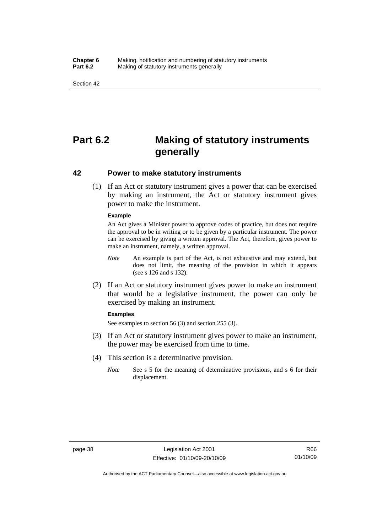#### **Chapter 6** Making, notification and numbering of statutory instruments<br>**Part 6.2** Making of statutory instruments generally **Making of statutory instruments generally**

Section 42

## **Part 6.2 Making of statutory instruments generally**

## **42 Power to make statutory instruments**

 (1) If an Act or statutory instrument gives a power that can be exercised by making an instrument, the Act or statutory instrument gives power to make the instrument.

#### **Example**

An Act gives a Minister power to approve codes of practice, but does not require the approval to be in writing or to be given by a particular instrument. The power can be exercised by giving a written approval. The Act, therefore, gives power to make an instrument, namely, a written approval.

- *Note* An example is part of the Act, is not exhaustive and may extend, but does not limit, the meaning of the provision in which it appears (see s 126 and s 132).
- (2) If an Act or statutory instrument gives power to make an instrument that would be a legislative instrument, the power can only be exercised by making an instrument.

#### **Examples**

See examples to section 56 (3) and section 255 (3).

- (3) If an Act or statutory instrument gives power to make an instrument, the power may be exercised from time to time.
- (4) This section is a determinative provision.
	- *Note* See s 5 for the meaning of determinative provisions, and s 6 for their displacement.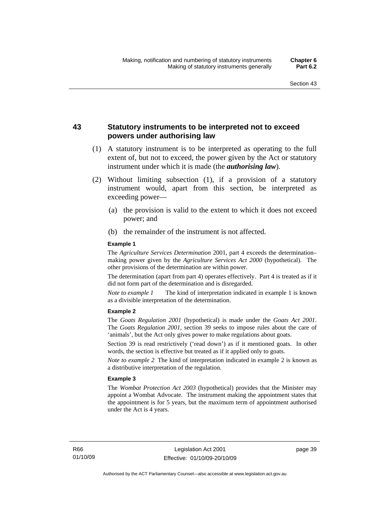## **43 Statutory instruments to be interpreted not to exceed powers under authorising law**

- (1) A statutory instrument is to be interpreted as operating to the full extent of, but not to exceed, the power given by the Act or statutory instrument under which it is made (the *authorising law*).
- (2) Without limiting subsection (1), if a provision of a statutory instrument would, apart from this section, be interpreted as exceeding power—
	- (a) the provision is valid to the extent to which it does not exceed power; and
	- (b) the remainder of the instrument is not affected.

#### **Example 1**

The *Agriculture Services Determination* 2001, part 4 exceeds the determination– making power given by the *Agriculture Services Act 2000* (hypothetical). The other provisions of the determination are within power.

The determination (apart from part 4) operates effectively. Part 4 is treated as if it did not form part of the determination and is disregarded.

*Note to example 1* The kind of interpretation indicated in example 1 is known as a divisible interpretation of the determination.

#### **Example 2**

The *Goats Regulation 2001* (hypothetical) is made under the *Goats Act 2001*. The *Goats Regulation 2001*, section 39 seeks to impose rules about the care of 'animals', but the Act only gives power to make regulations about goats.

Section 39 is read restrictively ('read down') as if it mentioned goats. In other words, the section is effective but treated as if it applied only to goats.

*Note to example 2* The kind of interpretation indicated in example 2 is known as a distributive interpretation of the regulation.

#### **Example 3**

The *Wombat Protection Act 2003* (hypothetical) provides that the Minister may appoint a Wombat Advocate. The instrument making the appointment states that the appointment is for 5 years, but the maximum term of appointment authorised under the Act is 4 years.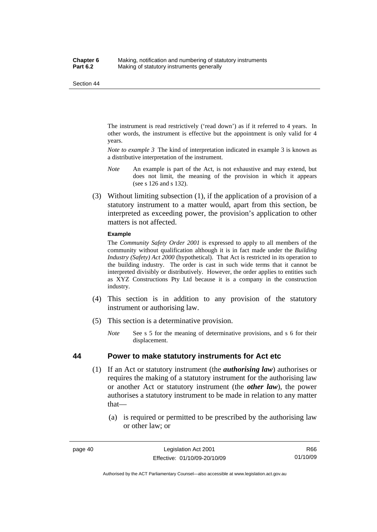The instrument is read restrictively ('read down') as if it referred to 4 years. In other words, the instrument is effective but the appointment is only valid for 4 years.

*Note to example 3* The kind of interpretation indicated in example 3 is known as a distributive interpretation of the instrument.

- *Note* An example is part of the Act, is not exhaustive and may extend, but does not limit, the meaning of the provision in which it appears (see s 126 and s 132).
- (3) Without limiting subsection (1), if the application of a provision of a statutory instrument to a matter would, apart from this section, be interpreted as exceeding power, the provision's application to other matters is not affected.

#### **Example**

The *Community Safety Order 2001* is expressed to apply to all members of the community without qualification although it is in fact made under the *Building Industry (Safety) Act 2000* (hypothetical). That Act is restricted in its operation to the building industry. The order is cast in such wide terms that it cannot be interpreted divisibly or distributively. However, the order applies to entities such as XYZ Constructions Pty Ltd because it is a company in the construction industry.

- (4) This section is in addition to any provision of the statutory instrument or authorising law.
- (5) This section is a determinative provision.
	- *Note* See s 5 for the meaning of determinative provisions, and s 6 for their displacement.

## **44 Power to make statutory instruments for Act etc**

- (1) If an Act or statutory instrument (the *authorising law*) authorises or requires the making of a statutory instrument for the authorising law or another Act or statutory instrument (the *other law*), the power authorises a statutory instrument to be made in relation to any matter that—
	- (a) is required or permitted to be prescribed by the authorising law or other law; or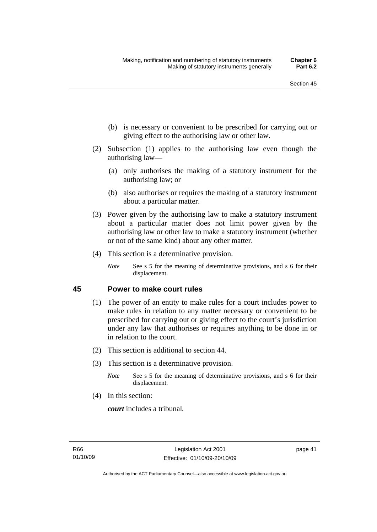- (b) is necessary or convenient to be prescribed for carrying out or giving effect to the authorising law or other law.
- (2) Subsection (1) applies to the authorising law even though the authorising law—
	- (a) only authorises the making of a statutory instrument for the authorising law; or
	- (b) also authorises or requires the making of a statutory instrument about a particular matter.
- (3) Power given by the authorising law to make a statutory instrument about a particular matter does not limit power given by the authorising law or other law to make a statutory instrument (whether or not of the same kind) about any other matter.
- (4) This section is a determinative provision.
	- *Note* See s 5 for the meaning of determinative provisions, and s 6 for their displacement.

## **45 Power to make court rules**

- (1) The power of an entity to make rules for a court includes power to make rules in relation to any matter necessary or convenient to be prescribed for carrying out or giving effect to the court's jurisdiction under any law that authorises or requires anything to be done in or in relation to the court.
- (2) This section is additional to section 44.
- (3) This section is a determinative provision.
	- *Note* See s 5 for the meaning of determinative provisions, and s 6 for their displacement.
- (4) In this section:

*court* includes a tribunal*.*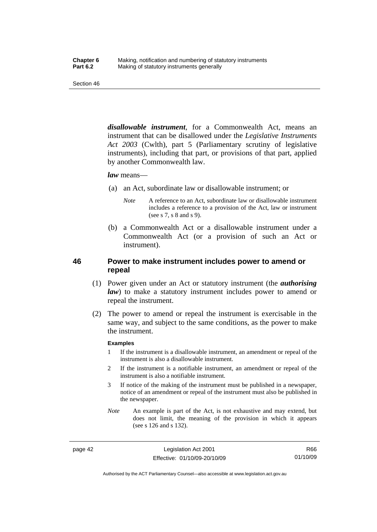*disallowable instrument*, for a Commonwealth Act, means an instrument that can be disallowed under the *Legislative Instruments Act 2003* (Cwlth), part 5 (Parliamentary scrutiny of legislative instruments), including that part, or provisions of that part, applied by another Commonwealth law.

#### *law* means—

- (a) an Act, subordinate law or disallowable instrument; or
	- *Note* A reference to an Act, subordinate law or disallowable instrument includes a reference to a provision of the Act, law or instrument (see s 7, s 8 and s 9).
- (b) a Commonwealth Act or a disallowable instrument under a Commonwealth Act (or a provision of such an Act or instrument).

## **46 Power to make instrument includes power to amend or repeal**

- (1) Power given under an Act or statutory instrument (the *authorising law*) to make a statutory instrument includes power to amend or repeal the instrument.
- (2) The power to amend or repeal the instrument is exercisable in the same way, and subject to the same conditions, as the power to make the instrument.

#### **Examples**

- 1 If the instrument is a disallowable instrument, an amendment or repeal of the instrument is also a disallowable instrument.
- 2 If the instrument is a notifiable instrument, an amendment or repeal of the instrument is also a notifiable instrument.
- 3 If notice of the making of the instrument must be published in a newspaper, notice of an amendment or repeal of the instrument must also be published in the newspaper.
- *Note* An example is part of the Act, is not exhaustive and may extend, but does not limit, the meaning of the provision in which it appears (see s 126 and s 132).

page 42 Legislation Act 2001 Effective: 01/10/09-20/10/09

R66 01/10/09

Authorised by the ACT Parliamentary Counsel—also accessible at www.legislation.act.gov.au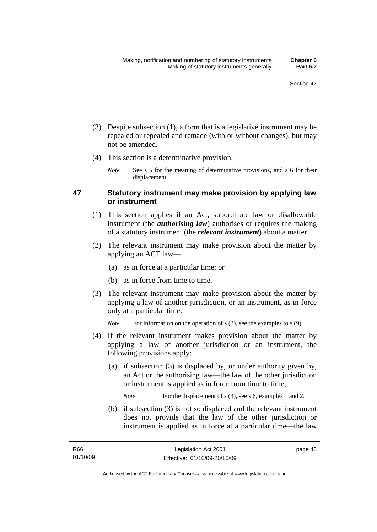- (3) Despite subsection (1), a form that is a legislative instrument may be repealed or repealed and remade (with or without changes), but may not be amended.
- (4) This section is a determinative provision.
	- *Note* See s 5 for the meaning of determinative provisions, and s 6 for their displacement.

## **47 Statutory instrument may make provision by applying law or instrument**

- (1) This section applies if an Act, subordinate law or disallowable instrument (the *authorising law*) authorises or requires the making of a statutory instrument (the *relevant instrument*) about a matter.
- (2) The relevant instrument may make provision about the matter by applying an ACT law—
	- (a) as in force at a particular time; or
	- (b) as in force from time to time.
- (3) The relevant instrument may make provision about the matter by applying a law of another jurisdiction, or an instrument, as in force only at a particular time.

*Note* For information on the operation of s (3), see the examples to s (9).

- (4) If the relevant instrument makes provision about the matter by applying a law of another jurisdiction or an instrument, the following provisions apply:
	- (a) if subsection (3) is displaced by, or under authority given by, an Act or the authorising law—the law of the other jurisdiction or instrument is applied as in force from time to time;

*Note* For the displacement of s (3), see s 6, examples 1 and 2.

 (b) if subsection (3) is not so displaced and the relevant instrument does not provide that the law of the other jurisdiction or instrument is applied as in force at a particular time—the law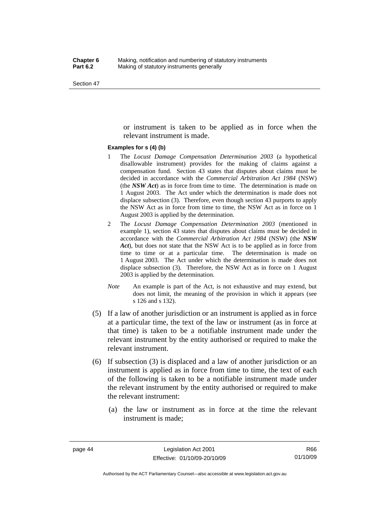or instrument is taken to be applied as in force when the relevant instrument is made.

#### **Examples for s (4) (b)**

- 1 The *Locust Damage Compensation Determination 2003* (a hypothetical disallowable instrument) provides for the making of claims against a compensation fund. Section 43 states that disputes about claims must be decided in accordance with the *Commercial Arbitration Act 1984* (NSW) (the *NSW Act*) as in force from time to time. The determination is made on 1 August 2003. The Act under which the determination is made does not displace subsection (3). Therefore, even though section 43 purports to apply the NSW Act as in force from time to time, the NSW Act as in force on 1 August 2003 is applied by the determination.
- 2 The *Locust Damage Compensation Determination 2003* (mentioned in example 1), section 43 states that disputes about claims must be decided in accordance with the *Commercial Arbitration Act 1984* (NSW) (the *NSW Act*), but does not state that the NSW Act is to be applied as in force from time to time or at a particular time. The determination is made on 1 August 2003. The Act under which the determination is made does not displace subsection (3). Therefore, the NSW Act as in force on 1 August 2003 is applied by the determination.
- *Note* An example is part of the Act, is not exhaustive and may extend, but does not limit, the meaning of the provision in which it appears (see s 126 and s 132).
- (5) If a law of another jurisdiction or an instrument is applied as in force at a particular time, the text of the law or instrument (as in force at that time) is taken to be a notifiable instrument made under the relevant instrument by the entity authorised or required to make the relevant instrument.
- (6) If subsection (3) is displaced and a law of another jurisdiction or an instrument is applied as in force from time to time, the text of each of the following is taken to be a notifiable instrument made under the relevant instrument by the entity authorised or required to make the relevant instrument:
	- (a) the law or instrument as in force at the time the relevant instrument is made;

Authorised by the ACT Parliamentary Counsel—also accessible at www.legislation.act.gov.au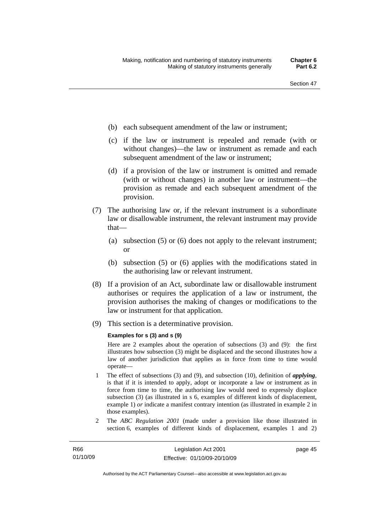- (b) each subsequent amendment of the law or instrument;
- (c) if the law or instrument is repealed and remade (with or without changes)—the law or instrument as remade and each subsequent amendment of the law or instrument;
- (d) if a provision of the law or instrument is omitted and remade (with or without changes) in another law or instrument—the provision as remade and each subsequent amendment of the provision.
- (7) The authorising law or, if the relevant instrument is a subordinate law or disallowable instrument, the relevant instrument may provide that—
	- (a) subsection (5) or (6) does not apply to the relevant instrument; or
	- (b) subsection (5) or (6) applies with the modifications stated in the authorising law or relevant instrument.
- (8) If a provision of an Act, subordinate law or disallowable instrument authorises or requires the application of a law or instrument, the provision authorises the making of changes or modifications to the law or instrument for that application.
- (9) This section is a determinative provision.

#### **Examples for s (3) and s (9)**

Here are 2 examples about the operation of subsections (3) and (9): the first illustrates how subsection (3) might be displaced and the second illustrates how a law of another jurisdiction that applies as in force from time to time would operate—

- 1 The effect of subsections (3) and (9), and subsection (10), definition of *applying*, is that if it is intended to apply, adopt or incorporate a law or instrument as in force from time to time, the authorising law would need to expressly displace subsection (3) (as illustrated in s 6, examples of different kinds of displacement, example 1) *or* indicate a manifest contrary intention (as illustrated in example 2 in those examples).
- 2 The *ABC Regulation 2001* (made under a provision like those illustrated in section 6, examples of different kinds of displacement, examples 1 and 2)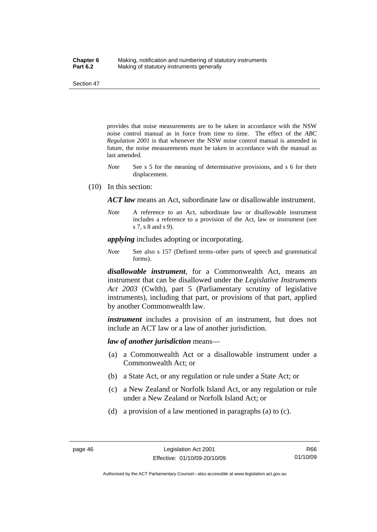provides that noise measurements are to be taken in accordance with the NSW noise control manual as in force from time to time. The effect of the *ABC Regulation 2001* is that whenever the NSW noise control manual is amended in future, the noise measurements must be taken in accordance with the manual as last amended.

- *Note* See s 5 for the meaning of determinative provisions, and s 6 for their displacement.
- (10) In this section:

*ACT law* means an Act, subordinate law or disallowable instrument.

*Note* A reference to an Act, subordinate law or disallowable instrument includes a reference to a provision of the Act, law or instrument (see s 7, s 8 and s 9).

*applying* includes adopting or incorporating.

*Note* See also s 157 (Defined terms–other parts of speech and grammatical forms).

*disallowable instrument*, for a Commonwealth Act, means an instrument that can be disallowed under the *Legislative Instruments Act 2003* (Cwlth), part 5 (Parliamentary scrutiny of legislative instruments), including that part, or provisions of that part, applied by another Commonwealth law.

*instrument* includes a provision of an instrument, but does not include an ACT law or a law of another jurisdiction.

*law of another jurisdiction* means—

- (a) a Commonwealth Act or a disallowable instrument under a Commonwealth Act; or
- (b) a State Act, or any regulation or rule under a State Act; or
- (c) a New Zealand or Norfolk Island Act, or any regulation or rule under a New Zealand or Norfolk Island Act; or
- (d) a provision of a law mentioned in paragraphs (a) to (c).

Authorised by the ACT Parliamentary Counsel—also accessible at www.legislation.act.gov.au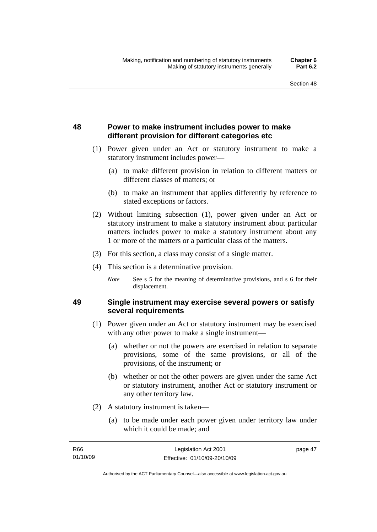## **48 Power to make instrument includes power to make different provision for different categories etc**

- (1) Power given under an Act or statutory instrument to make a statutory instrument includes power—
	- (a) to make different provision in relation to different matters or different classes of matters; or
	- (b) to make an instrument that applies differently by reference to stated exceptions or factors.
- (2) Without limiting subsection (1), power given under an Act or statutory instrument to make a statutory instrument about particular matters includes power to make a statutory instrument about any 1 or more of the matters or a particular class of the matters.
- (3) For this section, a class may consist of a single matter.
- (4) This section is a determinative provision.
	- *Note* See s 5 for the meaning of determinative provisions, and s 6 for their displacement.

## **49 Single instrument may exercise several powers or satisfy several requirements**

- (1) Power given under an Act or statutory instrument may be exercised with any other power to make a single instrument—
	- (a) whether or not the powers are exercised in relation to separate provisions, some of the same provisions, or all of the provisions, of the instrument; or
	- (b) whether or not the other powers are given under the same Act or statutory instrument, another Act or statutory instrument or any other territory law.
- (2) A statutory instrument is taken—
	- (a) to be made under each power given under territory law under which it could be made; and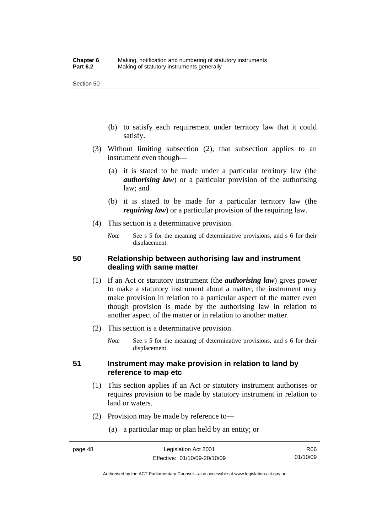- (b) to satisfy each requirement under territory law that it could satisfy.
- (3) Without limiting subsection (2), that subsection applies to an instrument even though—
	- (a) it is stated to be made under a particular territory law (the *authorising law*) or a particular provision of the authorising law; and
	- (b) it is stated to be made for a particular territory law (the *requiring law*) or a particular provision of the requiring law.
- (4) This section is a determinative provision.
	- *Note* See s 5 for the meaning of determinative provisions, and s 6 for their displacement.

## **50 Relationship between authorising law and instrument dealing with same matter**

- (1) If an Act or statutory instrument (the *authorising law*) gives power to make a statutory instrument about a matter, the instrument may make provision in relation to a particular aspect of the matter even though provision is made by the authorising law in relation to another aspect of the matter or in relation to another matter.
- (2) This section is a determinative provision.
	- *Note* See s 5 for the meaning of determinative provisions, and s 6 for their displacement.

## **51 Instrument may make provision in relation to land by reference to map etc**

- (1) This section applies if an Act or statutory instrument authorises or requires provision to be made by statutory instrument in relation to land or waters.
- (2) Provision may be made by reference to—
	- (a) a particular map or plan held by an entity; or

R66 01/10/09

Authorised by the ACT Parliamentary Counsel—also accessible at www.legislation.act.gov.au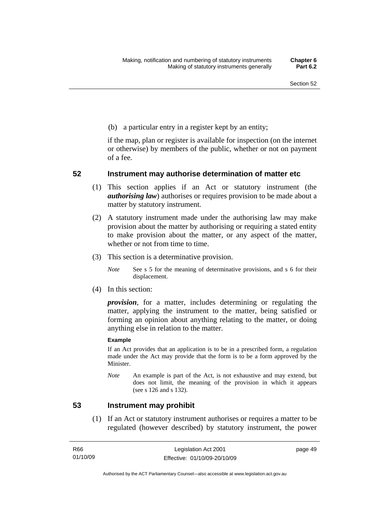(b) a particular entry in a register kept by an entity;

if the map, plan or register is available for inspection (on the internet or otherwise) by members of the public, whether or not on payment of a fee.

## **52 Instrument may authorise determination of matter etc**

- (1) This section applies if an Act or statutory instrument (the *authorising law*) authorises or requires provision to be made about a matter by statutory instrument.
- (2) A statutory instrument made under the authorising law may make provision about the matter by authorising or requiring a stated entity to make provision about the matter, or any aspect of the matter, whether or not from time to time.
- (3) This section is a determinative provision.
	- *Note* See s 5 for the meaning of determinative provisions, and s 6 for their displacement.
- (4) In this section:

*provision*, for a matter, includes determining or regulating the matter, applying the instrument to the matter, being satisfied or forming an opinion about anything relating to the matter, or doing anything else in relation to the matter.

#### **Example**

If an Act provides that an application is to be in a prescribed form, a regulation made under the Act may provide that the form is to be a form approved by the Minister.

*Note* An example is part of the Act, is not exhaustive and may extend, but does not limit, the meaning of the provision in which it appears (see s 126 and s 132).

## **53 Instrument may prohibit**

 (1) If an Act or statutory instrument authorises or requires a matter to be regulated (however described) by statutory instrument, the power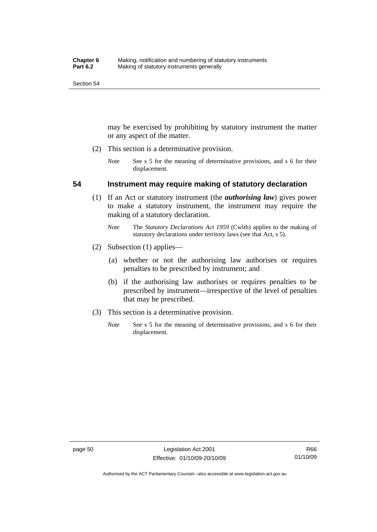may be exercised by prohibiting by statutory instrument the matter or any aspect of the matter.

- (2) This section is a determinative provision.
	- *Note* See s 5 for the meaning of determinative provisions, and s 6 for their displacement.

## **54 Instrument may require making of statutory declaration**

- (1) If an Act or statutory instrument (the *authorising law*) gives power to make a statutory instrument, the instrument may require the making of a statutory declaration.
	- *Note* The *Statutory Declarations Act 1959* (Cwlth) applies to the making of statutory declarations under territory laws (see that Act, s 5).
- (2) Subsection (1) applies—
	- (a) whether or not the authorising law authorises or requires penalties to be prescribed by instrument; and
	- (b) if the authorising law authorises or requires penalties to be prescribed by instrument—irrespective of the level of penalties that may be prescribed.
- (3) This section is a determinative provision.
	- *Note* See s 5 for the meaning of determinative provisions, and s 6 for their displacement.

Authorised by the ACT Parliamentary Counsel—also accessible at www.legislation.act.gov.au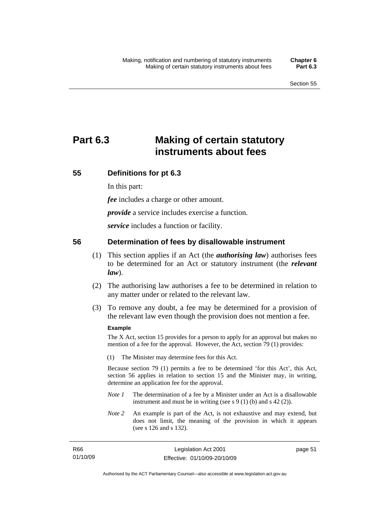# **Part 6.3 Making of certain statutory instruments about fees**

## **55 Definitions for pt 6.3**

In this part:

*fee* includes a charge or other amount.

*provide* a service includes exercise a function.

*service* includes a function or facility.

## **56 Determination of fees by disallowable instrument**

- (1) This section applies if an Act (the *authorising law*) authorises fees to be determined for an Act or statutory instrument (the *relevant law*).
- (2) The authorising law authorises a fee to be determined in relation to any matter under or related to the relevant law.
- (3) To remove any doubt, a fee may be determined for a provision of the relevant law even though the provision does not mention a fee.

## **Example**

R66

The X Act, section 15 provides for a person to apply for an approval but makes no mention of a fee for the approval. However, the Act, section 79 (1) provides:

(1) The Minister may determine fees for this Act.

Because section 79 (1) permits a fee to be determined 'for this Act', this Act, section 56 applies in relation to section 15 and the Minister may, in writing, determine an application fee for the approval.

- *Note 1* The determination of a fee by a Minister under an Act is a disallowable instrument and must be in writing (see s 9 (1) (b) and s 42 (2)).
- *Note 2* An example is part of the Act, is not exhaustive and may extend, but does not limit, the meaning of the provision in which it appears (see s 126 and s 132).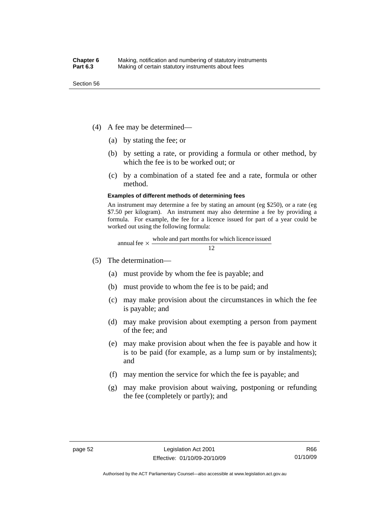- (4) A fee may be determined—
	- (a) by stating the fee; or
	- (b) by setting a rate, or providing a formula or other method, by which the fee is to be worked out; or
	- (c) by a combination of a stated fee and a rate, formula or other method.

#### **Examples of different methods of determining fees**

An instrument may determine a fee by stating an amount (eg \$250), or a rate (eg \$7.50 per kilogram). An instrument may also determine a fee by providing a formula. For example, the fee for a licence issued for part of a year could be worked out using the following formula:

annual fee 
$$
\times
$$
  $\frac{\text{whole and part months for which licence issued}}{12}$ 

- (5) The determination—
	- (a) must provide by whom the fee is payable; and
	- (b) must provide to whom the fee is to be paid; and
	- (c) may make provision about the circumstances in which the fee is payable; and
	- (d) may make provision about exempting a person from payment of the fee; and
	- (e) may make provision about when the fee is payable and how it is to be paid (for example, as a lump sum or by instalments); and
	- (f) may mention the service for which the fee is payable; and
	- (g) may make provision about waiving, postponing or refunding the fee (completely or partly); and

Authorised by the ACT Parliamentary Counsel—also accessible at www.legislation.act.gov.au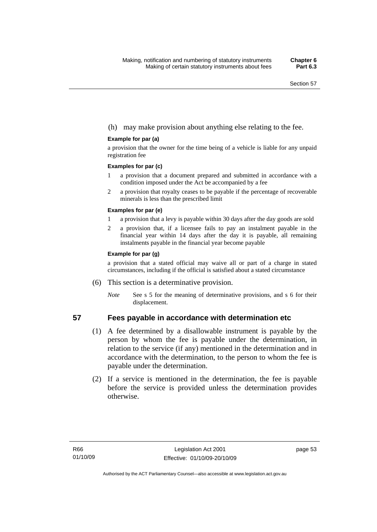## (h) may make provision about anything else relating to the fee.

### **Example for par (a)**

a provision that the owner for the time being of a vehicle is liable for any unpaid registration fee

#### **Examples for par (c)**

- 1 a provision that a document prepared and submitted in accordance with a condition imposed under the Act be accompanied by a fee
- 2 a provision that royalty ceases to be payable if the percentage of recoverable minerals is less than the prescribed limit

### **Examples for par (e)**

- 1 a provision that a levy is payable within 30 days after the day goods are sold
- 2 a provision that, if a licensee fails to pay an instalment payable in the financial year within 14 days after the day it is payable, all remaining instalments payable in the financial year become payable

### **Example for par (g)**

a provision that a stated official may waive all or part of a charge in stated circumstances, including if the official is satisfied about a stated circumstance

- (6) This section is a determinative provision.
	- *Note* See s 5 for the meaning of determinative provisions, and s 6 for their displacement.

## **57 Fees payable in accordance with determination etc**

- (1) A fee determined by a disallowable instrument is payable by the person by whom the fee is payable under the determination, in relation to the service (if any) mentioned in the determination and in accordance with the determination, to the person to whom the fee is payable under the determination.
- (2) If a service is mentioned in the determination, the fee is payable before the service is provided unless the determination provides otherwise.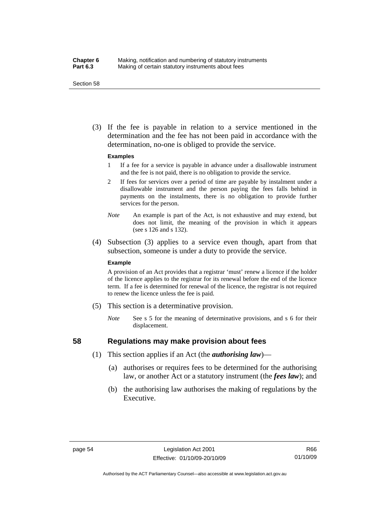### **Chapter 6** Making, notification and numbering of statutory instruments<br>**Part 6.3** Making of certain statutory instruments about fees Making of certain statutory instruments about fees

Section 58

 (3) If the fee is payable in relation to a service mentioned in the determination and the fee has not been paid in accordance with the determination, no-one is obliged to provide the service.

#### **Examples**

- 1 If a fee for a service is payable in advance under a disallowable instrument and the fee is not paid, there is no obligation to provide the service.
- 2 If fees for services over a period of time are payable by instalment under a disallowable instrument and the person paying the fees falls behind in payments on the instalments, there is no obligation to provide further services for the person.
- *Note* An example is part of the Act, is not exhaustive and may extend, but does not limit, the meaning of the provision in which it appears (see s 126 and s 132).
- (4) Subsection (3) applies to a service even though, apart from that subsection, someone is under a duty to provide the service.

#### **Example**

A provision of an Act provides that a registrar 'must' renew a licence if the holder of the licence applies to the registrar for its renewal before the end of the licence term. If a fee is determined for renewal of the licence, the registrar is not required to renew the licence unless the fee is paid.

- (5) This section is a determinative provision.
	- *Note* See s 5 for the meaning of determinative provisions, and s 6 for their displacement.

## **58 Regulations may make provision about fees**

- (1) This section applies if an Act (the *authorising law*)—
	- (a) authorises or requires fees to be determined for the authorising law, or another Act or a statutory instrument (the *fees law*); and
	- (b) the authorising law authorises the making of regulations by the Executive.

Authorised by the ACT Parliamentary Counsel—also accessible at www.legislation.act.gov.au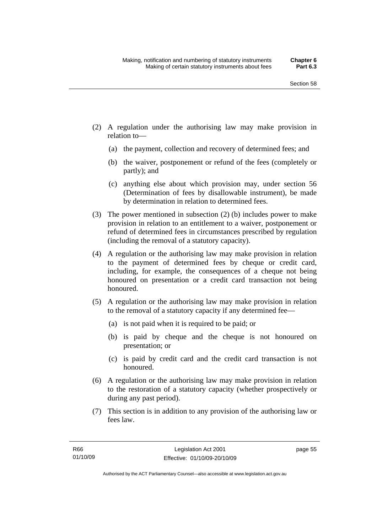- (2) A regulation under the authorising law may make provision in relation to—
	- (a) the payment, collection and recovery of determined fees; and
	- (b) the waiver, postponement or refund of the fees (completely or partly); and
	- (c) anything else about which provision may, under section 56 (Determination of fees by disallowable instrument), be made by determination in relation to determined fees.
- (3) The power mentioned in subsection (2) (b) includes power to make provision in relation to an entitlement to a waiver, postponement or refund of determined fees in circumstances prescribed by regulation (including the removal of a statutory capacity).
- (4) A regulation or the authorising law may make provision in relation to the payment of determined fees by cheque or credit card, including, for example, the consequences of a cheque not being honoured on presentation or a credit card transaction not being honoured.
- (5) A regulation or the authorising law may make provision in relation to the removal of a statutory capacity if any determined fee—
	- (a) is not paid when it is required to be paid; or
	- (b) is paid by cheque and the cheque is not honoured on presentation; or
	- (c) is paid by credit card and the credit card transaction is not honoured.
- (6) A regulation or the authorising law may make provision in relation to the restoration of a statutory capacity (whether prospectively or during any past period).
- (7) This section is in addition to any provision of the authorising law or fees law.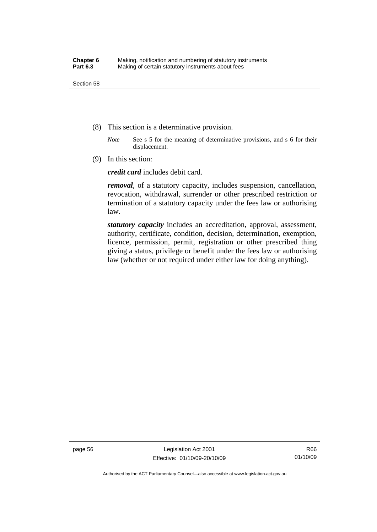- (8) This section is a determinative provision.
	- *Note* See s 5 for the meaning of determinative provisions, and s 6 for their displacement.
- (9) In this section:

*credit card* includes debit card.

*removal*, of a statutory capacity, includes suspension, cancellation, revocation, withdrawal, surrender or other prescribed restriction or termination of a statutory capacity under the fees law or authorising law.

*statutory capacity* includes an accreditation, approval, assessment, authority, certificate, condition, decision, determination, exemption, licence, permission, permit, registration or other prescribed thing giving a status, privilege or benefit under the fees law or authorising law (whether or not required under either law for doing anything).

page 56 Legislation Act 2001 Effective: 01/10/09-20/10/09

Authorised by the ACT Parliamentary Counsel—also accessible at www.legislation.act.gov.au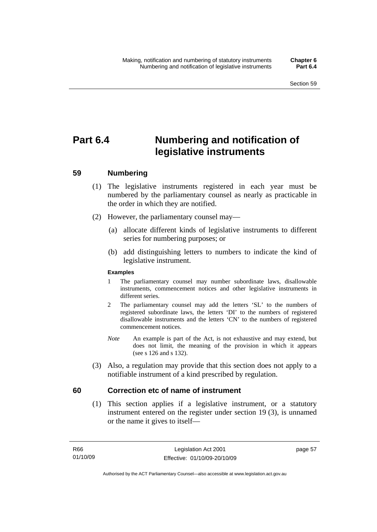# **Part 6.4 Numbering and notification of legislative instruments**

# **59 Numbering**

- (1) The legislative instruments registered in each year must be numbered by the parliamentary counsel as nearly as practicable in the order in which they are notified.
- (2) However, the parliamentary counsel may—
	- (a) allocate different kinds of legislative instruments to different series for numbering purposes; or
	- (b) add distinguishing letters to numbers to indicate the kind of legislative instrument.

## **Examples**

- 1 The parliamentary counsel may number subordinate laws, disallowable instruments, commencement notices and other legislative instruments in different series.
- 2 The parliamentary counsel may add the letters 'SL' to the numbers of registered subordinate laws, the letters 'DI' to the numbers of registered disallowable instruments and the letters 'CN' to the numbers of registered commencement notices.
- *Note* An example is part of the Act, is not exhaustive and may extend, but does not limit, the meaning of the provision in which it appears (see s 126 and s 132).
- (3) Also, a regulation may provide that this section does not apply to a notifiable instrument of a kind prescribed by regulation.

# **60 Correction etc of name of instrument**

 (1) This section applies if a legislative instrument, or a statutory instrument entered on the register under section 19 (3), is unnamed or the name it gives to itself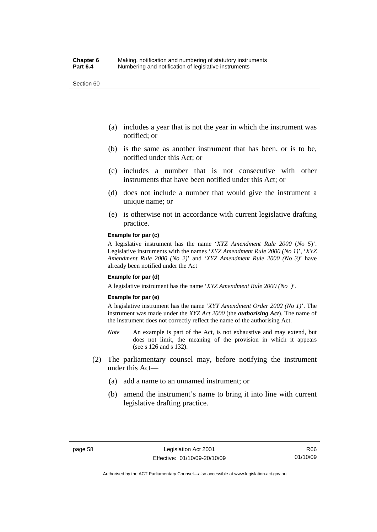Section 60

- (a) includes a year that is not the year in which the instrument was notified; or
- (b) is the same as another instrument that has been, or is to be, notified under this Act; or
- (c) includes a number that is not consecutive with other instruments that have been notified under this Act; or
- (d) does not include a number that would give the instrument a unique name; or
- (e) is otherwise not in accordance with current legislative drafting practice.

#### **Example for par (c)**

A legislative instrument has the name '*XYZ Amendment Rule 2000* (*No 5*)'. Legislative instruments with the names '*XYZ Amendment Rule 2000 (No 1)*', '*XYZ Amendment Rule 2000 (No 2)*' and '*XYZ Amendment Rule 2000 (No 3)*' have already been notified under the Act

#### **Example for par (d)**

A legislative instrument has the name '*XYZ Amendment Rule 2000 (No )*'.

#### **Example for par (e)**

A legislative instrument has the name '*XYY Amendment Order 2002 (No 1)*'. The instrument was made under the *XYZ Act 2000* (the *authorising Act*). The name of the instrument does not correctly reflect the name of the authorising Act.

- *Note* An example is part of the Act, is not exhaustive and may extend, but does not limit, the meaning of the provision in which it appears (see s 126 and s 132).
- (2) The parliamentary counsel may, before notifying the instrument under this Act—
	- (a) add a name to an unnamed instrument; or
	- (b) amend the instrument's name to bring it into line with current legislative drafting practice.

R66 01/10/09

Authorised by the ACT Parliamentary Counsel—also accessible at www.legislation.act.gov.au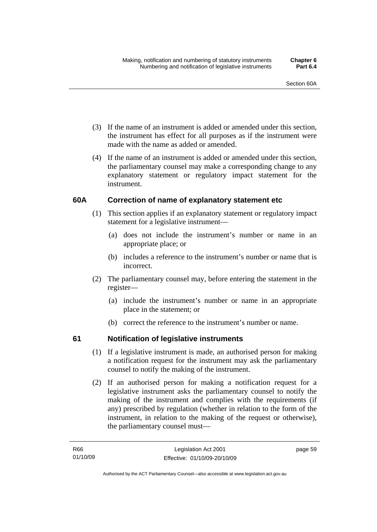- (3) If the name of an instrument is added or amended under this section, the instrument has effect for all purposes as if the instrument were made with the name as added or amended.
- (4) If the name of an instrument is added or amended under this section, the parliamentary counsel may make a corresponding change to any explanatory statement or regulatory impact statement for the instrument.

# **60A Correction of name of explanatory statement etc**

- (1) This section applies if an explanatory statement or regulatory impact statement for a legislative instrument—
	- (a) does not include the instrument's number or name in an appropriate place; or
	- (b) includes a reference to the instrument's number or name that is incorrect.
- (2) The parliamentary counsel may, before entering the statement in the register—
	- (a) include the instrument's number or name in an appropriate place in the statement; or
	- (b) correct the reference to the instrument's number or name.

# **61 Notification of legislative instruments**

- (1) If a legislative instrument is made, an authorised person for making a notification request for the instrument may ask the parliamentary counsel to notify the making of the instrument.
- (2) If an authorised person for making a notification request for a legislative instrument asks the parliamentary counsel to notify the making of the instrument and complies with the requirements (if any) prescribed by regulation (whether in relation to the form of the instrument, in relation to the making of the request or otherwise), the parliamentary counsel must—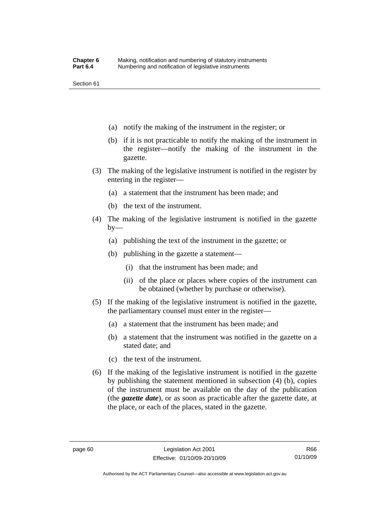Section 61

- (a) notify the making of the instrument in the register; or
- (b) if it is not practicable to notify the making of the instrument in the register—notify the making of the instrument in the gazette.
- (3) The making of the legislative instrument is notified in the register by entering in the register—
	- (a) a statement that the instrument has been made; and
	- (b) the text of the instrument.
- (4) The making of the legislative instrument is notified in the gazette  $by-$ 
	- (a) publishing the text of the instrument in the gazette; or
	- (b) publishing in the gazette a statement—
		- (i) that the instrument has been made; and
		- (ii) of the place or places where copies of the instrument can be obtained (whether by purchase or otherwise).
- (5) If the making of the legislative instrument is notified in the gazette, the parliamentary counsel must enter in the register—
	- (a) a statement that the instrument has been made; and
	- (b) a statement that the instrument was notified in the gazette on a stated date; and
	- (c) the text of the instrument.
- (6) If the making of the legislative instrument is notified in the gazette by publishing the statement mentioned in subsection (4) (b), copies of the instrument must be available on the day of the publication (the *gazette date*), or as soon as practicable after the gazette date, at the place, or each of the places, stated in the gazette.

Authorised by the ACT Parliamentary Counsel—also accessible at www.legislation.act.gov.au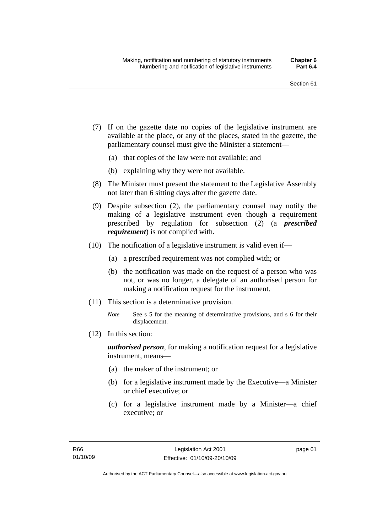- (7) If on the gazette date no copies of the legislative instrument are available at the place, or any of the places, stated in the gazette, the parliamentary counsel must give the Minister a statement—
	- (a) that copies of the law were not available; and
	- (b) explaining why they were not available.
- (8) The Minister must present the statement to the Legislative Assembly not later than 6 sitting days after the gazette date.
- (9) Despite subsection (2), the parliamentary counsel may notify the making of a legislative instrument even though a requirement prescribed by regulation for subsection (2) (a *prescribed requirement*) is not complied with.
- (10) The notification of a legislative instrument is valid even if—
	- (a) a prescribed requirement was not complied with; or
	- (b) the notification was made on the request of a person who was not, or was no longer, a delegate of an authorised person for making a notification request for the instrument.
- (11) This section is a determinative provision.
	- *Note* See s 5 for the meaning of determinative provisions, and s 6 for their displacement.
- (12) In this section:

*authorised person*, for making a notification request for a legislative instrument, means—

- (a) the maker of the instrument; or
- (b) for a legislative instrument made by the Executive—a Minister or chief executive; or
- (c) for a legislative instrument made by a Minister—a chief executive; or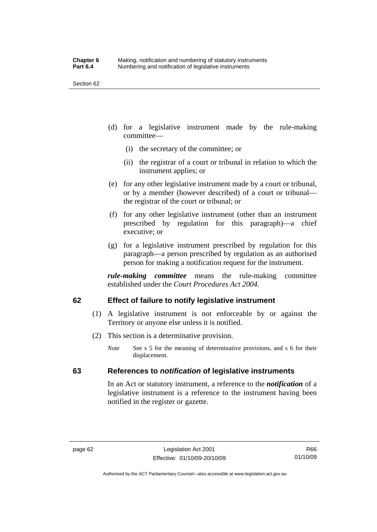Section 62

- (d) for a legislative instrument made by the rule-making committee—
	- (i) the secretary of the committee; or
	- (ii) the registrar of a court or tribunal in relation to which the instrument applies; or
- (e) for any other legislative instrument made by a court or tribunal, or by a member (however described) of a court or tribunal the registrar of the court or tribunal; or
- (f) for any other legislative instrument (other than an instrument prescribed by regulation for this paragraph)—a chief executive; or
- (g) for a legislative instrument prescribed by regulation for this paragraph—a person prescribed by regulation as an authorised person for making a notification request for the instrument.

*rule-making committee* means the rule-making committee established under the *Court Procedures Act 2004*.

# **62 Effect of failure to notify legislative instrument**

- (1) A legislative instrument is not enforceable by or against the Territory or anyone else unless it is notified.
- (2) This section is a determinative provision.
	- *Note* See s 5 for the meaning of determinative provisions, and s 6 for their displacement.

# **63 References to** *notification* **of legislative instruments**

In an Act or statutory instrument, a reference to the *notification* of a legislative instrument is a reference to the instrument having been notified in the register or gazette.

Authorised by the ACT Parliamentary Counsel—also accessible at www.legislation.act.gov.au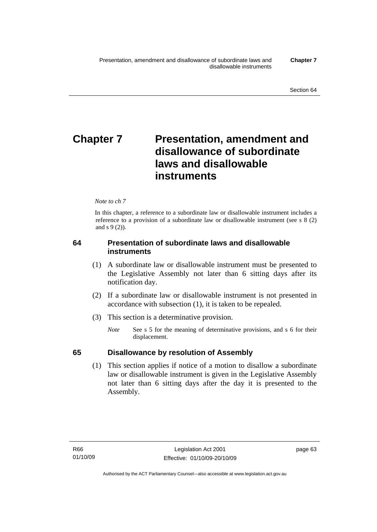# **Chapter 7** Presentation, amendment and **disallowance of subordinate laws and disallowable instruments**

#### *Note to ch 7*

In this chapter, a reference to a subordinate law or disallowable instrument includes a reference to a provision of a subordinate law or disallowable instrument (see s 8 (2) and s 9 (2)).

# **64 Presentation of subordinate laws and disallowable instruments**

- (1) A subordinate law or disallowable instrument must be presented to the Legislative Assembly not later than 6 sitting days after its notification day.
- (2) If a subordinate law or disallowable instrument is not presented in accordance with subsection (1), it is taken to be repealed.
- (3) This section is a determinative provision.
	- *Note* See s 5 for the meaning of determinative provisions, and s 6 for their displacement.

# **65 Disallowance by resolution of Assembly**

 (1) This section applies if notice of a motion to disallow a subordinate law or disallowable instrument is given in the Legislative Assembly not later than 6 sitting days after the day it is presented to the Assembly.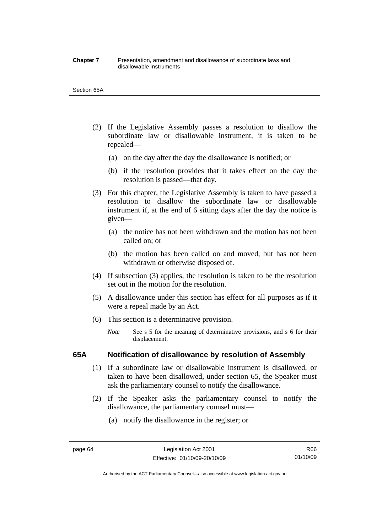#### **Chapter 7** Presentation, amendment and disallowance of subordinate laws and disallowable instruments

#### Section 65A

- (2) If the Legislative Assembly passes a resolution to disallow the subordinate law or disallowable instrument, it is taken to be repealed—
	- (a) on the day after the day the disallowance is notified; or
	- (b) if the resolution provides that it takes effect on the day the resolution is passed—that day.
- (3) For this chapter, the Legislative Assembly is taken to have passed a resolution to disallow the subordinate law or disallowable instrument if, at the end of 6 sitting days after the day the notice is given—
	- (a) the notice has not been withdrawn and the motion has not been called on; or
	- (b) the motion has been called on and moved, but has not been withdrawn or otherwise disposed of.
- (4) If subsection (3) applies, the resolution is taken to be the resolution set out in the motion for the resolution.
- (5) A disallowance under this section has effect for all purposes as if it were a repeal made by an Act.
- (6) This section is a determinative provision.
	- *Note* See s 5 for the meaning of determinative provisions, and s 6 for their displacement.

# **65A Notification of disallowance by resolution of Assembly**

- (1) If a subordinate law or disallowable instrument is disallowed, or taken to have been disallowed, under section 65, the Speaker must ask the parliamentary counsel to notify the disallowance.
- (2) If the Speaker asks the parliamentary counsel to notify the disallowance, the parliamentary counsel must—
	- (a) notify the disallowance in the register; or

R66 01/10/09

Authorised by the ACT Parliamentary Counsel—also accessible at www.legislation.act.gov.au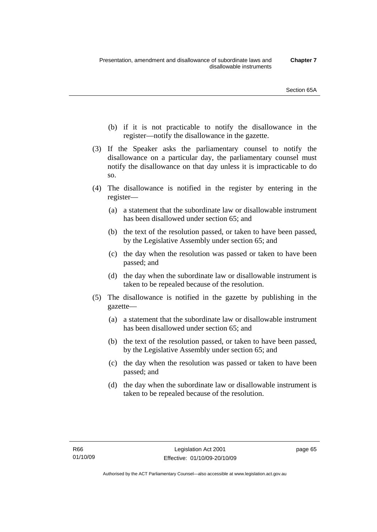- (b) if it is not practicable to notify the disallowance in the register—notify the disallowance in the gazette.
- (3) If the Speaker asks the parliamentary counsel to notify the disallowance on a particular day, the parliamentary counsel must notify the disallowance on that day unless it is impracticable to do so.
- (4) The disallowance is notified in the register by entering in the register—
	- (a) a statement that the subordinate law or disallowable instrument has been disallowed under section 65; and
	- (b) the text of the resolution passed, or taken to have been passed, by the Legislative Assembly under section 65; and
	- (c) the day when the resolution was passed or taken to have been passed; and
	- (d) the day when the subordinate law or disallowable instrument is taken to be repealed because of the resolution.
- (5) The disallowance is notified in the gazette by publishing in the gazette—
	- (a) a statement that the subordinate law or disallowable instrument has been disallowed under section 65; and
	- (b) the text of the resolution passed, or taken to have been passed, by the Legislative Assembly under section 65; and
	- (c) the day when the resolution was passed or taken to have been passed; and
	- (d) the day when the subordinate law or disallowable instrument is taken to be repealed because of the resolution.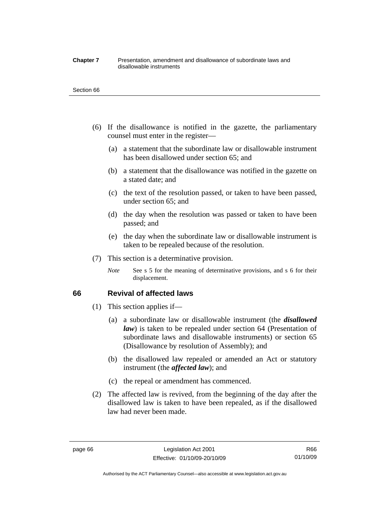#### **Chapter 7** Presentation, amendment and disallowance of subordinate laws and disallowable instruments

#### Section 66

- (6) If the disallowance is notified in the gazette, the parliamentary counsel must enter in the register—
	- (a) a statement that the subordinate law or disallowable instrument has been disallowed under section 65; and
	- (b) a statement that the disallowance was notified in the gazette on a stated date; and
	- (c) the text of the resolution passed, or taken to have been passed, under section 65; and
	- (d) the day when the resolution was passed or taken to have been passed; and
	- (e) the day when the subordinate law or disallowable instrument is taken to be repealed because of the resolution.
- (7) This section is a determinative provision.
	- *Note* See s 5 for the meaning of determinative provisions, and s 6 for their displacement.

## **66 Revival of affected laws**

- (1) This section applies if—
	- (a) a subordinate law or disallowable instrument (the *disallowed law*) is taken to be repealed under section 64 (Presentation of subordinate laws and disallowable instruments) or section 65 (Disallowance by resolution of Assembly); and
	- (b) the disallowed law repealed or amended an Act or statutory instrument (the *affected law*); and
	- (c) the repeal or amendment has commenced.
- (2) The affected law is revived, from the beginning of the day after the disallowed law is taken to have been repealed, as if the disallowed law had never been made.

R66 01/10/09

Authorised by the ACT Parliamentary Counsel—also accessible at www.legislation.act.gov.au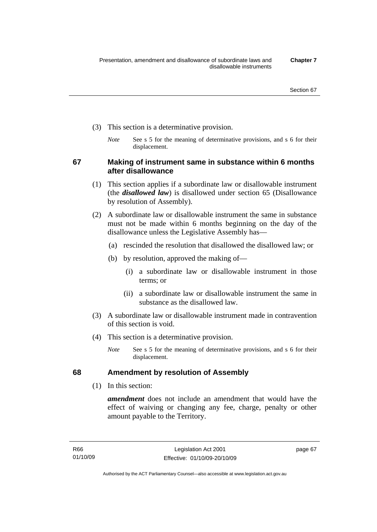- (3) This section is a determinative provision.
	- *Note* See s 5 for the meaning of determinative provisions, and s 6 for their displacement.

**67 Making of instrument same in substance within 6 months after disallowance** 

- (1) This section applies if a subordinate law or disallowable instrument (the *disallowed law*) is disallowed under section 65 (Disallowance by resolution of Assembly).
- (2) A subordinate law or disallowable instrument the same in substance must not be made within 6 months beginning on the day of the disallowance unless the Legislative Assembly has—
	- (a) rescinded the resolution that disallowed the disallowed law; or
	- (b) by resolution, approved the making of—
		- (i) a subordinate law or disallowable instrument in those terms; or
		- (ii) a subordinate law or disallowable instrument the same in substance as the disallowed law.
- (3) A subordinate law or disallowable instrument made in contravention of this section is void.
- (4) This section is a determinative provision.
	- *Note* See s 5 for the meaning of determinative provisions, and s 6 for their displacement.

# **68 Amendment by resolution of Assembly**

(1) In this section:

*amendment* does not include an amendment that would have the effect of waiving or changing any fee, charge, penalty or other amount payable to the Territory.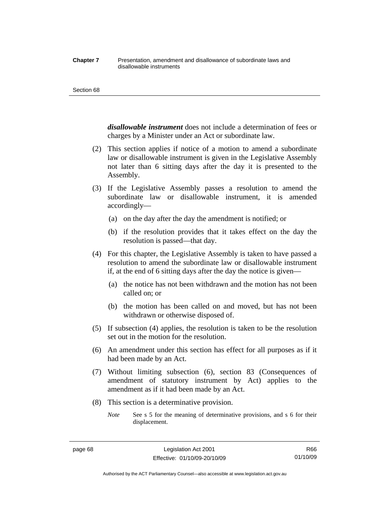#### **Chapter 7** Presentation, amendment and disallowance of subordinate laws and disallowable instruments

#### Section 68

*disallowable instrument* does not include a determination of fees or charges by a Minister under an Act or subordinate law.

- (2) This section applies if notice of a motion to amend a subordinate law or disallowable instrument is given in the Legislative Assembly not later than 6 sitting days after the day it is presented to the Assembly.
- (3) If the Legislative Assembly passes a resolution to amend the subordinate law or disallowable instrument, it is amended accordingly—
	- (a) on the day after the day the amendment is notified; or
	- (b) if the resolution provides that it takes effect on the day the resolution is passed—that day.
- (4) For this chapter, the Legislative Assembly is taken to have passed a resolution to amend the subordinate law or disallowable instrument if, at the end of 6 sitting days after the day the notice is given—
	- (a) the notice has not been withdrawn and the motion has not been called on; or
	- (b) the motion has been called on and moved, but has not been withdrawn or otherwise disposed of.
- (5) If subsection (4) applies, the resolution is taken to be the resolution set out in the motion for the resolution.
- (6) An amendment under this section has effect for all purposes as if it had been made by an Act.
- (7) Without limiting subsection (6), section 83 (Consequences of amendment of statutory instrument by Act) applies to the amendment as if it had been made by an Act.
- (8) This section is a determinative provision.
	- *Note* See s 5 for the meaning of determinative provisions, and s 6 for their displacement.

R66 01/10/09

Authorised by the ACT Parliamentary Counsel—also accessible at www.legislation.act.gov.au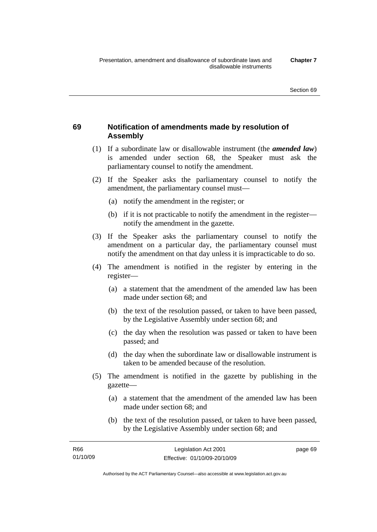# **69 Notification of amendments made by resolution of Assembly**

- (1) If a subordinate law or disallowable instrument (the *amended law*) is amended under section 68, the Speaker must ask the parliamentary counsel to notify the amendment.
- (2) If the Speaker asks the parliamentary counsel to notify the amendment, the parliamentary counsel must—
	- (a) notify the amendment in the register; or
	- (b) if it is not practicable to notify the amendment in the register notify the amendment in the gazette.
- (3) If the Speaker asks the parliamentary counsel to notify the amendment on a particular day, the parliamentary counsel must notify the amendment on that day unless it is impracticable to do so.
- (4) The amendment is notified in the register by entering in the register—
	- (a) a statement that the amendment of the amended law has been made under section 68; and
	- (b) the text of the resolution passed, or taken to have been passed, by the Legislative Assembly under section 68; and
	- (c) the day when the resolution was passed or taken to have been passed; and
	- (d) the day when the subordinate law or disallowable instrument is taken to be amended because of the resolution.
- (5) The amendment is notified in the gazette by publishing in the gazette—
	- (a) a statement that the amendment of the amended law has been made under section 68; and
	- (b) the text of the resolution passed, or taken to have been passed, by the Legislative Assembly under section 68; and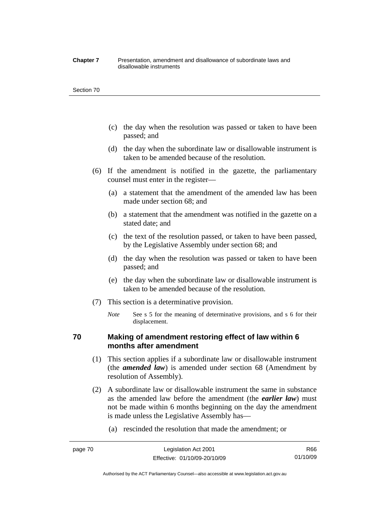#### **Chapter 7** Presentation, amendment and disallowance of subordinate laws and disallowable instruments

#### Section 70

- (c) the day when the resolution was passed or taken to have been passed; and
- (d) the day when the subordinate law or disallowable instrument is taken to be amended because of the resolution.
- (6) If the amendment is notified in the gazette, the parliamentary counsel must enter in the register—
	- (a) a statement that the amendment of the amended law has been made under section 68; and
	- (b) a statement that the amendment was notified in the gazette on a stated date; and
	- (c) the text of the resolution passed, or taken to have been passed, by the Legislative Assembly under section 68; and
	- (d) the day when the resolution was passed or taken to have been passed; and
	- (e) the day when the subordinate law or disallowable instrument is taken to be amended because of the resolution.
- (7) This section is a determinative provision.
	- *Note* See s 5 for the meaning of determinative provisions, and s 6 for their displacement.

# **70 Making of amendment restoring effect of law within 6 months after amendment**

- (1) This section applies if a subordinate law or disallowable instrument (the *amended law*) is amended under section 68 (Amendment by resolution of Assembly).
- (2) A subordinate law or disallowable instrument the same in substance as the amended law before the amendment (the *earlier law*) must not be made within 6 months beginning on the day the amendment is made unless the Legislative Assembly has—
	- (a) rescinded the resolution that made the amendment; or

Authorised by the ACT Parliamentary Counsel—also accessible at www.legislation.act.gov.au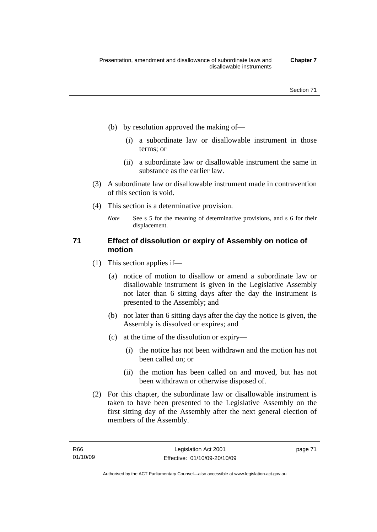- (b) by resolution approved the making of—
	- (i) a subordinate law or disallowable instrument in those terms; or
	- (ii) a subordinate law or disallowable instrument the same in substance as the earlier law.
- (3) A subordinate law or disallowable instrument made in contravention of this section is void.
- (4) This section is a determinative provision.
	- *Note* See s 5 for the meaning of determinative provisions, and s 6 for their displacement.

# **71 Effect of dissolution or expiry of Assembly on notice of motion**

- (1) This section applies if—
	- (a) notice of motion to disallow or amend a subordinate law or disallowable instrument is given in the Legislative Assembly not later than 6 sitting days after the day the instrument is presented to the Assembly; and
	- (b) not later than 6 sitting days after the day the notice is given, the Assembly is dissolved or expires; and
	- (c) at the time of the dissolution or expiry—
		- (i) the notice has not been withdrawn and the motion has not been called on; or
		- (ii) the motion has been called on and moved, but has not been withdrawn or otherwise disposed of.
- (2) For this chapter, the subordinate law or disallowable instrument is taken to have been presented to the Legislative Assembly on the first sitting day of the Assembly after the next general election of members of the Assembly.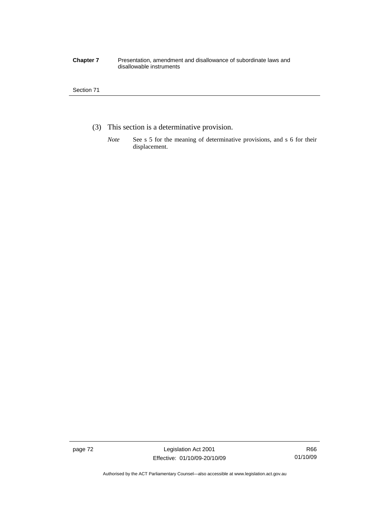#### **Chapter 7** Presentation, amendment and disallowance of subordinate laws and disallowable instruments

## Section 71

- (3) This section is a determinative provision.
	- *Note* See s 5 for the meaning of determinative provisions, and s 6 for their displacement.

page 72 Legislation Act 2001 Effective: 01/10/09-20/10/09

Authorised by the ACT Parliamentary Counsel—also accessible at www.legislation.act.gov.au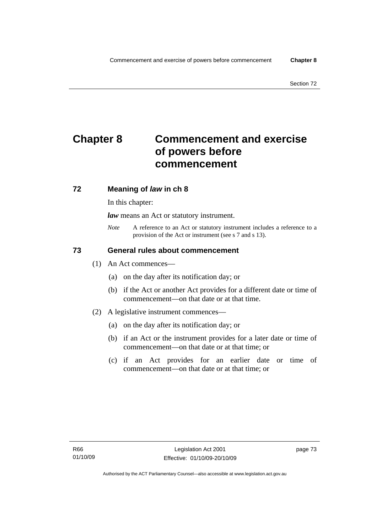# **Chapter 8 Commencement and exercise of powers before commencement**

# **72 Meaning of** *law* **in ch 8**

In this chapter:

*law* means an Act or statutory instrument.

*Note* A reference to an Act or statutory instrument includes a reference to a provision of the Act or instrument (see s 7 and s 13).

# **73 General rules about commencement**

- (1) An Act commences—
	- (a) on the day after its notification day; or
	- (b) if the Act or another Act provides for a different date or time of commencement—on that date or at that time.
- (2) A legislative instrument commences—
	- (a) on the day after its notification day; or
	- (b) if an Act or the instrument provides for a later date or time of commencement—on that date or at that time; or
	- (c) if an Act provides for an earlier date or time of commencement—on that date or at that time; or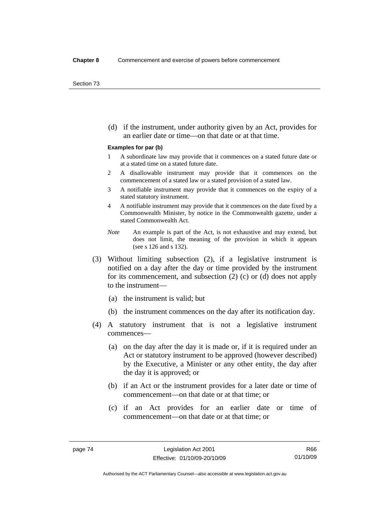(d) if the instrument, under authority given by an Act, provides for an earlier date or time—on that date or at that time.

#### **Examples for par (b)**

- 1 A subordinate law may provide that it commences on a stated future date or at a stated time on a stated future date.
- 2 A disallowable instrument may provide that it commences on the commencement of a stated law or a stated provision of a stated law.
- 3 A notifiable instrument may provide that it commences on the expiry of a stated statutory instrument.
- 4 A notifiable instrument may provide that it commences on the date fixed by a Commonwealth Minister, by notice in the Commonwealth gazette, under a stated Commonwealth Act.
- *Note* An example is part of the Act, is not exhaustive and may extend, but does not limit, the meaning of the provision in which it appears (see s 126 and s 132).
- (3) Without limiting subsection (2), if a legislative instrument is notified on a day after the day or time provided by the instrument for its commencement, and subsection (2) (c) or (d) does not apply to the instrument—
	- (a) the instrument is valid; but
	- (b) the instrument commences on the day after its notification day.
- (4) A statutory instrument that is not a legislative instrument commences—
	- (a) on the day after the day it is made or, if it is required under an Act or statutory instrument to be approved (however described) by the Executive, a Minister or any other entity, the day after the day it is approved; or
	- (b) if an Act or the instrument provides for a later date or time of commencement—on that date or at that time; or
	- (c) if an Act provides for an earlier date or time of commencement—on that date or at that time; or

R66 01/10/09

Authorised by the ACT Parliamentary Counsel—also accessible at www.legislation.act.gov.au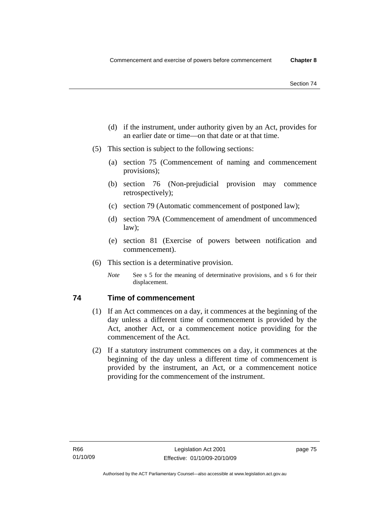- (d) if the instrument, under authority given by an Act, provides for an earlier date or time—on that date or at that time.
- (5) This section is subject to the following sections:
	- (a) section 75 (Commencement of naming and commencement provisions);
	- (b) section 76 (Non-prejudicial provision may commence retrospectively);
	- (c) section 79 (Automatic commencement of postponed law);
	- (d) section 79A (Commencement of amendment of uncommenced law);
	- (e) section 81 (Exercise of powers between notification and commencement).
- (6) This section is a determinative provision.
	- *Note* See s 5 for the meaning of determinative provisions, and s 6 for their displacement.

# **74 Time of commencement**

- (1) If an Act commences on a day, it commences at the beginning of the day unless a different time of commencement is provided by the Act, another Act, or a commencement notice providing for the commencement of the Act.
- (2) If a statutory instrument commences on a day, it commences at the beginning of the day unless a different time of commencement is provided by the instrument, an Act, or a commencement notice providing for the commencement of the instrument.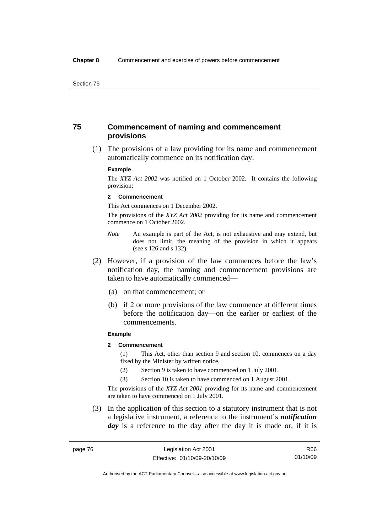# **75 Commencement of naming and commencement provisions**

 (1) The provisions of a law providing for its name and commencement automatically commence on its notification day.

#### **Example**

The *XYZ Act 2002* was notified on 1 October 2002. It contains the following provision:

#### **2 Commencement**

This Act commences on 1 December 2002.

The provisions of the *XYZ Act 2002* providing for its name and commencement commence on 1 October 2002.

- *Note* An example is part of the Act, is not exhaustive and may extend, but does not limit, the meaning of the provision in which it appears (see s 126 and s 132).
- (2) However, if a provision of the law commences before the law's notification day, the naming and commencement provisions are taken to have automatically commenced—
	- (a) on that commencement; or
	- (b) if 2 or more provisions of the law commence at different times before the notification day—on the earlier or earliest of the commencements.

#### **Example**

## **2 Commencement**

(1) This Act, other than section 9 and section 10, commences on a day fixed by the Minister by written notice.

- (2) Section 9 is taken to have commenced on 1 July 2001.
- (3) Section 10 is taken to have commenced on 1 August 2001.

The provisions of the *XYZ Act 2001* providing for its name and commencement are taken to have commenced on 1 July 2001.

 (3) In the application of this section to a statutory instrument that is not a legislative instrument, a reference to the instrument's *notification*  day is a reference to the day after the day it is made or, if it is

Authorised by the ACT Parliamentary Counsel—also accessible at www.legislation.act.gov.au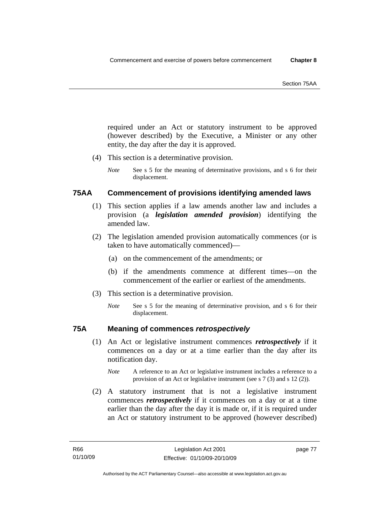required under an Act or statutory instrument to be approved (however described) by the Executive, a Minister or any other entity, the day after the day it is approved.

- (4) This section is a determinative provision.
	- *Note* See s 5 for the meaning of determinative provisions, and s 6 for their displacement.

# **75AA Commencement of provisions identifying amended laws**

- (1) This section applies if a law amends another law and includes a provision (a *legislation amended provision*) identifying the amended law.
- (2) The legislation amended provision automatically commences (or is taken to have automatically commenced)—
	- (a) on the commencement of the amendments; or
	- (b) if the amendments commence at different times—on the commencement of the earlier or earliest of the amendments.
- (3) This section is a determinative provision.
	- *Note* See s 5 for the meaning of determinative provision, and s 6 for their displacement.

# **75A Meaning of commences** *retrospectively*

- (1) An Act or legislative instrument commences *retrospectively* if it commences on a day or at a time earlier than the day after its notification day.
	- *Note* A reference to an Act or legislative instrument includes a reference to a provision of an Act or legislative instrument (see s 7 (3) and s 12 (2)).
- (2) A statutory instrument that is not a legislative instrument commences *retrospectively* if it commences on a day or at a time earlier than the day after the day it is made or, if it is required under an Act or statutory instrument to be approved (however described)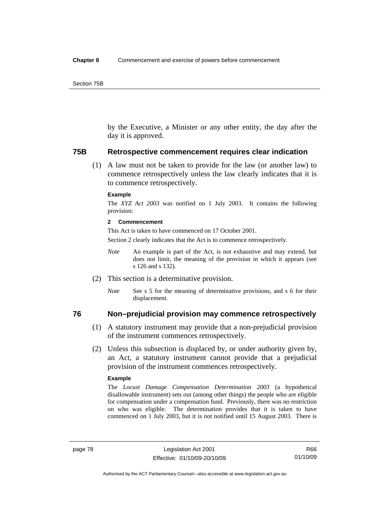by the Executive, a Minister or any other entity, the day after the day it is approved.

#### **75B Retrospective commencement requires clear indication**

 (1) A law must not be taken to provide for the law (or another law) to commence retrospectively unless the law clearly indicates that it is to commence retrospectively.

#### **Example**

The *XYZ Act 2003* was notified on 1 July 2003. It contains the following provision:

#### **2 Commencement**

This Act is taken to have commenced on 17 October 2001.

Section 2 clearly indicates that the Act is to commence retrospectively.

- *Note* An example is part of the Act, is not exhaustive and may extend, but does not limit, the meaning of the provision in which it appears (see s 126 and s 132).
- (2) This section is a determinative provision.
	- *Note* See s 5 for the meaning of determinative provisions, and s 6 for their displacement.

# **76 Non–prejudicial provision may commence retrospectively**

- (1) A statutory instrument may provide that a non-prejudicial provision of the instrument commences retrospectively.
- (2) Unless this subsection is displaced by, or under authority given by, an Act, a statutory instrument cannot provide that a prejudicial provision of the instrument commences retrospectively.

#### **Example**

The *Locust Damage Compensation Determination 2003* (a hypothetical disallowable instrument) sets out (among other things) the people who are eligible for compensation under a compensation fund. Previously, there was no restriction on who was eligible. The determination provides that it is taken to have commenced on 1 July 2003, but it is not notified until 15 August 2003. There is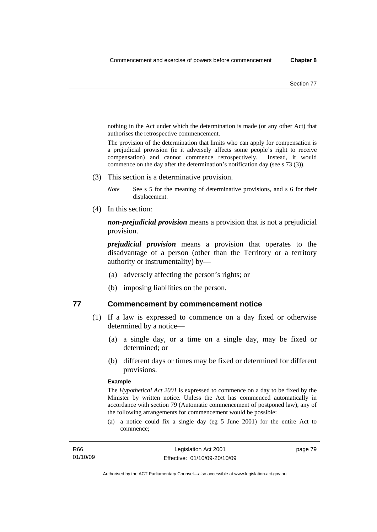nothing in the Act under which the determination is made (or any other Act) that authorises the retrospective commencement.

The provision of the determination that limits who can apply for compensation is a prejudicial provision (ie it adversely affects some people's right to receive compensation) and cannot commence retrospectively. Instead, it would commence on the day after the determination's notification day (see s 73 (3)).

(3) This section is a determinative provision.

*Note* See s 5 for the meaning of determinative provisions, and s 6 for their displacement.

(4) In this section:

*non-prejudicial provision* means a provision that is not a prejudicial provision.

*prejudicial provision* means a provision that operates to the disadvantage of a person (other than the Territory or a territory authority or instrumentality) by—

- (a) adversely affecting the person's rights; or
- (b) imposing liabilities on the person.

## **77 Commencement by commencement notice**

- (1) If a law is expressed to commence on a day fixed or otherwise determined by a notice—
	- (a) a single day, or a time on a single day, may be fixed or determined; or
	- (b) different days or times may be fixed or determined for different provisions.

#### **Example**

The *Hypothetical Act 2001* is expressed to commence on a day to be fixed by the Minister by written notice. Unless the Act has commenced automatically in accordance with section 79 (Automatic commencement of postponed law), any of the following arrangements for commencement would be possible:

(a) a notice could fix a single day (eg 5 June 2001) for the entire Act to commence;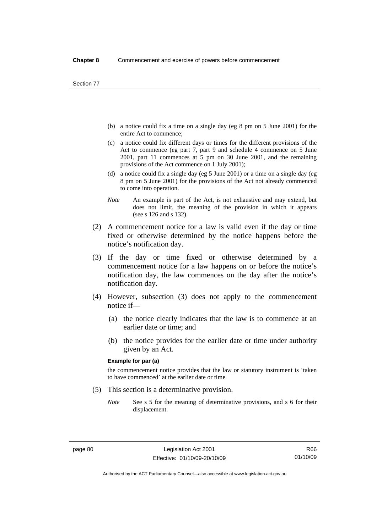- (b) a notice could fix a time on a single day (eg 8 pm on 5 June 2001) for the entire Act to commence;
- (c) a notice could fix different days or times for the different provisions of the Act to commence (eg part 7, part 9 and schedule 4 commence on 5 June 2001, part 11 commences at 5 pm on 30 June 2001, and the remaining provisions of the Act commence on 1 July 2001);
- (d) a notice could fix a single day (eg 5 June 2001) or a time on a single day (eg 8 pm on 5 June 2001) for the provisions of the Act not already commenced to come into operation.
- *Note* An example is part of the Act, is not exhaustive and may extend, but does not limit, the meaning of the provision in which it appears (see s 126 and s 132).
- (2) A commencement notice for a law is valid even if the day or time fixed or otherwise determined by the notice happens before the notice's notification day.
- (3) If the day or time fixed or otherwise determined by a commencement notice for a law happens on or before the notice's notification day, the law commences on the day after the notice's notification day.
- (4) However, subsection (3) does not apply to the commencement notice if—
	- (a) the notice clearly indicates that the law is to commence at an earlier date or time; and
	- (b) the notice provides for the earlier date or time under authority given by an Act.

#### **Example for par (a)**

the commencement notice provides that the law or statutory instrument is 'taken to have commenced' at the earlier date or time

- (5) This section is a determinative provision.
	- *Note* See s 5 for the meaning of determinative provisions, and s 6 for their displacement.

R66 01/10/09

Authorised by the ACT Parliamentary Counsel—also accessible at www.legislation.act.gov.au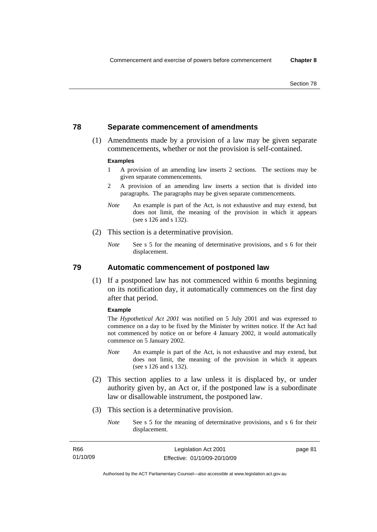# **78 Separate commencement of amendments**

 (1) Amendments made by a provision of a law may be given separate commencements, whether or not the provision is self-contained.

#### **Examples**

- 1 A provision of an amending law inserts 2 sections. The sections may be given separate commencements.
- 2 A provision of an amending law inserts a section that is divided into paragraphs. The paragraphs may be given separate commencements.
- *Note* An example is part of the Act, is not exhaustive and may extend, but does not limit, the meaning of the provision in which it appears (see s 126 and s 132).
- (2) This section is a determinative provision.
	- *Note* See s 5 for the meaning of determinative provisions, and s 6 for their displacement.

**79 Automatic commencement of postponed law** 

 (1) If a postponed law has not commenced within 6 months beginning on its notification day, it automatically commences on the first day after that period.

#### **Example**

The *Hypothetical Act 2001* was notified on 5 July 2001 and was expressed to commence on a day to be fixed by the Minister by written notice. If the Act had not commenced by notice on or before 4 January 2002, it would automatically commence on 5 January 2002.

- *Note* An example is part of the Act, is not exhaustive and may extend, but does not limit, the meaning of the provision in which it appears (see s 126 and s 132).
- (2) This section applies to a law unless it is displaced by, or under authority given by, an Act or, if the postponed law is a subordinate law or disallowable instrument, the postponed law.
- (3) This section is a determinative provision.
	- *Note* See s 5 for the meaning of determinative provisions, and s 6 for their displacement.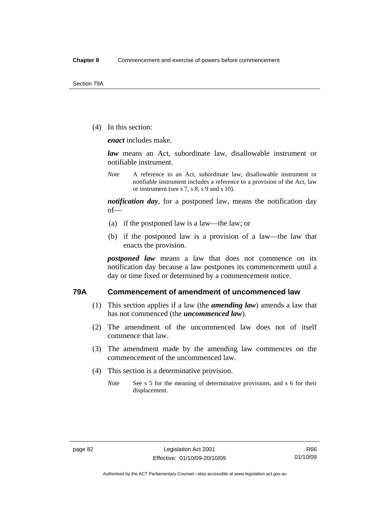(4) In this section:

*enact* includes make.

*law* means an Act, subordinate law, disallowable instrument or notifiable instrument.

*Note* A reference to an Act, subordinate law, disallowable instrument or notifiable instrument includes a reference to a provision of the Act, law or instrument (see s 7, s 8, s 9 and s 10).

*notification day*, for a postponed law, means the notification day of—

- (a) if the postponed law is a law—the law; or
- (b) if the postponed law is a provision of a law—the law that enacts the provision.

*postponed law* means a law that does not commence on its notification day because a law postpones its commencement until a day or time fixed or determined by a commencement notice.

## **79A Commencement of amendment of uncommenced law**

- (1) This section applies if a law (the *amending law*) amends a law that has not commenced (the *uncommenced law*).
- (2) The amendment of the uncommenced law does not of itself commence that law.
- (3) The amendment made by the amending law commences on the commencement of the uncommenced law.
- (4) This section is a determinative provision.
	- *Note* See s 5 for the meaning of determinative provisions, and s 6 for their displacement.

Authorised by the ACT Parliamentary Counsel—also accessible at www.legislation.act.gov.au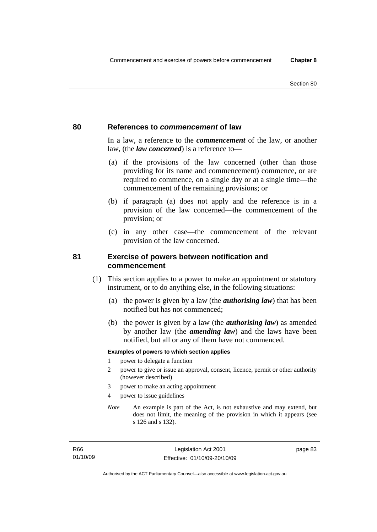## **80 References to** *commencement* **of law**

In a law, a reference to the *commencement* of the law, or another law, (the *law concerned*) is a reference to—

- (a) if the provisions of the law concerned (other than those providing for its name and commencement) commence, or are required to commence, on a single day or at a single time—the commencement of the remaining provisions; or
- (b) if paragraph (a) does not apply and the reference is in a provision of the law concerned—the commencement of the provision; or
- (c) in any other case—the commencement of the relevant provision of the law concerned.

# **81 Exercise of powers between notification and commencement**

- (1) This section applies to a power to make an appointment or statutory instrument, or to do anything else, in the following situations:
	- (a) the power is given by a law (the *authorising law*) that has been notified but has not commenced;
	- (b) the power is given by a law (the *authorising law*) as amended by another law (the *amending law*) and the laws have been notified, but all or any of them have not commenced.

#### **Examples of powers to which section applies**

- 1 power to delegate a function
- 2 power to give or issue an approval, consent, licence, permit or other authority (however described)
- 3 power to make an acting appointment
- 4 power to issue guidelines
- *Note* An example is part of the Act, is not exhaustive and may extend, but does not limit, the meaning of the provision in which it appears (see s 126 and s 132).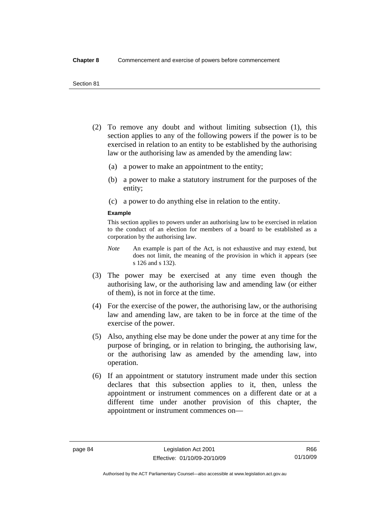- (2) To remove any doubt and without limiting subsection (1), this section applies to any of the following powers if the power is to be exercised in relation to an entity to be established by the authorising law or the authorising law as amended by the amending law:
	- (a) a power to make an appointment to the entity;
	- (b) a power to make a statutory instrument for the purposes of the entity;
	- (c) a power to do anything else in relation to the entity.

#### **Example**

This section applies to powers under an authorising law to be exercised in relation to the conduct of an election for members of a board to be established as a corporation by the authorising law.

- *Note* An example is part of the Act, is not exhaustive and may extend, but does not limit, the meaning of the provision in which it appears (see s 126 and s 132).
- (3) The power may be exercised at any time even though the authorising law, or the authorising law and amending law (or either of them), is not in force at the time.
- (4) For the exercise of the power, the authorising law, or the authorising law and amending law, are taken to be in force at the time of the exercise of the power.
- (5) Also, anything else may be done under the power at any time for the purpose of bringing, or in relation to bringing, the authorising law, or the authorising law as amended by the amending law, into operation.
- (6) If an appointment or statutory instrument made under this section declares that this subsection applies to it, then, unless the appointment or instrument commences on a different date or at a different time under another provision of this chapter, the appointment or instrument commences on—

Authorised by the ACT Parliamentary Counsel—also accessible at www.legislation.act.gov.au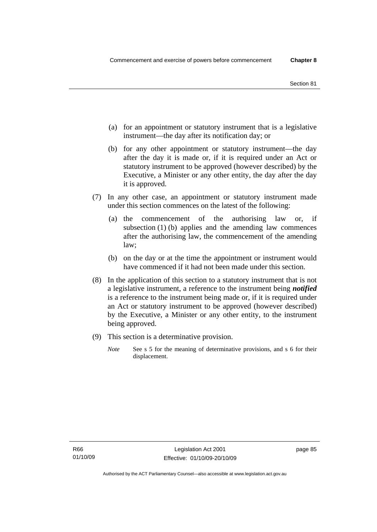- (a) for an appointment or statutory instrument that is a legislative instrument—the day after its notification day; or
- (b) for any other appointment or statutory instrument—the day after the day it is made or, if it is required under an Act or statutory instrument to be approved (however described) by the Executive, a Minister or any other entity, the day after the day it is approved.
- (7) In any other case, an appointment or statutory instrument made under this section commences on the latest of the following:
	- (a) the commencement of the authorising law or, if subsection (1) (b) applies and the amending law commences after the authorising law, the commencement of the amending law;
	- (b) on the day or at the time the appointment or instrument would have commenced if it had not been made under this section.
- (8) In the application of this section to a statutory instrument that is not a legislative instrument, a reference to the instrument being *notified*  is a reference to the instrument being made or, if it is required under an Act or statutory instrument to be approved (however described) by the Executive, a Minister or any other entity, to the instrument being approved.
- (9) This section is a determinative provision.
	- *Note* See s 5 for the meaning of determinative provisions, and s 6 for their displacement.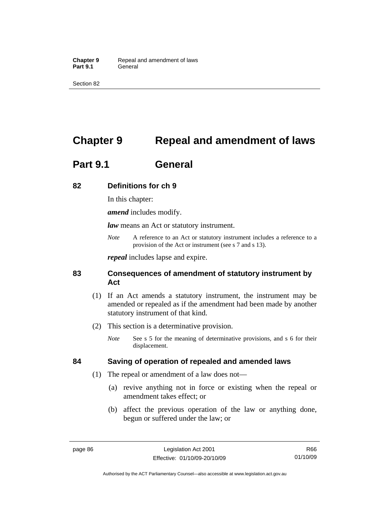Section 82

# **Chapter 9 Repeal and amendment of laws**

# **Part 9.1 General**

# **82 Definitions for ch 9**

In this chapter:

*amend* includes modify.

*law* means an Act or statutory instrument.

*Note* A reference to an Act or statutory instrument includes a reference to a provision of the Act or instrument (see s 7 and s 13).

*repeal* includes lapse and expire.

# **83 Consequences of amendment of statutory instrument by Act**

- (1) If an Act amends a statutory instrument, the instrument may be amended or repealed as if the amendment had been made by another statutory instrument of that kind.
- (2) This section is a determinative provision.
	- *Note* See s 5 for the meaning of determinative provisions, and s 6 for their displacement.

# **84 Saving of operation of repealed and amended laws**

- (1) The repeal or amendment of a law does not—
	- (a) revive anything not in force or existing when the repeal or amendment takes effect; or
	- (b) affect the previous operation of the law or anything done, begun or suffered under the law; or

R66 01/10/09

Authorised by the ACT Parliamentary Counsel—also accessible at www.legislation.act.gov.au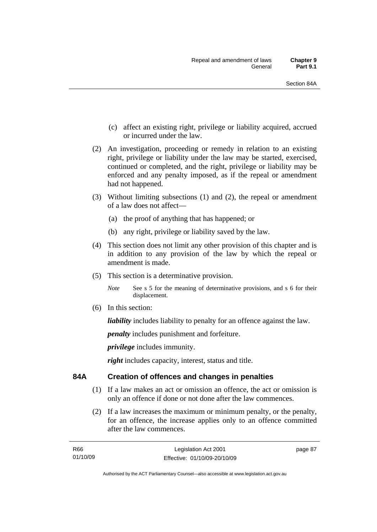- (c) affect an existing right, privilege or liability acquired, accrued or incurred under the law.
- (2) An investigation, proceeding or remedy in relation to an existing right, privilege or liability under the law may be started, exercised, continued or completed, and the right, privilege or liability may be enforced and any penalty imposed, as if the repeal or amendment had not happened.
- (3) Without limiting subsections (1) and (2), the repeal or amendment of a law does not affect—
	- (a) the proof of anything that has happened; or
	- (b) any right, privilege or liability saved by the law.
- (4) This section does not limit any other provision of this chapter and is in addition to any provision of the law by which the repeal or amendment is made.
- (5) This section is a determinative provision.

*Note* See s 5 for the meaning of determinative provisions, and s 6 for their displacement.

(6) In this section:

*liability* includes liability to penalty for an offence against the law.

*penalty* includes punishment and forfeiture.

*privilege* includes immunity.

*right* includes capacity, interest, status and title.

# **84A Creation of offences and changes in penalties**

- (1) If a law makes an act or omission an offence, the act or omission is only an offence if done or not done after the law commences.
- (2) If a law increases the maximum or minimum penalty, or the penalty, for an offence, the increase applies only to an offence committed after the law commences.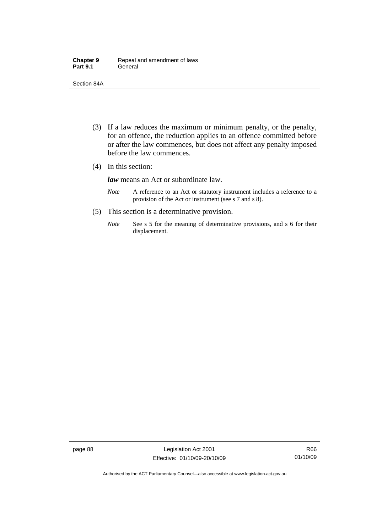| <b>Chapter 9</b> | Repeal and amendment of laws |
|------------------|------------------------------|
| <b>Part 9.1</b>  | General                      |

Section 84A

- (3) If a law reduces the maximum or minimum penalty, or the penalty, for an offence, the reduction applies to an offence committed before or after the law commences, but does not affect any penalty imposed before the law commences.
- (4) In this section:

*law* means an Act or subordinate law.

- *Note* A reference to an Act or statutory instrument includes a reference to a provision of the Act or instrument (see s 7 and s 8).
- (5) This section is a determinative provision.
	- *Note* See s 5 for the meaning of determinative provisions, and s 6 for their displacement.

page 88 Legislation Act 2001 Effective: 01/10/09-20/10/09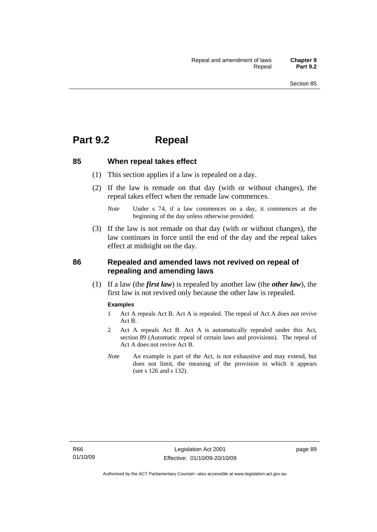# **Part 9.2 Repeal**

## **85 When repeal takes effect**

- (1) This section applies if a law is repealed on a day.
- (2) If the law is remade on that day (with or without changes), the repeal takes effect when the remade law commences.

 (3) If the law is not remade on that day (with or without changes), the law continues in force until the end of the day and the repeal takes effect at midnight on the day.

# **86 Repealed and amended laws not revived on repeal of repealing and amending laws**

 (1) If a law (the *first law*) is repealed by another law (the *other law*), the first law is not revived only because the other law is repealed.

#### **Examples**

- 1 Act A repeals Act B. Act A is repealed. The repeal of Act A does not revive Act B.
- 2 Act A repeals Act B. Act A is automatically repealed under this Act, section 89 (Automatic repeal of certain laws and provisions). The repeal of Act A does not revive Act B.
- *Note* An example is part of the Act, is not exhaustive and may extend, but does not limit, the meaning of the provision in which it appears (see s 126 and s 132).

*Note* Under s 74, if a law commences on a day, it commences at the beginning of the day unless otherwise provided.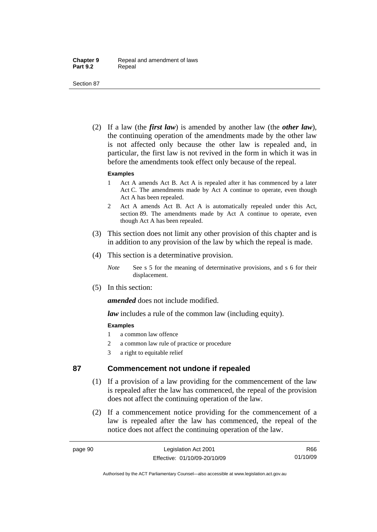Section 87

 (2) If a law (the *first law*) is amended by another law (the *other law*), the continuing operation of the amendments made by the other law is not affected only because the other law is repealed and, in particular, the first law is not revived in the form in which it was in before the amendments took effect only because of the repeal.

#### **Examples**

- 1 Act A amends Act B. Act A is repealed after it has commenced by a later Act C. The amendments made by Act A continue to operate, even though Act A has been repealed.
- 2 Act A amends Act B. Act A is automatically repealed under this Act, section 89. The amendments made by Act A continue to operate, even though Act A has been repealed.
- (3) This section does not limit any other provision of this chapter and is in addition to any provision of the law by which the repeal is made.
- (4) This section is a determinative provision.
	- *Note* See s 5 for the meaning of determinative provisions, and s 6 for their displacement.
- (5) In this section:

*amended* does not include modified.

*law* includes a rule of the common law (including equity).

## **Examples**

- 1 a common law offence
- 2 a common law rule of practice or procedure
- 3 a right to equitable relief

# **87 Commencement not undone if repealed**

- (1) If a provision of a law providing for the commencement of the law is repealed after the law has commenced, the repeal of the provision does not affect the continuing operation of the law.
- (2) If a commencement notice providing for the commencement of a law is repealed after the law has commenced, the repeal of the notice does not affect the continuing operation of the law.

R66 01/10/09

Authorised by the ACT Parliamentary Counsel—also accessible at www.legislation.act.gov.au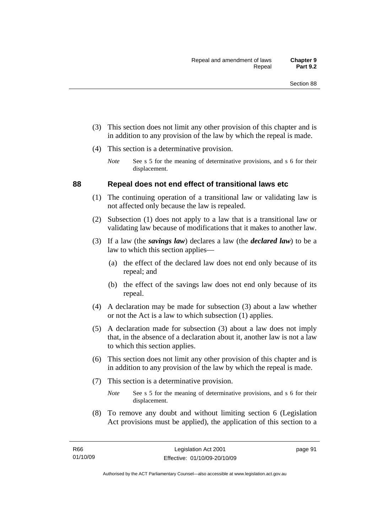- (3) This section does not limit any other provision of this chapter and is in addition to any provision of the law by which the repeal is made.
- (4) This section is a determinative provision.
	- *Note* See s 5 for the meaning of determinative provisions, and s 6 for their displacement.

## **88 Repeal does not end effect of transitional laws etc**

- (1) The continuing operation of a transitional law or validating law is not affected only because the law is repealed.
- (2) Subsection (1) does not apply to a law that is a transitional law or validating law because of modifications that it makes to another law.
- (3) If a law (the *savings law*) declares a law (the *declared law*) to be a law to which this section applies—
	- (a) the effect of the declared law does not end only because of its repeal; and
	- (b) the effect of the savings law does not end only because of its repeal.
- (4) A declaration may be made for subsection (3) about a law whether or not the Act is a law to which subsection (1) applies.
- (5) A declaration made for subsection (3) about a law does not imply that, in the absence of a declaration about it, another law is not a law to which this section applies.
- (6) This section does not limit any other provision of this chapter and is in addition to any provision of the law by which the repeal is made.
- (7) This section is a determinative provision.
	- *Note* See s 5 for the meaning of determinative provisions, and s 6 for their displacement.
- (8) To remove any doubt and without limiting section 6 (Legislation Act provisions must be applied), the application of this section to a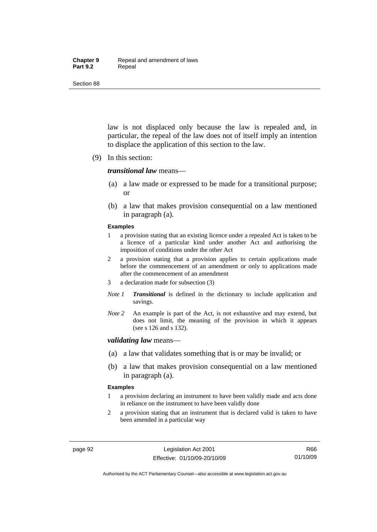#### **Chapter 9** Repeal and amendment of laws Part 9.2 **Repeal**

Section 88

law is not displaced only because the law is repealed and, in particular, the repeal of the law does not of itself imply an intention to displace the application of this section to the law.

(9) In this section:

#### *transitional law* means—

- (a) a law made or expressed to be made for a transitional purpose; or
- (b) a law that makes provision consequential on a law mentioned in paragraph (a).

#### **Examples**

- 1 a provision stating that an existing licence under a repealed Act is taken to be a licence of a particular kind under another Act and authorising the imposition of conditions under the other Act
- 2 a provision stating that a provision applies to certain applications made before the commencement of an amendment or only to applications made after the commencement of an amendment
- 3 a declaration made for subsection (3)
- *Note 1 Transitional* is defined in the dictionary to include application and savings.
- *Note 2* An example is part of the Act, is not exhaustive and may extend, but does not limit, the meaning of the provision in which it appears (see s 126 and s 132).

#### *validating law* means—

- (a) a law that validates something that is or may be invalid; or
- (b) a law that makes provision consequential on a law mentioned in paragraph (a).

#### **Examples**

- 1 a provision declaring an instrument to have been validly made and acts done in reliance on the instrument to have been validly done
- 2 a provision stating that an instrument that is declared valid is taken to have been amended in a particular way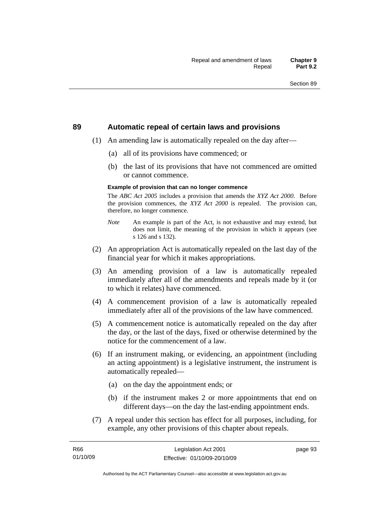#### **89 Automatic repeal of certain laws and provisions**

- (1) An amending law is automatically repealed on the day after—
	- (a) all of its provisions have commenced; or
	- (b) the last of its provisions that have not commenced are omitted or cannot commence.

#### **Example of provision that can no longer commence**

The *ABC Act 2005* includes a provision that amends the *XYZ Act 2000*. Before the provision commences, the *XYZ Act 2000* is repealed. The provision can, therefore, no longer commence.

- *Note* An example is part of the Act, is not exhaustive and may extend, but does not limit, the meaning of the provision in which it appears (see s 126 and s 132).
- (2) An appropriation Act is automatically repealed on the last day of the financial year for which it makes appropriations.
- (3) An amending provision of a law is automatically repealed immediately after all of the amendments and repeals made by it (or to which it relates) have commenced.
- (4) A commencement provision of a law is automatically repealed immediately after all of the provisions of the law have commenced.
- (5) A commencement notice is automatically repealed on the day after the day, or the last of the days, fixed or otherwise determined by the notice for the commencement of a law.
- (6) If an instrument making, or evidencing, an appointment (including an acting appointment) is a legislative instrument, the instrument is automatically repealed—
	- (a) on the day the appointment ends; or
	- (b) if the instrument makes 2 or more appointments that end on different days—on the day the last-ending appointment ends.
- (7) A repeal under this section has effect for all purposes, including, for example, any other provisions of this chapter about repeals.

page 93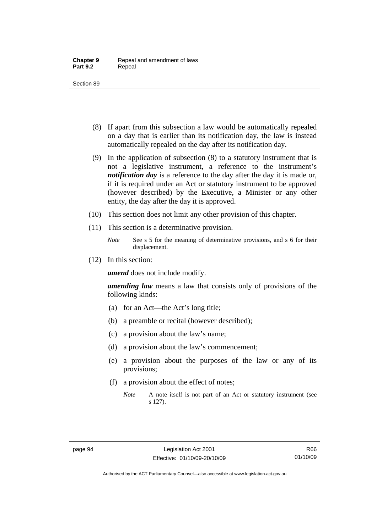- (8) If apart from this subsection a law would be automatically repealed on a day that is earlier than its notification day, the law is instead automatically repealed on the day after its notification day.
- (9) In the application of subsection (8) to a statutory instrument that is not a legislative instrument, a reference to the instrument's *notification day* is a reference to the day after the day it is made or, if it is required under an Act or statutory instrument to be approved (however described) by the Executive, a Minister or any other entity, the day after the day it is approved.
- (10) This section does not limit any other provision of this chapter.
- (11) This section is a determinative provision.
	- *Note* See s 5 for the meaning of determinative provisions, and s 6 for their displacement.
- (12) In this section:

*amend* does not include modify.

*amending law* means a law that consists only of provisions of the following kinds:

- (a) for an Act—the Act's long title;
- (b) a preamble or recital (however described);
- (c) a provision about the law's name;
- (d) a provision about the law's commencement;
- (e) a provision about the purposes of the law or any of its provisions;
- (f) a provision about the effect of notes;
	- *Note* A note itself is not part of an Act or statutory instrument (see s 127).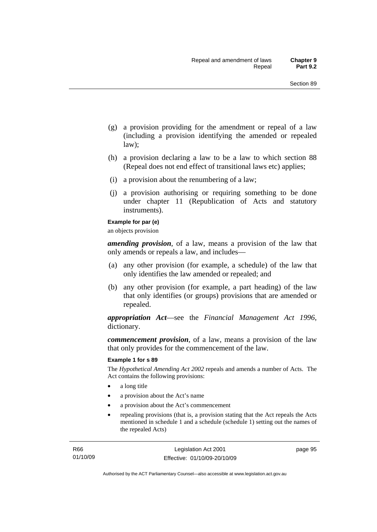- (g) a provision providing for the amendment or repeal of a law (including a provision identifying the amended or repealed law);
- (h) a provision declaring a law to be a law to which section 88 (Repeal does not end effect of transitional laws etc) applies;
- (i) a provision about the renumbering of a law;
- (j) a provision authorising or requiring something to be done under chapter 11 (Republication of Acts and statutory instruments).

#### **Example for par (e)**

an objects provision

*amending provision*, of a law, means a provision of the law that only amends or repeals a law, and includes—

- (a) any other provision (for example, a schedule) of the law that only identifies the law amended or repealed; and
- (b) any other provision (for example, a part heading) of the law that only identifies (or groups) provisions that are amended or repealed.

*appropriation Act*—see the *Financial Management Act 1996*, dictionary.

*commencement provision*, of a law, means a provision of the law that only provides for the commencement of the law.

#### **Example 1 for s 89**

The *Hypothetical Amending Act 2002* repeals and amends a number of Acts. The Act contains the following provisions:

- a long title
- a provision about the Act's name
- a provision about the Act's commencement
- repealing provisions (that is, a provision stating that the Act repeals the Acts mentioned in schedule 1 and a schedule (schedule 1) setting out the names of the repealed Acts)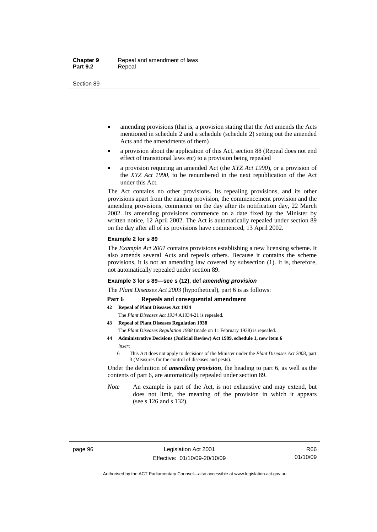- amending provisions (that is, a provision stating that the Act amends the Acts mentioned in schedule 2 and a schedule (schedule 2) setting out the amended Acts and the amendments of them)
- a provision about the application of this Act, section 88 (Repeal does not end effect of transitional laws etc) to a provision being repealed
- a provision requiring an amended Act (the *XYZ Act 1990*), or a provision of the *XYZ Act 1990*, to be renumbered in the next republication of the Act under this Act.

The Act contains no other provisions. Its repealing provisions, and its other provisions apart from the naming provision, the commencement provision and the amending provisions, commence on the day after its notification day, 22 March 2002. Its amending provisions commence on a date fixed by the Minister by written notice, 12 April 2002. The Act is automatically repealed under section 89 on the day after all of its provisions have commenced, 13 April 2002.

#### **Example 2 for s 89**

The *Example Act 2001* contains provisions establishing a new licensing scheme. It also amends several Acts and repeals others. Because it contains the scheme provisions, it is not an amending law covered by subsection (1). It is, therefore, not automatically repealed under section 89.

#### **Example 3 for s 89—see s (12), def** *amending provision*

The *Plant Diseases Act 2003* (hypothetical), part 6 is as follows:

#### Part 6 Repeals and consequential amendment

- **42 Repeal of Plant Diseases Act 1934**
	- The *Plant Diseases Act 1934* A1934-21 is repealed.
- **43 Repeal of Plant Diseases Regulation 1938** The *Plant Diseases Regulation 1938* (made on 11 February 1938) is repealed.
- **44 Administrative Decisions (Judicial Review) Act 1989, schedule 1, new item 6**  *insert* 
	- 6 This Act does not apply to decisions of the Minister under the *Plant Diseases Act 2003*, part 3 (Measures for the control of diseases and pests).

Under the definition of *amending provision*, the heading to part 6, as well as the contents of part 6, are automatically repealed under section 89.

*Note* An example is part of the Act, is not exhaustive and may extend, but does not limit, the meaning of the provision in which it appears (see s 126 and s 132).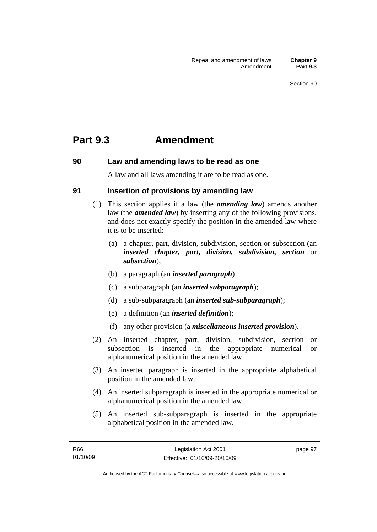## **Part 9.3 Amendment**

## **90 Law and amending laws to be read as one**

A law and all laws amending it are to be read as one.

## **91 Insertion of provisions by amending law**

- (1) This section applies if a law (the *amending law*) amends another law (the *amended law*) by inserting any of the following provisions, and does not exactly specify the position in the amended law where it is to be inserted:
	- (a) a chapter, part, division, subdivision, section or subsection (an *inserted chapter, part, division, subdivision, section* or *subsection*);
	- (b) a paragraph (an *inserted paragraph*);
	- (c) a subparagraph (an *inserted subparagraph*);
	- (d) a sub-subparagraph (an *inserted sub-subparagraph*);
	- (e) a definition (an *inserted definition*);
	- (f) any other provision (a *miscellaneous inserted provision*).
- (2) An inserted chapter, part, division, subdivision, section or subsection is inserted in the appropriate numerical or alphanumerical position in the amended law.
- (3) An inserted paragraph is inserted in the appropriate alphabetical position in the amended law.
- (4) An inserted subparagraph is inserted in the appropriate numerical or alphanumerical position in the amended law.
- (5) An inserted sub-subparagraph is inserted in the appropriate alphabetical position in the amended law.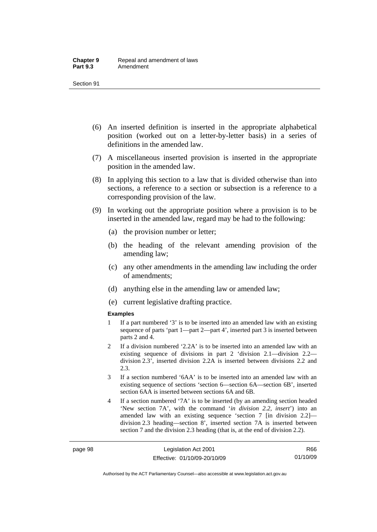- (6) An inserted definition is inserted in the appropriate alphabetical position (worked out on a letter-by-letter basis) in a series of definitions in the amended law.
- (7) A miscellaneous inserted provision is inserted in the appropriate position in the amended law.
- (8) In applying this section to a law that is divided otherwise than into sections, a reference to a section or subsection is a reference to a corresponding provision of the law.
- (9) In working out the appropriate position where a provision is to be inserted in the amended law, regard may be had to the following:
	- (a) the provision number or letter;
	- (b) the heading of the relevant amending provision of the amending law;
	- (c) any other amendments in the amending law including the order of amendments;
	- (d) anything else in the amending law or amended law;
	- (e) current legislative drafting practice.

#### **Examples**

- 1 If a part numbered '3' is to be inserted into an amended law with an existing sequence of parts 'part 1—part 2—part 4', inserted part 3 is inserted between parts 2 and 4.
- 2 If a division numbered '2.2A' is to be inserted into an amended law with an existing sequence of divisions in part 2 'division 2.1—division 2.2 division 2.3', inserted division 2.2A is inserted between divisions 2.2 and 2.3.
- 3 If a section numbered '6AA' is to be inserted into an amended law with an existing sequence of sections 'section 6—section 6A—section 6B', inserted section 6AA is inserted between sections 6A and 6B.
- 4 If a section numbered '7A' is to be inserted (by an amending section headed 'New section 7A', with the command '*in division 2.2, insert*') into an amended law with an existing sequence 'section 7 [in division 2.2] division 2.3 heading—section 8', inserted section 7A is inserted between section 7 and the division 2.3 heading (that is, at the end of division 2.2).

R66 01/10/09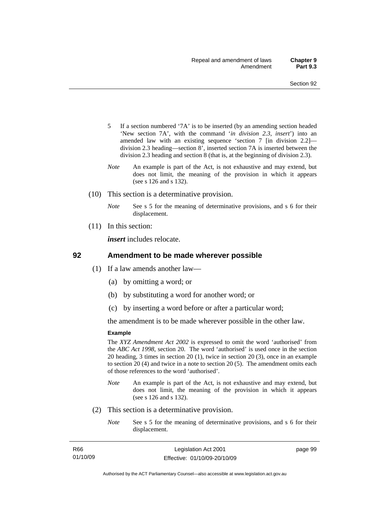- 5 If a section numbered '7A' is to be inserted (by an amending section headed 'New section 7A', with the command '*in division 2.3, insert*') into an amended law with an existing sequence 'section 7 [in division 2.2] division 2.3 heading—section 8', inserted section 7A is inserted between the division 2.3 heading and section 8 (that is, at the beginning of division 2.3).
- *Note* An example is part of the Act, is not exhaustive and may extend, but does not limit, the meaning of the provision in which it appears (see s 126 and s 132).
- (10) This section is a determinative provision.
	- *Note* See s 5 for the meaning of determinative provisions, and s 6 for their displacement.
- (11) In this section:

*insert* includes relocate.

#### **92 Amendment to be made wherever possible**

- (1) If a law amends another law—
	- (a) by omitting a word; or
	- (b) by substituting a word for another word; or
	- (c) by inserting a word before or after a particular word;

the amendment is to be made wherever possible in the other law.

#### **Example**

The *XYZ Amendment Act 2002* is expressed to omit the word 'authorised' from the *ABC Act 1998*, section 20. The word 'authorised' is used once in the section 20 heading, 3 times in section 20 (1), twice in section 20 (3), once in an example to section 20 (4) and twice in a note to section 20 (5). The amendment omits each of those references to the word 'authorised'.

- *Note* An example is part of the Act, is not exhaustive and may extend, but does not limit, the meaning of the provision in which it appears (see s 126 and s 132).
- (2) This section is a determinative provision.
	- *Note* See s 5 for the meaning of determinative provisions, and s 6 for their displacement.

| R66      |  |
|----------|--|
| 01/10/09 |  |

page 99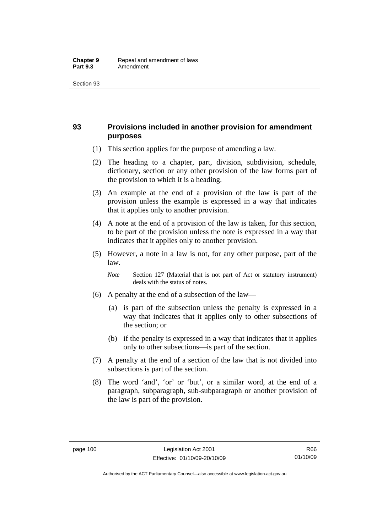## **93 Provisions included in another provision for amendment purposes**

- (1) This section applies for the purpose of amending a law.
- (2) The heading to a chapter, part, division, subdivision, schedule, dictionary, section or any other provision of the law forms part of the provision to which it is a heading.
- (3) An example at the end of a provision of the law is part of the provision unless the example is expressed in a way that indicates that it applies only to another provision.
- (4) A note at the end of a provision of the law is taken, for this section, to be part of the provision unless the note is expressed in a way that indicates that it applies only to another provision.
- (5) However, a note in a law is not, for any other purpose, part of the law.

*Note* Section 127 (Material that is not part of Act or statutory instrument) deals with the status of notes.

- (6) A penalty at the end of a subsection of the law—
	- (a) is part of the subsection unless the penalty is expressed in a way that indicates that it applies only to other subsections of the section; or
	- (b) if the penalty is expressed in a way that indicates that it applies only to other subsections—is part of the section.
- (7) A penalty at the end of a section of the law that is not divided into subsections is part of the section.
- (8) The word 'and', 'or' or 'but', or a similar word, at the end of a paragraph, subparagraph, sub-subparagraph or another provision of the law is part of the provision.

Authorised by the ACT Parliamentary Counsel—also accessible at www.legislation.act.gov.au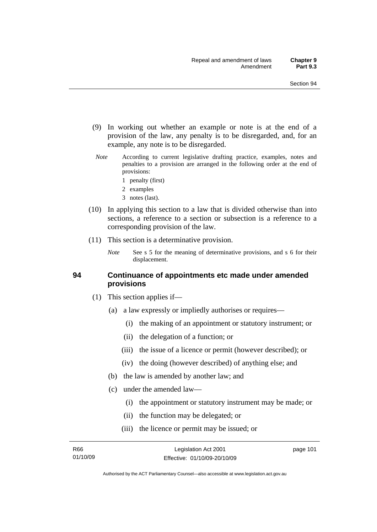- (9) In working out whether an example or note is at the end of a provision of the law, any penalty is to be disregarded, and, for an example, any note is to be disregarded.
- *Note* According to current legislative drafting practice, examples, notes and penalties to a provision are arranged in the following order at the end of provisions:
	- 1 penalty (first)
	- 2 examples
	- 3 notes (last).
- (10) In applying this section to a law that is divided otherwise than into sections, a reference to a section or subsection is a reference to a corresponding provision of the law.
- (11) This section is a determinative provision.
	- *Note* See s 5 for the meaning of determinative provisions, and s 6 for their displacement.

#### **94 Continuance of appointments etc made under amended provisions**

- (1) This section applies if—
	- (a) a law expressly or impliedly authorises or requires—
		- (i) the making of an appointment or statutory instrument; or
		- (ii) the delegation of a function; or
		- (iii) the issue of a licence or permit (however described); or
		- (iv) the doing (however described) of anything else; and
	- (b) the law is amended by another law; and
	- (c) under the amended law—
		- (i) the appointment or statutory instrument may be made; or
		- (ii) the function may be delegated; or
		- (iii) the licence or permit may be issued; or

page 101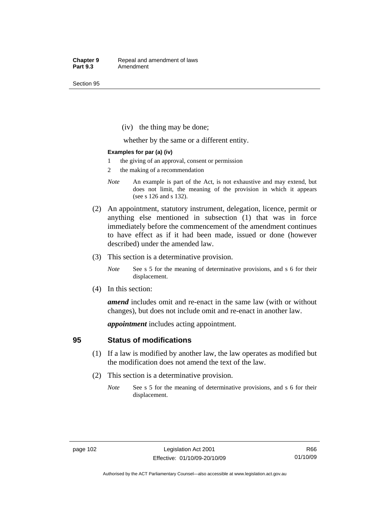(iv) the thing may be done;

whether by the same or a different entity.

#### **Examples for par (a) (iv)**

- 1 the giving of an approval, consent or permission
- 2 the making of a recommendation
- *Note* An example is part of the Act, is not exhaustive and may extend, but does not limit, the meaning of the provision in which it appears (see s 126 and s 132).
- (2) An appointment, statutory instrument, delegation, licence, permit or anything else mentioned in subsection (1) that was in force immediately before the commencement of the amendment continues to have effect as if it had been made, issued or done (however described) under the amended law.
- (3) This section is a determinative provision.
	- *Note* See s 5 for the meaning of determinative provisions, and s 6 for their displacement.
- (4) In this section:

*amend* includes omit and re-enact in the same law (with or without changes), but does not include omit and re-enact in another law.

*appointment* includes acting appointment.

#### **95 Status of modifications**

- (1) If a law is modified by another law, the law operates as modified but the modification does not amend the text of the law.
- (2) This section is a determinative provision.
	- *Note* See s 5 for the meaning of determinative provisions, and s 6 for their displacement.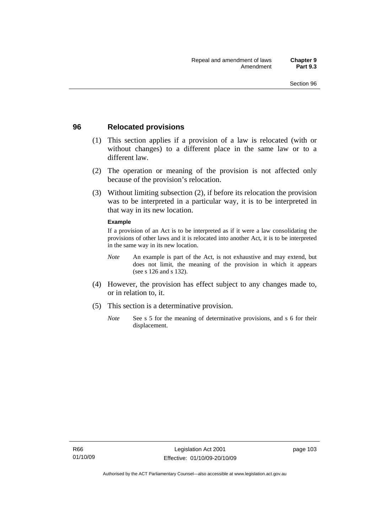### **96 Relocated provisions**

- (1) This section applies if a provision of a law is relocated (with or without changes) to a different place in the same law or to a different law.
- (2) The operation or meaning of the provision is not affected only because of the provision's relocation.
- (3) Without limiting subsection (2), if before its relocation the provision was to be interpreted in a particular way, it is to be interpreted in that way in its new location.

#### **Example**

If a provision of an Act is to be interpreted as if it were a law consolidating the provisions of other laws and it is relocated into another Act, it is to be interpreted in the same way in its new location.

- *Note* An example is part of the Act, is not exhaustive and may extend, but does not limit, the meaning of the provision in which it appears (see s 126 and s 132).
- (4) However, the provision has effect subject to any changes made to, or in relation to, it.
- (5) This section is a determinative provision.
	- *Note* See s 5 for the meaning of determinative provisions, and s 6 for their displacement.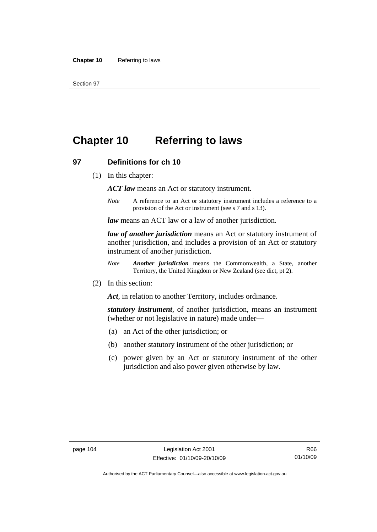# **Chapter 10 Referring to laws**

#### **97 Definitions for ch 10**

(1) In this chapter:

*ACT law* means an Act or statutory instrument.

*Note* A reference to an Act or statutory instrument includes a reference to a provision of the Act or instrument (see s 7 and s 13).

*law* means an ACT law or a law of another jurisdiction.

*law of another jurisdiction* means an Act or statutory instrument of another jurisdiction, and includes a provision of an Act or statutory instrument of another jurisdiction.

- *Note Another jurisdiction* means the Commonwealth, a State, another Territory, the United Kingdom or New Zealand (see dict, pt 2).
- (2) In this section:

*Act*, in relation to another Territory, includes ordinance.

*statutory instrument*, of another jurisdiction, means an instrument (whether or not legislative in nature) made under—

- (a) an Act of the other jurisdiction; or
- (b) another statutory instrument of the other jurisdiction; or
- (c) power given by an Act or statutory instrument of the other jurisdiction and also power given otherwise by law.

R66 01/10/09

Authorised by the ACT Parliamentary Counsel—also accessible at www.legislation.act.gov.au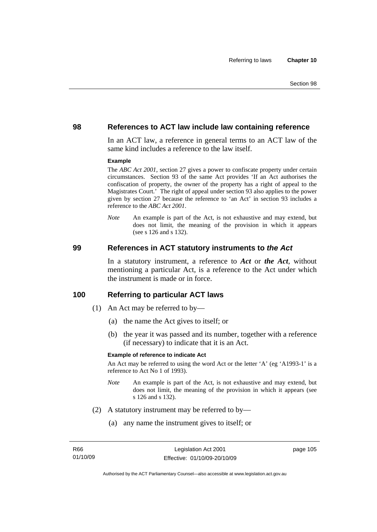#### **98 References to ACT law include law containing reference**

In an ACT law, a reference in general terms to an ACT law of the same kind includes a reference to the law itself.

#### **Example**

The *ABC Act 2001*, section 27 gives a power to confiscate property under certain circumstances. Section 93 of the same Act provides 'If an Act authorises the confiscation of property, the owner of the property has a right of appeal to the Magistrates Court.' The right of appeal under section 93 also applies to the power given by section 27 because the reference to 'an Act' in section 93 includes a reference to the *ABC Act 2001*.

*Note* An example is part of the Act, is not exhaustive and may extend, but does not limit, the meaning of the provision in which it appears (see s 126 and s 132).

#### **99 References in ACT statutory instruments to** *the Act*

In a statutory instrument, a reference to *Act* or *the Act*, without mentioning a particular Act, is a reference to the Act under which the instrument is made or in force.

#### **100 Referring to particular ACT laws**

- (1) An Act may be referred to by—
	- (a) the name the Act gives to itself; or
	- (b) the year it was passed and its number, together with a reference (if necessary) to indicate that it is an Act.

#### **Example of reference to indicate Act**

An Act may be referred to using the word Act or the letter 'A' (eg 'A1993-1' is a reference to Act No 1 of 1993).

- *Note* An example is part of the Act, is not exhaustive and may extend, but does not limit, the meaning of the provision in which it appears (see s 126 and s 132).
- (2) A statutory instrument may be referred to by—
	- (a) any name the instrument gives to itself; or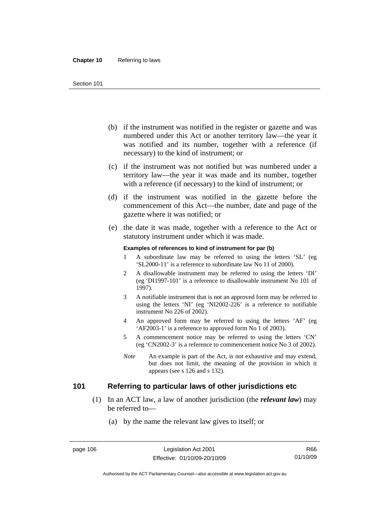- (b) if the instrument was notified in the register or gazette and was numbered under this Act or another territory law—the year it was notified and its number, together with a reference (if necessary) to the kind of instrument; or
- (c) if the instrument was not notified but was numbered under a territory law—the year it was made and its number, together with a reference (if necessary) to the kind of instrument; or
- (d) if the instrument was notified in the gazette before the commencement of this Act—the number, date and page of the gazette where it was notified; or
- (e) the date it was made, together with a reference to the Act or statutory instrument under which it was made.

#### **Examples of references to kind of instrument for par (b)**

- 1 A subordinate law may be referred to using the letters 'SL' (eg 'SL2000-11' is a reference to subordinate law No 11 of 2000).
- 2 A disallowable instrument may be referred to using the letters 'DI' (eg 'DI1997-101' is a reference to disallowable instrument No 101 of 1997).
- 3 A notifiable instrument that is not an approved form may be referred to using the letters 'NI' (eg 'NI2002-226' is a reference to notifiable instrument No 226 of 2002).
- 4 An approved form may be referred to using the letters 'AF' (eg 'AF2003-1' is a reference to approved form No 1 of 2003).
- 5 A commencement notice may be referred to using the letters 'CN' (eg 'CN2002-3' is a reference to commencement notice No 3 of 2002).
- *Note* An example is part of the Act, is not exhaustive and may extend, but does not limit, the meaning of the provision in which it appears (see s 126 and s 132).

## **101 Referring to particular laws of other jurisdictions etc**

- (1) In an ACT law, a law of another jurisdiction (the *relevant law*) may be referred to—
	- (a) by the name the relevant law gives to itself; or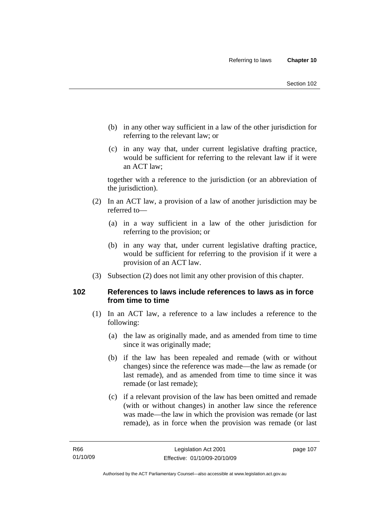- (b) in any other way sufficient in a law of the other jurisdiction for referring to the relevant law; or
- (c) in any way that, under current legislative drafting practice, would be sufficient for referring to the relevant law if it were an ACT law;

together with a reference to the jurisdiction (or an abbreviation of the jurisdiction).

- (2) In an ACT law, a provision of a law of another jurisdiction may be referred to—
	- (a) in a way sufficient in a law of the other jurisdiction for referring to the provision; or
	- (b) in any way that, under current legislative drafting practice, would be sufficient for referring to the provision if it were a provision of an ACT law.
- (3) Subsection (2) does not limit any other provision of this chapter.

## **102 References to laws include references to laws as in force from time to time**

- (1) In an ACT law, a reference to a law includes a reference to the following:
	- (a) the law as originally made, and as amended from time to time since it was originally made;
	- (b) if the law has been repealed and remade (with or without changes) since the reference was made—the law as remade (or last remade), and as amended from time to time since it was remade (or last remade);
	- (c) if a relevant provision of the law has been omitted and remade (with or without changes) in another law since the reference was made—the law in which the provision was remade (or last remade), as in force when the provision was remade (or last

page 107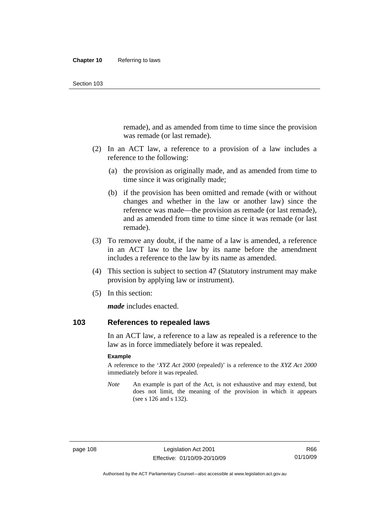remade), and as amended from time to time since the provision was remade (or last remade).

- (2) In an ACT law, a reference to a provision of a law includes a reference to the following:
	- (a) the provision as originally made, and as amended from time to time since it was originally made;
	- (b) if the provision has been omitted and remade (with or without changes and whether in the law or another law) since the reference was made—the provision as remade (or last remade), and as amended from time to time since it was remade (or last remade).
- (3) To remove any doubt, if the name of a law is amended, a reference in an ACT law to the law by its name before the amendment includes a reference to the law by its name as amended.
- (4) This section is subject to section 47 (Statutory instrument may make provision by applying law or instrument).
- (5) In this section:

*made* includes enacted.

## **103 References to repealed laws**

In an ACT law, a reference to a law as repealed is a reference to the law as in force immediately before it was repealed.

#### **Example**

A reference to the '*XYZ Act 2000* (repealed)' is a reference to the *XYZ Act 2000* immediately before it was repealed.

*Note* An example is part of the Act, is not exhaustive and may extend, but does not limit, the meaning of the provision in which it appears (see s 126 and s 132).

Authorised by the ACT Parliamentary Counsel—also accessible at www.legislation.act.gov.au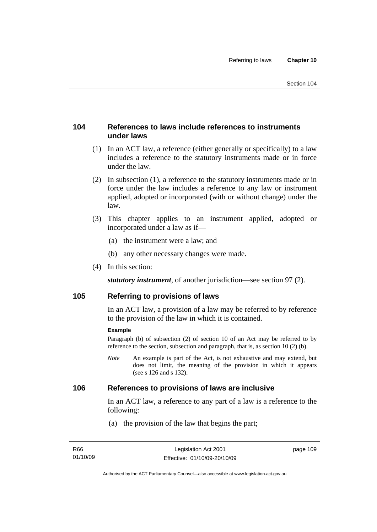## **104 References to laws include references to instruments under laws**

- (1) In an ACT law, a reference (either generally or specifically) to a law includes a reference to the statutory instruments made or in force under the law.
- (2) In subsection (1), a reference to the statutory instruments made or in force under the law includes a reference to any law or instrument applied, adopted or incorporated (with or without change) under the law.
- (3) This chapter applies to an instrument applied, adopted or incorporated under a law as if—
	- (a) the instrument were a law; and
	- (b) any other necessary changes were made.
- (4) In this section:

*statutory instrument*, of another jurisdiction—see section 97 (2).

## **105 Referring to provisions of laws**

In an ACT law, a provision of a law may be referred to by reference to the provision of the law in which it is contained.

#### **Example**

Paragraph (b) of subsection (2) of section 10 of an Act may be referred to by reference to the section, subsection and paragraph, that is, as section 10 (2) (b).

*Note* An example is part of the Act, is not exhaustive and may extend, but does not limit, the meaning of the provision in which it appears (see s 126 and s 132).

#### **106 References to provisions of laws are inclusive**

In an ACT law, a reference to any part of a law is a reference to the following:

(a) the provision of the law that begins the part;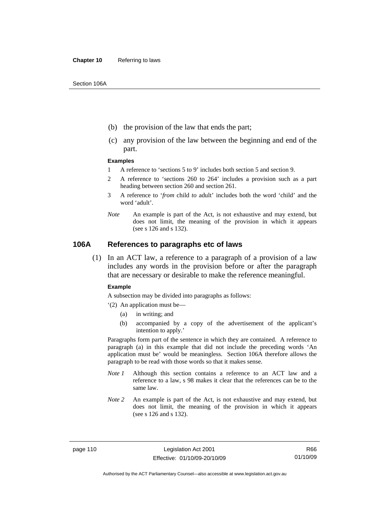- (b) the provision of the law that ends the part;
- (c) any provision of the law between the beginning and end of the part.

#### **Examples**

- 1 A reference to 'sections 5 to 9' includes both section 5 and section 9.
- 2 A reference to 'sections 260 to 264' includes a provision such as a part heading between section 260 and section 261.
- 3 A reference to '*from* child *to* adult' includes both the word 'child' and the word 'adult'.
- *Note* An example is part of the Act, is not exhaustive and may extend, but does not limit, the meaning of the provision in which it appears (see s 126 and s 132).

#### **106A References to paragraphs etc of laws**

 (1) In an ACT law, a reference to a paragraph of a provision of a law includes any words in the provision before or after the paragraph that are necessary or desirable to make the reference meaningful.

#### **Example**

A subsection may be divided into paragraphs as follows:

- '(2) An application must be—
	- (a) in writing; and
	- (b) accompanied by a copy of the advertisement of the applicant's intention to apply.'

Paragraphs form part of the sentence in which they are contained. A reference to paragraph (a) in this example that did not include the preceding words 'An application must be' would be meaningless. Section 106A therefore allows the paragraph to be read with those words so that it makes sense.

- *Note 1* Although this section contains a reference to an ACT law and a reference to a law, s 98 makes it clear that the references can be to the same law.
- *Note 2* An example is part of the Act, is not exhaustive and may extend, but does not limit, the meaning of the provision in which it appears (see s 126 and s 132).

Authorised by the ACT Parliamentary Counsel—also accessible at www.legislation.act.gov.au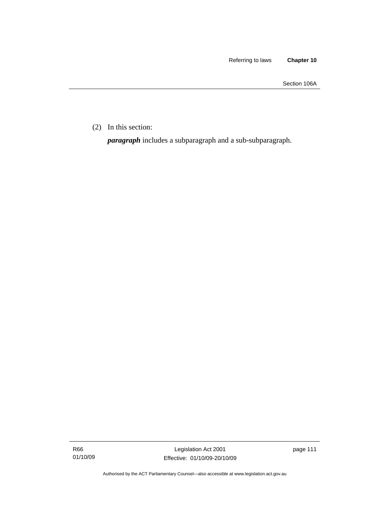Section 106A

(2) In this section:

*paragraph* includes a subparagraph and a sub-subparagraph.

R66 01/10/09

Legislation Act 2001 Effective: 01/10/09-20/10/09 page 111

Authorised by the ACT Parliamentary Counsel—also accessible at www.legislation.act.gov.au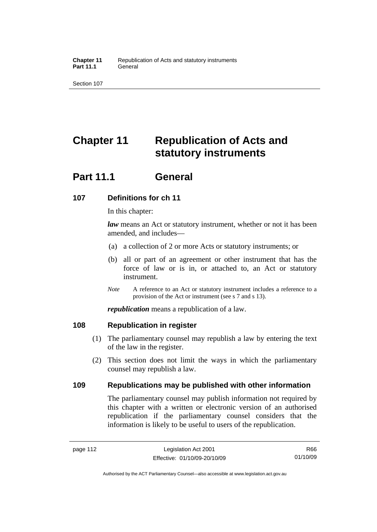# **Chapter 11 Republication of Acts and statutory instruments**

## **Part 11.1 General**

## **107 Definitions for ch 11**

In this chapter:

*law* means an Act or statutory instrument, whether or not it has been amended, and includes—

- (a) a collection of 2 or more Acts or statutory instruments; or
- (b) all or part of an agreement or other instrument that has the force of law or is in, or attached to, an Act or statutory instrument.
- *Note* A reference to an Act or statutory instrument includes a reference to a provision of the Act or instrument (see s 7 and s 13).

*republication* means a republication of a law.

## **108 Republication in register**

- (1) The parliamentary counsel may republish a law by entering the text of the law in the register.
- (2) This section does not limit the ways in which the parliamentary counsel may republish a law.

## **109 Republications may be published with other information**

The parliamentary counsel may publish information not required by this chapter with a written or electronic version of an authorised republication if the parliamentary counsel considers that the information is likely to be useful to users of the republication.

R66 01/10/09

Authorised by the ACT Parliamentary Counsel—also accessible at www.legislation.act.gov.au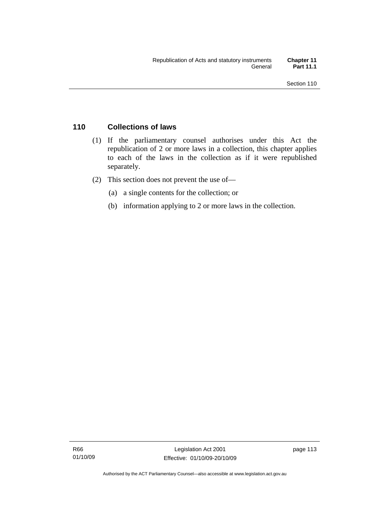## **110 Collections of laws**

- (1) If the parliamentary counsel authorises under this Act the republication of 2 or more laws in a collection, this chapter applies to each of the laws in the collection as if it were republished separately.
- (2) This section does not prevent the use of—
	- (a) a single contents for the collection; or
	- (b) information applying to 2 or more laws in the collection.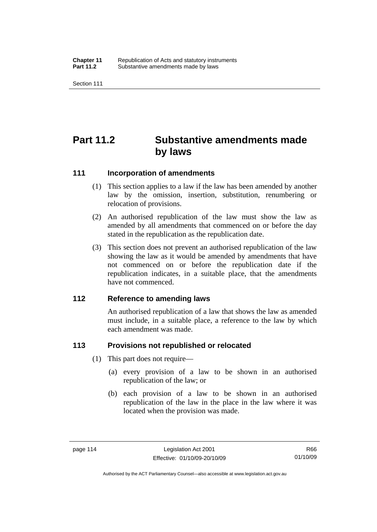# **Part 11.2 Substantive amendments made by laws**

#### **111 Incorporation of amendments**

- (1) This section applies to a law if the law has been amended by another law by the omission, insertion, substitution, renumbering or relocation of provisions.
- (2) An authorised republication of the law must show the law as amended by all amendments that commenced on or before the day stated in the republication as the republication date.
- (3) This section does not prevent an authorised republication of the law showing the law as it would be amended by amendments that have not commenced on or before the republication date if the republication indicates, in a suitable place, that the amendments have not commenced.

#### **112 Reference to amending laws**

An authorised republication of a law that shows the law as amended must include, in a suitable place, a reference to the law by which each amendment was made.

## **113 Provisions not republished or relocated**

- (1) This part does not require—
	- (a) every provision of a law to be shown in an authorised republication of the law; or
	- (b) each provision of a law to be shown in an authorised republication of the law in the place in the law where it was located when the provision was made.

Authorised by the ACT Parliamentary Counsel—also accessible at www.legislation.act.gov.au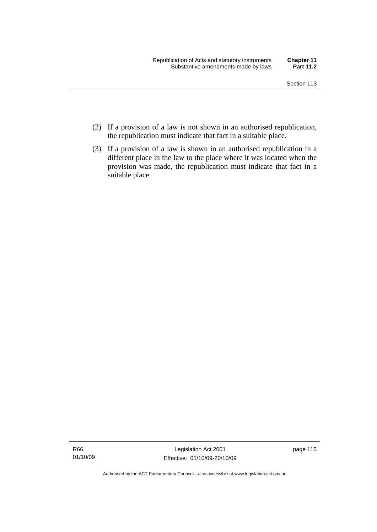- (2) If a provision of a law is not shown in an authorised republication, the republication must indicate that fact in a suitable place.
- (3) If a provision of a law is shown in an authorised republication in a different place in the law to the place where it was located when the provision was made, the republication must indicate that fact in a suitable place.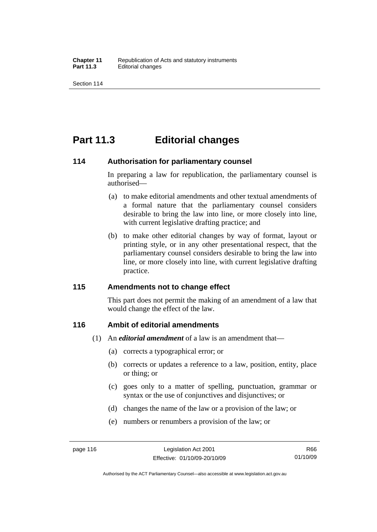## **Part 11.3 Editorial changes**

#### **114 Authorisation for parliamentary counsel**

In preparing a law for republication, the parliamentary counsel is authorised—

- (a) to make editorial amendments and other textual amendments of a formal nature that the parliamentary counsel considers desirable to bring the law into line, or more closely into line, with current legislative drafting practice; and
- (b) to make other editorial changes by way of format, layout or printing style, or in any other presentational respect, that the parliamentary counsel considers desirable to bring the law into line, or more closely into line, with current legislative drafting practice.

## **115 Amendments not to change effect**

This part does not permit the making of an amendment of a law that would change the effect of the law.

## **116 Ambit of editorial amendments**

- (1) An *editorial amendment* of a law is an amendment that—
	- (a) corrects a typographical error; or
	- (b) corrects or updates a reference to a law, position, entity, place or thing; or
	- (c) goes only to a matter of spelling, punctuation, grammar or syntax or the use of conjunctives and disjunctives; or
	- (d) changes the name of the law or a provision of the law; or
	- (e) numbers or renumbers a provision of the law; or

Authorised by the ACT Parliamentary Counsel—also accessible at www.legislation.act.gov.au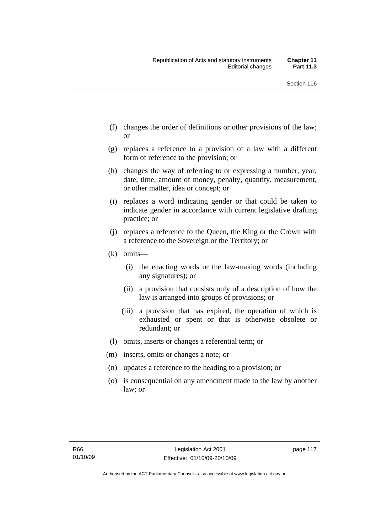- (f) changes the order of definitions or other provisions of the law; or
- (g) replaces a reference to a provision of a law with a different form of reference to the provision; or
- (h) changes the way of referring to or expressing a number, year, date, time, amount of money, penalty, quantity, measurement, or other matter, idea or concept; or
- (i) replaces a word indicating gender or that could be taken to indicate gender in accordance with current legislative drafting practice; or
- (j) replaces a reference to the Queen, the King or the Crown with a reference to the Sovereign or the Territory; or
- (k) omits—
	- (i) the enacting words or the law-making words (including any signatures); or
	- (ii) a provision that consists only of a description of how the law is arranged into groups of provisions; or
	- (iii) a provision that has expired, the operation of which is exhausted or spent or that is otherwise obsolete or redundant; or
- (l) omits, inserts or changes a referential term; or
- (m) inserts, omits or changes a note; or
- (n) updates a reference to the heading to a provision; or
- (o) is consequential on any amendment made to the law by another law; or

page 117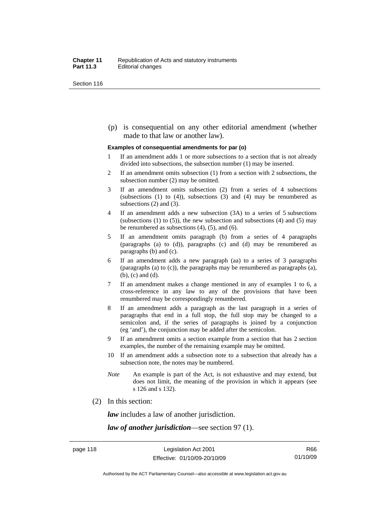(p) is consequential on any other editorial amendment (whether made to that law or another law).

#### **Examples of consequential amendments for par (o)**

- 1 If an amendment adds 1 or more subsections to a section that is not already divided into subsections, the subsection number (1) may be inserted.
- 2 If an amendment omits subsection (1) from a section with 2 subsections, the subsection number (2) may be omitted.
- 3 If an amendment omits subsection (2) from a series of 4 subsections (subsections  $(1)$  to  $(4)$ ), subsections  $(3)$  and  $(4)$  may be renumbered as subsections (2) and (3).
- 4 If an amendment adds a new subsection (3A) to a series of 5 subsections (subsections  $(1)$  to  $(5)$ ), the new subsection and subsections  $(4)$  and  $(5)$  may be renumbered as subsections (4), (5), and (6).
- 5 If an amendment omits paragraph (b) from a series of 4 paragraphs (paragraphs (a) to (d)), paragraphs (c) and (d) may be renumbered as paragraphs (b) and (c).
- 6 If an amendment adds a new paragraph (aa) to a series of 3 paragraphs (paragraphs (a) to (c)), the paragraphs may be renumbered as paragraphs (a), (b), (c) and (d).
- 7 If an amendment makes a change mentioned in any of examples 1 to 6, a cross-reference in any law to any of the provisions that have been renumbered may be correspondingly renumbered.
- 8 If an amendment adds a paragraph as the last paragraph in a series of paragraphs that end in a full stop, the full stop may be changed to a semicolon and, if the series of paragraphs is joined by a conjunction (eg 'and'), the conjunction may be added after the semicolon.
- 9 If an amendment omits a section example from a section that has 2 section examples, the number of the remaining example may be omitted.
- 10 If an amendment adds a subsection note to a subsection that already has a subsection note, the notes may be numbered.
- *Note* An example is part of the Act, is not exhaustive and may extend, but does not limit, the meaning of the provision in which it appears (see s 126 and s 132).
- (2) In this section:

*law* includes a law of another jurisdiction.

*law of another jurisdiction*—see section 97 (1).

Authorised by the ACT Parliamentary Counsel—also accessible at www.legislation.act.gov.au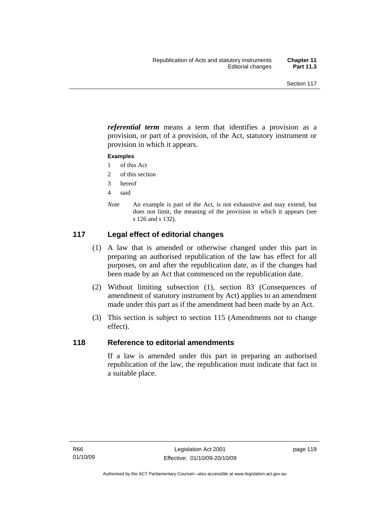*referential term* means a term that identifies a provision as a provision, or part of a provision, of the Act, statutory instrument or provision in which it appears.

#### **Examples**

- 1 of this Act
- 2 of this section
- 3 hereof
- 4 said
- *Note* An example is part of the Act, is not exhaustive and may extend, but does not limit, the meaning of the provision in which it appears (see s 126 and s 132).

## **117 Legal effect of editorial changes**

- (1) A law that is amended or otherwise changed under this part in preparing an authorised republication of the law has effect for all purposes, on and after the republication date, as if the changes had been made by an Act that commenced on the republication date.
- (2) Without limiting subsection (1), section 83 (Consequences of amendment of statutory instrument by Act) applies to an amendment made under this part as if the amendment had been made by an Act.
- (3) This section is subject to section 115 (Amendments not to change effect).

## **118 Reference to editorial amendments**

If a law is amended under this part in preparing an authorised republication of the law, the republication must indicate that fact in a suitable place.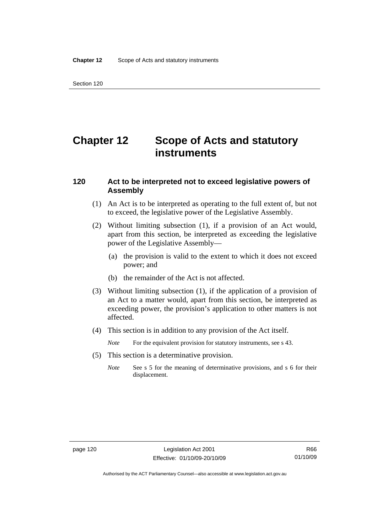# **Chapter 12 Scope of Acts and statutory instruments**

### **120 Act to be interpreted not to exceed legislative powers of Assembly**

- (1) An Act is to be interpreted as operating to the full extent of, but not to exceed, the legislative power of the Legislative Assembly.
- (2) Without limiting subsection (1), if a provision of an Act would, apart from this section, be interpreted as exceeding the legislative power of the Legislative Assembly—
	- (a) the provision is valid to the extent to which it does not exceed power; and
	- (b) the remainder of the Act is not affected.
- (3) Without limiting subsection (1), if the application of a provision of an Act to a matter would, apart from this section, be interpreted as exceeding power, the provision's application to other matters is not affected.
- (4) This section is in addition to any provision of the Act itself.
	- *Note* For the equivalent provision for statutory instruments, see s 43.
- (5) This section is a determinative provision.
	- *Note* See s 5 for the meaning of determinative provisions, and s 6 for their displacement.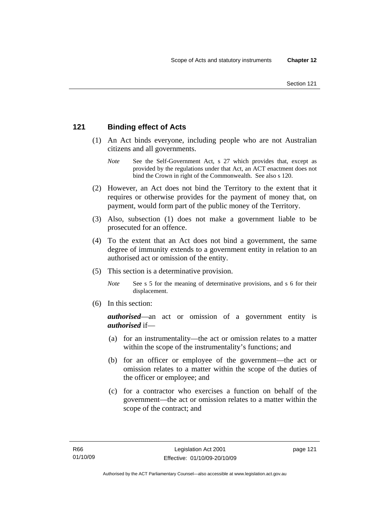## **121 Binding effect of Acts**

- (1) An Act binds everyone, including people who are not Australian citizens and all governments.
	- *Note* See the Self-Government Act, s 27 which provides that, except as provided by the regulations under that Act, an ACT enactment does not bind the Crown in right of the Commonwealth. See also s 120.
- (2) However, an Act does not bind the Territory to the extent that it requires or otherwise provides for the payment of money that, on payment, would form part of the public money of the Territory.
- (3) Also, subsection (1) does not make a government liable to be prosecuted for an offence.
- (4) To the extent that an Act does not bind a government, the same degree of immunity extends to a government entity in relation to an authorised act or omission of the entity.
- (5) This section is a determinative provision.
	- *Note* See s 5 for the meaning of determinative provisions, and s 6 for their displacement.
- (6) In this section:

*authorised*—an act or omission of a government entity is *authorised* if—

- (a) for an instrumentality—the act or omission relates to a matter within the scope of the instrumentality's functions; and
- (b) for an officer or employee of the government—the act or omission relates to a matter within the scope of the duties of the officer or employee; and
- (c) for a contractor who exercises a function on behalf of the government—the act or omission relates to a matter within the scope of the contract; and

page 121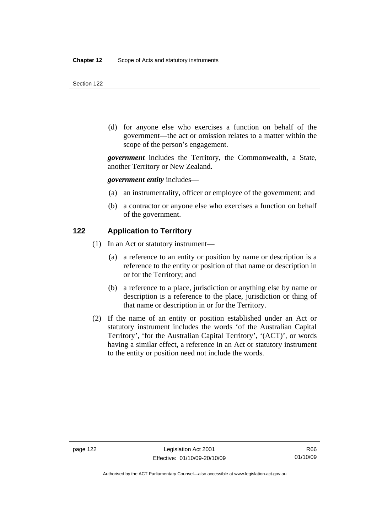(d) for anyone else who exercises a function on behalf of the government—the act or omission relates to a matter within the scope of the person's engagement.

*government* includes the Territory, the Commonwealth, a State, another Territory or New Zealand.

*government entity* includes—

- (a) an instrumentality, officer or employee of the government; and
- (b) a contractor or anyone else who exercises a function on behalf of the government.

#### **122 Application to Territory**

- (1) In an Act or statutory instrument—
	- (a) a reference to an entity or position by name or description is a reference to the entity or position of that name or description in or for the Territory; and
	- (b) a reference to a place, jurisdiction or anything else by name or description is a reference to the place, jurisdiction or thing of that name or description in or for the Territory.
- (2) If the name of an entity or position established under an Act or statutory instrument includes the words 'of the Australian Capital Territory', 'for the Australian Capital Territory', '(ACT)', or words having a similar effect, a reference in an Act or statutory instrument to the entity or position need not include the words.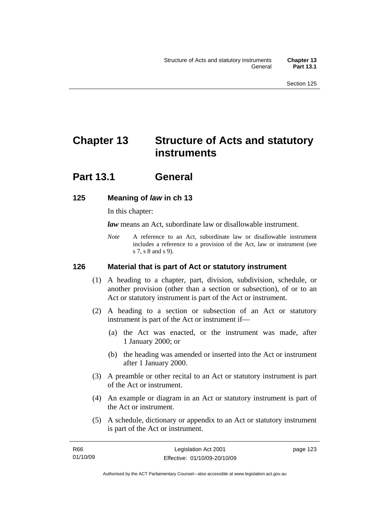# **Chapter 13 Structure of Acts and statutory instruments**

## **Part 13.1 General**

## **125 Meaning of** *law* **in ch 13**

In this chapter:

*law* means an Act, subordinate law or disallowable instrument.

*Note* A reference to an Act, subordinate law or disallowable instrument includes a reference to a provision of the Act, law or instrument (see s 7, s 8 and s 9).

## **126 Material that is part of Act or statutory instrument**

- (1) A heading to a chapter, part, division, subdivision, schedule, or another provision (other than a section or subsection), of or to an Act or statutory instrument is part of the Act or instrument.
- (2) A heading to a section or subsection of an Act or statutory instrument is part of the Act or instrument if—
	- (a) the Act was enacted, or the instrument was made, after 1 January 2000; or
	- (b) the heading was amended or inserted into the Act or instrument after 1 January 2000.
- (3) A preamble or other recital to an Act or statutory instrument is part of the Act or instrument.
- (4) An example or diagram in an Act or statutory instrument is part of the Act or instrument.
- (5) A schedule, dictionary or appendix to an Act or statutory instrument is part of the Act or instrument.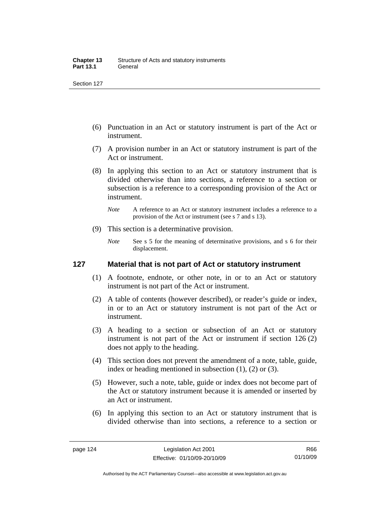- (6) Punctuation in an Act or statutory instrument is part of the Act or instrument.
- (7) A provision number in an Act or statutory instrument is part of the Act or instrument.
- (8) In applying this section to an Act or statutory instrument that is divided otherwise than into sections, a reference to a section or subsection is a reference to a corresponding provision of the Act or instrument.
	- *Note* A reference to an Act or statutory instrument includes a reference to a provision of the Act or instrument (see s 7 and s 13).
- (9) This section is a determinative provision.
	- *Note* See s 5 for the meaning of determinative provisions, and s 6 for their displacement.

### **127 Material that is not part of Act or statutory instrument**

- (1) A footnote, endnote, or other note, in or to an Act or statutory instrument is not part of the Act or instrument.
- (2) A table of contents (however described), or reader's guide or index, in or to an Act or statutory instrument is not part of the Act or instrument.
- (3) A heading to a section or subsection of an Act or statutory instrument is not part of the Act or instrument if section 126 (2) does not apply to the heading.
- (4) This section does not prevent the amendment of a note, table, guide, index or heading mentioned in subsection (1), (2) or (3).
- (5) However, such a note, table, guide or index does not become part of the Act or statutory instrument because it is amended or inserted by an Act or instrument.
- (6) In applying this section to an Act or statutory instrument that is divided otherwise than into sections, a reference to a section or

R66 01/10/09

Authorised by the ACT Parliamentary Counsel—also accessible at www.legislation.act.gov.au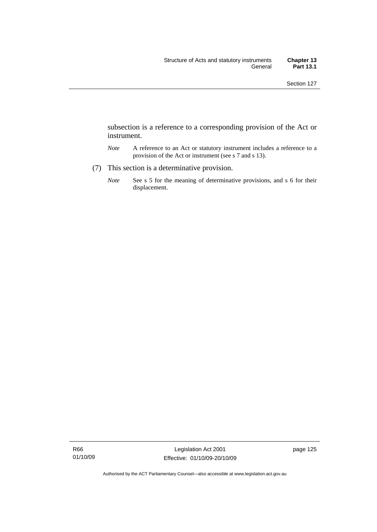subsection is a reference to a corresponding provision of the Act or instrument.

- *Note* A reference to an Act or statutory instrument includes a reference to a provision of the Act or instrument (see s 7 and s 13).
- (7) This section is a determinative provision.
	- *Note* See s 5 for the meaning of determinative provisions, and s 6 for their displacement.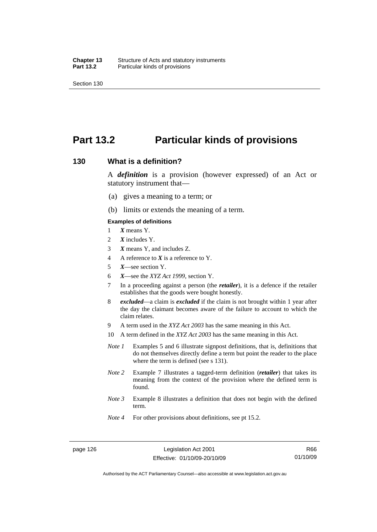## **Part 13.2 Particular kinds of provisions**

#### **130 What is a definition?**

A *definition* is a provision (however expressed) of an Act or statutory instrument that—

- (a) gives a meaning to a term; or
- (b) limits or extends the meaning of a term.

#### **Examples of definitions**

- 1 *X* means Y.
- 2 *X* includes Y.
- 3 *X* means Y, and includes Z.
- 4 A reference to *X* is a reference to Y.
- 5 *X*—see section Y.
- 6 *X*—see the *XYZ Act 1999*, section Y.
- 7 In a proceeding against a person (the *retailer*), it is a defence if the retailer establishes that the goods were bought honestly.
- 8 *excluded*—a claim is *excluded* if the claim is not brought within 1 year after the day the claimant becomes aware of the failure to account to which the claim relates.
- 9 A term used in the *XYZ Act 2003* has the same meaning in this Act.
- 10 A term defined in the *XYZ Act 2003* has the same meaning in this Act.
- *Note 1* Examples 5 and 6 illustrate signpost definitions, that is, definitions that do not themselves directly define a term but point the reader to the place where the term is defined (see s 131).
- *Note 2* Example 7 illustrates a tagged-term definition (*retailer*) that takes its meaning from the context of the provision where the defined term is found.
- *Note 3* Example 8 illustrates a definition that does not begin with the defined term.
- *Note 4* For other provisions about definitions, see pt 15.2.

Authorised by the ACT Parliamentary Counsel—also accessible at www.legislation.act.gov.au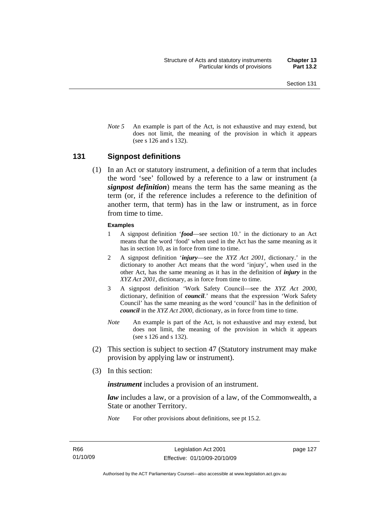*Note* 5 An example is part of the Act, is not exhaustive and may extend, but does not limit, the meaning of the provision in which it appears (see s 126 and s 132).

#### **131 Signpost definitions**

 (1) In an Act or statutory instrument, a definition of a term that includes the word 'see' followed by a reference to a law or instrument (a *signpost definition*) means the term has the same meaning as the term (or, if the reference includes a reference to the definition of another term, that term) has in the law or instrument, as in force from time to time.

#### **Examples**

- 1 A signpost definition '*food*—see section 10.' in the dictionary to an Act means that the word 'food' when used in the Act has the same meaning as it has in section 10, as in force from time to time.
- 2 A signpost definition '*injury*—see the *XYZ Act 2001*, dictionary.' in the dictionary to another Act means that the word 'injury', when used in the other Act, has the same meaning as it has in the definition of *injury* in the *XYZ Act 2001*, dictionary, as in force from time to time.
- 3 A signpost definition 'Work Safety Council—see the *XYZ Act 2000*, dictionary, definition of *council*.' means that the expression 'Work Safety Council' has the same meaning as the word 'council' has in the definition of *council* in the *XYZ Act 2000*, dictionary, as in force from time to time.
- *Note* An example is part of the Act, is not exhaustive and may extend, but does not limit, the meaning of the provision in which it appears (see s 126 and s 132).
- (2) This section is subject to section 47 (Statutory instrument may make provision by applying law or instrument).
- (3) In this section:

*instrument* includes a provision of an instrument.

*law* includes a law, or a provision of a law, of the Commonwealth, a State or another Territory.

*Note* For other provisions about definitions, see pt 15.2.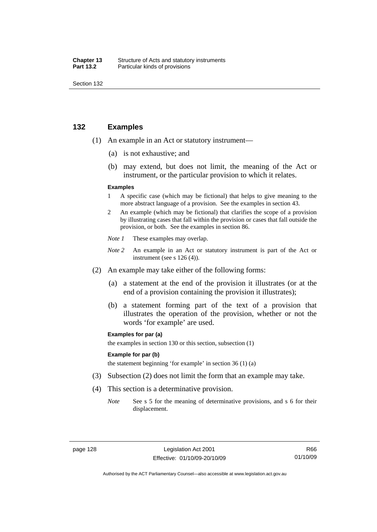| Chapter 13       | Structure of Acts and statutory instruments |
|------------------|---------------------------------------------|
| <b>Part 13.2</b> | Particular kinds of provisions              |

### **132 Examples**

- (1) An example in an Act or statutory instrument—
	- (a) is not exhaustive; and
	- (b) may extend, but does not limit, the meaning of the Act or instrument, or the particular provision to which it relates.

#### **Examples**

- 1 A specific case (which may be fictional) that helps to give meaning to the more abstract language of a provision. See the examples in section 43.
- 2 An example (which may be fictional) that clarifies the scope of a provision by illustrating cases that fall within the provision or cases that fall outside the provision, or both. See the examples in section 86.
- *Note 1* These examples may overlap.
- *Note* 2 An example in an Act or statutory instrument is part of the Act or instrument (see s 126 (4)).
- (2) An example may take either of the following forms:
	- (a) a statement at the end of the provision it illustrates (or at the end of a provision containing the provision it illustrates);
	- (b) a statement forming part of the text of a provision that illustrates the operation of the provision, whether or not the words 'for example' are used.

#### **Examples for par (a)**

the examples in section 130 or this section, subsection (1)

#### **Example for par (b)**

the statement beginning 'for example' in section 36 (1) (a)

- (3) Subsection (2) does not limit the form that an example may take.
- (4) This section is a determinative provision.
	- *Note* See s 5 for the meaning of determinative provisions, and s 6 for their displacement.

R66 01/10/09

Authorised by the ACT Parliamentary Counsel—also accessible at www.legislation.act.gov.au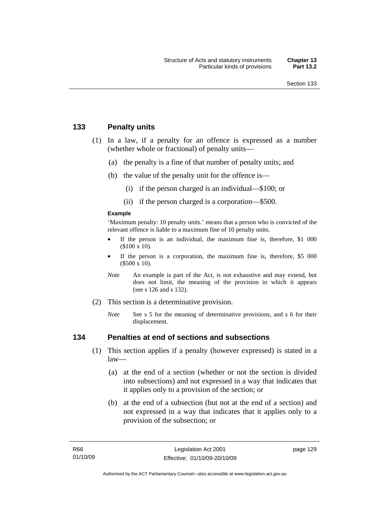## **133 Penalty units**

- (1) In a law, if a penalty for an offence is expressed as a number (whether whole or fractional) of penalty units—
	- (a) the penalty is a fine of that number of penalty units; and
	- (b) the value of the penalty unit for the offence is—
		- (i) if the person charged is an individual—\$100; or
		- (ii) if the person charged is a corporation—\$500.

#### **Example**

'Maximum penalty: 10 penalty units.' means that a person who is convicted of the relevant offence is liable to a maximum fine of 10 penalty units.

- If the person is an individual, the maximum fine is, therefore, \$1 000 (\$100 x 10).
- If the person is a corporation, the maximum fine is, therefore, \$5 000 (\$500 x 10).
- *Note* An example is part of the Act, is not exhaustive and may extend, but does not limit, the meaning of the provision in which it appears (see s 126 and s 132).
- (2) This section is a determinative provision.
	- *Note* See s 5 for the meaning of determinative provisions, and s 6 for their displacement.

## **134 Penalties at end of sections and subsections**

- (1) This section applies if a penalty (however expressed) is stated in a  $law$ —
	- (a) at the end of a section (whether or not the section is divided into subsections) and not expressed in a way that indicates that it applies only to a provision of the section; or
	- (b) at the end of a subsection (but not at the end of a section) and not expressed in a way that indicates that it applies only to a provision of the subsection; or

page 129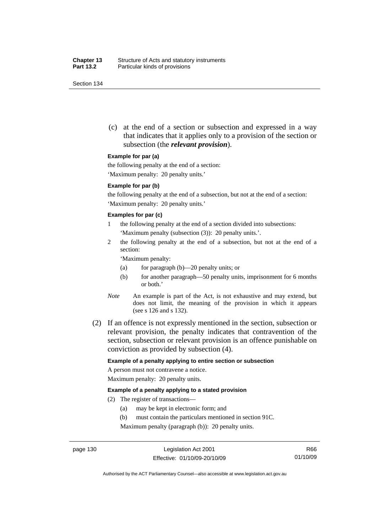(c) at the end of a section or subsection and expressed in a way that indicates that it applies only to a provision of the section or subsection (the *relevant provision*).

#### **Example for par (a)**

the following penalty at the end of a section:

'Maximum penalty: 20 penalty units.'

#### **Example for par (b)**

the following penalty at the end of a subsection, but not at the end of a section: 'Maximum penalty: 20 penalty units.'

#### **Examples for par (c)**

- 1 the following penalty at the end of a section divided into subsections: 'Maximum penalty (subsection (3)): 20 penalty units.'.
- 2 the following penalty at the end of a subsection, but not at the end of a section:

'Maximum penalty:

- (a) for paragraph (b)—20 penalty units; or
- (b) for another paragraph—50 penalty units, imprisonment for 6 months or both.'
- *Note* An example is part of the Act, is not exhaustive and may extend, but does not limit, the meaning of the provision in which it appears (see s 126 and s 132).
- (2) If an offence is not expressly mentioned in the section, subsection or relevant provision, the penalty indicates that contravention of the section, subsection or relevant provision is an offence punishable on conviction as provided by subsection (4).

#### **Example of a penalty applying to entire section or subsection**

A person must not contravene a notice. Maximum penalty: 20 penalty units.

#### **Example of a penalty applying to a stated provision**

- (2) The register of transactions—
	- (a) may be kept in electronic form; and
	- (b) must contain the particulars mentioned in section 91C.

Maximum penalty (paragraph (b)): 20 penalty units.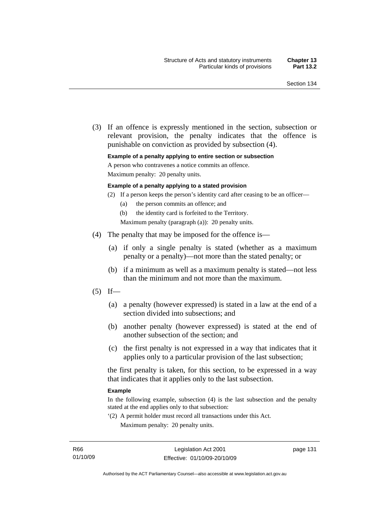(3) If an offence is expressly mentioned in the section, subsection or relevant provision, the penalty indicates that the offence is punishable on conviction as provided by subsection (4).

#### **Example of a penalty applying to entire section or subsection**

A person who contravenes a notice commits an offence.

Maximum penalty: 20 penalty units.

#### **Example of a penalty applying to a stated provision**

- (2) If a person keeps the person's identity card after ceasing to be an officer—
	- (a) the person commits an offence; and
	- (b) the identity card is forfeited to the Territory.

Maximum penalty (paragraph (a)): 20 penalty units.

- (4) The penalty that may be imposed for the offence is—
	- (a) if only a single penalty is stated (whether as a maximum penalty or a penalty)—not more than the stated penalty; or
	- (b) if a minimum as well as a maximum penalty is stated—not less than the minimum and not more than the maximum.
- $(5)$  If—
	- (a) a penalty (however expressed) is stated in a law at the end of a section divided into subsections; and
	- (b) another penalty (however expressed) is stated at the end of another subsection of the section; and
	- (c) the first penalty is not expressed in a way that indicates that it applies only to a particular provision of the last subsection;

the first penalty is taken, for this section, to be expressed in a way that indicates that it applies only to the last subsection.

#### **Example**

In the following example, subsection (4) is the last subsection and the penalty stated at the end applies only to that subsection:

'(2) A permit holder must record all transactions under this Act. Maximum penalty: 20 penalty units.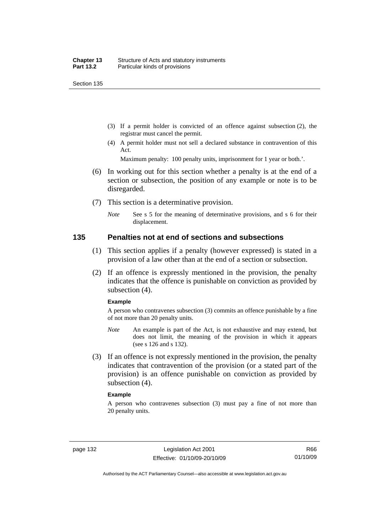- (3) If a permit holder is convicted of an offence against subsection (2), the registrar must cancel the permit.
- (4) A permit holder must not sell a declared substance in contravention of this Act.

Maximum penalty: 100 penalty units, imprisonment for 1 year or both.'.

- (6) In working out for this section whether a penalty is at the end of a section or subsection, the position of any example or note is to be disregarded.
- (7) This section is a determinative provision.
	- *Note* See s 5 for the meaning of determinative provisions, and s 6 for their displacement.

#### **135 Penalties not at end of sections and subsections**

- (1) This section applies if a penalty (however expressed) is stated in a provision of a law other than at the end of a section or subsection.
- (2) If an offence is expressly mentioned in the provision, the penalty indicates that the offence is punishable on conviction as provided by subsection (4).

#### **Example**

A person who contravenes subsection (3) commits an offence punishable by a fine of not more than 20 penalty units.

- *Note* An example is part of the Act, is not exhaustive and may extend, but does not limit, the meaning of the provision in which it appears (see s 126 and s 132).
- (3) If an offence is not expressly mentioned in the provision, the penalty indicates that contravention of the provision (or a stated part of the provision) is an offence punishable on conviction as provided by subsection (4).

#### **Example**

A person who contravenes subsection (3) must pay a fine of not more than 20 penalty units.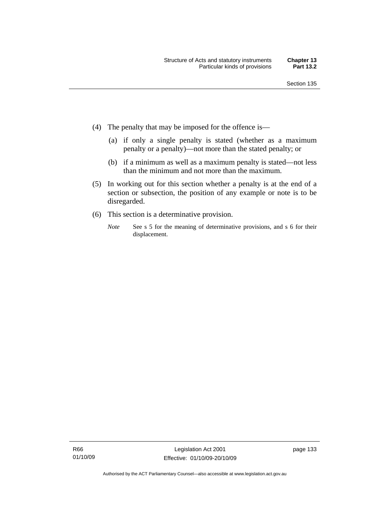- (4) The penalty that may be imposed for the offence is—
	- (a) if only a single penalty is stated (whether as a maximum penalty or a penalty)—not more than the stated penalty; or
	- (b) if a minimum as well as a maximum penalty is stated—not less than the minimum and not more than the maximum.
- (5) In working out for this section whether a penalty is at the end of a section or subsection, the position of any example or note is to be disregarded.
- (6) This section is a determinative provision.
	- *Note* See s 5 for the meaning of determinative provisions, and s 6 for their displacement.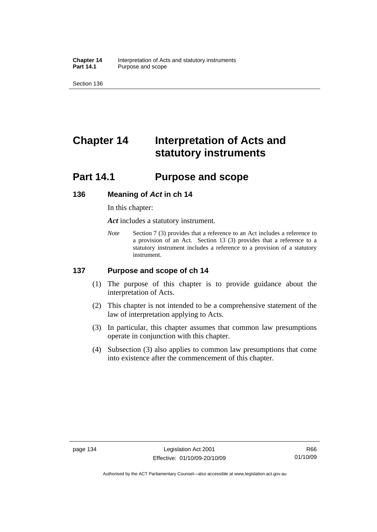**Chapter 14** Interpretation of Acts and statutory instruments<br>**Part 14.1** Purpose and scope Purpose and scope

Section 136

# **Chapter 14 Interpretation of Acts and statutory instruments**

## **Part 14.1 Purpose and scope**

#### **136 Meaning of** *Act* **in ch 14**

In this chapter:

*Act* includes a statutory instrument.

*Note* Section 7 (3) provides that a reference to an Act includes a reference to a provision of an Act. Section 13 (3) provides that a reference to a statutory instrument includes a reference to a provision of a statutory instrument.

## **137 Purpose and scope of ch 14**

- (1) The purpose of this chapter is to provide guidance about the interpretation of Acts.
- (2) This chapter is not intended to be a comprehensive statement of the law of interpretation applying to Acts.
- (3) In particular, this chapter assumes that common law presumptions operate in conjunction with this chapter.
- (4) Subsection (3) also applies to common law presumptions that come into existence after the commencement of this chapter.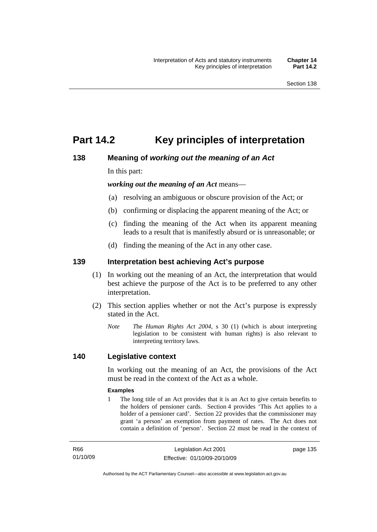## **Part 14.2 Key principles of interpretation**

## **138 Meaning of** *working out the meaning of an Act*

In this part:

*working out the meaning of an Act* means—

- (a) resolving an ambiguous or obscure provision of the Act; or
- (b) confirming or displacing the apparent meaning of the Act; or
- (c) finding the meaning of the Act when its apparent meaning leads to a result that is manifestly absurd or is unreasonable; or
- (d) finding the meaning of the Act in any other case.

## **139 Interpretation best achieving Act's purpose**

- (1) In working out the meaning of an Act, the interpretation that would best achieve the purpose of the Act is to be preferred to any other interpretation.
- (2) This section applies whether or not the Act's purpose is expressly stated in the Act.
	- *Note T*he *Human Rights Act 2004*, s 30 (1) (which is about interpreting legislation to be consistent with human rights) is also relevant to interpreting territory laws.

## **140 Legislative context**

In working out the meaning of an Act, the provisions of the Act must be read in the context of the Act as a whole.

#### **Examples**

1 The long title of an Act provides that it is an Act to give certain benefits to the holders of pensioner cards. Section 4 provides 'This Act applies to a holder of a pensioner card'. Section 22 provides that the commissioner may grant 'a person' an exemption from payment of rates. The Act does not contain a definition of 'person'. Section 22 must be read in the context of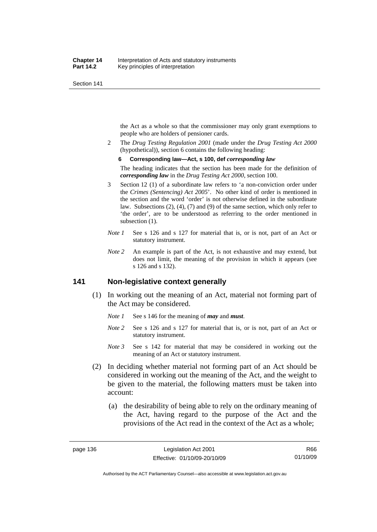the Act as a whole so that the commissioner may only grant exemptions to people who are holders of pensioner cards.

2 The *Drug Testing Regulation 2001* (made under the *Drug Testing Act 2000* (hypothetical)), section 6 contains the following heading:

#### **6 Corresponding law—Act, s 100, def** *corresponding law*

The heading indicates that the section has been made for the definition of *corresponding law* in the *Drug Testing Act 2000*, section 100.

- 3 Section 12 (1) of a subordinate law refers to 'a non-conviction order under the *Crimes (Sentencing) Act 2005*'. No other kind of order is mentioned in the section and the word 'order' is not otherwise defined in the subordinate law. Subsections (2), (4), (7) and (9) of the same section, which only refer to 'the order', are to be understood as referring to the order mentioned in subsection  $(1)$ .
- *Note 1* See s 126 and s 127 for material that is, or is not, part of an Act or statutory instrument.
- *Note 2* An example is part of the Act, is not exhaustive and may extend, but does not limit, the meaning of the provision in which it appears (see s 126 and s 132).

## **141 Non-legislative context generally**

- (1) In working out the meaning of an Act, material not forming part of the Act may be considered.
	- *Note 1* See s 146 for the meaning of *may* and *must*.
	- *Note* 2 See s 126 and s 127 for material that is, or is not, part of an Act or statutory instrument.
	- *Note 3* See s 142 for material that may be considered in working out the meaning of an Act or statutory instrument.
- (2) In deciding whether material not forming part of an Act should be considered in working out the meaning of the Act, and the weight to be given to the material, the following matters must be taken into account:
	- (a) the desirability of being able to rely on the ordinary meaning of the Act, having regard to the purpose of the Act and the provisions of the Act read in the context of the Act as a whole;

Authorised by the ACT Parliamentary Counsel—also accessible at www.legislation.act.gov.au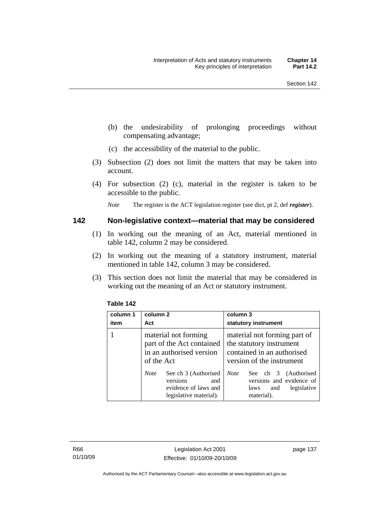- (b) the undesirability of prolonging proceedings without compensating advantage;
- (c) the accessibility of the material to the public.
- (3) Subsection (2) does not limit the matters that may be taken into account.
- (4) For subsection (2) (c), material in the register is taken to be accessible to the public.

*Note* The register is the ACT legislation register (see dict, pt 2, def *register*).

#### **142 Non-legislative context—material that may be considered**

- (1) In working out the meaning of an Act, material mentioned in table 142, column 2 may be considered.
- (2) In working out the meaning of a statutory instrument, material mentioned in table 142, column 3 may be considered.
- (3) This section does not limit the material that may be considered in working out the meaning of an Act or statutory instrument.

| column 1<br>item | column 2<br>Act                                                                                          | column 3<br>statutory instrument                                                                                    |
|------------------|----------------------------------------------------------------------------------------------------------|---------------------------------------------------------------------------------------------------------------------|
|                  | material not forming<br>part of the Act contained<br>in an authorised version<br>of the Act              | material not forming part of<br>the statutory instrument<br>contained in an authorised<br>version of the instrument |
|                  | See ch 3 (Authorised<br><b>Note</b><br>versions<br>and<br>evidence of laws and<br>legislative material). | <b>Note</b><br>See ch 3 (Authorised<br>versions and evidence of<br>legislative<br>and<br>laws<br>material).         |

#### **Table 142**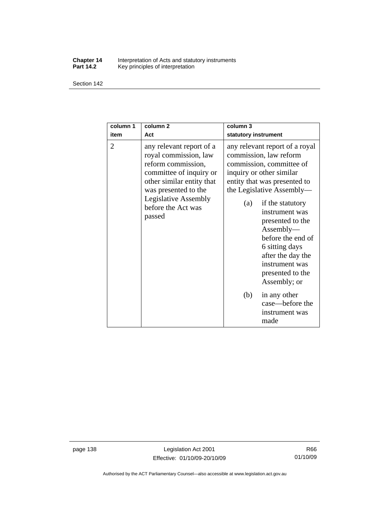#### **Chapter 14** Interpretation of Acts and statutory instruments **Part 14.2** Key principles of interpretation

Section 142

| column 1<br>item | column <sub>2</sub><br>Act                                                                                                                                                                                             | column <sub>3</sub><br>statutory instrument                                                                                                                                                                                                                                                                                                                                   |
|------------------|------------------------------------------------------------------------------------------------------------------------------------------------------------------------------------------------------------------------|-------------------------------------------------------------------------------------------------------------------------------------------------------------------------------------------------------------------------------------------------------------------------------------------------------------------------------------------------------------------------------|
| 2                | any relevant report of a<br>royal commission, law<br>reform commission,<br>committee of inquiry or<br>other similar entity that<br>was presented to the<br><b>Legislative Assembly</b><br>before the Act was<br>passed | any relevant report of a royal<br>commission, law reform<br>commission, committee of<br>inquiry or other similar<br>entity that was presented to<br>the Legislative Assembly—<br>if the statutory<br>(a)<br>instrument was<br>presented to the<br>Assently—<br>before the end of<br>6 sitting days<br>after the day the<br>instrument was<br>presented to the<br>Assembly; or |
|                  |                                                                                                                                                                                                                        | (b)<br>in any other<br>case—before the<br>instrument was<br>made                                                                                                                                                                                                                                                                                                              |

page 138 Legislation Act 2001 Effective: 01/10/09-20/10/09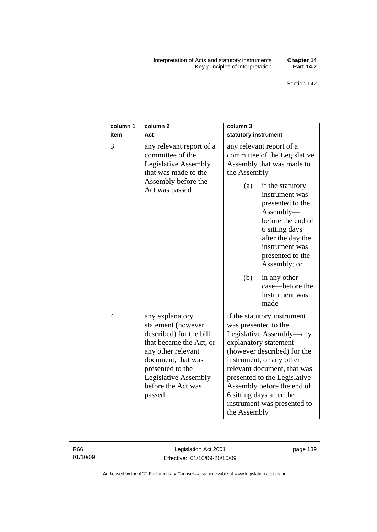#### Interpretation of Acts and statutory instruments **Chapter 14**  Key principles of interpretation **Part 14.2**

| column 1<br>item | column <sub>2</sub><br>Act                                                                                                                                                                                                 | column 3<br>statutory instrument                                                                                                                                                                                                                                                                                                            |
|------------------|----------------------------------------------------------------------------------------------------------------------------------------------------------------------------------------------------------------------------|---------------------------------------------------------------------------------------------------------------------------------------------------------------------------------------------------------------------------------------------------------------------------------------------------------------------------------------------|
| 3                | any relevant report of a<br>committee of the<br><b>Legislative Assembly</b><br>that was made to the<br>Assembly before the<br>Act was passed                                                                               | any relevant report of a<br>committee of the Legislative<br>Assembly that was made to<br>the Assembly-                                                                                                                                                                                                                                      |
|                  |                                                                                                                                                                                                                            | (a)<br>if the statutory<br>instrument was<br>presented to the<br>Assembly-<br>before the end of<br>6 sitting days<br>after the day the<br>instrument was<br>presented to the<br>Assembly; or                                                                                                                                                |
|                  |                                                                                                                                                                                                                            | (b)<br>in any other<br>case—before the<br>instrument was<br>made                                                                                                                                                                                                                                                                            |
| $\overline{4}$   | any explanatory<br>statement (however<br>described) for the bill<br>that became the Act, or<br>any other relevant<br>document, that was<br>presented to the<br><b>Legislative Assembly</b><br>before the Act was<br>passed | if the statutory instrument<br>was presented to the<br>Legislative Assembly—any<br>explanatory statement<br>(however described) for the<br>instrument, or any other<br>relevant document, that was<br>presented to the Legislative<br>Assembly before the end of<br>6 sitting days after the<br>instrument was presented to<br>the Assembly |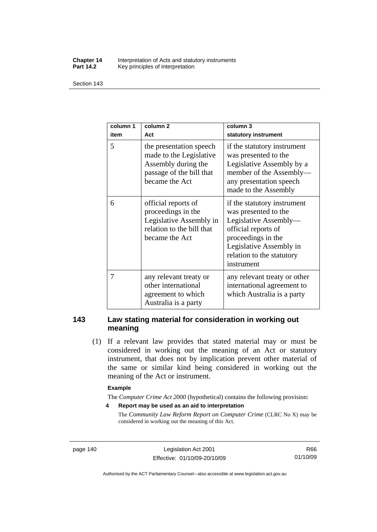#### **Chapter 14** Interpretation of Acts and statutory instruments<br>**Part 14.2** Key principles of interpretation Key principles of interpretation

Section 143

| column 1<br>item | column <sub>2</sub><br>Act                                                                                              | column 3<br>statutory instrument                                                                                                                                                                |
|------------------|-------------------------------------------------------------------------------------------------------------------------|-------------------------------------------------------------------------------------------------------------------------------------------------------------------------------------------------|
| 5                | the presentation speech<br>made to the Legislative<br>Assembly during the<br>passage of the bill that<br>became the Act | if the statutory instrument<br>was presented to the<br>Legislative Assembly by a<br>member of the Assembly-<br>any presentation speech<br>made to the Assembly                                  |
| 6                | official reports of<br>proceedings in the<br>Legislative Assembly in<br>relation to the bill that<br>became the Act     | if the statutory instrument<br>was presented to the<br>Legislative Assembly-<br>official reports of<br>proceedings in the<br>Legislative Assembly in<br>relation to the statutory<br>instrument |
| 7                | any relevant treaty or<br>other international<br>agreement to which<br>Australia is a party                             | any relevant treaty or other<br>international agreement to<br>which Australia is a party                                                                                                        |

## **143 Law stating material for consideration in working out meaning**

 (1) If a relevant law provides that stated material may or must be considered in working out the meaning of an Act or statutory instrument, that does not by implication prevent other material of the same or similar kind being considered in working out the meaning of the Act or instrument.

#### **Example**

The *Computer Crime Act 2000* (hypothetical) contains the following provision:

**4 Report may be used as an aid to interpretation** 

The *Community Law Reform Report on Computer Crime* (CLRC No X) may be considered in working out the meaning of this Act.

page 140 Legislation Act 2001 Effective: 01/10/09-20/10/09

R66 01/10/09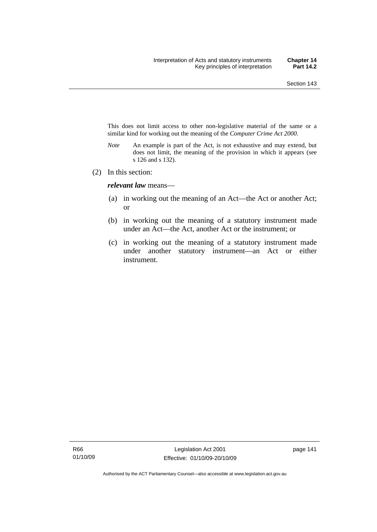This does not limit access to other non-legislative material of the same or a similar kind for working out the meaning of the *Computer Crime Act 2000*.

- *Note* An example is part of the Act, is not exhaustive and may extend, but does not limit, the meaning of the provision in which it appears (see s 126 and s 132).
- (2) In this section:

*relevant law* means—

- (a) in working out the meaning of an Act—the Act or another Act; or
- (b) in working out the meaning of a statutory instrument made under an Act—the Act, another Act or the instrument; or
- (c) in working out the meaning of a statutory instrument made under another statutory instrument—an Act or either instrument.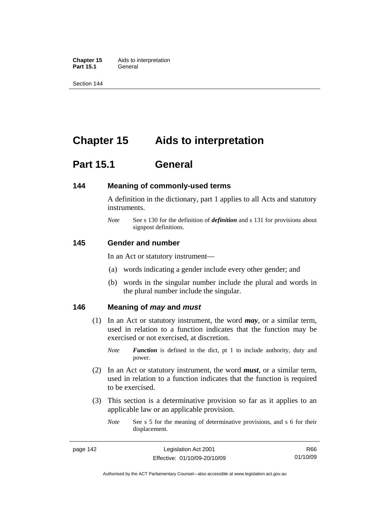**Chapter 15** Aids to interpretation **Part 15.1** General

Section 144

## **Chapter 15 Aids to interpretation**

## **Part 15.1 General**

#### **144 Meaning of commonly-used terms**

A definition in the dictionary, part 1 applies to all Acts and statutory instruments.

*Note* See s 130 for the definition of *definition* and s 131 for provisions about signpost definitions.

#### **145 Gender and number**

In an Act or statutory instrument—

- (a) words indicating a gender include every other gender; and
- (b) words in the singular number include the plural and words in the plural number include the singular.

#### **146 Meaning of** *may* **and** *must*

- (1) In an Act or statutory instrument, the word *may*, or a similar term, used in relation to a function indicates that the function may be exercised or not exercised, at discretion.
	- *Note Function* is defined in the dict, pt 1 to include authority, duty and power.
- (2) In an Act or statutory instrument, the word *must*, or a similar term, used in relation to a function indicates that the function is required to be exercised.
- (3) This section is a determinative provision so far as it applies to an applicable law or an applicable provision.
	- *Note* See s 5 for the meaning of determinative provisions, and s 6 for their displacement.

Authorised by the ACT Parliamentary Counsel—also accessible at www.legislation.act.gov.au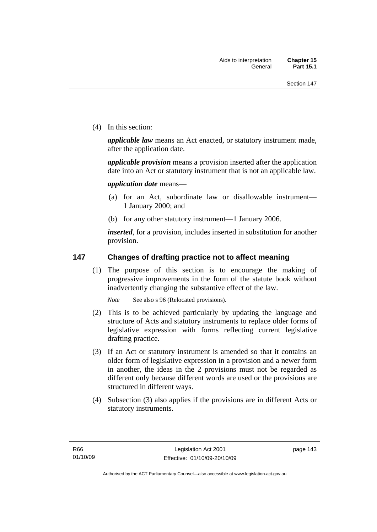(4) In this section:

*applicable law* means an Act enacted, or statutory instrument made, after the application date.

*applicable provision* means a provision inserted after the application date into an Act or statutory instrument that is not an applicable law.

*application date* means—

- (a) for an Act, subordinate law or disallowable instrument— 1 January 2000; and
- (b) for any other statutory instrument—1 January 2006.

*inserted*, for a provision, includes inserted in substitution for another provision.

## **147 Changes of drafting practice not to affect meaning**

 (1) The purpose of this section is to encourage the making of progressive improvements in the form of the statute book without inadvertently changing the substantive effect of the law.

*Note* See also s 96 (Relocated provisions).

- (2) This is to be achieved particularly by updating the language and structure of Acts and statutory instruments to replace older forms of legislative expression with forms reflecting current legislative drafting practice.
- (3) If an Act or statutory instrument is amended so that it contains an older form of legislative expression in a provision and a newer form in another, the ideas in the 2 provisions must not be regarded as different only because different words are used or the provisions are structured in different ways.
- (4) Subsection (3) also applies if the provisions are in different Acts or statutory instruments.

page 143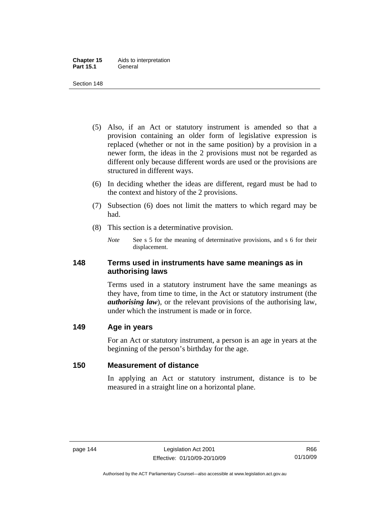- (5) Also, if an Act or statutory instrument is amended so that a provision containing an older form of legislative expression is replaced (whether or not in the same position) by a provision in a newer form, the ideas in the 2 provisions must not be regarded as different only because different words are used or the provisions are structured in different ways.
- (6) In deciding whether the ideas are different, regard must be had to the context and history of the 2 provisions.
- (7) Subsection (6) does not limit the matters to which regard may be had.
- (8) This section is a determinative provision.
	- *Note* See s 5 for the meaning of determinative provisions, and s 6 for their displacement.

## **148 Terms used in instruments have same meanings as in authorising laws**

Terms used in a statutory instrument have the same meanings as they have, from time to time, in the Act or statutory instrument (the *authorising law*), or the relevant provisions of the authorising law, under which the instrument is made or in force.

## **149 Age in years**

For an Act or statutory instrument, a person is an age in years at the beginning of the person's birthday for the age.

## **150 Measurement of distance**

In applying an Act or statutory instrument, distance is to be measured in a straight line on a horizontal plane.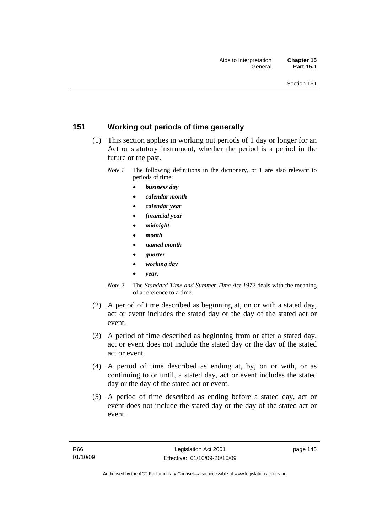## **151 Working out periods of time generally**

- (1) This section applies in working out periods of 1 day or longer for an Act or statutory instrument, whether the period is a period in the future or the past.
	- *Note 1* The following definitions in the dictionary, pt 1 are also relevant to periods of time:
		- *business day*
		- *calendar month*
		- *calendar year*
		- *financial year*
		- *midnight*
		- *month*
		- *named month*
		- *quarter*
		- *working day*
		- *year*.
	- *Note 2* The *Standard Time and Summer Time Act 1972* deals with the meaning of a reference to a time.
- (2) A period of time described as beginning at, on or with a stated day, act or event includes the stated day or the day of the stated act or event.
- (3) A period of time described as beginning from or after a stated day, act or event does not include the stated day or the day of the stated act or event.
- (4) A period of time described as ending at, by, on or with, or as continuing to or until, a stated day, act or event includes the stated day or the day of the stated act or event.
- (5) A period of time described as ending before a stated day, act or event does not include the stated day or the day of the stated act or event.

page 145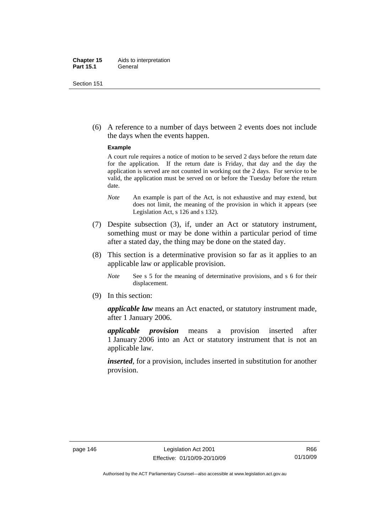#### **Chapter 15** Aids to interpretation **Part 15.1** General

Section 151

 (6) A reference to a number of days between 2 events does not include the days when the events happen.

#### **Example**

A court rule requires a notice of motion to be served 2 days before the return date for the application. If the return date is Friday, that day and the day the application is served are not counted in working out the 2 days. For service to be valid, the application must be served on or before the Tuesday before the return date.

- *Note* An example is part of the Act, is not exhaustive and may extend, but does not limit, the meaning of the provision in which it appears (see Legislation Act, s 126 and s 132).
- (7) Despite subsection (3), if, under an Act or statutory instrument, something must or may be done within a particular period of time after a stated day, the thing may be done on the stated day.
- (8) This section is a determinative provision so far as it applies to an applicable law or applicable provision.
	- *Note* See s 5 for the meaning of determinative provisions, and s 6 for their displacement.
- (9) In this section:

*applicable law* means an Act enacted, or statutory instrument made, after 1 January 2006.

*applicable provision* means a provision inserted after 1 January 2006 into an Act or statutory instrument that is not an applicable law.

*inserted*, for a provision, includes inserted in substitution for another provision.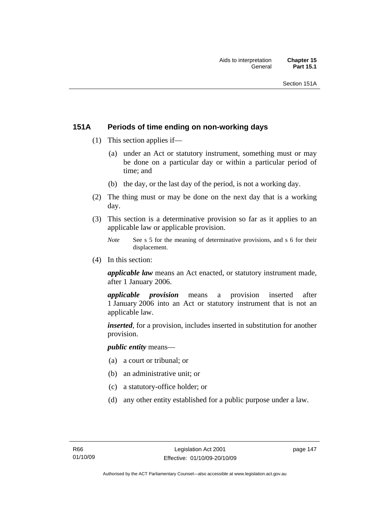## **151A Periods of time ending on non-working days**

- (1) This section applies if—
	- (a) under an Act or statutory instrument, something must or may be done on a particular day or within a particular period of time; and
	- (b) the day, or the last day of the period, is not a working day.
- (2) The thing must or may be done on the next day that is a working day.
- (3) This section is a determinative provision so far as it applies to an applicable law or applicable provision.
	- *Note* See s 5 for the meaning of determinative provisions, and s 6 for their displacement.
- (4) In this section:

*applicable law* means an Act enacted, or statutory instrument made, after 1 January 2006.

*applicable provision* means a provision inserted after 1 January 2006 into an Act or statutory instrument that is not an applicable law.

*inserted*, for a provision, includes inserted in substitution for another provision.

*public entity* means—

- (a) a court or tribunal; or
- (b) an administrative unit; or
- (c) a statutory-office holder; or
- (d) any other entity established for a public purpose under a law.

page 147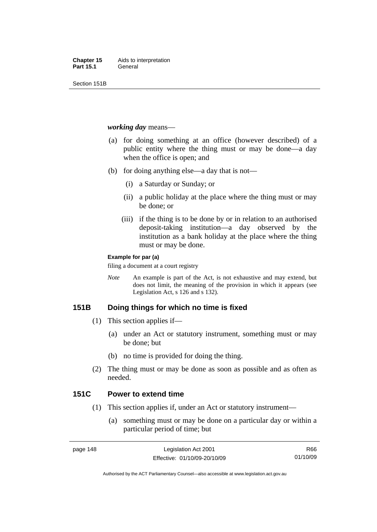Section 151B

#### *working day* means—

- (a) for doing something at an office (however described) of a public entity where the thing must or may be done—a day when the office is open; and
- (b) for doing anything else—a day that is not—
	- (i) a Saturday or Sunday; or
	- (ii) a public holiday at the place where the thing must or may be done; or
	- (iii) if the thing is to be done by or in relation to an authorised deposit-taking institution—a day observed by the institution as a bank holiday at the place where the thing must or may be done.

#### **Example for par (a)**

filing a document at a court registry

*Note* An example is part of the Act, is not exhaustive and may extend, but does not limit, the meaning of the provision in which it appears (see Legislation Act, s 126 and s 132).

## **151B Doing things for which no time is fixed**

- (1) This section applies if—
	- (a) under an Act or statutory instrument, something must or may be done; but
	- (b) no time is provided for doing the thing.
- (2) The thing must or may be done as soon as possible and as often as needed.

## **151C Power to extend time**

- (1) This section applies if, under an Act or statutory instrument—
	- (a) something must or may be done on a particular day or within a particular period of time; but

R66 01/10/09

Authorised by the ACT Parliamentary Counsel—also accessible at www.legislation.act.gov.au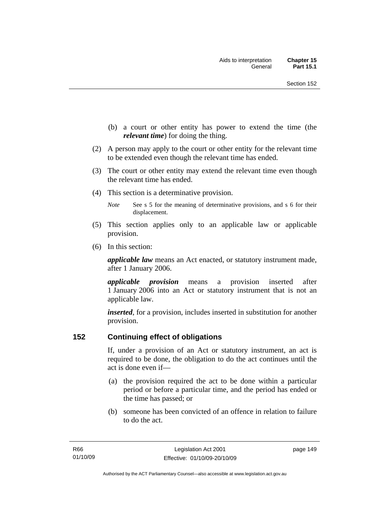- (b) a court or other entity has power to extend the time (the *relevant time*) for doing the thing.
- (2) A person may apply to the court or other entity for the relevant time to be extended even though the relevant time has ended.
- (3) The court or other entity may extend the relevant time even though the relevant time has ended.
- (4) This section is a determinative provision.
	- *Note* See s 5 for the meaning of determinative provisions, and s 6 for their displacement.
- (5) This section applies only to an applicable law or applicable provision.
- (6) In this section:

*applicable law* means an Act enacted, or statutory instrument made, after 1 January 2006.

*applicable provision* means a provision inserted after 1 January 2006 into an Act or statutory instrument that is not an applicable law.

*inserted*, for a provision, includes inserted in substitution for another provision.

## **152 Continuing effect of obligations**

If, under a provision of an Act or statutory instrument, an act is required to be done, the obligation to do the act continues until the act is done even if—

- (a) the provision required the act to be done within a particular period or before a particular time, and the period has ended or the time has passed; or
- (b) someone has been convicted of an offence in relation to failure to do the act.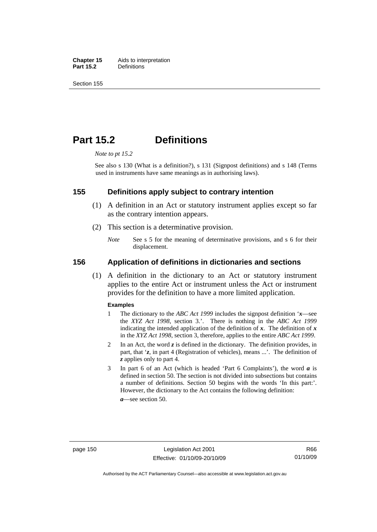**Chapter 15** Aids to interpretation<br>**Part 15.2** Definitions **Definitions** 

Section 155

## **Part 15.2 Definitions**

*Note to pt 15.2* 

See also s 130 (What is a definition?), s 131 (Signpost definitions) and s 148 (Terms used in instruments have same meanings as in authorising laws).

#### **155 Definitions apply subject to contrary intention**

- (1) A definition in an Act or statutory instrument applies except so far as the contrary intention appears.
- (2) This section is a determinative provision.
	- *Note* See s 5 for the meaning of determinative provisions, and s 6 for their displacement.

#### **156 Application of definitions in dictionaries and sections**

 (1) A definition in the dictionary to an Act or statutory instrument applies to the entire Act or instrument unless the Act or instrument provides for the definition to have a more limited application.

#### **Examples**

- 1 The dictionary to the *ABC Act 1999* includes the signpost definition '*x*—see the *XYZ Act 1998*, section 3.'. There is nothing in the *ABC Act 1999* indicating the intended application of the definition of  $x$ . The definition of  $x$ in the *XYZ Act 1998*, section 3, therefore, applies to the entire *ABC Act 1999*.
- 2 In an Act, the word *z* is defined in the dictionary. The definition provides, in part, that '*z*, in part 4 (Registration of vehicles), means ...'. The definition of *z* applies only to part 4.
- 3 In part 6 of an Act (which is headed 'Part 6 Complaints'), the word *a* is defined in section 50. The section is not divided into subsections but contains a number of definitions. Section 50 begins with the words 'In this part:'. However, the dictionary to the Act contains the following definition:

*a*—see section 50.

Authorised by the ACT Parliamentary Counsel—also accessible at www.legislation.act.gov.au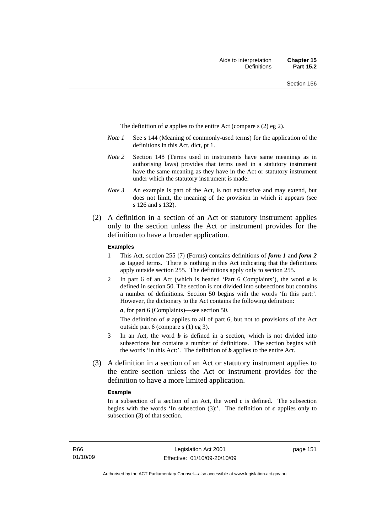The definition of *a* applies to the entire Act (compare s (2) eg 2).

- *Note 1* See s 144 (Meaning of commonly-used terms) for the application of the definitions in this Act, dict, pt 1.
- *Note 2* Section 148 (Terms used in instruments have same meanings as in authorising laws) provides that terms used in a statutory instrument have the same meaning as they have in the Act or statutory instrument under which the statutory instrument is made.
- *Note 3* An example is part of the Act, is not exhaustive and may extend, but does not limit, the meaning of the provision in which it appears (see s 126 and s 132).
- (2) A definition in a section of an Act or statutory instrument applies only to the section unless the Act or instrument provides for the definition to have a broader application.

#### **Examples**

- 1 This Act, section 255 (7) (Forms) contains definitions of *form 1* and *form 2* as tagged terms. There is nothing in this Act indicating that the definitions apply outside section 255. The definitions apply only to section 255.
- 2 In part 6 of an Act (which is headed 'Part 6 Complaints'), the word *a* is defined in section 50. The section is not divided into subsections but contains a number of definitions. Section 50 begins with the words 'In this part:'. However, the dictionary to the Act contains the following definition:

*a*, for part 6 (Complaints)—see section 50.

The definition of *a* applies to all of part 6, but not to provisions of the Act outside part 6 (compare s (1) eg 3).

- 3 In an Act, the word *b* is defined in a section, which is not divided into subsections but contains a number of definitions. The section begins with the words 'In this Act:'. The definition of *b* applies to the entire Act.
- (3) A definition in a section of an Act or statutory instrument applies to the entire section unless the Act or instrument provides for the definition to have a more limited application.

#### **Example**

In a subsection of a section of an Act, the word  $c$  is defined. The subsection begins with the words 'In subsection  $(3)$ :'. The definition of  $c$  applies only to subsection (3) of that section.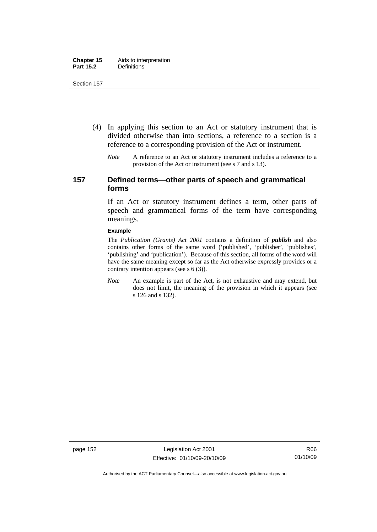- (4) In applying this section to an Act or statutory instrument that is divided otherwise than into sections, a reference to a section is a reference to a corresponding provision of the Act or instrument.
	- *Note* A reference to an Act or statutory instrument includes a reference to a provision of the Act or instrument (see s 7 and s 13).

## **157 Defined terms—other parts of speech and grammatical forms**

If an Act or statutory instrument defines a term, other parts of speech and grammatical forms of the term have corresponding meanings.

#### **Example**

The *Publication (Grants) Act 2001* contains a definition of *publish* and also contains other forms of the same word ('published', 'publisher', 'publishes', 'publishing' and 'publication'). Because of this section, all forms of the word will have the same meaning except so far as the Act otherwise expressly provides or a contrary intention appears (see s 6 (3)).

*Note* An example is part of the Act, is not exhaustive and may extend, but does not limit, the meaning of the provision in which it appears (see s 126 and s 132).

page 152 Legislation Act 2001 Effective: 01/10/09-20/10/09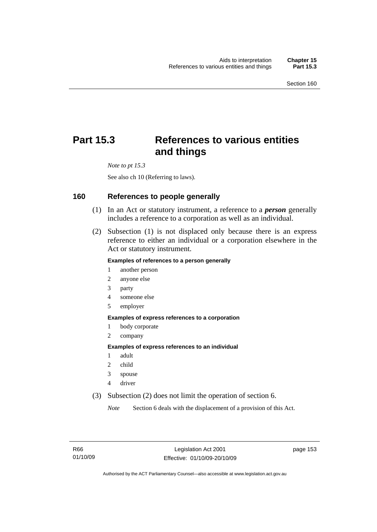# **Part 15.3 References to various entities and things**

*Note to pt 15.3* 

See also ch 10 (Referring to laws).

#### **160 References to people generally**

- (1) In an Act or statutory instrument, a reference to a *person* generally includes a reference to a corporation as well as an individual.
- (2) Subsection (1) is not displaced only because there is an express reference to either an individual or a corporation elsewhere in the Act or statutory instrument.

#### **Examples of references to a person generally**

- 1 another person
- 2 anyone else
- 3 party
- 4 someone else
- 5 employer

#### **Examples of express references to a corporation**

- 1 body corporate
- 2 company

#### **Examples of express references to an individual**

- 1 adult
- 2 child
- 3 spouse
- 4 driver
- (3) Subsection (2) does not limit the operation of section 6.

*Note* Section 6 deals with the displacement of a provision of this Act.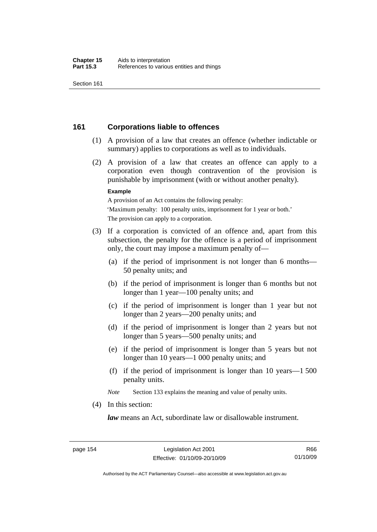## **161 Corporations liable to offences**

- (1) A provision of a law that creates an offence (whether indictable or summary) applies to corporations as well as to individuals.
- (2) A provision of a law that creates an offence can apply to a corporation even though contravention of the provision is punishable by imprisonment (with or without another penalty).

#### **Example**

A provision of an Act contains the following penalty: 'Maximum penalty: 100 penalty units, imprisonment for 1 year or both.' The provision can apply to a corporation.

- (3) If a corporation is convicted of an offence and, apart from this subsection, the penalty for the offence is a period of imprisonment only, the court may impose a maximum penalty of—
	- (a) if the period of imprisonment is not longer than 6 months— 50 penalty units; and
	- (b) if the period of imprisonment is longer than 6 months but not longer than 1 year—100 penalty units; and
	- (c) if the period of imprisonment is longer than 1 year but not longer than 2 years—200 penalty units; and
	- (d) if the period of imprisonment is longer than 2 years but not longer than 5 years—500 penalty units; and
	- (e) if the period of imprisonment is longer than 5 years but not longer than 10 years—1 000 penalty units; and
	- (f) if the period of imprisonment is longer than 10 years—1 500 penalty units.

*Note* Section 133 explains the meaning and value of penalty units.

(4) In this section:

*law* means an Act, subordinate law or disallowable instrument.

Authorised by the ACT Parliamentary Counsel—also accessible at www.legislation.act.gov.au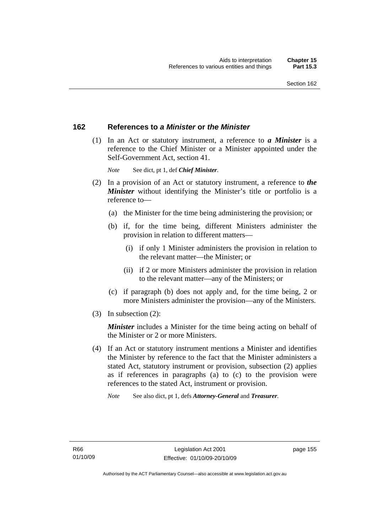## **162 References to** *a Minister* **or** *the Minister*

 (1) In an Act or statutory instrument, a reference to *a Minister* is a reference to the Chief Minister or a Minister appointed under the Self-Government Act, section 41.

*Note* See dict, pt 1, def *Chief Minister*.

- (2) In a provision of an Act or statutory instrument, a reference to *the Minister* without identifying the Minister's title or portfolio is a reference to—
	- (a) the Minister for the time being administering the provision; or
	- (b) if, for the time being, different Ministers administer the provision in relation to different matters—
		- (i) if only 1 Minister administers the provision in relation to the relevant matter—the Minister; or
		- (ii) if 2 or more Ministers administer the provision in relation to the relevant matter—any of the Ministers; or
	- (c) if paragraph (b) does not apply and, for the time being, 2 or more Ministers administer the provision—any of the Ministers.
- (3) In subsection (2):

*Minister* includes a Minister for the time being acting on behalf of the Minister or 2 or more Ministers.

 (4) If an Act or statutory instrument mentions a Minister and identifies the Minister by reference to the fact that the Minister administers a stated Act, statutory instrument or provision, subsection (2) applies as if references in paragraphs (a) to (c) to the provision were references to the stated Act, instrument or provision.

*Note* See also dict, pt 1, defs *Attorney-General* and *Treasurer*.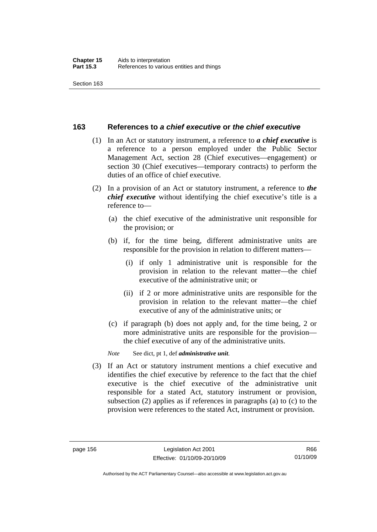## **163 References to** *a chief executive* **or** *the chief executive*

- (1) In an Act or statutory instrument, a reference to *a chief executive* is a reference to a person employed under the Public Sector Management Act, section 28 (Chief executives—engagement) or section 30 (Chief executives—temporary contracts) to perform the duties of an office of chief executive.
- (2) In a provision of an Act or statutory instrument, a reference to *the chief executive* without identifying the chief executive's title is a reference to—
	- (a) the chief executive of the administrative unit responsible for the provision; or
	- (b) if, for the time being, different administrative units are responsible for the provision in relation to different matters—
		- (i) if only 1 administrative unit is responsible for the provision in relation to the relevant matter—the chief executive of the administrative unit; or
		- (ii) if 2 or more administrative units are responsible for the provision in relation to the relevant matter—the chief executive of any of the administrative units; or
	- (c) if paragraph (b) does not apply and, for the time being, 2 or more administrative units are responsible for the provision the chief executive of any of the administrative units.

*Note* See dict, pt 1, def *administrative unit*.

 (3) If an Act or statutory instrument mentions a chief executive and identifies the chief executive by reference to the fact that the chief executive is the chief executive of the administrative unit responsible for a stated Act, statutory instrument or provision, subsection (2) applies as if references in paragraphs (a) to (c) to the provision were references to the stated Act, instrument or provision.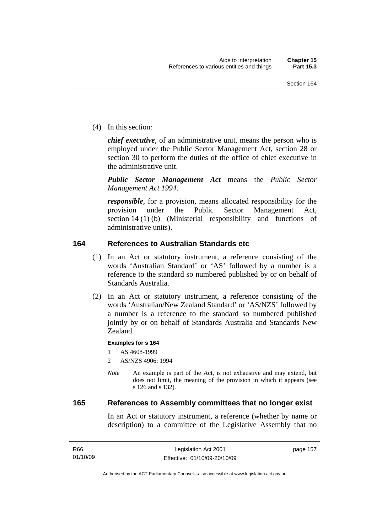(4) In this section:

*chief executive*, of an administrative unit, means the person who is employed under the Public Sector Management Act, section 28 or section 30 to perform the duties of the office of chief executive in the administrative unit.

*Public Sector Management Act* means the *Public Sector Management Act 1994*.

*responsible*, for a provision, means allocated responsibility for the provision under the Public Sector Management Act, section 14 (1) (b) (Ministerial responsibility and functions of administrative units).

## **164 References to Australian Standards etc**

- (1) In an Act or statutory instrument, a reference consisting of the words 'Australian Standard' or 'AS' followed by a number is a reference to the standard so numbered published by or on behalf of Standards Australia.
- (2) In an Act or statutory instrument, a reference consisting of the words 'Australian/New Zealand Standard' or 'AS/NZS' followed by a number is a reference to the standard so numbered published jointly by or on behalf of Standards Australia and Standards New Zealand.

#### **Examples for s 164**

1 AS 4608-1999

- 2 AS/NZS 4906: 1994
- *Note* An example is part of the Act, is not exhaustive and may extend, but does not limit, the meaning of the provision in which it appears (see s 126 and s 132).

#### **165 References to Assembly committees that no longer exist**

In an Act or statutory instrument, a reference (whether by name or description) to a committee of the Legislative Assembly that no

page 157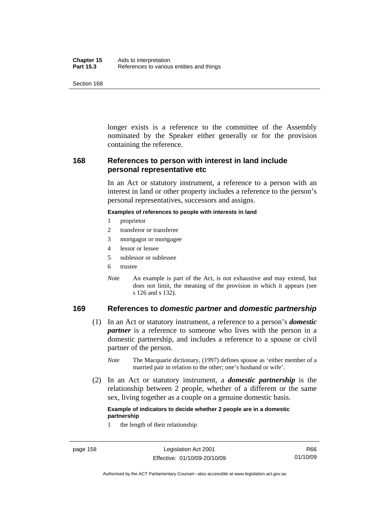| Chapter 15       | Aids to interpretation                    |
|------------------|-------------------------------------------|
| <b>Part 15.3</b> | References to various entities and things |

longer exists is a reference to the committee of the Assembly nominated by the Speaker either generally or for the provision containing the reference.

## **168 References to person with interest in land include personal representative etc**

In an Act or statutory instrument, a reference to a person with an interest in land or other property includes a reference to the person's personal representatives, successors and assigns.

#### **Examples of references to people with interests in land**

- 1 proprietor
- 2 transferor or transferee
- 3 mortgagor or mortgagee
- 4 lessor or lessee
- 5 sublessor or sublessee
- 6 trustee
- *Note* An example is part of the Act, is not exhaustive and may extend, but does not limit, the meaning of the provision in which it appears (see s 126 and s 132).

## **169 References to** *domestic partner* **and** *domestic partnership*

- (1) In an Act or statutory instrument, a reference to a person's *domestic partner* is a reference to someone who lives with the person in a domestic partnership, and includes a reference to a spouse or civil partner of the person.
	- *Note* The Macquarie dictionary, (1997) defines spouse as 'either member of a married pair in relation to the other; one's husband or wife'.
- (2) In an Act or statutory instrument, a *domestic partnership* is the relationship between 2 people, whether of a different or the same sex, living together as a couple on a genuine domestic basis.

#### **Example of indicators to decide whether 2 people are in a domestic partnership**

1 the length of their relationship

Authorised by the ACT Parliamentary Counsel—also accessible at www.legislation.act.gov.au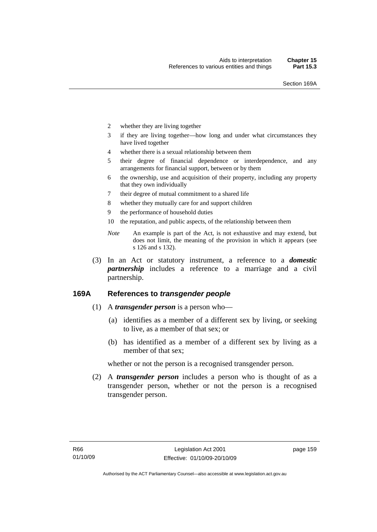- 2 whether they are living together
- 3 if they are living together—how long and under what circumstances they have lived together
- 4 whether there is a sexual relationship between them
- 5 their degree of financial dependence or interdependence, and any arrangements for financial support, between or by them
- 6 the ownership, use and acquisition of their property, including any property that they own individually
- 7 their degree of mutual commitment to a shared life
- 8 whether they mutually care for and support children
- 9 the performance of household duties
- 10 the reputation, and public aspects, of the relationship between them
- *Note* An example is part of the Act, is not exhaustive and may extend, but does not limit, the meaning of the provision in which it appears (see s 126 and s 132).
- (3) In an Act or statutory instrument, a reference to a *domestic partnership* includes a reference to a marriage and a civil partnership.

## **169A References to** *transgender people*

- (1) A *transgender person* is a person who—
	- (a) identifies as a member of a different sex by living, or seeking to live, as a member of that sex; or
	- (b) has identified as a member of a different sex by living as a member of that sex;

whether or not the person is a recognised transgender person.

 (2) A *transgender person* includes a person who is thought of as a transgender person, whether or not the person is a recognised transgender person.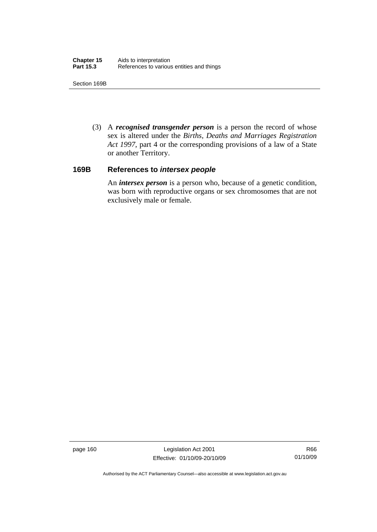Section 169B

 (3) A *recognised transgender person* is a person the record of whose sex is altered under the *Births, Deaths and Marriages Registration Act 1997*, part 4 or the corresponding provisions of a law of a State or another Territory.

#### **169B References to** *intersex people*

An *intersex person* is a person who, because of a genetic condition, was born with reproductive organs or sex chromosomes that are not exclusively male or female.

page 160 Legislation Act 2001 Effective: 01/10/09-20/10/09

R66 01/10/09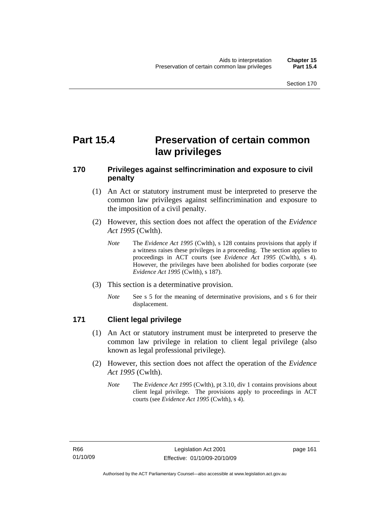# **Part 15.4 Preservation of certain common law privileges**

## **170 Privileges against selfincrimination and exposure to civil penalty**

- (1) An Act or statutory instrument must be interpreted to preserve the common law privileges against selfincrimination and exposure to the imposition of a civil penalty.
- (2) However, this section does not affect the operation of the *Evidence Act 1995* (Cwlth).
	- *Note* The *Evidence Act 1995* (Cwlth), s 128 contains provisions that apply if a witness raises these privileges in a proceeding. The section applies to proceedings in ACT courts (see *Evidence Act 1995* (Cwlth), s 4). However, the privileges have been abolished for bodies corporate (see *Evidence Act 1995* (Cwlth), s 187).
- (3) This section is a determinative provision.
	- *Note* See s 5 for the meaning of determinative provisions, and s 6 for their displacement.

## **171 Client legal privilege**

- (1) An Act or statutory instrument must be interpreted to preserve the common law privilege in relation to client legal privilege (also known as legal professional privilege).
- (2) However, this section does not affect the operation of the *Evidence Act 1995* (Cwlth).
	- *Note* The *Evidence Act 1995* (Cwlth), pt 3.10, div 1 contains provisions about client legal privilege. The provisions apply to proceedings in ACT courts (see *Evidence Act 1995* (Cwlth), s 4).

page 161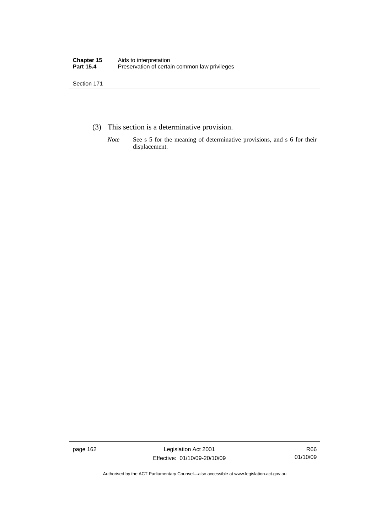- (3) This section is a determinative provision.
	- *Note* See s 5 for the meaning of determinative provisions, and s 6 for their displacement.

page 162 Legislation Act 2001 Effective: 01/10/09-20/10/09

R66 01/10/09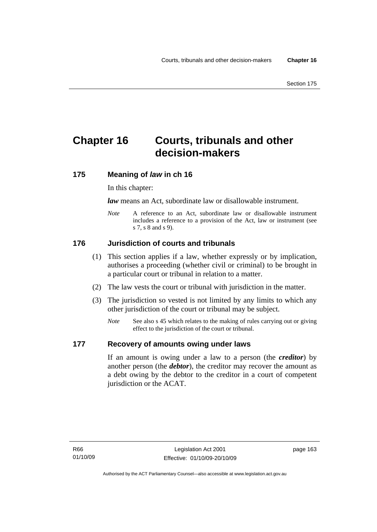# **Chapter 16 Courts, tribunals and other decision-makers**

## **175 Meaning of** *law* **in ch 16**

In this chapter:

*law* means an Act, subordinate law or disallowable instrument.

*Note* A reference to an Act, subordinate law or disallowable instrument includes a reference to a provision of the Act, law or instrument (see s 7, s 8 and s 9).

## **176 Jurisdiction of courts and tribunals**

- (1) This section applies if a law, whether expressly or by implication, authorises a proceeding (whether civil or criminal) to be brought in a particular court or tribunal in relation to a matter.
- (2) The law vests the court or tribunal with jurisdiction in the matter.
- (3) The jurisdiction so vested is not limited by any limits to which any other jurisdiction of the court or tribunal may be subject.
	- *Note* See also s 45 which relates to the making of rules carrying out or giving effect to the jurisdiction of the court or tribunal.

## **177 Recovery of amounts owing under laws**

If an amount is owing under a law to a person (the *creditor*) by another person (the *debtor*), the creditor may recover the amount as a debt owing by the debtor to the creditor in a court of competent jurisdiction or the ACAT.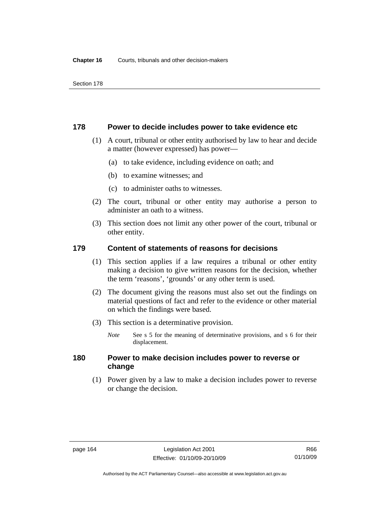#### **178 Power to decide includes power to take evidence etc**

- (1) A court, tribunal or other entity authorised by law to hear and decide a matter (however expressed) has power—
	- (a) to take evidence, including evidence on oath; and
	- (b) to examine witnesses; and
	- (c) to administer oaths to witnesses.
- (2) The court, tribunal or other entity may authorise a person to administer an oath to a witness.
- (3) This section does not limit any other power of the court, tribunal or other entity.

## **179 Content of statements of reasons for decisions**

- (1) This section applies if a law requires a tribunal or other entity making a decision to give written reasons for the decision, whether the term 'reasons', 'grounds' or any other term is used.
- (2) The document giving the reasons must also set out the findings on material questions of fact and refer to the evidence or other material on which the findings were based.
- (3) This section is a determinative provision.
	- *Note* See s 5 for the meaning of determinative provisions, and s 6 for their displacement.

## **180 Power to make decision includes power to reverse or change**

 (1) Power given by a law to make a decision includes power to reverse or change the decision.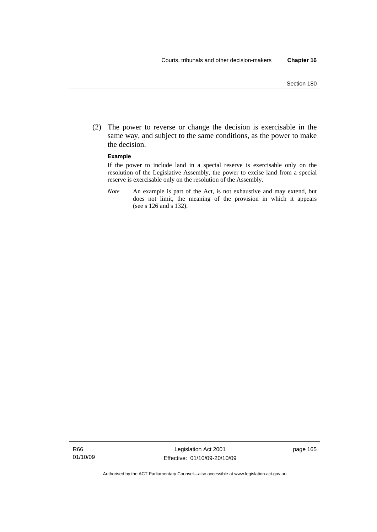(2) The power to reverse or change the decision is exercisable in the same way, and subject to the same conditions, as the power to make the decision.

#### **Example**

If the power to include land in a special reserve is exercisable only on the resolution of the Legislative Assembly, the power to excise land from a special reserve is exercisable only on the resolution of the Assembly.

*Note* An example is part of the Act, is not exhaustive and may extend, but does not limit, the meaning of the provision in which it appears (see s 126 and s 132).

Authorised by the ACT Parliamentary Counsel—also accessible at www.legislation.act.gov.au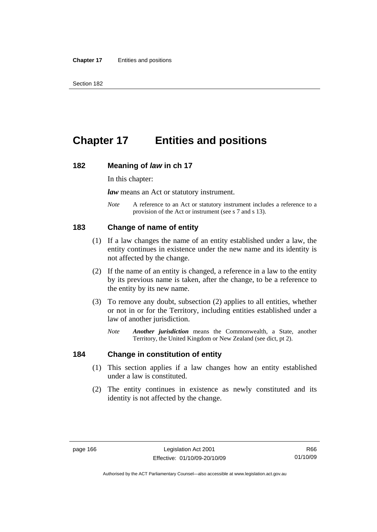# **Chapter 17 Entities and positions**

#### **182 Meaning of** *law* **in ch 17**

In this chapter:

*law* means an Act or statutory instrument.

*Note* A reference to an Act or statutory instrument includes a reference to a provision of the Act or instrument (see s 7 and s 13).

### **183 Change of name of entity**

- (1) If a law changes the name of an entity established under a law, the entity continues in existence under the new name and its identity is not affected by the change.
- (2) If the name of an entity is changed, a reference in a law to the entity by its previous name is taken, after the change, to be a reference to the entity by its new name.
- (3) To remove any doubt, subsection (2) applies to all entities, whether or not in or for the Territory, including entities established under a law of another jurisdiction.
	- *Note Another jurisdiction* means the Commonwealth, a State, another Territory, the United Kingdom or New Zealand (see dict, pt 2).

#### **184 Change in constitution of entity**

- (1) This section applies if a law changes how an entity established under a law is constituted.
- (2) The entity continues in existence as newly constituted and its identity is not affected by the change.

R66 01/10/09

Authorised by the ACT Parliamentary Counsel—also accessible at www.legislation.act.gov.au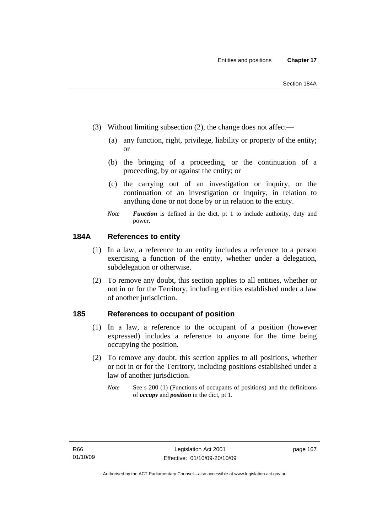- (3) Without limiting subsection (2), the change does not affect—
	- (a) any function, right, privilege, liability or property of the entity; or
	- (b) the bringing of a proceeding, or the continuation of a proceeding, by or against the entity; or
	- (c) the carrying out of an investigation or inquiry, or the continuation of an investigation or inquiry, in relation to anything done or not done by or in relation to the entity.
	- *Note Function* is defined in the dict, pt 1 to include authority, duty and power.

## **184A References to entity**

- (1) In a law, a reference to an entity includes a reference to a person exercising a function of the entity, whether under a delegation, subdelegation or otherwise.
- (2) To remove any doubt, this section applies to all entities, whether or not in or for the Territory, including entities established under a law of another jurisdiction.

### **185 References to occupant of position**

- (1) In a law, a reference to the occupant of a position (however expressed) includes a reference to anyone for the time being occupying the position.
- (2) To remove any doubt, this section applies to all positions, whether or not in or for the Territory, including positions established under a law of another jurisdiction.
	- *Note* See s 200 (1) (Functions of occupants of positions) and the definitions of *occupy* and *position* in the dict, pt 1.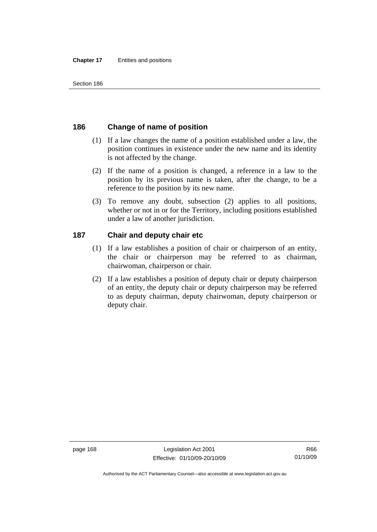# **186 Change of name of position**

- (1) If a law changes the name of a position established under a law, the position continues in existence under the new name and its identity is not affected by the change.
- (2) If the name of a position is changed, a reference in a law to the position by its previous name is taken, after the change, to be a reference to the position by its new name.
- (3) To remove any doubt, subsection (2) applies to all positions, whether or not in or for the Territory, including positions established under a law of another jurisdiction.

# **187 Chair and deputy chair etc**

- (1) If a law establishes a position of chair or chairperson of an entity, the chair or chairperson may be referred to as chairman, chairwoman, chairperson or chair.
- (2) If a law establishes a position of deputy chair or deputy chairperson of an entity, the deputy chair or deputy chairperson may be referred to as deputy chairman, deputy chairwoman, deputy chairperson or deputy chair.

page 168 Legislation Act 2001 Effective: 01/10/09-20/10/09

Authorised by the ACT Parliamentary Counsel—also accessible at www.legislation.act.gov.au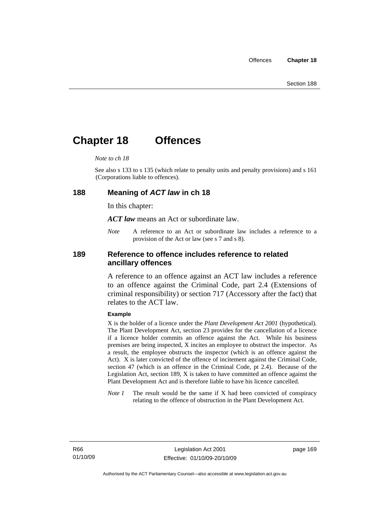# **Chapter 18 Offences**

#### *Note to ch 18*

See also s 133 to s 135 (which relate to penalty units and penalty provisions) and s 161 (Corporations liable to offences).

#### **188 Meaning of** *ACT law* **in ch 18**

In this chapter:

*ACT law* means an Act or subordinate law.

*Note* A reference to an Act or subordinate law includes a reference to a provision of the Act or law (see s 7 and s 8).

### **189 Reference to offence includes reference to related ancillary offences**

A reference to an offence against an ACT law includes a reference to an offence against the Criminal Code, part 2.4 (Extensions of criminal responsibility) or section 717 (Accessory after the fact) that relates to the ACT law.

#### **Example**

X is the holder of a licence under the *Plant Development Act 2001* (hypothetical). The Plant Development Act, section 23 provides for the cancellation of a licence if a licence holder commits an offence against the Act. While his business premises are being inspected, X incites an employee to obstruct the inspector. As a result, the employee obstructs the inspector (which is an offence against the Act). X is later convicted of the offence of incitement against the Criminal Code, section 47 (which is an offence in the Criminal Code, pt 2.4). Because of the Legislation Act, section 189, X is taken to have committed an offence against the Plant Development Act and is therefore liable to have his licence cancelled.

*Note 1* The result would be the same if X had been convicted of conspiracy relating to the offence of obstruction in the Plant Development Act.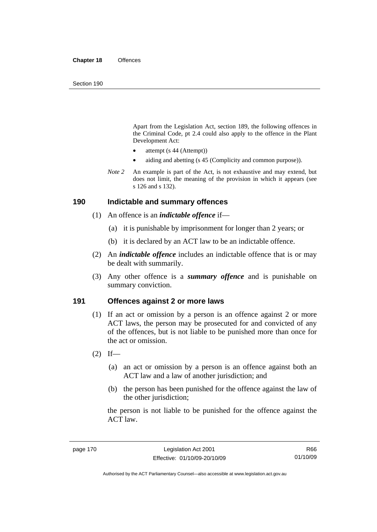Apart from the Legislation Act, section 189, the following offences in the Criminal Code*,* pt 2.4 could also apply to the offence in the Plant Development Act:

- attempt (s 44 (Attempt))
- aiding and abetting (s 45 (Complicity and common purpose)).
- *Note* 2 An example is part of the Act, is not exhaustive and may extend, but does not limit, the meaning of the provision in which it appears (see s 126 and s 132).

#### **190 Indictable and summary offences**

- (1) An offence is an *indictable offence* if—
	- (a) it is punishable by imprisonment for longer than 2 years; or
	- (b) it is declared by an ACT law to be an indictable offence.
- (2) An *indictable offence* includes an indictable offence that is or may be dealt with summarily.
- (3) Any other offence is a *summary offence* and is punishable on summary conviction.

#### **191 Offences against 2 or more laws**

- (1) If an act or omission by a person is an offence against 2 or more ACT laws, the person may be prosecuted for and convicted of any of the offences, but is not liable to be punished more than once for the act or omission.
- $(2)$  If—
	- (a) an act or omission by a person is an offence against both an ACT law and a law of another jurisdiction; and
	- (b) the person has been punished for the offence against the law of the other jurisdiction:

the person is not liable to be punished for the offence against the ACT law.

R66 01/10/09

Authorised by the ACT Parliamentary Counsel—also accessible at www.legislation.act.gov.au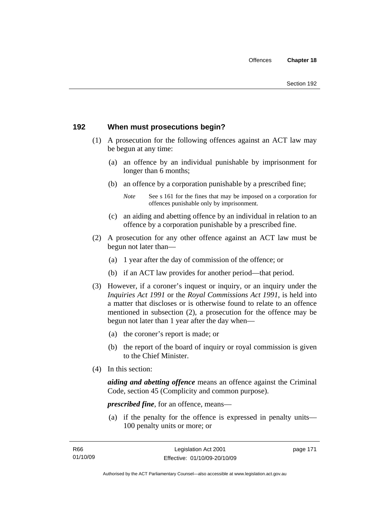# **192 When must prosecutions begin?**

- (1) A prosecution for the following offences against an ACT law may be begun at any time:
	- (a) an offence by an individual punishable by imprisonment for longer than 6 months;
	- (b) an offence by a corporation punishable by a prescribed fine;
		- *Note* See s 161 for the fines that may be imposed on a corporation for offences punishable only by imprisonment.
	- (c) an aiding and abetting offence by an individual in relation to an offence by a corporation punishable by a prescribed fine.
- (2) A prosecution for any other offence against an ACT law must be begun not later than—
	- (a) 1 year after the day of commission of the offence; or
	- (b) if an ACT law provides for another period—that period.
- (3) However, if a coroner's inquest or inquiry, or an inquiry under the *Inquiries Act 1991* or the *Royal Commissions Act 1991*, is held into a matter that discloses or is otherwise found to relate to an offence mentioned in subsection (2), a prosecution for the offence may be begun not later than 1 year after the day when—
	- (a) the coroner's report is made; or
	- (b) the report of the board of inquiry or royal commission is given to the Chief Minister.
- (4) In this section:

*aiding and abetting offence* means an offence against the Criminal Code, section 45 (Complicity and common purpose).

*prescribed fine*, for an offence, means—

 (a) if the penalty for the offence is expressed in penalty units— 100 penalty units or more; or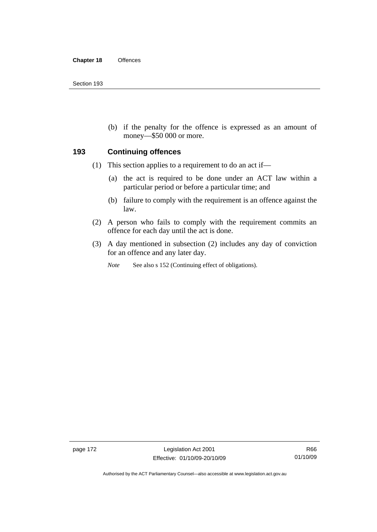(b) if the penalty for the offence is expressed as an amount of money—\$50 000 or more.

### **193 Continuing offences**

- (1) This section applies to a requirement to do an act if—
	- (a) the act is required to be done under an ACT law within a particular period or before a particular time; and
	- (b) failure to comply with the requirement is an offence against the law.
- (2) A person who fails to comply with the requirement commits an offence for each day until the act is done.
- (3) A day mentioned in subsection (2) includes any day of conviction for an offence and any later day.

*Note* See also s 152 (Continuing effect of obligations).

page 172 Legislation Act 2001 Effective: 01/10/09-20/10/09

Authorised by the ACT Parliamentary Counsel—also accessible at www.legislation.act.gov.au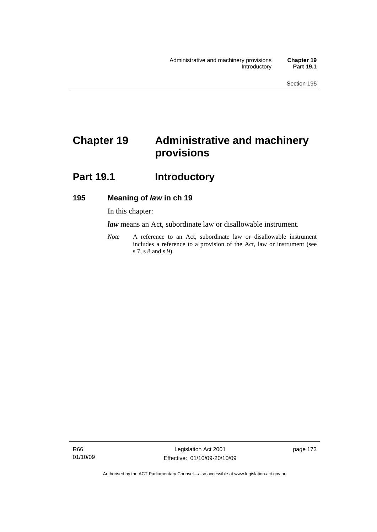# **Chapter 19 Administrative and machinery provisions**

# Part 19.1 **Introductory**

# **195 Meaning of** *law* **in ch 19**

In this chapter:

*law* means an Act, subordinate law or disallowable instrument.

*Note* A reference to an Act, subordinate law or disallowable instrument includes a reference to a provision of the Act, law or instrument (see s 7, s 8 and s 9).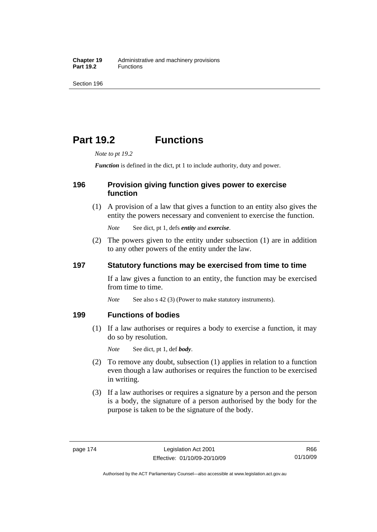# **Part 19.2 Functions**

*Note to pt 19.2* 

*Function* is defined in the dict, pt 1 to include authority, duty and power.

## **196 Provision giving function gives power to exercise function**

 (1) A provision of a law that gives a function to an entity also gives the entity the powers necessary and convenient to exercise the function.

*Note* See dict, pt 1, defs *entity* and *exercise*.

 (2) The powers given to the entity under subsection (1) are in addition to any other powers of the entity under the law.

## **197 Statutory functions may be exercised from time to time**

If a law gives a function to an entity, the function may be exercised from time to time.

*Note* See also s 42 (3) (Power to make statutory instruments).

## **199 Functions of bodies**

 (1) If a law authorises or requires a body to exercise a function, it may do so by resolution.

*Note* See dict, pt 1, def *body*.

- (2) To remove any doubt, subsection (1) applies in relation to a function even though a law authorises or requires the function to be exercised in writing.
- (3) If a law authorises or requires a signature by a person and the person is a body, the signature of a person authorised by the body for the purpose is taken to be the signature of the body.

R66 01/10/09

Authorised by the ACT Parliamentary Counsel—also accessible at www.legislation.act.gov.au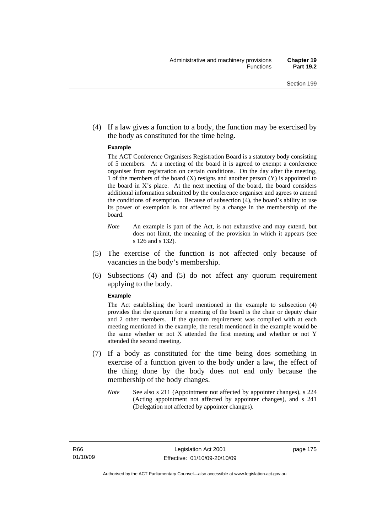(4) If a law gives a function to a body, the function may be exercised by the body as constituted for the time being.

#### **Example**

The ACT Conference Organisers Registration Board is a statutory body consisting of 5 members. At a meeting of the board it is agreed to exempt a conference organiser from registration on certain conditions. On the day after the meeting, 1 of the members of the board (X) resigns and another person (Y) is appointed to the board in  $X$ 's place. At the next meeting of the board, the board considers additional information submitted by the conference organiser and agrees to amend the conditions of exemption. Because of subsection (4), the board's ability to use its power of exemption is not affected by a change in the membership of the board.

- *Note* An example is part of the Act, is not exhaustive and may extend, but does not limit, the meaning of the provision in which it appears (see s 126 and s 132).
- (5) The exercise of the function is not affected only because of vacancies in the body's membership.
- (6) Subsections (4) and (5) do not affect any quorum requirement applying to the body.

#### **Example**

The Act establishing the board mentioned in the example to subsection (4) provides that the quorum for a meeting of the board is the chair or deputy chair and 2 other members. If the quorum requirement was complied with at each meeting mentioned in the example, the result mentioned in the example would be the same whether or not X attended the first meeting and whether or not Y attended the second meeting.

- (7) If a body as constituted for the time being does something in exercise of a function given to the body under a law, the effect of the thing done by the body does not end only because the membership of the body changes.
	- *Note* See also s 211 (Appointment not affected by appointer changes), s 224 (Acting appointment not affected by appointer changes), and s 241 (Delegation not affected by appointer changes).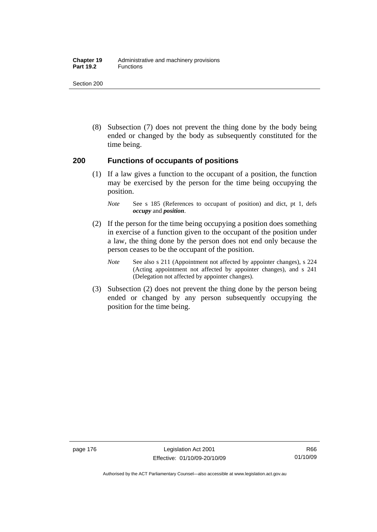#### **Chapter 19** Administrative and machinery provisions Part 19.2 **Functions**

Section 200

 (8) Subsection (7) does not prevent the thing done by the body being ended or changed by the body as subsequently constituted for the time being.

### **200 Functions of occupants of positions**

 (1) If a law gives a function to the occupant of a position, the function may be exercised by the person for the time being occupying the position.

- (2) If the person for the time being occupying a position does something in exercise of a function given to the occupant of the position under a law, the thing done by the person does not end only because the person ceases to be the occupant of the position.
	- *Note* See also s 211 (Appointment not affected by appointer changes), s 224 (Acting appointment not affected by appointer changes), and s 241 (Delegation not affected by appointer changes).
- (3) Subsection (2) does not prevent the thing done by the person being ended or changed by any person subsequently occupying the position for the time being.

*Note* See s 185 (References to occupant of position) and dict, pt 1, defs *occupy* and *position*.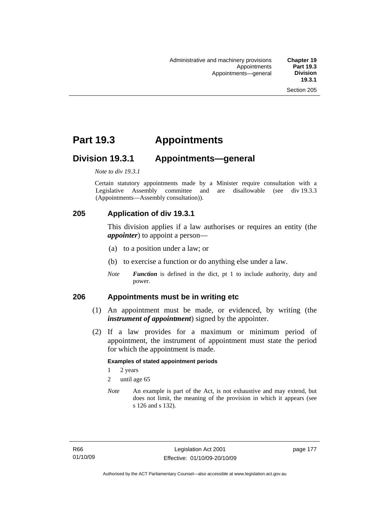# **Part 19.3 Appointments**

# **Division 19.3.1 Appointments—general**

*Note to div 19.3.1* 

Certain statutory appointments made by a Minister require consultation with a Legislative Assembly committee and are disallowable (see div 19.3.3) (Appointments—Assembly consultation)).

# **205 Application of div 19.3.1**

This division applies if a law authorises or requires an entity (the *appointer*) to appoint a person—

- (a) to a position under a law; or
- (b) to exercise a function or do anything else under a law.
- *Note Function* is defined in the dict, pt 1 to include authority, duty and power.

### **206 Appointments must be in writing etc**

- (1) An appointment must be made, or evidenced, by writing (the *instrument of appointment*) signed by the appointer.
- (2) If a law provides for a maximum or minimum period of appointment, the instrument of appointment must state the period for which the appointment is made.

#### **Examples of stated appointment periods**

- 1 2 years
- 2 until age 65
- *Note* An example is part of the Act, is not exhaustive and may extend, but does not limit, the meaning of the provision in which it appears (see s 126 and s 132).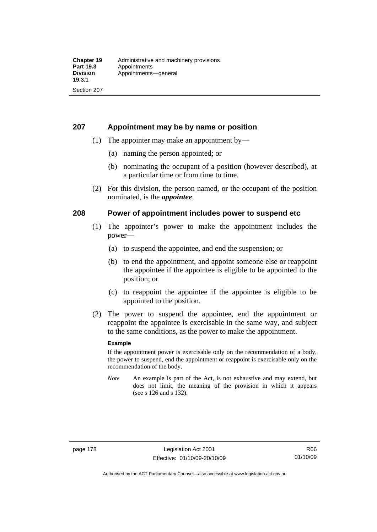## **207 Appointment may be by name or position**

- (1) The appointer may make an appointment by—
	- (a) naming the person appointed; or
	- (b) nominating the occupant of a position (however described), at a particular time or from time to time.
- (2) For this division, the person named, or the occupant of the position nominated, is the *appointee*.

## **208 Power of appointment includes power to suspend etc**

- (1) The appointer's power to make the appointment includes the power—
	- (a) to suspend the appointee, and end the suspension; or
	- (b) to end the appointment, and appoint someone else or reappoint the appointee if the appointee is eligible to be appointed to the position; or
	- (c) to reappoint the appointee if the appointee is eligible to be appointed to the position.
- (2) The power to suspend the appointee, end the appointment or reappoint the appointee is exercisable in the same way, and subject to the same conditions, as the power to make the appointment.

#### **Example**

If the appointment power is exercisable only on the recommendation of a body, the power to suspend, end the appointment or reappoint is exercisable only on the recommendation of the body.

*Note* An example is part of the Act, is not exhaustive and may extend, but does not limit, the meaning of the provision in which it appears (see s 126 and s 132).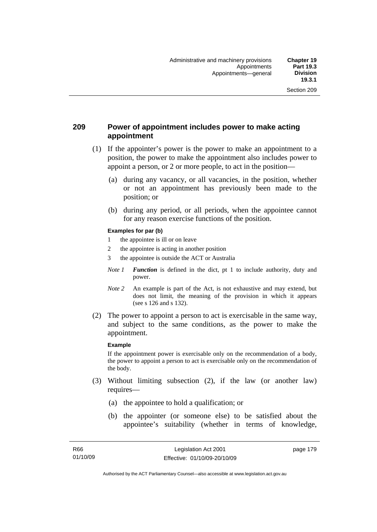## **209 Power of appointment includes power to make acting appointment**

- (1) If the appointer's power is the power to make an appointment to a position, the power to make the appointment also includes power to appoint a person, or 2 or more people, to act in the position—
	- (a) during any vacancy, or all vacancies, in the position, whether or not an appointment has previously been made to the position; or
	- (b) during any period, or all periods, when the appointee cannot for any reason exercise functions of the position.

#### **Examples for par (b)**

- 1 the appointee is ill or on leave
- 2 the appointee is acting in another position
- 3 the appointee is outside the ACT or Australia
- *Note 1 Function* is defined in the dict, pt 1 to include authority, duty and power.
- *Note* 2 An example is part of the Act, is not exhaustive and may extend, but does not limit, the meaning of the provision in which it appears (see s 126 and s 132).
- (2) The power to appoint a person to act is exercisable in the same way, and subject to the same conditions, as the power to make the appointment.

#### **Example**

If the appointment power is exercisable only on the recommendation of a body, the power to appoint a person to act is exercisable only on the recommendation of the body.

- (3) Without limiting subsection (2), if the law (or another law) requires—
	- (a) the appointee to hold a qualification; or
	- (b) the appointer (or someone else) to be satisfied about the appointee's suitability (whether in terms of knowledge,

page 179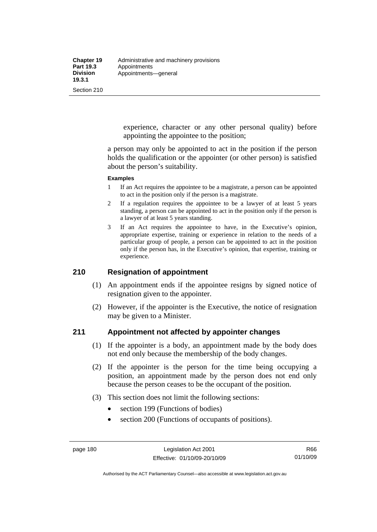experience, character or any other personal quality) before appointing the appointee to the position;

a person may only be appointed to act in the position if the person holds the qualification or the appointer (or other person) is satisfied about the person's suitability.

#### **Examples**

- 1 If an Act requires the appointee to be a magistrate, a person can be appointed to act in the position only if the person is a magistrate.
- 2 If a regulation requires the appointee to be a lawyer of at least 5 years standing, a person can be appointed to act in the position only if the person is a lawyer of at least 5 years standing.
- 3 If an Act requires the appointee to have, in the Executive's opinion, appropriate expertise, training or experience in relation to the needs of a particular group of people, a person can be appointed to act in the position only if the person has, in the Executive's opinion, that expertise, training or experience.

# **210 Resignation of appointment**

- (1) An appointment ends if the appointee resigns by signed notice of resignation given to the appointer.
- (2) However, if the appointer is the Executive, the notice of resignation may be given to a Minister.

### **211 Appointment not affected by appointer changes**

- (1) If the appointer is a body, an appointment made by the body does not end only because the membership of the body changes.
- (2) If the appointer is the person for the time being occupying a position, an appointment made by the person does not end only because the person ceases to be the occupant of the position.
- (3) This section does not limit the following sections:
	- section 199 (Functions of bodies)
	- section 200 (Functions of occupants of positions).

Authorised by the ACT Parliamentary Counsel—also accessible at www.legislation.act.gov.au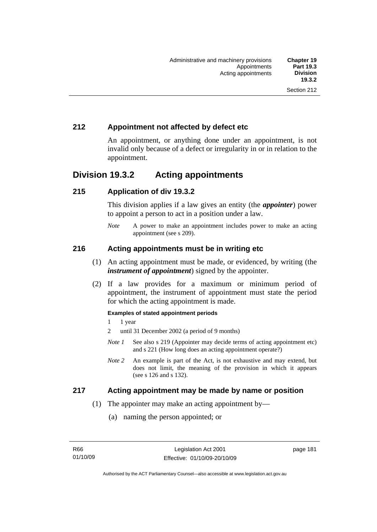# **212 Appointment not affected by defect etc**

An appointment, or anything done under an appointment, is not invalid only because of a defect or irregularity in or in relation to the appointment.

# **Division 19.3.2 Acting appointments**

## **215 Application of div 19.3.2**

This division applies if a law gives an entity (the *appointer*) power to appoint a person to act in a position under a law.

*Note* A power to make an appointment includes power to make an acting appointment (see s 209).

## **216 Acting appointments must be in writing etc**

- (1) An acting appointment must be made, or evidenced, by writing (the *instrument of appointment*) signed by the appointer.
- (2) If a law provides for a maximum or minimum period of appointment, the instrument of appointment must state the period for which the acting appointment is made.

#### **Examples of stated appointment periods**

- 1 1 year
- 2 until 31 December 2002 (a period of 9 months)
- *Note 1* See also s 219 (Appointer may decide terms of acting appointment etc) and s 221 (How long does an acting appointment operate?)
- *Note 2* An example is part of the Act, is not exhaustive and may extend, but does not limit, the meaning of the provision in which it appears (see s 126 and s 132).

### **217 Acting appointment may be made by name or position**

- (1) The appointer may make an acting appointment by—
	- (a) naming the person appointed; or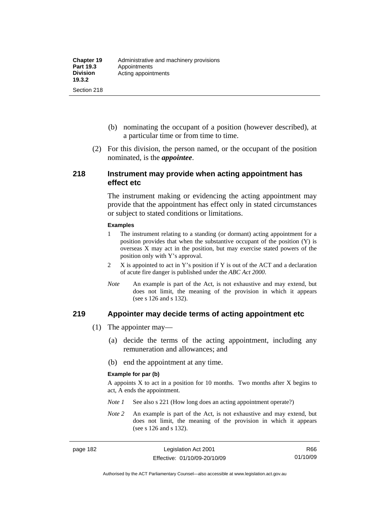- (b) nominating the occupant of a position (however described), at a particular time or from time to time.
- (2) For this division, the person named, or the occupant of the position nominated, is the *appointee*.

#### **218 Instrument may provide when acting appointment has effect etc**

The instrument making or evidencing the acting appointment may provide that the appointment has effect only in stated circumstances or subject to stated conditions or limitations.

#### **Examples**

- 1 The instrument relating to a standing (or dormant) acting appointment for a position provides that when the substantive occupant of the position (Y) is overseas X may act in the position, but may exercise stated powers of the position only with Y's approval.
- 2 X is appointed to act in Y's position if Y is out of the ACT and a declaration of acute fire danger is published under the *ABC Act 2000*.
- *Note* An example is part of the Act, is not exhaustive and may extend, but does not limit, the meaning of the provision in which it appears (see s 126 and s 132).

#### **219 Appointer may decide terms of acting appointment etc**

- (1) The appointer may—
	- (a) decide the terms of the acting appointment, including any remuneration and allowances; and
	- (b) end the appointment at any time.

#### **Example for par (b)**

A appoints  $X$  to act in a position for 10 months. Two months after  $X$  begins to act, A ends the appointment.

- *Note 1* See also s 221 (How long does an acting appointment operate?)
- *Note 2* An example is part of the Act, is not exhaustive and may extend, but does not limit, the meaning of the provision in which it appears (see s 126 and s 132).

Authorised by the ACT Parliamentary Counsel—also accessible at www.legislation.act.gov.au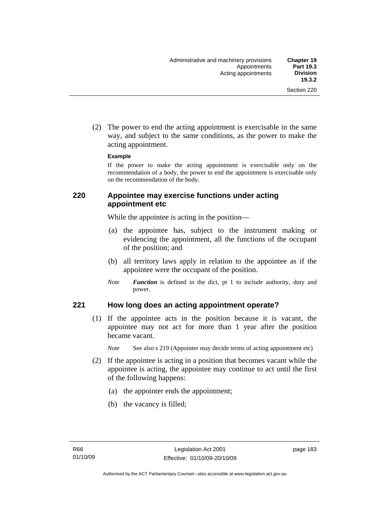(2) The power to end the acting appointment is exercisable in the same way, and subject to the same conditions, as the power to make the acting appointment.

#### **Example**

If the power to make the acting appointment is exercisable only on the recommendation of a body, the power to end the appointment is exercisable only on the recommendation of the body.

## **220 Appointee may exercise functions under acting appointment etc**

While the appointee is acting in the position—

- (a) the appointee has, subject to the instrument making or evidencing the appointment, all the functions of the occupant of the position; and
- (b) all territory laws apply in relation to the appointee as if the appointee were the occupant of the position.
- *Note Function* is defined in the dict, pt 1 to include authority, duty and power.

### **221 How long does an acting appointment operate?**

 (1) If the appointee acts in the position because it is vacant, the appointee may not act for more than 1 year after the position became vacant.

*Note* See also s 219 (Appointer may decide terms of acting appointment etc)

- (2) If the appointee is acting in a position that becomes vacant while the appointee is acting, the appointee may continue to act until the first of the following happens:
	- (a) the appointer ends the appointment;
	- (b) the vacancy is filled;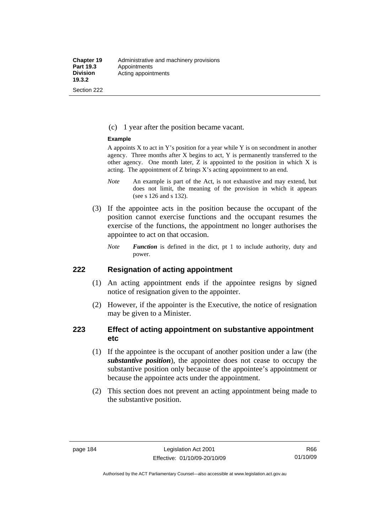#### (c) 1 year after the position became vacant.

#### **Example**

A appoints  $X$  to act in Y's position for a year while Y is on secondment in another agency. Three months after X begins to act, Y is permanently transferred to the other agency. One month later, Z is appointed to the position in which X is acting. The appointment of Z brings X's acting appointment to an end.

- *Note* An example is part of the Act, is not exhaustive and may extend, but does not limit, the meaning of the provision in which it appears (see s 126 and s 132).
- (3) If the appointee acts in the position because the occupant of the position cannot exercise functions and the occupant resumes the exercise of the functions, the appointment no longer authorises the appointee to act on that occasion.
	- *Note Function* is defined in the dict, pt 1 to include authority, duty and power.

#### **222 Resignation of acting appointment**

- (1) An acting appointment ends if the appointee resigns by signed notice of resignation given to the appointer.
- (2) However, if the appointer is the Executive, the notice of resignation may be given to a Minister.

## **223 Effect of acting appointment on substantive appointment etc**

- (1) If the appointee is the occupant of another position under a law (the *substantive position*), the appointee does not cease to occupy the substantive position only because of the appointee's appointment or because the appointee acts under the appointment.
- (2) This section does not prevent an acting appointment being made to the substantive position.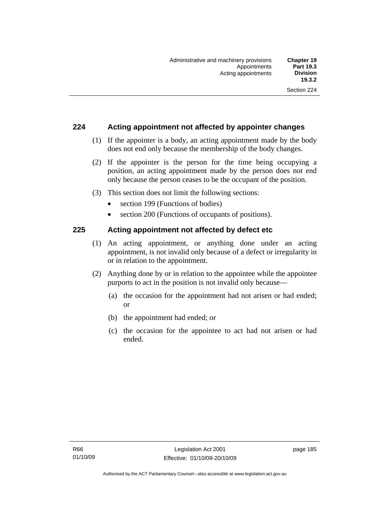## **224 Acting appointment not affected by appointer changes**

- (1) If the appointer is a body, an acting appointment made by the body does not end only because the membership of the body changes.
- (2) If the appointer is the person for the time being occupying a position, an acting appointment made by the person does not end only because the person ceases to be the occupant of the position.
- (3) This section does not limit the following sections:
	- section 199 (Functions of bodies)
	- section 200 (Functions of occupants of positions).

### **225 Acting appointment not affected by defect etc**

- (1) An acting appointment, or anything done under an acting appointment, is not invalid only because of a defect or irregularity in or in relation to the appointment.
- (2) Anything done by or in relation to the appointee while the appointee purports to act in the position is not invalid only because—
	- (a) the occasion for the appointment had not arisen or had ended; or
	- (b) the appointment had ended; or
	- (c) the occasion for the appointee to act had not arisen or had ended.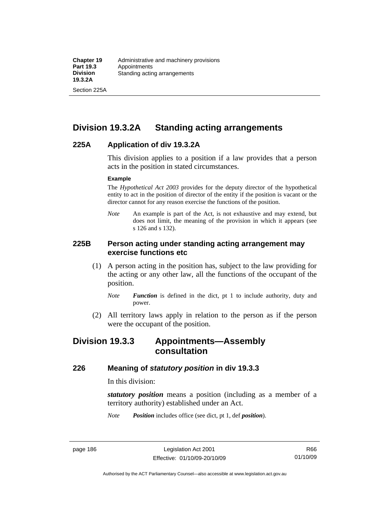Section 225A

# **Division 19.3.2A Standing acting arrangements**

### **225A Application of div 19.3.2A**

This division applies to a position if a law provides that a person acts in the position in stated circumstances.

#### **Example**

The *Hypothetical Act 2003* provides for the deputy director of the hypothetical entity to act in the position of director of the entity if the position is vacant or the director cannot for any reason exercise the functions of the position.

*Note* An example is part of the Act, is not exhaustive and may extend, but does not limit, the meaning of the provision in which it appears (see s 126 and s 132).

### **225B Person acting under standing acting arrangement may exercise functions etc**

- (1) A person acting in the position has, subject to the law providing for the acting or any other law, all the functions of the occupant of the position.
	- *Note Function* is defined in the dict, pt 1 to include authority, duty and power.
- (2) All territory laws apply in relation to the person as if the person were the occupant of the position.

# **Division 19.3.3 Appointments—Assembly consultation**

### **226 Meaning of** *statutory position* **in div 19.3.3**

In this division:

*statutory position* means a position (including as a member of a territory authority) established under an Act.

*Note Position* includes office (see dict, pt 1, def *position*).

R66 01/10/09

Authorised by the ACT Parliamentary Counsel—also accessible at www.legislation.act.gov.au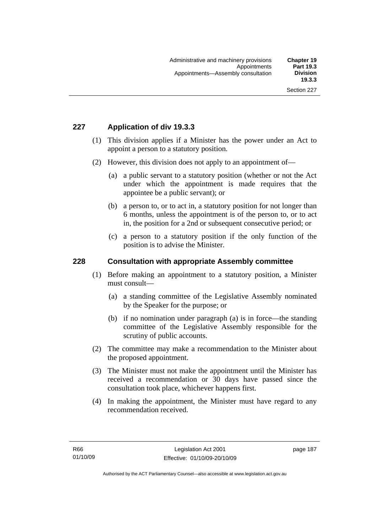# **227 Application of div 19.3.3**

- (1) This division applies if a Minister has the power under an Act to appoint a person to a statutory position.
- (2) However, this division does not apply to an appointment of—
	- (a) a public servant to a statutory position (whether or not the Act under which the appointment is made requires that the appointee be a public servant); or
	- (b) a person to, or to act in, a statutory position for not longer than 6 months, unless the appointment is of the person to, or to act in, the position for a 2nd or subsequent consecutive period; or
	- (c) a person to a statutory position if the only function of the position is to advise the Minister.

### **228 Consultation with appropriate Assembly committee**

- (1) Before making an appointment to a statutory position, a Minister must consult—
	- (a) a standing committee of the Legislative Assembly nominated by the Speaker for the purpose; or
	- (b) if no nomination under paragraph (a) is in force—the standing committee of the Legislative Assembly responsible for the scrutiny of public accounts.
- (2) The committee may make a recommendation to the Minister about the proposed appointment.
- (3) The Minister must not make the appointment until the Minister has received a recommendation or 30 days have passed since the consultation took place, whichever happens first.
- (4) In making the appointment, the Minister must have regard to any recommendation received.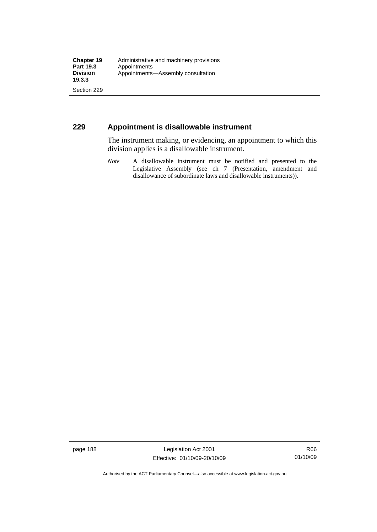## **229 Appointment is disallowable instrument**

The instrument making, or evidencing, an appointment to which this division applies is a disallowable instrument.

*Note* A disallowable instrument must be notified and presented to the Legislative Assembly (see ch 7 (Presentation, amendment and disallowance of subordinate laws and disallowable instruments)).

page 188 Legislation Act 2001 Effective: 01/10/09-20/10/09

Authorised by the ACT Parliamentary Counsel—also accessible at www.legislation.act.gov.au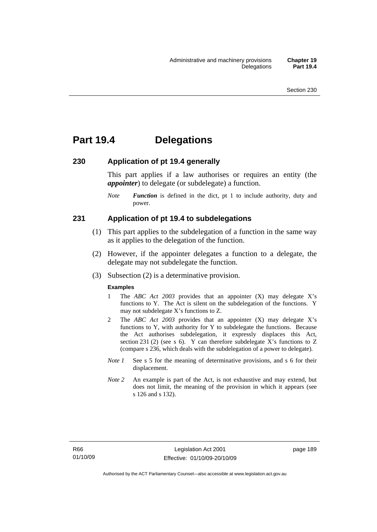# **Part 19.4 Delegations**

#### **230 Application of pt 19.4 generally**

This part applies if a law authorises or requires an entity (the *appointer*) to delegate (or subdelegate) a function.

*Note Function* is defined in the dict, pt 1 to include authority, duty and power.

#### **231 Application of pt 19.4 to subdelegations**

- (1) This part applies to the subdelegation of a function in the same way as it applies to the delegation of the function.
- (2) However, if the appointer delegates a function to a delegate, the delegate may not subdelegate the function.
- (3) Subsection (2) is a determinative provision.

#### **Examples**

- 1 The *ABC Act 2003* provides that an appointer (X) may delegate X's functions to Y. The Act is silent on the subdelegation of the functions. Y may not subdelegate X's functions to Z.
- 2 The *ABC Act 2003* provides that an appointer (X) may delegate X's functions to Y, with authority for Y to subdelegate the functions. Because the Act authorises subdelegation, it expressly displaces this Act, section 231 (2) (see s 6). Y can therefore subdelegate X's functions to  $Z$ (compare s 236, which deals with the subdelegation of a power to delegate)*.*
- *Note 1* See s 5 for the meaning of determinative provisions, and s 6 for their displacement.
- *Note* 2 An example is part of the Act, is not exhaustive and may extend, but does not limit, the meaning of the provision in which it appears (see s 126 and s 132).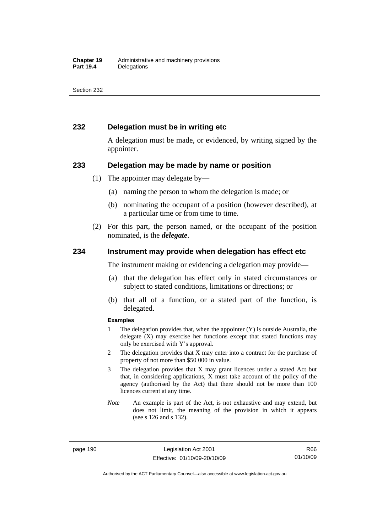## **232 Delegation must be in writing etc**

A delegation must be made, or evidenced, by writing signed by the appointer.

#### **233 Delegation may be made by name or position**

- (1) The appointer may delegate by—
	- (a) naming the person to whom the delegation is made; or
	- (b) nominating the occupant of a position (however described), at a particular time or from time to time.
- (2) For this part, the person named, or the occupant of the position nominated, is the *delegate*.

#### **234 Instrument may provide when delegation has effect etc**

The instrument making or evidencing a delegation may provide—

- (a) that the delegation has effect only in stated circumstances or subject to stated conditions, limitations or directions; or
- (b) that all of a function, or a stated part of the function, is delegated.

#### **Examples**

- 1 The delegation provides that, when the appointer (Y) is outside Australia, the delegate (X) may exercise her functions except that stated functions may only be exercised with Y's approval.
- 2 The delegation provides that X may enter into a contract for the purchase of property of not more than \$50 000 in value.
- 3 The delegation provides that X may grant licences under a stated Act but that, in considering applications, X must take account of the policy of the agency (authorised by the Act) that there should not be more than 100 licences current at any time.
- *Note* An example is part of the Act, is not exhaustive and may extend, but does not limit, the meaning of the provision in which it appears (see s 126 and s 132).

page 190 Legislation Act 2001 Effective: 01/10/09-20/10/09

R66 01/10/09

Authorised by the ACT Parliamentary Counsel—also accessible at www.legislation.act.gov.au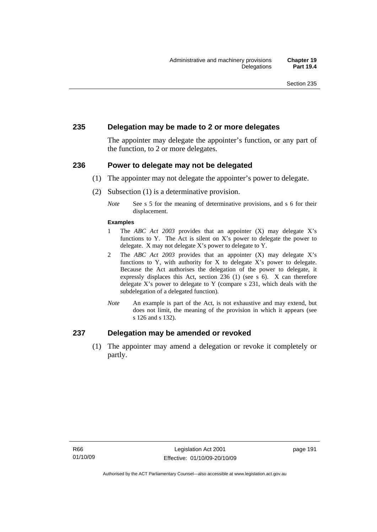### **235 Delegation may be made to 2 or more delegates**

The appointer may delegate the appointer's function, or any part of the function, to 2 or more delegates.

#### **236 Power to delegate may not be delegated**

- (1) The appointer may not delegate the appointer's power to delegate.
- (2) Subsection (1) is a determinative provision.
	- *Note* See s 5 for the meaning of determinative provisions, and s 6 for their displacement.

#### **Examples**

- 1 The *ABC Act 2003* provides that an appointer (X) may delegate X's functions to Y. The Act is silent on X's power to delegate the power to delegate. X may not delegate X's power to delegate to Y.
- 2 The *ABC Act 2003* provides that an appointer (X) may delegate X's functions to Y, with authority for X to delegate  $X$ 's power to delegate. Because the Act authorises the delegation of the power to delegate, it expressly displaces this Act, section 236 (1) (see s 6). X can therefore delegate X's power to delegate to Y (compare s 231, which deals with the subdelegation of a delegated function)*.*
- *Note* An example is part of the Act, is not exhaustive and may extend, but does not limit, the meaning of the provision in which it appears (see s 126 and s 132).

### **237 Delegation may be amended or revoked**

 (1) The appointer may amend a delegation or revoke it completely or partly.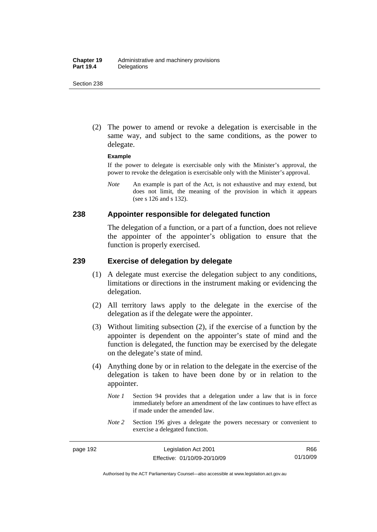(2) The power to amend or revoke a delegation is exercisable in the same way, and subject to the same conditions, as the power to delegate.

#### **Example**

If the power to delegate is exercisable only with the Minister's approval, the power to revoke the delegation is exercisable only with the Minister's approval.

*Note* An example is part of the Act, is not exhaustive and may extend, but does not limit, the meaning of the provision in which it appears (see s 126 and s 132).

#### **238 Appointer responsible for delegated function**

The delegation of a function, or a part of a function, does not relieve the appointer of the appointer's obligation to ensure that the function is properly exercised.

## **239 Exercise of delegation by delegate**

- (1) A delegate must exercise the delegation subject to any conditions, limitations or directions in the instrument making or evidencing the delegation.
- (2) All territory laws apply to the delegate in the exercise of the delegation as if the delegate were the appointer.
- (3) Without limiting subsection (2), if the exercise of a function by the appointer is dependent on the appointer's state of mind and the function is delegated, the function may be exercised by the delegate on the delegate's state of mind.
- (4) Anything done by or in relation to the delegate in the exercise of the delegation is taken to have been done by or in relation to the appointer.
	- *Note 1* Section 94 provides that a delegation under a law that is in force immediately before an amendment of the law continues to have effect as if made under the amended law.
	- *Note* 2 Section 196 gives a delegate the powers necessary or convenient to exercise a delegated function.

Authorised by the ACT Parliamentary Counsel—also accessible at www.legislation.act.gov.au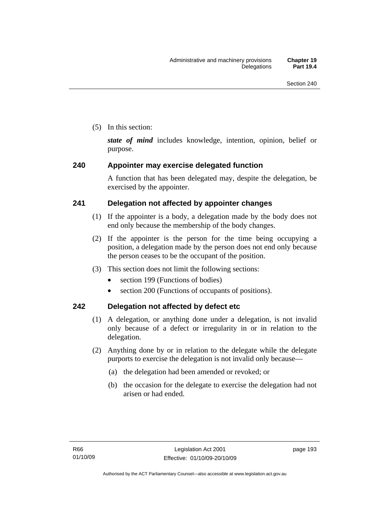(5) In this section:

*state of mind* includes knowledge, intention, opinion, belief or purpose.

# **240 Appointer may exercise delegated function**

A function that has been delegated may, despite the delegation, be exercised by the appointer.

# **241 Delegation not affected by appointer changes**

- (1) If the appointer is a body, a delegation made by the body does not end only because the membership of the body changes.
- (2) If the appointer is the person for the time being occupying a position, a delegation made by the person does not end only because the person ceases to be the occupant of the position.
- (3) This section does not limit the following sections:
	- section 199 (Functions of bodies)
	- section 200 (Functions of occupants of positions).

# **242 Delegation not affected by defect etc**

- (1) A delegation, or anything done under a delegation, is not invalid only because of a defect or irregularity in or in relation to the delegation.
- (2) Anything done by or in relation to the delegate while the delegate purports to exercise the delegation is not invalid only because—
	- (a) the delegation had been amended or revoked; or
	- (b) the occasion for the delegate to exercise the delegation had not arisen or had ended.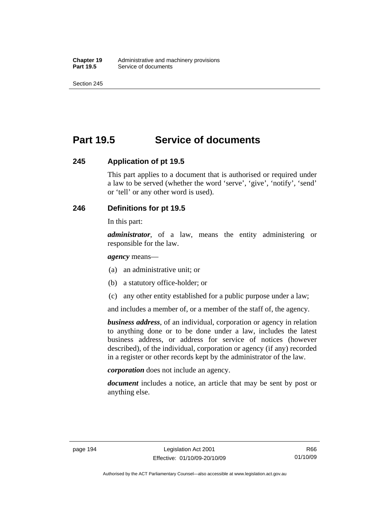# **Part 19.5 Service of documents**

### **245 Application of pt 19.5**

This part applies to a document that is authorised or required under a law to be served (whether the word 'serve', 'give', 'notify', 'send' or 'tell' or any other word is used).

## **246 Definitions for pt 19.5**

In this part:

*administrator*, of a law, means the entity administering or responsible for the law.

*agency* means—

- (a) an administrative unit; or
- (b) a statutory office-holder; or
- (c) any other entity established for a public purpose under a law;

and includes a member of, or a member of the staff of, the agency.

*business address*, of an individual, corporation or agency in relation to anything done or to be done under a law, includes the latest business address, or address for service of notices (however described), of the individual, corporation or agency (if any) recorded in a register or other records kept by the administrator of the law.

*corporation* does not include an agency.

*document* includes a notice, an article that may be sent by post or anything else.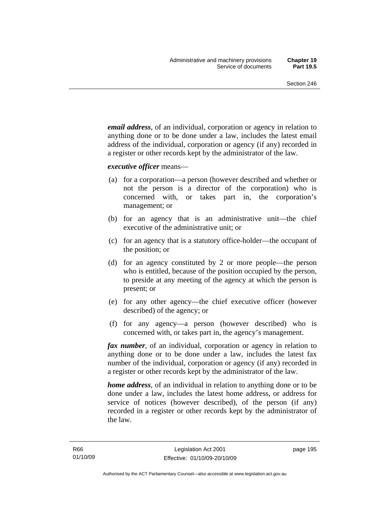*email address*, of an individual, corporation or agency in relation to anything done or to be done under a law, includes the latest email address of the individual, corporation or agency (if any) recorded in a register or other records kept by the administrator of the law.

*executive officer* means—

- (a) for a corporation—a person (however described and whether or not the person is a director of the corporation) who is concerned with, or takes part in, the corporation's management; or
- (b) for an agency that is an administrative unit—the chief executive of the administrative unit; or
- (c) for an agency that is a statutory office-holder—the occupant of the position; or
- (d) for an agency constituted by 2 or more people—the person who is entitled, because of the position occupied by the person, to preside at any meeting of the agency at which the person is present; or
- (e) for any other agency—the chief executive officer (however described) of the agency; or
- (f) for any agency—a person (however described) who is concerned with, or takes part in, the agency's management.

*fax number*, of an individual, corporation or agency in relation to anything done or to be done under a law, includes the latest fax number of the individual, corporation or agency (if any) recorded in a register or other records kept by the administrator of the law.

*home address*, of an individual in relation to anything done or to be done under a law, includes the latest home address, or address for service of notices (however described), of the person (if any) recorded in a register or other records kept by the administrator of the law.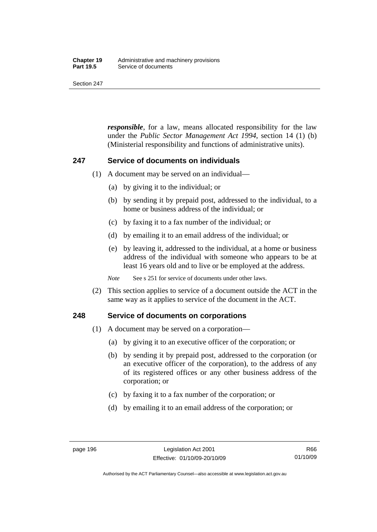#### **Chapter 19** Administrative and machinery provisions<br>**Part 19.5** Service of documents **Service of documents**

Section 247

*responsible*, for a law, means allocated responsibility for the law under the *Public Sector Management Act 1994*, section 14 (1) (b) (Ministerial responsibility and functions of administrative units).

### **247 Service of documents on individuals**

- (1) A document may be served on an individual—
	- (a) by giving it to the individual; or
	- (b) by sending it by prepaid post, addressed to the individual, to a home or business address of the individual; or
	- (c) by faxing it to a fax number of the individual; or
	- (d) by emailing it to an email address of the individual; or
	- (e) by leaving it, addressed to the individual, at a home or business address of the individual with someone who appears to be at least 16 years old and to live or be employed at the address.

*Note* See s 251 for service of documents under other laws.

 (2) This section applies to service of a document outside the ACT in the same way as it applies to service of the document in the ACT.

### **248 Service of documents on corporations**

- (1) A document may be served on a corporation—
	- (a) by giving it to an executive officer of the corporation; or
	- (b) by sending it by prepaid post, addressed to the corporation (or an executive officer of the corporation), to the address of any of its registered offices or any other business address of the corporation; or
	- (c) by faxing it to a fax number of the corporation; or
	- (d) by emailing it to an email address of the corporation; or

Authorised by the ACT Parliamentary Counsel—also accessible at www.legislation.act.gov.au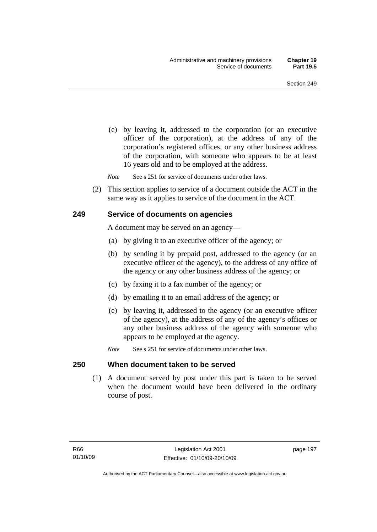(e) by leaving it, addressed to the corporation (or an executive officer of the corporation), at the address of any of the corporation's registered offices, or any other business address of the corporation, with someone who appears to be at least 16 years old and to be employed at the address.

*Note* See s 251 for service of documents under other laws.

 (2) This section applies to service of a document outside the ACT in the same way as it applies to service of the document in the ACT.

#### **249 Service of documents on agencies**

A document may be served on an agency—

- (a) by giving it to an executive officer of the agency; or
- (b) by sending it by prepaid post, addressed to the agency (or an executive officer of the agency), to the address of any office of the agency or any other business address of the agency; or
- (c) by faxing it to a fax number of the agency; or
- (d) by emailing it to an email address of the agency; or
- (e) by leaving it, addressed to the agency (or an executive officer of the agency), at the address of any of the agency's offices or any other business address of the agency with someone who appears to be employed at the agency.
- *Note* See s 251 for service of documents under other laws.

#### **250 When document taken to be served**

 (1) A document served by post under this part is taken to be served when the document would have been delivered in the ordinary course of post.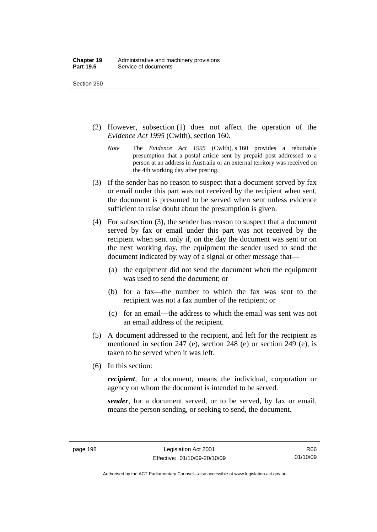- (2) However, subsection (1) does not affect the operation of the *Evidence Act 1995* (Cwlth), section 160.
	- *Note* The *Evidence Act 1995* (Cwlth), s 160 provides a rebuttable presumption that a postal article sent by prepaid post addressed to a person at an address in Australia or an external territory was received on the 4th working day after posting.
- (3) If the sender has no reason to suspect that a document served by fax or email under this part was not received by the recipient when sent, the document is presumed to be served when sent unless evidence sufficient to raise doubt about the presumption is given.
- (4) For subsection (3), the sender has reason to suspect that a document served by fax or email under this part was not received by the recipient when sent only if, on the day the document was sent or on the next working day, the equipment the sender used to send the document indicated by way of a signal or other message that—
	- (a) the equipment did not send the document when the equipment was used to send the document; or
	- (b) for a fax—the number to which the fax was sent to the recipient was not a fax number of the recipient; or
	- (c) for an email—the address to which the email was sent was not an email address of the recipient.
- (5) A document addressed to the recipient, and left for the recipient as mentioned in section 247 (e), section 248 (e) or section 249 (e), is taken to be served when it was left.
- (6) In this section:

*recipient*, for a document, means the individual, corporation or agency on whom the document is intended to be served.

*sender*, for a document served, or to be served, by fax or email, means the person sending, or seeking to send, the document.

R66 01/10/09

Authorised by the ACT Parliamentary Counsel—also accessible at www.legislation.act.gov.au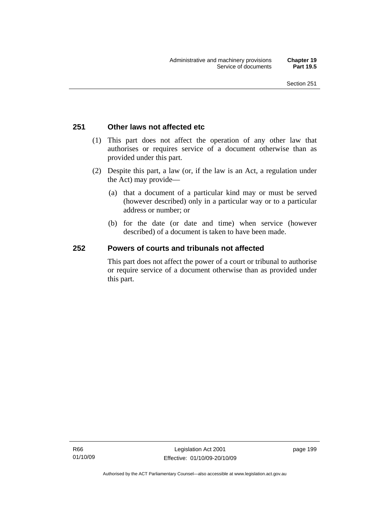## **251 Other laws not affected etc**

- (1) This part does not affect the operation of any other law that authorises or requires service of a document otherwise than as provided under this part.
- (2) Despite this part, a law (or, if the law is an Act, a regulation under the Act) may provide—
	- (a) that a document of a particular kind may or must be served (however described) only in a particular way or to a particular address or number; or
	- (b) for the date (or date and time) when service (however described) of a document is taken to have been made.

## **252 Powers of courts and tribunals not affected**

This part does not affect the power of a court or tribunal to authorise or require service of a document otherwise than as provided under this part.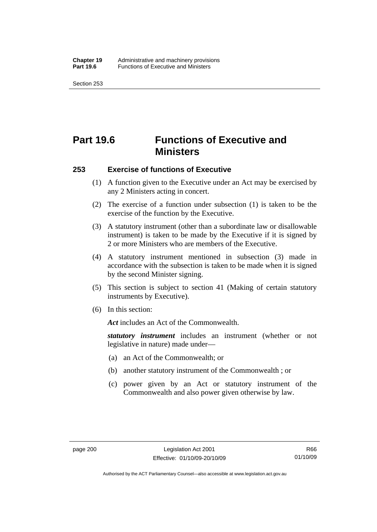# **Part 19.6 Functions of Executive and Ministers**

#### **253 Exercise of functions of Executive**

- (1) A function given to the Executive under an Act may be exercised by any 2 Ministers acting in concert.
- (2) The exercise of a function under subsection (1) is taken to be the exercise of the function by the Executive.
- (3) A statutory instrument (other than a subordinate law or disallowable instrument) is taken to be made by the Executive if it is signed by 2 or more Ministers who are members of the Executive.
- (4) A statutory instrument mentioned in subsection (3) made in accordance with the subsection is taken to be made when it is signed by the second Minister signing.
- (5) This section is subject to section 41 (Making of certain statutory instruments by Executive).
- (6) In this section:

*Act* includes an Act of the Commonwealth.

*statutory instrument* includes an instrument (whether or not legislative in nature) made under—

- (a) an Act of the Commonwealth; or
- (b) another statutory instrument of the Commonwealth ; or
- (c) power given by an Act or statutory instrument of the Commonwealth and also power given otherwise by law.

Authorised by the ACT Parliamentary Counsel—also accessible at www.legislation.act.gov.au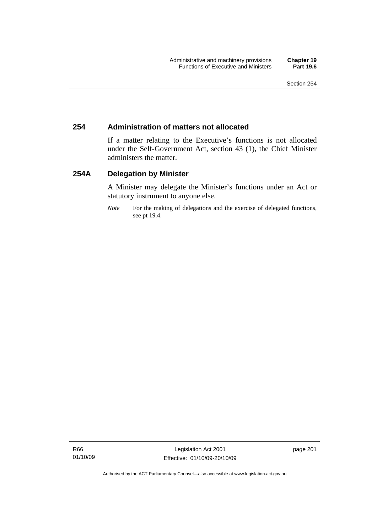## **254 Administration of matters not allocated**

If a matter relating to the Executive's functions is not allocated under the Self-Government Act, section 43 (1), the Chief Minister administers the matter.

## **254A Delegation by Minister**

A Minister may delegate the Minister's functions under an Act or statutory instrument to anyone else.

*Note* For the making of delegations and the exercise of delegated functions, see pt 19.4.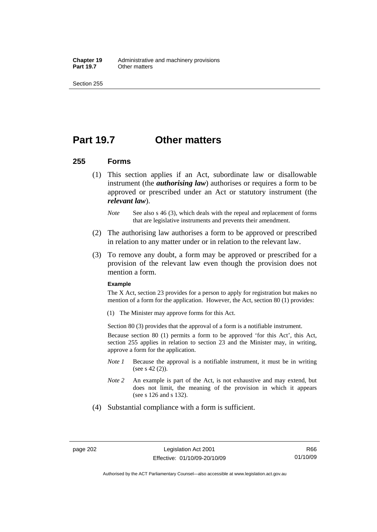**Chapter 19** Administrative and machinery provisions<br>**Part 19.7** Cther matters **Other matters** 

Section 255

## **Part 19.7 Other matters**

### **255 Forms**

- (1) This section applies if an Act, subordinate law or disallowable instrument (the *authorising law*) authorises or requires a form to be approved or prescribed under an Act or statutory instrument (the *relevant law*).
	- *Note* See also s 46 (3), which deals with the repeal and replacement of forms that are legislative instruments and prevents their amendment.
- (2) The authorising law authorises a form to be approved or prescribed in relation to any matter under or in relation to the relevant law.
- (3) To remove any doubt, a form may be approved or prescribed for a provision of the relevant law even though the provision does not mention a form.

#### **Example**

The X Act, section 23 provides for a person to apply for registration but makes no mention of a form for the application. However, the Act, section 80 (1) provides:

(1) The Minister may approve forms for this Act.

Section 80 (3) provides that the approval of a form is a notifiable instrument.

Because section 80 (1) permits a form to be approved 'for this Act', this Act, section 255 applies in relation to section 23 and the Minister may, in writing, approve a form for the application.

- *Note 1* Because the approval is a notifiable instrument, it must be in writing (see s 42 (2)).
- *Note 2* An example is part of the Act, is not exhaustive and may extend, but does not limit, the meaning of the provision in which it appears (see s 126 and s 132).
- (4) Substantial compliance with a form is sufficient.

Authorised by the ACT Parliamentary Counsel—also accessible at www.legislation.act.gov.au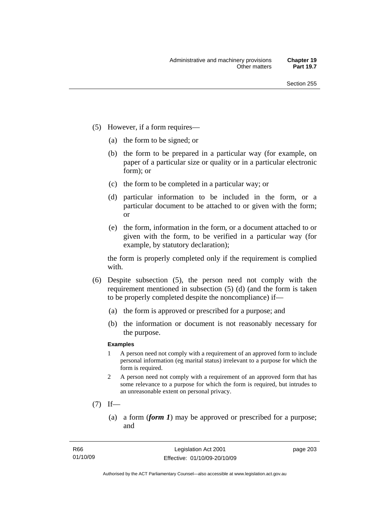- (5) However, if a form requires—
	- (a) the form to be signed; or
	- (b) the form to be prepared in a particular way (for example, on paper of a particular size or quality or in a particular electronic form); or
	- (c) the form to be completed in a particular way; or
	- (d) particular information to be included in the form, or a particular document to be attached to or given with the form; or
	- (e) the form, information in the form, or a document attached to or given with the form, to be verified in a particular way (for example, by statutory declaration);

the form is properly completed only if the requirement is complied with.

- (6) Despite subsection (5), the person need not comply with the requirement mentioned in subsection (5) (d) (and the form is taken to be properly completed despite the noncompliance) if—
	- (a) the form is approved or prescribed for a purpose; and
	- (b) the information or document is not reasonably necessary for the purpose.

### **Examples**

- 1 A person need not comply with a requirement of an approved form to include personal information (eg marital status) irrelevant to a purpose for which the form is required.
- 2 A person need not comply with a requirement of an approved form that has some relevance to a purpose for which the form is required, but intrudes to an unreasonable extent on personal privacy.
- $(7)$  If—
	- (a) a form (*form 1*) may be approved or prescribed for a purpose; and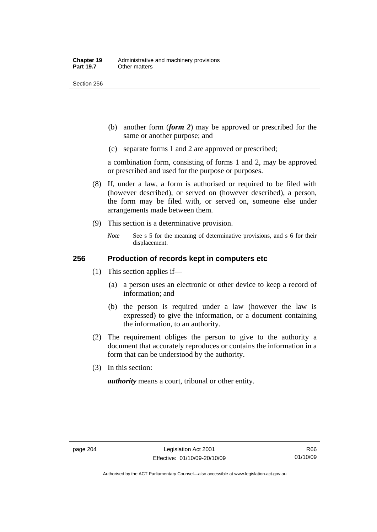Section 256

- (b) another form (*form 2*) may be approved or prescribed for the same or another purpose; and
- (c) separate forms 1 and 2 are approved or prescribed;

a combination form, consisting of forms 1 and 2, may be approved or prescribed and used for the purpose or purposes.

- (8) If, under a law, a form is authorised or required to be filed with (however described), or served on (however described), a person, the form may be filed with, or served on, someone else under arrangements made between them.
- (9) This section is a determinative provision.
	- *Note* See s 5 for the meaning of determinative provisions, and s 6 for their displacement.

## **256 Production of records kept in computers etc**

- (1) This section applies if—
	- (a) a person uses an electronic or other device to keep a record of information; and
	- (b) the person is required under a law (however the law is expressed) to give the information, or a document containing the information, to an authority.
- (2) The requirement obliges the person to give to the authority a document that accurately reproduces or contains the information in a form that can be understood by the authority.
- (3) In this section:

*authority* means a court, tribunal or other entity.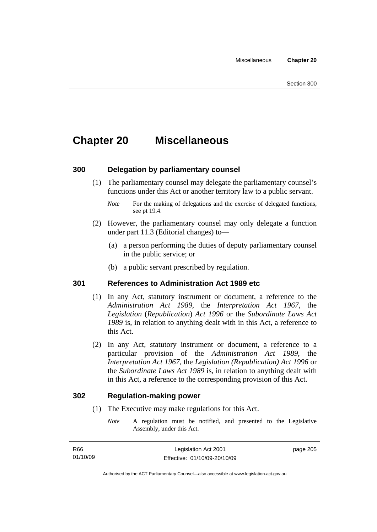# **Chapter 20 Miscellaneous**

## **300 Delegation by parliamentary counsel**

 (1) The parliamentary counsel may delegate the parliamentary counsel's functions under this Act or another territory law to a public servant.

- (2) However, the parliamentary counsel may only delegate a function under part 11.3 (Editorial changes) to—
	- (a) a person performing the duties of deputy parliamentary counsel in the public service; or
	- (b) a public servant prescribed by regulation.

## **301 References to Administration Act 1989 etc**

- (1) In any Act, statutory instrument or document, a reference to the *Administration Act 1989*, the *Interpretation Act 1967*, the *Legislation* (*Republication*) *Act 1996* or the *Subordinate Laws Act 1989* is, in relation to anything dealt with in this Act, a reference to this Act.
- (2) In any Act, statutory instrument or document, a reference to a particular provision of the *Administration Act 1989*, the *Interpretation Act 1967*, the *Legislation (Republication) Act 1996* or the *Subordinate Laws Act 1989* is, in relation to anything dealt with in this Act, a reference to the corresponding provision of this Act.

### **302 Regulation-making power**

- (1) The Executive may make regulations for this Act.
	- *Note* A regulation must be notified, and presented to the Legislative Assembly, under this Act.

*Note* For the making of delegations and the exercise of delegated functions, see pt 19.4.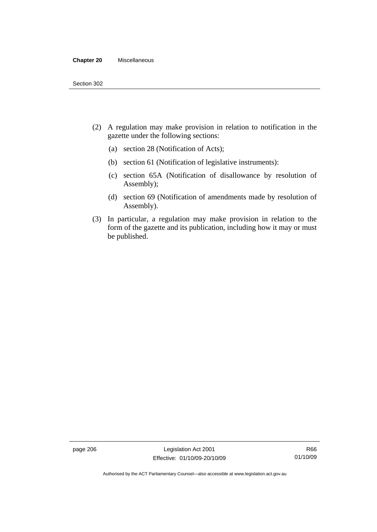#### **Chapter 20** Miscellaneous

- (2) A regulation may make provision in relation to notification in the gazette under the following sections:
	- (a) section 28 (Notification of Acts);
	- (b) section 61 (Notification of legislative instruments):
	- (c) section 65A (Notification of disallowance by resolution of Assembly);
	- (d) section 69 (Notification of amendments made by resolution of Assembly).
- (3) In particular, a regulation may make provision in relation to the form of the gazette and its publication, including how it may or must be published.

page 206 Legislation Act 2001 Effective: 01/10/09-20/10/09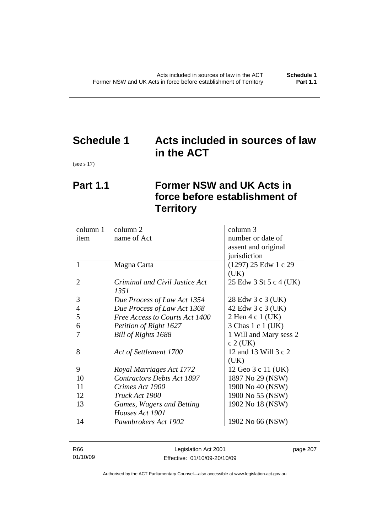# **Schedule 1 Acts included in sources of law in the ACT**

(see s 17)

# **Part 1.1 Former NSW and UK Acts in force before establishment of Territory**

| column 1       | column 2                          | column 3               |
|----------------|-----------------------------------|------------------------|
| item           | name of Act                       | number or date of      |
|                |                                   | assent and original    |
|                |                                   | jurisdiction           |
| 1              | Magna Carta                       | (1297) 25 Edw 1 c 29   |
|                |                                   | (UK)                   |
| $\overline{2}$ | Criminal and Civil Justice Act    | 25 Edw 3 St 5 c 4 (UK) |
|                | 1351                              |                        |
| 3              | Due Process of Law Act 1354       | 28 Edw 3 c 3 (UK)      |
| $\overline{4}$ | Due Process of Law Act 1368       | 42 Edw 3 c 3 (UK)      |
| 5              | Free Access to Courts Act 1400    | 2 Hen 4 c 1 (UK)       |
| 6              | Petition of Right 1627            | 3 Chas 1 c 1 (UK)      |
|                | Bill of Rights 1688               | 1 Will and Mary sess 2 |
|                |                                   | $c$ 2 (UK)             |
| 8              | Act of Settlement 1700            | 12 and 13 Will 3 c 2   |
|                |                                   | (UK)                   |
| 9              | Royal Marriages Act 1772          | 12 Geo 3 c 11 (UK)     |
| 10             | <b>Contractors Debts Act 1897</b> | 1897 No 29 (NSW)       |
| 11             | Crimes Act 1900                   | 1900 No 40 (NSW)       |
| 12             | Truck Act 1900                    | 1900 No 55 (NSW)       |
| 13             | Games, Wagers and Betting         | 1902 No 18 (NSW)       |
|                | Houses Act 1901                   |                        |
| 14             | Pawnbrokers Act 1902              | 1902 No 66 (NSW)       |

| R66      | Legislation Act 2001         | page 207 |
|----------|------------------------------|----------|
| 01/10/09 | Effective: 01/10/09-20/10/09 |          |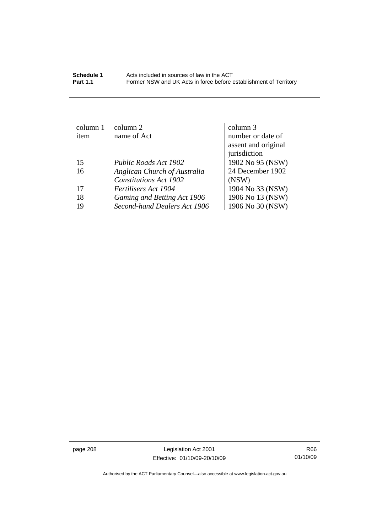| column 1 | column 2                      | column 3            |
|----------|-------------------------------|---------------------|
| item     | name of Act                   | number or date of   |
|          |                               | assent and original |
|          |                               | jurisdiction        |
| 15       | Public Roads Act 1902         | 1902 No 95 (NSW)    |
| 16       | Anglican Church of Australia  | 24 December 1902    |
|          | <b>Constitutions Act 1902</b> | (NSW)               |
| 17       | Fertilisers Act 1904          | 1904 No 33 (NSW)    |
| 18       | Gaming and Betting Act 1906   | 1906 No 13 (NSW)    |
| 19       | Second-hand Dealers Act 1906  | 1906 No 30 (NSW)    |

page 208 Legislation Act 2001 Effective: 01/10/09-20/10/09

R66 01/10/09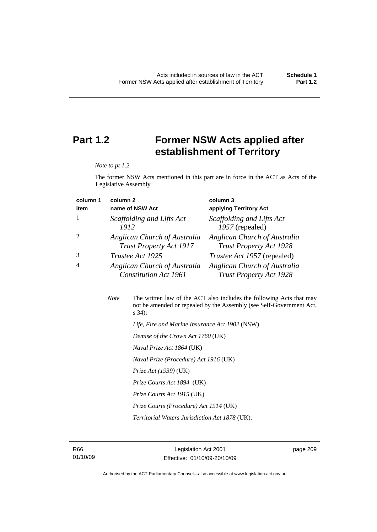# **Part 1.2 Former NSW Acts applied after establishment of Territory**

*Note to pt 1.2* 

The former NSW Acts mentioned in this part are in force in the ACT as Acts of the Legislative Assembly

| column 1 | column <sub>2</sub>                                            | column 3                                                       |
|----------|----------------------------------------------------------------|----------------------------------------------------------------|
| item     | name of NSW Act                                                | applying Territory Act                                         |
|          | Scaffolding and Lifts Act                                      | Scaffolding and Lifts Act                                      |
|          | 1912                                                           | 1957 (repealed)                                                |
|          | Anglican Church of Australia<br><b>Trust Property Act 1917</b> | Anglican Church of Australia<br><b>Trust Property Act 1928</b> |
|          | Trustee Act 1925                                               | <i>Trustee Act 1957</i> (repealed)                             |
| 4        | Anglican Church of Australia<br><b>Constitution Act 1961</b>   | Anglican Church of Australia<br><b>Trust Property Act 1928</b> |

| <b>Note</b> | The written law of the ACT also includes the following Acts that may<br>not be amended or repealed by the Assembly (see Self-Government Act,<br>$s\,34$ : |
|-------------|-----------------------------------------------------------------------------------------------------------------------------------------------------------|
|             | Life, Fire and Marine Insurance Act 1902 (NSW)                                                                                                            |
|             | Demise of the Crown Act 1760 (UK)                                                                                                                         |
|             | Naval Prize Act 1864 (UK)                                                                                                                                 |
|             | <i>Naval Prize (Procedure) Act 1916 (UK)</i>                                                                                                              |
|             | <i>Prize Act (1939)</i> (UK)                                                                                                                              |

 *Prize Courts Act 1894* (UK)

- *Prize Courts Act 1915* (UK)
- *Prize Courts (Procedure) Act 1914* (UK)

 *Territorial Waters Jurisdiction Act 1878* (UK).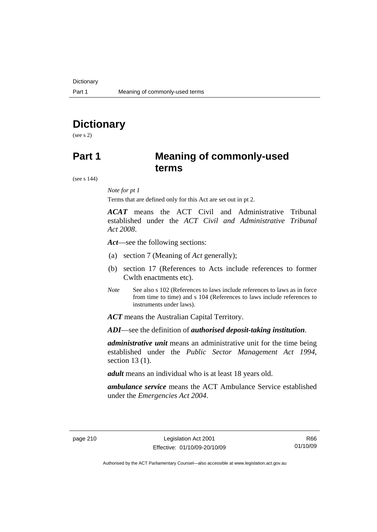# **Dictionary**

(see s 2)

## **Part 1 Meaning of commonly-used terms**

(see s 144)

#### *Note for pt 1*

Terms that are defined only for this Act are set out in pt 2.

*ACAT* means the ACT Civil and Administrative Tribunal established under the *ACT Civil and Administrative Tribunal Act 2008*.

*Act*—see the following sections:

- (a) section 7 (Meaning of *Act* generally);
- (b) section 17 (References to Acts include references to former Cwlth enactments etc).
- *Note* See also s 102 (References to laws include references to laws as in force from time to time) and s 104 (References to laws include references to instruments under laws).

*ACT* means the Australian Capital Territory.

*ADI*—see the definition of *authorised deposit-taking institution*.

*administrative unit* means an administrative unit for the time being established under the *Public Sector Management Act 1994*, section 13 (1).

*adult* means an individual who is at least 18 years old.

*ambulance service* means the ACT Ambulance Service established under the *Emergencies Act 2004*.

R66 01/10/09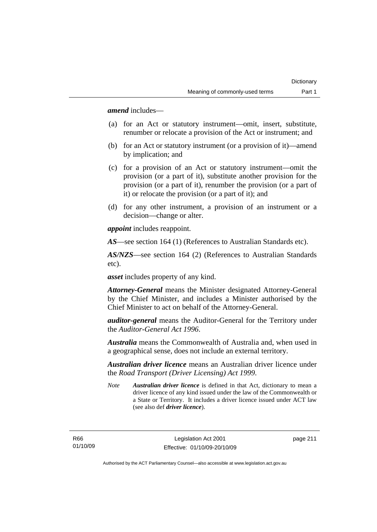*amend* includes—

- (a) for an Act or statutory instrument—omit, insert, substitute, renumber or relocate a provision of the Act or instrument; and
- (b) for an Act or statutory instrument (or a provision of it)—amend by implication; and
- (c) for a provision of an Act or statutory instrument—omit the provision (or a part of it), substitute another provision for the provision (or a part of it), renumber the provision (or a part of it) or relocate the provision (or a part of it); and
- (d) for any other instrument, a provision of an instrument or a decision—change or alter.

*appoint* includes reappoint.

*AS*—see section 164 (1) (References to Australian Standards etc).

*AS/NZS*—see section 164 (2) (References to Australian Standards etc).

*asset* includes property of any kind.

*Attorney-General* means the Minister designated Attorney-General by the Chief Minister, and includes a Minister authorised by the Chief Minister to act on behalf of the Attorney-General.

*auditor-general* means the Auditor-General for the Territory under the *Auditor-General Act 1996*.

*Australia* means the Commonwealth of Australia and, when used in a geographical sense, does not include an external territory.

*Australian driver licence* means an Australian driver licence under the *Road Transport (Driver Licensing) Act 1999*.

*Note Australian driver licence* is defined in that Act, dictionary to mean a driver licence of any kind issued under the law of the Commonwealth or a State or Territory. It includes a driver licence issued under ACT law (see also def *driver licence*).

R66 01/10/09 page 211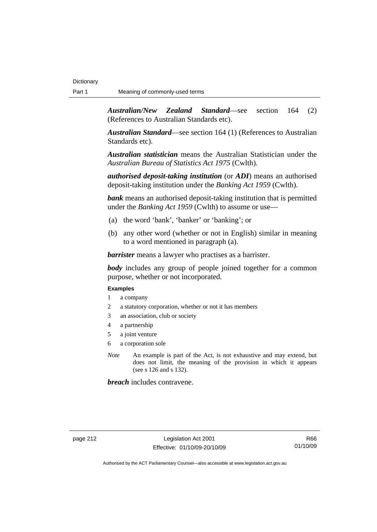*Australian/New Zealand Standard*—see section 164 (2) (References to Australian Standards etc).

*Australian Standard*—see section 164 (1) (References to Australian Standards etc).

*Australian statistician* means the Australian Statistician under the *Australian Bureau of Statistics Act 1975* (Cwlth).

*authorised deposit-taking institution* (or *ADI*) means an authorised deposit-taking institution under the *Banking Act 1959* (Cwlth).

*bank* means an authorised deposit-taking institution that is permitted under the *Banking Act 1959* (Cwlth) to assume or use—

- (a) the word 'bank', 'banker' or 'banking'; or
- (b) any other word (whether or not in English) similar in meaning to a word mentioned in paragraph (a).

*barrister* means a lawyer who practises as a barrister.

*body* includes any group of people joined together for a common purpose, whether or not incorporated.

#### **Examples**

- 1 a company
- 2 a statutory corporation, whether or not it has members
- 3 an association, club or society
- 4 a partnership
- 5 a joint venture
- 6 a corporation sole
- *Note* An example is part of the Act, is not exhaustive and may extend, but does not limit, the meaning of the provision in which it appears (see s 126 and s 132).

*breach* includes contravene.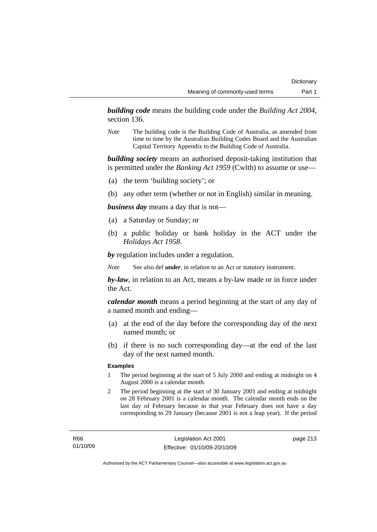*building code* means the building code under the *Building Act 2004*, section 136.

*Note* The building code is the Building Code of Australia, as amended from time to time by the Australian Building Codes Board and the Australian Capital Territory Appendix to the Building Code of Australia.

*building society* means an authorised deposit-taking institution that is permitted under the *Banking Act 1959* (Cwlth) to assume or use—

- (a) the term 'building society'; or
- (b) any other term (whether or not in English) similar in meaning.

*business day* means a day that is not—

- (a) a Saturday or Sunday; or
- (b) a public holiday or bank holiday in the ACT under the *Holidays Act 1958*.

*by* regulation includes under a regulation.

*Note* See also def *under*, in relation to an Act or statutory instrument.

*by-law*, in relation to an Act, means a by-law made or in force under the Act.

*calendar month* means a period beginning at the start of any day of a named month and ending—

- (a) at the end of the day before the corresponding day of the next named month; or
- (b) if there is no such corresponding day—at the end of the last day of the next named month.

#### **Examples**

- 1 The period beginning at the start of 5 July 2000 and ending at midnight on 4 August 2000 is a calendar month.
- 2 The period beginning at the start of 30 January 2001 and ending at midnight on 28 February 2001 is a calendar month. The calendar month ends on the last day of February because in that year February does not have a day corresponding to 29 January (because 2001 is not a leap year). If the period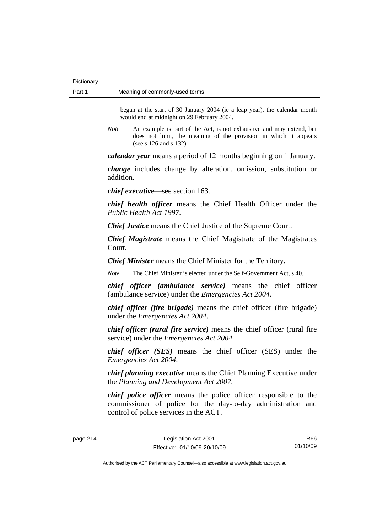began at the start of 30 January 2004 (ie a leap year), the calendar month would end at midnight on 29 February 2004.

*Note* An example is part of the Act, is not exhaustive and may extend, but does not limit, the meaning of the provision in which it appears (see s 126 and s 132).

*calendar year* means a period of 12 months beginning on 1 January.

*change* includes change by alteration, omission, substitution or addition.

*chief executive*—see section 163.

*chief health officer* means the Chief Health Officer under the *Public Health Act 1997*.

*Chief Justice* means the Chief Justice of the Supreme Court.

*Chief Magistrate* means the Chief Magistrate of the Magistrates Court.

*Chief Minister* means the Chief Minister for the Territory.

*Note* The Chief Minister is elected under the Self-Government Act, s 40.

*chief officer (ambulance service)* means the chief officer (ambulance service) under the *Emergencies Act 2004*.

*chief officer (fire brigade)* means the chief officer (fire brigade) under the *Emergencies Act 2004*.

*chief officer (rural fire service)* means the chief officer (rural fire service) under the *Emergencies Act 2004*.

*chief officer (SES)* means the chief officer (SES) under the *Emergencies Act 2004*.

*chief planning executive* means the Chief Planning Executive under the *Planning and Development Act 2007*.

*chief police officer* means the police officer responsible to the commissioner of police for the day-to-day administration and control of police services in the ACT.

R66 01/10/09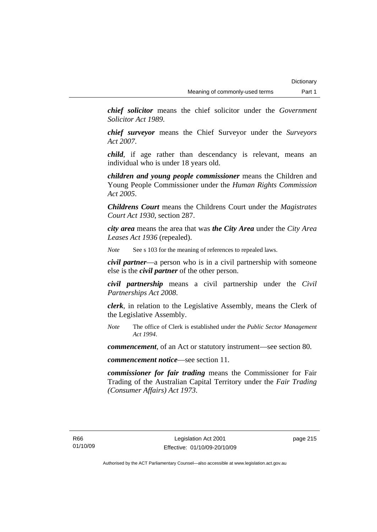*chief solicitor* means the chief solicitor under the *Government Solicitor Act 1989*.

*chief surveyor* means the Chief Surveyor under the *Surveyors Act 2007*.

*child*, if age rather than descendancy is relevant, means an individual who is under 18 years old.

*children and young people commissioner* means the Children and Young People Commissioner under the *Human Rights Commission Act 2005*.

*Childrens Court* means the Childrens Court under the *Magistrates Court Act 1930*, section 287.

*city area* means the area that was *the City Area* under the *City Area Leases Act 1936* (repealed).

*Note* See s 103 for the meaning of references to repealed laws.

*civil partner*—a person who is in a civil partnership with someone else is the *civil partner* of the other person.

*civil partnership* means a civil partnership under the *Civil Partnerships Act 2008*.

*clerk*, in relation to the Legislative Assembly, means the Clerk of the Legislative Assembly.

*Note* The office of Clerk is established under the *Public Sector Management Act 1994*.

*commencement*, of an Act or statutory instrument—see section 80.

*commencement notice*—see section 11.

*commissioner for fair trading* means the Commissioner for Fair Trading of the Australian Capital Territory under the *Fair Trading (Consumer Affairs) Act 1973*.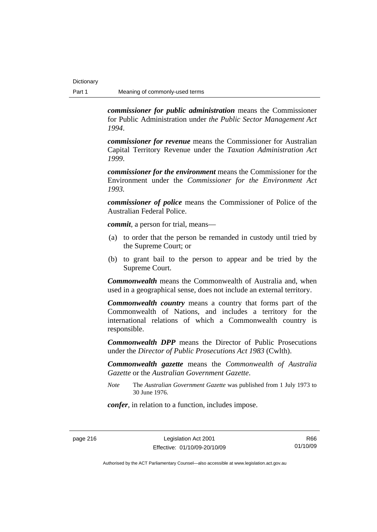*commissioner for public administration* means the Commissioner for Public Administration under *the Public Sector Management Act 1994*.

*commissioner for revenue* means the Commissioner for Australian Capital Territory Revenue under the *Taxation Administration Act 1999*.

*commissioner for the environment* means the Commissioner for the Environment under the *Commissioner for the Environment Act 1993.* 

*commissioner of police* means the Commissioner of Police of the Australian Federal Police.

*commit*, a person for trial, means—

- (a) to order that the person be remanded in custody until tried by the Supreme Court; or
- (b) to grant bail to the person to appear and be tried by the Supreme Court.

*Commonwealth* means the Commonwealth of Australia and, when used in a geographical sense, does not include an external territory.

*Commonwealth country* means a country that forms part of the Commonwealth of Nations, and includes a territory for the international relations of which a Commonwealth country is responsible.

*Commonwealth DPP* means the Director of Public Prosecutions under the *Director of Public Prosecutions Act 1983* (Cwlth).

*Commonwealth gazette* means the *Commonwealth of Australia Gazette* or the *Australian Government Gazette*.

*Note* The *Australian Government Gazette* was published from 1 July 1973 to 30 June 1976.

*confer*, in relation to a function, includes impose.

page 216 Legislation Act 2001 Effective: 01/10/09-20/10/09

R66 01/10/09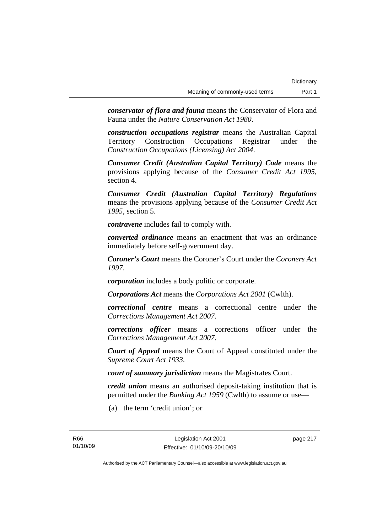*conservator of flora and fauna* means the Conservator of Flora and Fauna under the *Nature Conservation Act 1980*.

*construction occupations registrar* means the Australian Capital Territory Construction Occupations Registrar under the *Construction Occupations (Licensing) Act 2004*.

*Consumer Credit (Australian Capital Territory) Code* means the provisions applying because of the *Consumer Credit Act 1995*, section 4.

*Consumer Credit (Australian Capital Territory) Regulations* means the provisions applying because of the *Consumer Credit Act 1995*, section 5.

*contravene* includes fail to comply with.

*converted ordinance* means an enactment that was an ordinance immediately before self-government day.

*Coroner's Court* means the Coroner's Court under the *Coroners Act 1997*.

*corporation* includes a body politic or corporate.

*Corporations Act* means the *Corporations Act 2001* (Cwlth).

*correctional centre* means a correctional centre under the *Corrections Management Act 2007*.

*corrections officer* means a corrections officer under the *Corrections Management Act 2007*.

*Court of Appeal* means the Court of Appeal constituted under the *Supreme Court Act 1933*.

*court of summary jurisdiction* means the Magistrates Court.

*credit union* means an authorised deposit-taking institution that is permitted under the *Banking Act 1959* (Cwlth) to assume or use—

(a) the term 'credit union'; or

page 217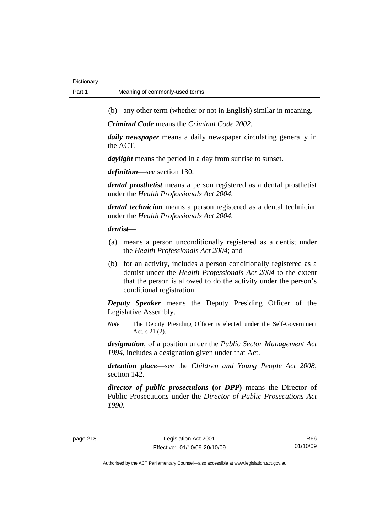(b) any other term (whether or not in English) similar in meaning.

*Criminal Code* means the *Criminal Code 2002*.

*daily newspaper* means a daily newspaper circulating generally in the ACT.

*daylight* means the period in a day from sunrise to sunset.

*definition*—see section 130.

*dental prosthetist* means a person registered as a dental prosthetist under the *Health Professionals Act 2004*.

*dental technician* means a person registered as a dental technician under the *Health Professionals Act 2004*.

#### *dentist***—**

- (a) means a person unconditionally registered as a dentist under the *Health Professionals Act 2004*; and
- (b) for an activity, includes a person conditionally registered as a dentist under the *Health Professionals Act 2004* to the extent that the person is allowed to do the activity under the person's conditional registration.

*Deputy Speaker* means the Deputy Presiding Officer of the Legislative Assembly.

*Note* The Deputy Presiding Officer is elected under the Self-Government Act, s 21 (2).

*designation*, of a position under the *Public Sector Management Act 1994*, includes a designation given under that Act.

*detention place*—see the *Children and Young People Act 2008*, section 142.

*director of public prosecutions* **(**or *DPP***)** means the Director of Public Prosecutions under the *Director of Public Prosecutions Act 1990*.

R66 01/10/09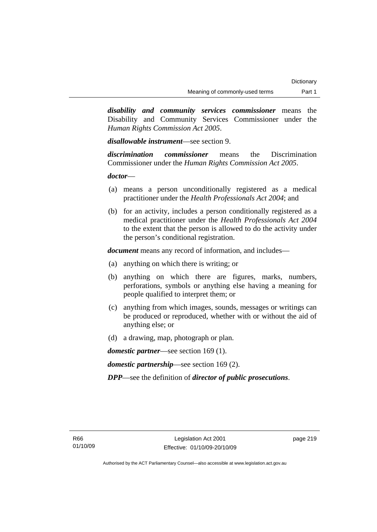*disability and community services commissioner* means the Disability and Community Services Commissioner under the *Human Rights Commission Act 2005*.

*disallowable instrument*—see section 9.

*discrimination commissioner* means the Discrimination Commissioner under the *Human Rights Commission Act 2005*.

### *doctor*—

- (a) means a person unconditionally registered as a medical practitioner under the *Health Professionals Act 2004*; and
- (b) for an activity, includes a person conditionally registered as a medical practitioner under the *Health Professionals Act 2004*  to the extent that the person is allowed to do the activity under the person's conditional registration.

*document* means any record of information, and includes—

- (a) anything on which there is writing; or
- (b) anything on which there are figures, marks, numbers, perforations, symbols or anything else having a meaning for people qualified to interpret them; or
- (c) anything from which images, sounds, messages or writings can be produced or reproduced, whether with or without the aid of anything else; or
- (d) a drawing, map, photograph or plan.

*domestic partner*—see section 169 (1).

*domestic partnership*—see section 169 (2).

*DPP*—see the definition of *director of public prosecutions*.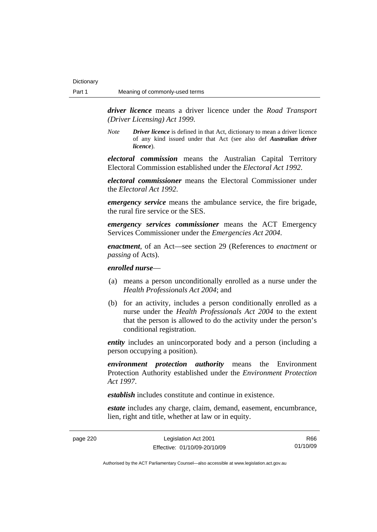*driver licence* means a driver licence under the *Road Transport (Driver Licensing) Act 1999*.

*Note Driver licence* is defined in that Act, dictionary to mean a driver licence of any kind issued under that Act (see also def *Australian driver licence*).

*electoral commission* means the Australian Capital Territory Electoral Commission established under the *Electoral Act 1992*.

*electoral commissioner* means the Electoral Commissioner under the *Electoral Act 1992*.

*emergency service* means the ambulance service, the fire brigade, the rural fire service or the SES.

*emergency services commissioner* means the ACT Emergency Services Commissioner under the *Emergencies Act 2004*.

*enactment*, of an Act—see section 29 (References to *enactment* or *passing* of Acts).

### *enrolled nurse*—

- (a) means a person unconditionally enrolled as a nurse under the *Health Professionals Act 2004*; and
- (b) for an activity, includes a person conditionally enrolled as a nurse under the *Health Professionals Act 2004* to the extent that the person is allowed to do the activity under the person's conditional registration.

*entity* includes an unincorporated body and a person (including a person occupying a position).

*environment protection authority* means the Environment Protection Authority established under the *Environment Protection Act 1997*.

*establish* includes constitute and continue in existence.

*estate* includes any charge, claim, demand, easement, encumbrance, lien, right and title, whether at law or in equity.

page 220 Legislation Act 2001 Effective: 01/10/09-20/10/09

R66 01/10/09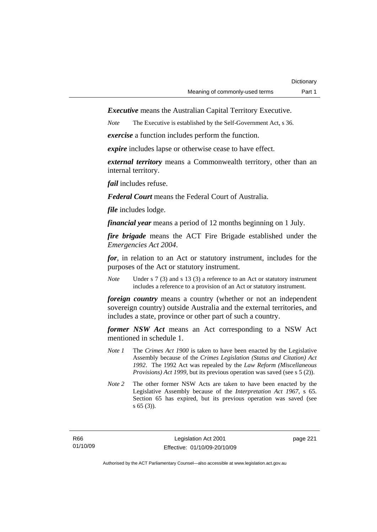*Executive* means the Australian Capital Territory Executive.

*Note* The Executive is established by the Self-Government Act, s 36.

*exercise* a function includes perform the function.

*expire* includes lapse or otherwise cease to have effect.

*external territory* means a Commonwealth territory, other than an internal territory.

*fail* includes refuse.

*Federal Court* means the Federal Court of Australia.

*file* includes lodge.

*financial year* means a period of 12 months beginning on 1 July.

*fire brigade* means the ACT Fire Brigade established under the *Emergencies Act 2004*.

*for*, in relation to an Act or statutory instrument, includes for the purposes of the Act or statutory instrument.

*Note* Under s 7 (3) and s 13 (3) a reference to an Act or statutory instrument includes a reference to a provision of an Act or statutory instrument.

*foreign country* means a country (whether or not an independent sovereign country) outside Australia and the external territories, and includes a state, province or other part of such a country.

*former NSW Act* means an Act corresponding to a NSW Act mentioned in schedule 1.

- *Note 1* The *Crimes Act 1900* is taken to have been enacted by the Legislative Assembly because of the *Crimes Legislation (Status and Citation) Act 1992*. The 1992 Act was repealed by the *Law Reform (Miscellaneous Provisions) Act 1999*, but its previous operation was saved (see s 5 (2)).
- *Note 2* The other former NSW Acts are taken to have been enacted by the Legislative Assembly because of the *Interpretation Act 1967*, s 65. Section 65 has expired, but its previous operation was saved (see s 65 (3)).

page 221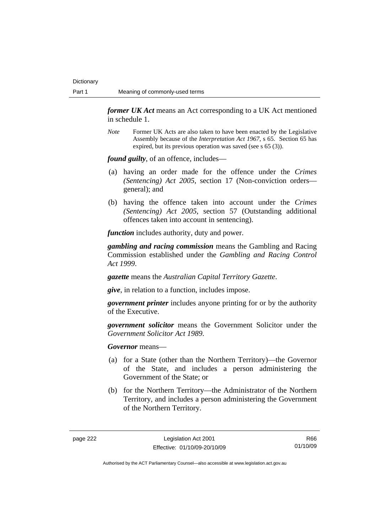*former UK Act* means an Act corresponding to a UK Act mentioned in schedule 1.

*Note* Former UK Acts are also taken to have been enacted by the Legislative Assembly because of the *Interpretation Act 1967*, s 65. Section 65 has expired, but its previous operation was saved (see s 65 (3)).

*found guilty*, of an offence, includes—

- (a) having an order made for the offence under the *Crimes (Sentencing) Act 2005*, section 17 (Non-conviction orders general); and
- (b) having the offence taken into account under the *Crimes (Sentencing) Act 2005*, section 57 (Outstanding additional offences taken into account in sentencing).

*function* includes authority, duty and power.

*gambling and racing commission* means the Gambling and Racing Commission established under the *Gambling and Racing Control Act 1999*.

*gazette* means the *Australian Capital Territory Gazette*.

*give*, in relation to a function, includes impose.

*government printer* includes anyone printing for or by the authority of the Executive.

*government solicitor* means the Government Solicitor under the *Government Solicitor Act 1989*.

*Governor* means—

- (a) for a State (other than the Northern Territory)—the Governor of the State, and includes a person administering the Government of the State; or
- (b) for the Northern Territory—the Administrator of the Northern Territory, and includes a person administering the Government of the Northern Territory.

R66 01/10/09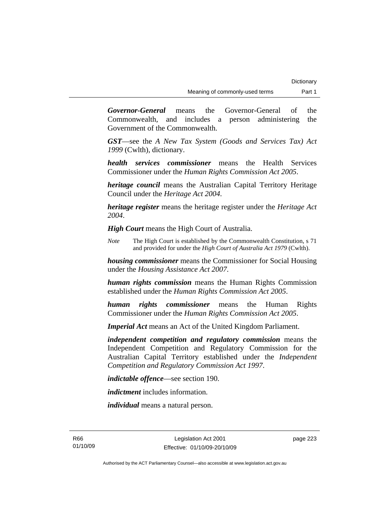*Governor-General* means the Governor-General of the Commonwealth, and includes a person administering the Government of the Commonwealth.

*GST*—see the *A New Tax System (Goods and Services Tax) Act 1999* (Cwlth), dictionary.

*health services commissioner* means the Health Services Commissioner under the *Human Rights Commission Act 2005*.

*heritage council* means the Australian Capital Territory Heritage Council under the *Heritage Act 2004*.

*heritage register* means the heritage register under the *Heritage Act 2004*.

*High Court* means the High Court of Australia.

*Note* The High Court is established by the Commonwealth Constitution, s 71 and provided for under the *High Court of Australia Act 1979* (Cwlth).

*housing commissioner* means the Commissioner for Social Housing under the *Housing Assistance Act 2007*.

*human rights commission* means the Human Rights Commission established under the *Human Rights Commission Act 2005*.

*human rights commissioner* means the Human Rights Commissioner under the *Human Rights Commission Act 2005*.

*Imperial Act* means an Act of the United Kingdom Parliament.

*independent competition and regulatory commission* means the Independent Competition and Regulatory Commission for the Australian Capital Territory established under the *Independent Competition and Regulatory Commission Act 1997*.

*indictable offence*—see section 190.

*indictment* includes information.

*individual* means a natural person.

R66 01/10/09 page 223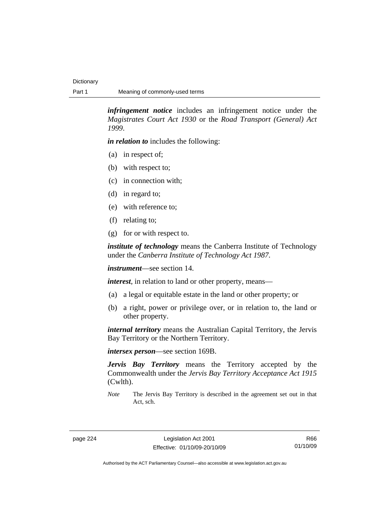*infringement notice* includes an infringement notice under the *Magistrates Court Act 1930* or the *Road Transport (General) Act 1999*.

*in relation to* includes the following:

- (a) in respect of;
- (b) with respect to;
- (c) in connection with;
- (d) in regard to;
- (e) with reference to;
- (f) relating to;
- (g) for or with respect to.

*institute of technology* means the Canberra Institute of Technology under the *Canberra Institute of Technology Act 1987*.

*instrument*—see section 14.

*interest*, in relation to land or other property, means—

- (a) a legal or equitable estate in the land or other property; or
- (b) a right, power or privilege over, or in relation to, the land or other property.

*internal territory* means the Australian Capital Territory, the Jervis Bay Territory or the Northern Territory.

*intersex person*—see section 169B.

*Jervis Bay Territory* means the Territory accepted by the Commonwealth under the *Jervis Bay Territory Acceptance Act 1915* (Cwlth).

*Note* The Jervis Bay Territory is described in the agreement set out in that Act, sch.

R66 01/10/09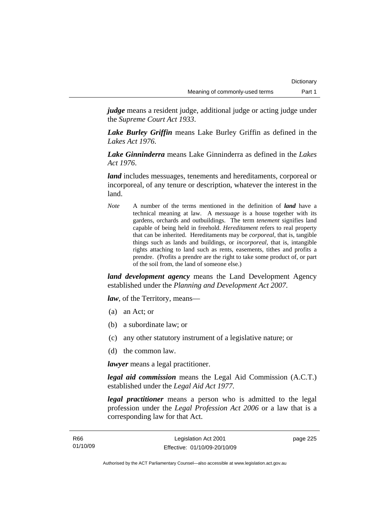*judge* means a resident judge, additional judge or acting judge under the *Supreme Court Act 1933*.

*Lake Burley Griffin* means Lake Burley Griffin as defined in the *Lakes Act 1976*.

*Lake Ginninderra* means Lake Ginninderra as defined in the *Lakes Act 1976*.

*land* includes messuages, tenements and hereditaments, corporeal or incorporeal, of any tenure or description, whatever the interest in the land.

*Note* A number of the terms mentioned in the definition of *land* have a technical meaning at law. A *messuage* is a house together with its gardens, orchards and outbuildings. The term *tenement* signifies land capable of being held in freehold. *Hereditament* refers to real property that can be inherited. Hereditaments may be *corporeal*, that is, tangible things such as lands and buildings, or *incorporeal*, that is, intangible rights attaching to land such as rents, easements, tithes and profits a prendre. (Profits a prendre are the right to take some product of, or part of the soil from, the land of someone else.)

*land development agency* means the Land Development Agency established under the *Planning and Development Act 2007*.

*law*, of the Territory, means—

- (a) an Act; or
- (b) a subordinate law; or
- (c) any other statutory instrument of a legislative nature; or
- (d) the common law.

*lawyer* means a legal practitioner.

*legal aid commission* means the Legal Aid Commission (A.C.T.) established under the *Legal Aid Act 1977*.

*legal practitioner* means a person who is admitted to the legal profession under the *Legal Profession Act 2006* or a law that is a corresponding law for that Act.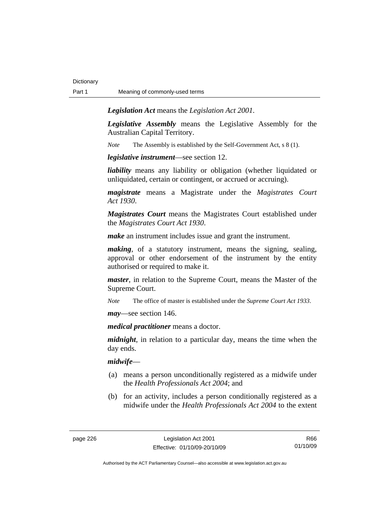*Legislation Act* means the *Legislation Act 2001*.

*Legislative Assembly* means the Legislative Assembly for the Australian Capital Territory.

*Note* The Assembly is established by the Self-Government Act, s 8 (1).

*legislative instrument*—see section 12.

*liability* means any liability or obligation (whether liquidated or unliquidated, certain or contingent, or accrued or accruing).

*magistrate* means a Magistrate under the *Magistrates Court Act 1930*.

*Magistrates Court* means the Magistrates Court established under the *Magistrates Court Act 1930*.

*make* an instrument includes issue and grant the instrument.

*making*, of a statutory instrument, means the signing, sealing, approval or other endorsement of the instrument by the entity authorised or required to make it.

*master*, in relation to the Supreme Court, means the Master of the Supreme Court.

*Note* The office of master is established under the *Supreme Court Act 1933*.

*may*—see section 146.

*medical practitioner* means a doctor.

*midnight*, in relation to a particular day, means the time when the day ends.

*midwife*—

- (a) means a person unconditionally registered as a midwife under the *Health Professionals Act 2004*; and
- (b) for an activity, includes a person conditionally registered as a midwife under the *Health Professionals Act 2004* to the extent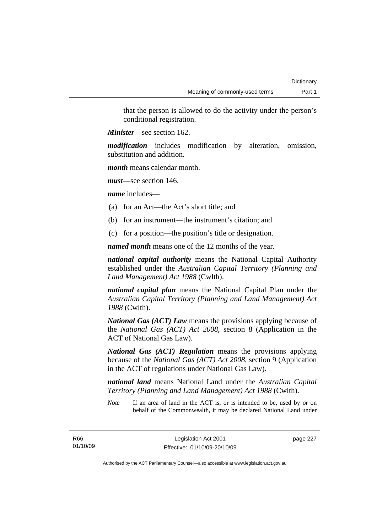that the person is allowed to do the activity under the person's conditional registration.

*Minister*—see section 162.

*modification* includes modification by alteration, omission, substitution and addition.

*month* means calendar month.

*must*—see section 146.

*name* includes—

- (a) for an Act—the Act's short title; and
- (b) for an instrument—the instrument's citation; and
- (c) for a position—the position's title or designation.

*named month* means one of the 12 months of the year.

*national capital authority* means the National Capital Authority established under the *Australian Capital Territory (Planning and Land Management) Act 1988* (Cwlth).

*national capital plan* means the National Capital Plan under the *Australian Capital Territory (Planning and Land Management) Act 1988* (Cwlth).

*National Gas (ACT) Law* means the provisions applying because of the *National Gas (ACT) Act 2008*, section 8 (Application in the ACT of National Gas Law).

*National Gas (ACT) Regulation* means the provisions applying because of the *National Gas (ACT) Act 2008*, section 9 (Application in the ACT of regulations under National Gas Law).

*national land* means National Land under the *Australian Capital Territory (Planning and Land Management) Act 1988* (Cwlth).

*Note* If an area of land in the ACT is, or is intended to be, used by or on behalf of the Commonwealth, it may be declared National Land under

R66 01/10/09 page 227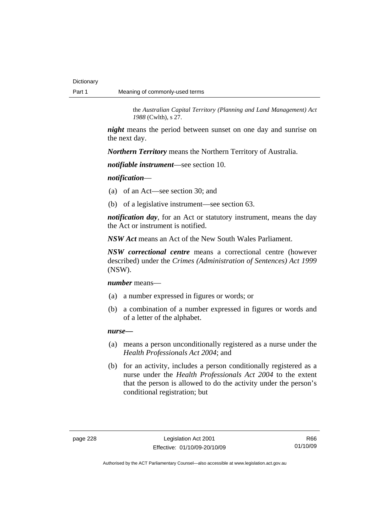the *Australian Capital Territory (Planning and Land Management) Act 1988* (Cwlth), s 27.

*night* means the period between sunset on one day and sunrise on the next day.

*Northern Territory* means the Northern Territory of Australia.

*notifiable instrument*—see section 10.

*notification*—

(a) of an Act—see section 30; and

(b) of a legislative instrument—see section 63.

*notification day*, for an Act or statutory instrument, means the day the Act or instrument is notified.

*NSW Act* means an Act of the New South Wales Parliament.

*NSW correctional centre* means a correctional centre (however described) under the *Crimes (Administration of Sentences) Act 1999* (NSW).

*number* means—

- (a) a number expressed in figures or words; or
- (b) a combination of a number expressed in figures or words and of a letter of the alphabet.

*nurse***—**

- (a) means a person unconditionally registered as a nurse under the *Health Professionals Act 2004*; and
- (b) for an activity, includes a person conditionally registered as a nurse under the *Health Professionals Act 2004* to the extent that the person is allowed to do the activity under the person's conditional registration; but

R66 01/10/09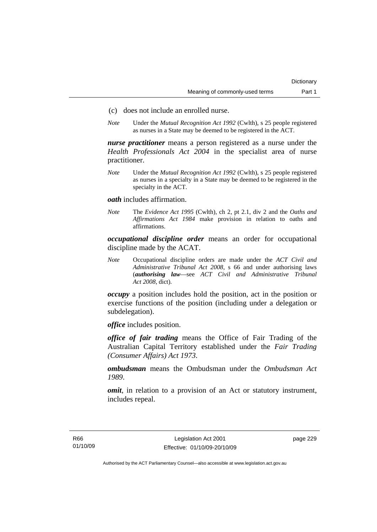- (c) does not include an enrolled nurse.
- *Note* Under the *Mutual Recognition Act 1992* (Cwlth), s 25 people registered as nurses in a State may be deemed to be registered in the ACT.

*nurse practitioner* means a person registered as a nurse under the *Health Professionals Act 2004* in the specialist area of nurse practitioner.

*Note* Under the *Mutual Recognition Act 1992* (Cwlth), s 25 people registered as nurses in a specialty in a State may be deemed to be registered in the specialty in the ACT.

*oath* includes affirmation.

*Note* The *Evidence Act 1995* (Cwlth), ch 2, pt 2.1, div 2 and the *Oaths and Affirmations Act 1984* make provision in relation to oaths and affirmations.

*occupational discipline order* means an order for occupational discipline made by the ACAT.

*Note* Occupational discipline orders are made under the *ACT Civil and Administrative Tribunal Act 2008*, s 66 and under authorising laws (*authorising law*—see *ACT Civil and Administrative Tribunal Act 2008*, dict).

*occupy* a position includes hold the position, act in the position or exercise functions of the position (including under a delegation or subdelegation).

*office* includes position.

*office of fair trading* means the Office of Fair Trading of the Australian Capital Territory established under the *Fair Trading (Consumer Affairs) Act 1973*.

*ombudsman* means the Ombudsman under the *Ombudsman Act 1989*.

*omit*, in relation to a provision of an Act or statutory instrument, includes repeal.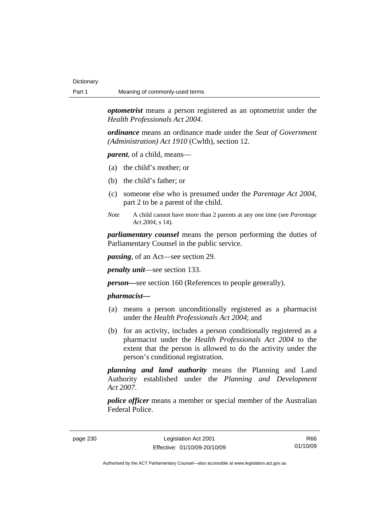*optometrist* means a person registered as an optometrist under the *Health Professionals Act 2004*.

*ordinance* means an ordinance made under the *Seat of Government (Administration) Act 1910* (Cwlth), section 12.

*parent*, of a child, means—

- (a) the child's mother; or
- (b) the child's father; or
- (c) someone else who is presumed under the *Parentage Act 2004*, part 2 to be a parent of the child.
- *Note* A child cannot have more than 2 parents at any one time (see *Parentage Act 2004*, s 14).

*parliamentary counsel* means the person performing the duties of Parliamentary Counsel in the public service.

*passing*, of an Act—see section 29.

*penalty unit*—see section 133.

*person—*see section 160 (References to people generally).

#### *pharmacist***—**

- (a) means a person unconditionally registered as a pharmacist under the *Health Professionals Act 2004*; and
- (b) for an activity, includes a person conditionally registered as a pharmacist under the *Health Professionals Act 2004* to the extent that the person is allowed to do the activity under the person's conditional registration.

*planning and land authority* means the Planning and Land Authority established under the *Planning and Development Act 2007*.

*police officer* means a member or special member of the Australian Federal Police.

page 230 Legislation Act 2001 Effective: 01/10/09-20/10/09

R66 01/10/09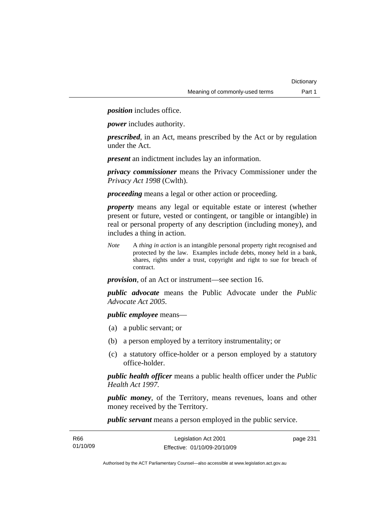*position* includes office.

*power* includes authority.

*prescribed*, in an Act, means prescribed by the Act or by regulation under the Act.

*present* an indictment includes lay an information.

*privacy commissioner* means the Privacy Commissioner under the *Privacy Act 1998* (Cwlth).

*proceeding* means a legal or other action or proceeding.

*property* means any legal or equitable estate or interest (whether present or future, vested or contingent, or tangible or intangible) in real or personal property of any description (including money), and includes a thing in action.

*Note* A *thing in action* is an intangible personal property right recognised and protected by the law. Examples include debts, money held in a bank, shares, rights under a trust, copyright and right to sue for breach of contract.

*provision*, of an Act or instrument—see section 16.

*public advocate* means the Public Advocate under the *Public Advocate Act 2005*.

*public employee* means—

- (a) a public servant; or
- (b) a person employed by a territory instrumentality; or
- (c) a statutory office-holder or a person employed by a statutory office-holder.

*public health officer* means a public health officer under the *Public Health Act 1997.*

*public money*, of the Territory, means revenues, loans and other money received by the Territory.

*public servant* means a person employed in the public service.

| R66      | Legislation Act 2001         | page 231 |
|----------|------------------------------|----------|
| 01/10/09 | Effective: 01/10/09-20/10/09 |          |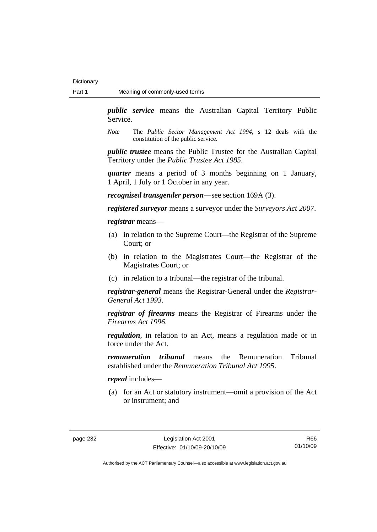*public service* means the Australian Capital Territory Public Service.

*Note* The *Public Sector Management Act 1994*, s 12 deals with the constitution of the public service.

*public trustee* means the Public Trustee for the Australian Capital Territory under the *Public Trustee Act 1985*.

*quarter* means a period of 3 months beginning on 1 January, 1 April, 1 July or 1 October in any year.

*recognised transgender person*—see section 169A (3).

*registered surveyor* means a surveyor under the *Surveyors Act 2007*.

*registrar* means—

- (a) in relation to the Supreme Court—the Registrar of the Supreme Court; or
- (b) in relation to the Magistrates Court—the Registrar of the Magistrates Court; or
- (c) in relation to a tribunal—the registrar of the tribunal.

*registrar-general* means the Registrar-General under the *Registrar-General Act 1993*.

*registrar of firearms* means the Registrar of Firearms under the *Firearms Act 1996*.

*regulation*, in relation to an Act, means a regulation made or in force under the Act.

*remuneration tribunal* means the Remuneration Tribunal established under the *Remuneration Tribunal Act 1995*.

*repeal* includes—

 (a) for an Act or statutory instrument—omit a provision of the Act or instrument; and

R66 01/10/09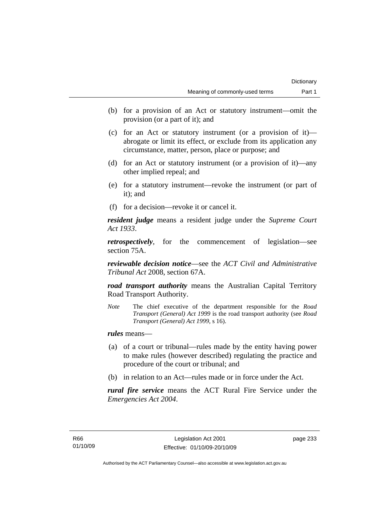- (b) for a provision of an Act or statutory instrument—omit the provision (or a part of it); and
- (c) for an Act or statutory instrument (or a provision of it) abrogate or limit its effect, or exclude from its application any circumstance, matter, person, place or purpose; and
- (d) for an Act or statutory instrument (or a provision of it)—any other implied repeal; and
- (e) for a statutory instrument—revoke the instrument (or part of it); and
- (f) for a decision—revoke it or cancel it.

*resident judge* means a resident judge under the *Supreme Court Act 1933*.

*retrospectively*, for the commencement of legislation—see section 75A.

*reviewable decision notice*—see the *ACT Civil and Administrative Tribunal Act* 2008, section 67A.

*road transport authority* means the Australian Capital Territory Road Transport Authority.

*Note* The chief executive of the department responsible for the *Road Transport (General) Act 1999* is the road transport authority (see *Road Transport (General) Act 1999*, s 16).

*rules* means—

- (a) of a court or tribunal—rules made by the entity having power to make rules (however described) regulating the practice and procedure of the court or tribunal; and
- (b) in relation to an Act—rules made or in force under the Act.

*rural fire service* means the ACT Rural Fire Service under the *Emergencies Act 2004*.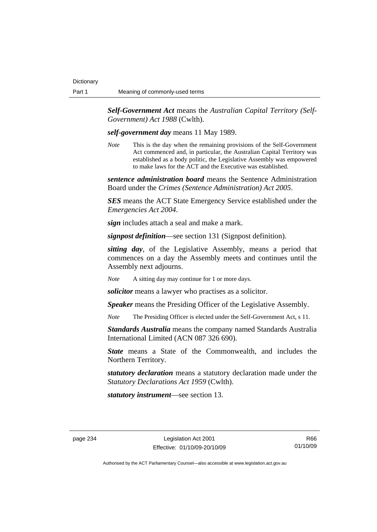*Self-Government Act* means the *Australian Capital Territory (Self-Government) Act 1988* (Cwlth).

*self-government day* means 11 May 1989.

*Note* This is the day when the remaining provisions of the Self-Government Act commenced and, in particular, the Australian Capital Territory was established as a body politic, the Legislative Assembly was empowered to make laws for the ACT and the Executive was established.

*sentence administration board* means the Sentence Administration Board under the *Crimes (Sentence Administration) Act 2005*.

*SES* means the ACT State Emergency Service established under the *Emergencies Act 2004*.

*sign* includes attach a seal and make a mark.

*signpost definition*—see section 131 (Signpost definition).

*sitting day*, of the Legislative Assembly, means a period that commences on a day the Assembly meets and continues until the Assembly next adjourns.

*Note* A sitting day may continue for 1 or more days.

*solicitor* means a lawyer who practises as a solicitor.

*Speaker* means the Presiding Officer of the Legislative Assembly.

*Note* The Presiding Officer is elected under the Self-Government Act, s 11.

*Standards Australia* means the company named Standards Australia International Limited (ACN 087 326 690).

**State** means a State of the Commonwealth, and includes the Northern Territory.

*statutory declaration* means a statutory declaration made under the *Statutory Declarations Act 1959* (Cwlth).

*statutory instrument*—see section 13.

R66 01/10/09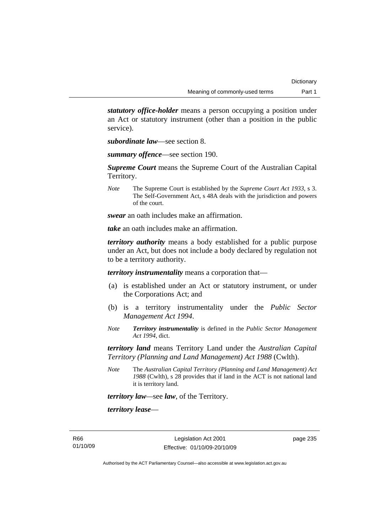*statutory office-holder* means a person occupying a position under an Act or statutory instrument (other than a position in the public service).

*subordinate law*—see section 8.

*summary offence*—see section 190.

*Supreme Court* means the Supreme Court of the Australian Capital Territory.

*Note* The Supreme Court is established by the *Supreme Court Act 1933*, s 3. The Self-Government Act, s 48A deals with the jurisdiction and powers of the court.

*swear* an oath includes make an affirmation.

*take* an oath includes make an affirmation.

*territory authority* means a body established for a public purpose under an Act, but does not include a body declared by regulation not to be a territory authority.

*territory instrumentality* means a corporation that—

- (a) is established under an Act or statutory instrument, or under the Corporations Act; and
- (b) is a territory instrumentality under the *Public Sector Management Act 1994*.
- *Note Territory instrumentality* is defined in the *Public Sector Management Act 1994*, dict.

*territory land* means Territory Land under the *Australian Capital Territory (Planning and Land Management) Act 1988* (Cwlth).

*Note* The *Australian Capital Territory (Planning and Land Management) Act 1988* (Cwlth), s 28 provides that if land in the ACT is not national land it is territory land.

*territory law—*see *law*, of the Territory.

*territory lease*—

R66 01/10/09 page 235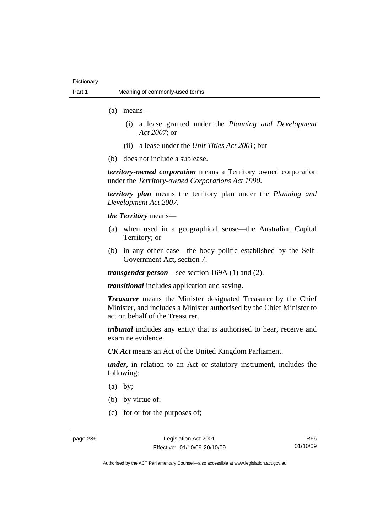- (a) means—
	- (i) a lease granted under the *Planning and Development Act 2007*; or
	- (ii) a lease under the *Unit Titles Act 2001*; but
- (b) does not include a sublease.

*territory-owned corporation* means a Territory owned corporation under the *Territory-owned Corporations Act 1990*.

*territory plan* means the territory plan under the *Planning and Development Act 2007*.

*the Territory* means—

- (a) when used in a geographical sense—the Australian Capital Territory; or
- (b) in any other case—the body politic established by the Self-Government Act, section 7.

*transgender person*—see section 169A (1) and (2).

*transitional* includes application and saving.

*Treasurer* means the Minister designated Treasurer by the Chief Minister, and includes a Minister authorised by the Chief Minister to act on behalf of the Treasurer.

*tribunal* includes any entity that is authorised to hear, receive and examine evidence.

*UK Act* means an Act of the United Kingdom Parliament.

*under*, in relation to an Act or statutory instrument, includes the following:

- (a) by;
- (b) by virtue of;
- (c) for or for the purposes of;

R66 01/10/09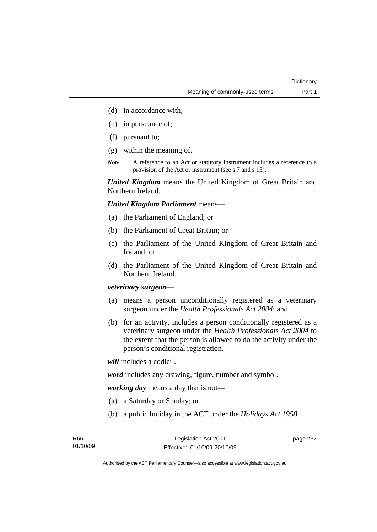- (d) in accordance with;
- (e) in pursuance of;
- (f) pursuant to;
- (g) within the meaning of.
- *Note* A reference to an Act or statutory instrument includes a reference to a provision of the Act or instrument (see s 7 and s 13).

*United Kingdom* means the United Kingdom of Great Britain and Northern Ireland.

*United Kingdom Parliament* means—

- (a) the Parliament of England; or
- (b) the Parliament of Great Britain; or
- (c) the Parliament of the United Kingdom of Great Britain and Ireland; or
- (d) the Parliament of the United Kingdom of Great Britain and Northern Ireland.

# *veterinary surgeon*—

- (a) means a person unconditionally registered as a veterinary surgeon under the *Health Professionals Act 2004*; and
- (b) for an activity, includes a person conditionally registered as a veterinary surgeon under the *Health Professionals Act 2004* to the extent that the person is allowed to do the activity under the person's conditional registration.

*will* includes a codicil.

*word* includes any drawing, figure, number and symbol.

*working day* means a day that is not—

- (a) a Saturday or Sunday; or
- (b) a public holiday in the ACT under the *Holidays Act 1958*.

page 237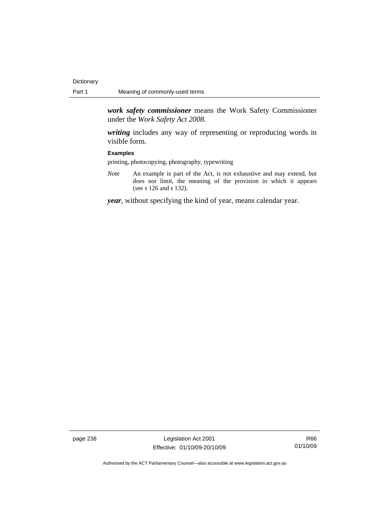*work safety commissioner* means the Work Safety Commissioner under the *Work Safety Act 2008*.

*writing* includes any way of representing or reproducing words in visible form.

### **Examples**

printing, photocopying, photography, typewriting

*Note* An example is part of the Act, is not exhaustive and may extend, but does not limit, the meaning of the provision in which it appears (see s 126 and s 132).

*year*, without specifying the kind of year, means calendar year.

page 238 Legislation Act 2001 Effective: 01/10/09-20/10/09

R66 01/10/09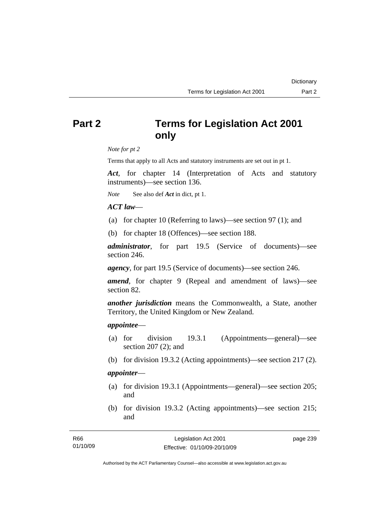# **Part 2 Terms for Legislation Act 2001 only**

*Note for pt 2* 

Terms that apply to all Acts and statutory instruments are set out in pt 1.

*Act*, for chapter 14 (Interpretation of Acts and statutory instruments)—see section 136.

*Note* See also def *Act* in dict, pt 1.

### *ACT law*—

- (a) for chapter 10 (Referring to laws)—see section 97 (1); and
- (b) for chapter 18 (Offences)—see section 188.

*administrator*, for part 19.5 (Service of documents)—see section 246.

*agency*, for part 19.5 (Service of documents)—see section 246.

*amend*, for chapter 9 (Repeal and amendment of laws)—see section 82.

*another jurisdiction* means the Commonwealth, a State, another Territory, the United Kingdom or New Zealand.

### *appointee*—

- (a) for division 19.3.1 (Appointments—general)—see section 207 (2); and
- (b) for division 19.3.2 (Acting appointments)—see section 217 (2).

# *appointer*—

- (a) for division 19.3.1 (Appointments—general)—see section 205; and
- (b) for division 19.3.2 (Acting appointments)—see section 215; and

| R66      | Legislation Act 2001         | page 239 |
|----------|------------------------------|----------|
| 01/10/09 | Effective: 01/10/09-20/10/09 |          |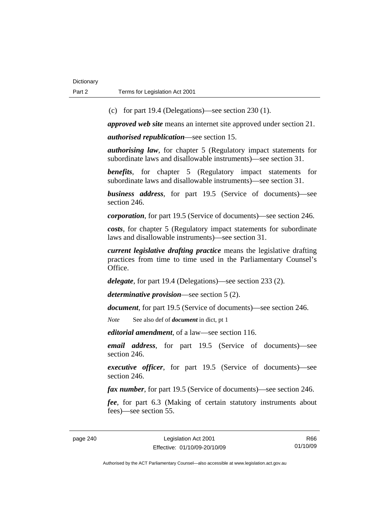(c) for part 19.4 (Delegations)—see section 230 (1).

*approved web site* means an internet site approved under section 21.

*authorised republication*—see section 15.

*authorising law*, for chapter 5 (Regulatory impact statements for subordinate laws and disallowable instruments)—see section 31.

*benefits*, for chapter 5 (Regulatory impact statements for subordinate laws and disallowable instruments)—see section 31.

*business address*, for part 19.5 (Service of documents)—see section 246.

*corporation*, for part 19.5 (Service of documents)—see section 246.

*costs*, for chapter 5 (Regulatory impact statements for subordinate laws and disallowable instruments)—see section 31.

*current legislative drafting practice* means the legislative drafting practices from time to time used in the Parliamentary Counsel's Office.

*delegate*, for part 19.4 (Delegations)—see section 233 (2).

*determinative provision*—see section 5 (2).

*document*, for part 19.5 (Service of documents)—see section 246.

*Note* See also def of *document* in dict, pt 1

*editorial amendment*, of a law—see section 116.

*email address*, for part 19.5 (Service of documents)—see section 246.

*executive officer*, for part 19.5 (Service of documents)—see section 246.

*fax number*, for part 19.5 (Service of documents)—see section 246.

*fee*, for part 6.3 (Making of certain statutory instruments about fees)—see section 55.

R66 01/10/09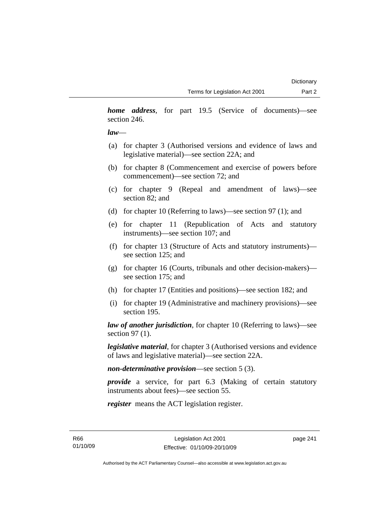*home address*, for part 19.5 (Service of documents)—see section 246.

### *law*—

- (a) for chapter 3 (Authorised versions and evidence of laws and legislative material)—see section 22A; and
- (b) for chapter 8 (Commencement and exercise of powers before commencement)—see section 72; and
- (c) for chapter 9 (Repeal and amendment of laws)—see section 82; and
- (d) for chapter 10 (Referring to laws)—see section 97 (1); and
- (e) for chapter 11 (Republication of Acts and statutory instruments)—see section 107; and
- (f) for chapter 13 (Structure of Acts and statutory instruments) see section 125; and
- (g) for chapter 16 (Courts, tribunals and other decision-makers) see section 175; and
- (h) for chapter 17 (Entities and positions)—see section 182; and
- (i) for chapter 19 (Administrative and machinery provisions)—see section 195.

*law of another jurisdiction*, for chapter 10 (Referring to laws)—see section 97 (1).

*legislative material*, for chapter 3 (Authorised versions and evidence of laws and legislative material)—see section 22A.

*non-determinative provision*—see section 5 (3).

*provide* a service, for part 6.3 (Making of certain statutory instruments about fees)—see section 55.

*register* means the ACT legislation register.

R66 01/10/09 page 241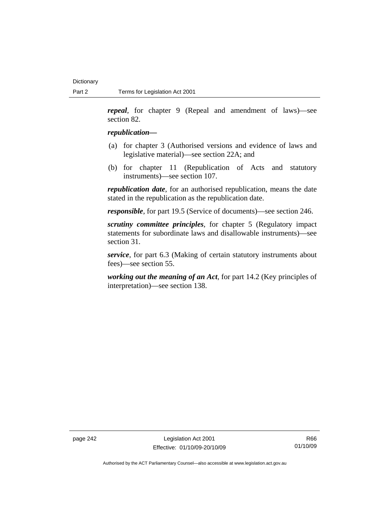*repeal*, for chapter 9 (Repeal and amendment of laws)—see section 82.

### *republication—*

- (a) for chapter 3 (Authorised versions and evidence of laws and legislative material)—see section 22A; and
- (b) for chapter 11 (Republication of Acts and statutory instruments)—see section 107.

*republication date*, for an authorised republication, means the date stated in the republication as the republication date.

*responsible*, for part 19.5 (Service of documents)—see section 246.

*scrutiny committee principles*, for chapter 5 (Regulatory impact statements for subordinate laws and disallowable instruments)—see section 31.

*service*, for part 6.3 (Making of certain statutory instruments about fees)—see section 55.

*working out the meaning of an Act*, for part 14.2 (Key principles of interpretation)—see section 138.

page 242 Legislation Act 2001 Effective: 01/10/09-20/10/09

R66 01/10/09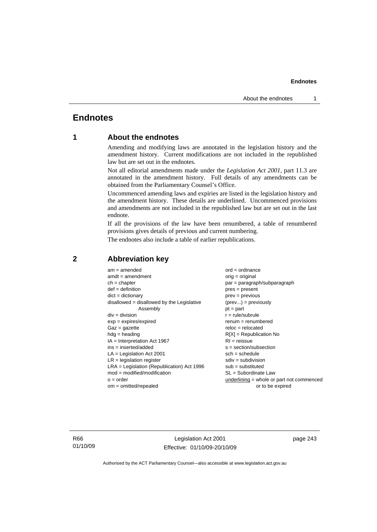# **Endnotes**

# **1 About the endnotes**

Amending and modifying laws are annotated in the legislation history and the amendment history. Current modifications are not included in the republished law but are set out in the endnotes.

Not all editorial amendments made under the *Legislation Act 2001*, part 11.3 are annotated in the amendment history. Full details of any amendments can be obtained from the Parliamentary Counsel's Office.

Uncommenced amending laws and expiries are listed in the legislation history and the amendment history. These details are underlined. Uncommenced provisions and amendments are not included in the republished law but are set out in the last endnote.

If all the provisions of the law have been renumbered, a table of renumbered provisions gives details of previous and current numbering.

The endnotes also include a table of earlier republications.

| $am = amended$                               | $ord = ordinance$                         |
|----------------------------------------------|-------------------------------------------|
| $amdt = amendment$                           | orig = original                           |
| $ch = chapter$                               | par = paragraph/subparagraph              |
| $def = definition$                           | $pres = present$                          |
| $dict = dictionary$                          | $prev = previous$                         |
| disallowed = disallowed by the Legislative   | $(\text{prev}) = \text{previously}$       |
| Assembly                                     | $pt = part$                               |
| $div = division$                             | $r = rule/subrule$                        |
| $exp = expires/expired$                      | $renum = renumbered$                      |
| $Gaz = gazette$                              | $reloc = relocated$                       |
| $hdg =$ heading                              | $R[X]$ = Republication No                 |
| $IA = Interpretation Act 1967$               | $RI = reissue$                            |
| $ins = inserted/added$                       | $s = section/subsection$                  |
| $LA =$ Legislation Act 2001                  | $sch = schedule$                          |
| $LR =$ legislation register                  | $sdiv = subdivision$                      |
| $LRA =$ Legislation (Republication) Act 1996 | $sub =$ substituted                       |
| $mod = modified/modification$                | SL = Subordinate Law                      |
| $o = order$                                  | underlining = whole or part not commenced |
| $om = omitted/repealed$                      | or to be expired                          |
|                                              |                                           |

# **2 Abbreviation key**

R66 01/10/09

Legislation Act 2001 Effective: 01/10/09-20/10/09 page 243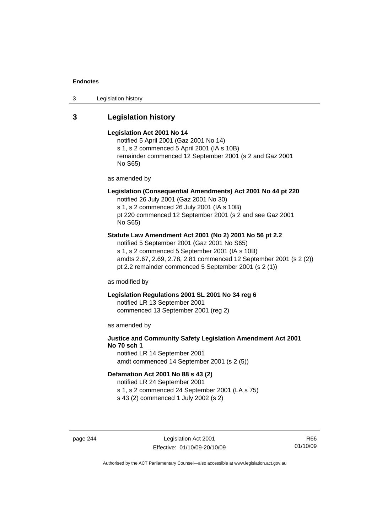3 Legislation history

# **3 Legislation history**

#### **Legislation Act 2001 No 14**

notified 5 April 2001 (Gaz 2001 No 14) s 1, s 2 commenced 5 April 2001 (IA s 10B) remainder commenced 12 September 2001 (s 2 and Gaz 2001 No S65)

as amended by

# **Legislation (Consequential Amendments) Act 2001 No 44 pt 220**

notified 26 July 2001 (Gaz 2001 No 30) s 1, s 2 commenced 26 July 2001 (IA s 10B) pt 220 commenced 12 September 2001 (s 2 and see Gaz 2001 No S65)

### **Statute Law Amendment Act 2001 (No 2) 2001 No 56 pt 2.2**

notified 5 September 2001 (Gaz 2001 No S65) s 1, s 2 commenced 5 September 2001 (IA s 10B) amdts 2.67, 2.69, 2.78, 2.81 commenced 12 September 2001 (s 2 (2)) pt 2.2 remainder commenced 5 September 2001 (s 2 (1))

as modified by

## **Legislation Regulations 2001 SL 2001 No 34 reg 6**

notified LR 13 September 2001 commenced 13 September 2001 (reg 2)

as amended by

# **Justice and Community Safety Legislation Amendment Act 2001 No 70 sch 1**

notified LR 14 September 2001 amdt commenced 14 September 2001 (s 2 (5))

# **Defamation Act 2001 No 88 s 43 (2)**

notified LR 24 September 2001 s 1, s 2 commenced 24 September 2001 (LA s 75)

s 43 (2) commenced 1 July 2002 (s 2)

page 244 Legislation Act 2001 Effective: 01/10/09-20/10/09

R66 01/10/09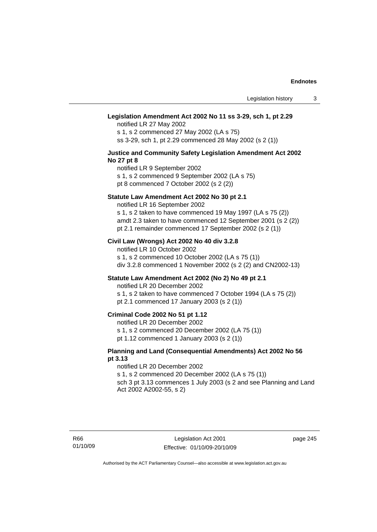### **Legislation Amendment Act 2002 No 11 ss 3-29, sch 1, pt 2.29**

notified LR 27 May 2002 s 1, s 2 commenced 27 May 2002 (LA s 75) ss 3-29, sch 1, pt 2.29 commenced 28 May 2002 (s 2 (1))

### **Justice and Community Safety Legislation Amendment Act 2002 No 27 pt 8**

notified LR 9 September 2002 s 1, s 2 commenced 9 September 2002 (LA s 75)

pt 8 commenced 7 October 2002 (s 2 (2))

### **Statute Law Amendment Act 2002 No 30 pt 2.1**

notified LR 16 September 2002 s 1, s 2 taken to have commenced 19 May 1997 (LA s 75 (2)) amdt 2.3 taken to have commenced 12 September 2001 (s 2 (2))

pt 2.1 remainder commenced 17 September 2002 (s 2 (1))

### **Civil Law (Wrongs) Act 2002 No 40 div 3.2.8**

notified LR 10 October 2002 s 1, s 2 commenced 10 October 2002 (LA s 75 (1)) div 3.2.8 commenced 1 November 2002 (s 2 (2) and CN2002-13)

### **Statute Law Amendment Act 2002 (No 2) No 49 pt 2.1**

notified LR 20 December 2002

s 1, s 2 taken to have commenced 7 October 1994 (LA s 75 (2)) pt 2.1 commenced 17 January 2003 (s 2 (1))

### **Criminal Code 2002 No 51 pt 1.12**

notified LR 20 December 2002

s 1, s 2 commenced 20 December 2002 (LA 75 (1))

pt 1.12 commenced 1 January 2003 (s 2 (1))

### **Planning and Land (Consequential Amendments) Act 2002 No 56 pt 3.13**

#### notified LR 20 December 2002

s 1, s 2 commenced 20 December 2002 (LA s 75 (1)) sch 3 pt 3.13 commences 1 July 2003 (s 2 and see Planning and Land

Act 2002 A2002-55, s 2)

page 245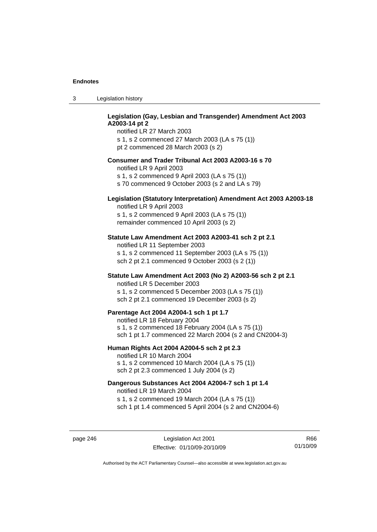# **Legislation (Gay, Lesbian and Transgender) Amendment Act 2003 A2003-14 pt 2**

notified LR 27 March 2003 s 1, s 2 commenced 27 March 2003 (LA s 75 (1)) pt 2 commenced 28 March 2003 (s 2)

### **Consumer and Trader Tribunal Act 2003 A2003-16 s 70**

notified LR 9 April 2003

s 1, s 2 commenced 9 April 2003 (LA s 75 (1))

s 70 commenced 9 October 2003 (s 2 and LA s 79)

# **Legislation (Statutory Interpretation) Amendment Act 2003 A2003-18**

notified LR 9 April 2003 s 1, s 2 commenced 9 April 2003 (LA s 75 (1)) remainder commenced 10 April 2003 (s 2)

### **Statute Law Amendment Act 2003 A2003-41 sch 2 pt 2.1**

notified LR 11 September 2003 s 1, s 2 commenced 11 September 2003 (LA s 75 (1)) sch 2 pt 2.1 commenced 9 October 2003 (s 2 (1))

### **Statute Law Amendment Act 2003 (No 2) A2003-56 sch 2 pt 2.1**

notified LR 5 December 2003 s 1, s 2 commenced 5 December 2003 (LA s 75 (1)) sch 2 pt 2.1 commenced 19 December 2003 (s 2)

### **Parentage Act 2004 A2004-1 sch 1 pt 1.7**

notified LR 18 February 2004 s 1, s 2 commenced 18 February 2004 (LA s 75 (1)) sch 1 pt 1.7 commenced 22 March 2004 (s 2 and CN2004-3)

#### **Human Rights Act 2004 A2004-5 sch 2 pt 2.3**

notified LR 10 March 2004 s 1, s 2 commenced 10 March 2004 (LA s 75 (1)) sch 2 pt 2.3 commenced 1 July 2004 (s 2)

### **Dangerous Substances Act 2004 A2004-7 sch 1 pt 1.4**

notified LR 19 March 2004 s 1, s 2 commenced 19 March 2004 (LA s 75 (1)) sch 1 pt 1.4 commenced 5 April 2004 (s 2 and CN2004-6)

page 246 Legislation Act 2001 Effective: 01/10/09-20/10/09

R66 01/10/09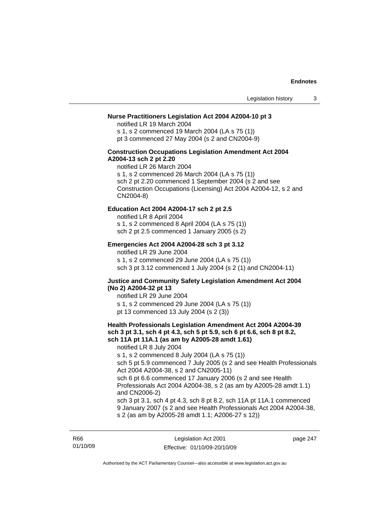### **Nurse Practitioners Legislation Act 2004 A2004-10 pt 3**

notified LR 19 March 2004 s 1, s 2 commenced 19 March 2004 (LA s 75 (1)) pt 3 commenced 27 May 2004 (s 2 and CN2004-9)

### **Construction Occupations Legislation Amendment Act 2004 A2004-13 sch 2 pt 2.20**

notified LR 26 March 2004 s 1, s 2 commenced 26 March 2004 (LA s 75 (1)) sch 2 pt 2.20 commenced 1 September 2004 (s 2 and see Construction Occupations (Licensing) Act 2004 A2004-12, s 2 and CN2004-8)

### **Education Act 2004 A2004-17 sch 2 pt 2.5**

notified LR 8 April 2004 s 1, s 2 commenced 8 April 2004 (LA s 75 (1)) sch 2 pt 2.5 commenced 1 January 2005 (s 2)

#### **Emergencies Act 2004 A2004-28 sch 3 pt 3.12**

notified LR 29 June 2004

s 1, s 2 commenced 29 June 2004 (LA s 75 (1)) sch 3 pt 3.12 commenced 1 July 2004 (s 2 (1) and CN2004-11)

### **Justice and Community Safety Legislation Amendment Act 2004 (No 2) A2004-32 pt 13**

notified LR 29 June 2004 s 1, s 2 commenced 29 June 2004 (LA s 75 (1)) pt 13 commenced 13 July 2004 (s 2 (3))

### **Health Professionals Legislation Amendment Act 2004 A2004-39 sch 3 pt 3.1, sch 4 pt 4.3, sch 5 pt 5.9, sch 6 pt 6.6, sch 8 pt 8.2, sch 11A pt 11A.1 (as am by A2005-28 amdt 1.61)**

notified LR 8 July 2004 s 1, s 2 commenced 8 July 2004 (LA s 75 (1)) sch 5 pt 5.9 commenced 7 July 2005 (s 2 and see Health Professionals Act 2004 A2004-38, s 2 and CN2005-11) sch 6 pt 6.6 commenced 17 January 2006 (s 2 and see Health Professionals Act 2004 A2004-38, s 2 (as am by A2005-28 amdt 1.1) and CN2006-2) sch 3 pt 3.1, sch 4 pt 4.3, sch 8 pt 8.2, sch 11A pt 11A.1 commenced 9 January 2007 (s 2 and see Health Professionals Act 2004 A2004-38,

s 2 (as am by A2005-28 amdt 1.1; A2006-27 s 12))

R66 01/10/09

Legislation Act 2001 Effective: 01/10/09-20/10/09 page 247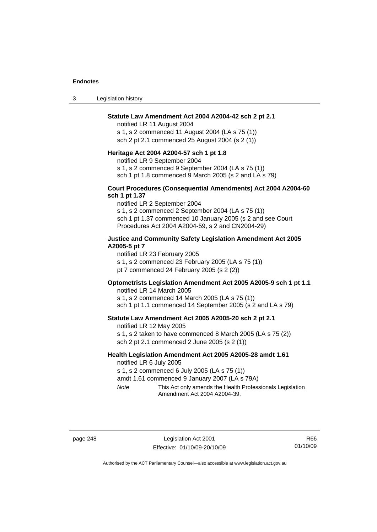3 Legislation history

### **Statute Law Amendment Act 2004 A2004-42 sch 2 pt 2.1**

notified LR 11 August 2004 s 1, s 2 commenced 11 August 2004 (LA s 75 (1)) sch 2 pt 2.1 commenced 25 August 2004 (s 2 (1))

### **Heritage Act 2004 A2004-57 sch 1 pt 1.8**

notified LR 9 September 2004

s 1, s 2 commenced 9 September 2004 (LA s 75 (1))

sch 1 pt 1.8 commenced 9 March 2005 (s 2 and LA s 79)

### **Court Procedures (Consequential Amendments) Act 2004 A2004-60 sch 1 pt 1.37**

notified LR 2 September 2004 s 1, s 2 commenced 2 September 2004 (LA s 75 (1)) sch 1 pt 1.37 commenced 10 January 2005 (s 2 and see Court Procedures Act 2004 A2004-59, s 2 and CN2004-29)

### **Justice and Community Safety Legislation Amendment Act 2005 A2005-5 pt 7**

notified LR 23 February 2005

s 1, s 2 commenced 23 February 2005 (LA s 75 (1))

pt 7 commenced 24 February 2005 (s 2 (2))

# **Optometrists Legislation Amendment Act 2005 A2005-9 sch 1 pt 1.1**

notified LR 14 March 2005 s 1, s 2 commenced 14 March 2005 (LA s 75 (1)) sch 1 pt 1.1 commenced 14 September 2005 (s 2 and LA s 79)

### **Statute Law Amendment Act 2005 A2005-20 sch 2 pt 2.1**

notified LR 12 May 2005 s 1, s 2 taken to have commenced 8 March 2005 (LA s 75 (2)) sch 2 pt 2.1 commenced 2 June 2005 (s 2 (1))

### **Health Legislation Amendment Act 2005 A2005-28 amdt 1.61**  notified LR 6 July 2005

s 1, s 2 commenced 6 July 2005 (LA s 75 (1))

amdt 1.61 commenced 9 January 2007 (LA s 79A)

*Note* This Act only amends the Health Professionals Legislation Amendment Act 2004 A2004-39.

page 248 Legislation Act 2001 Effective: 01/10/09-20/10/09

R66 01/10/09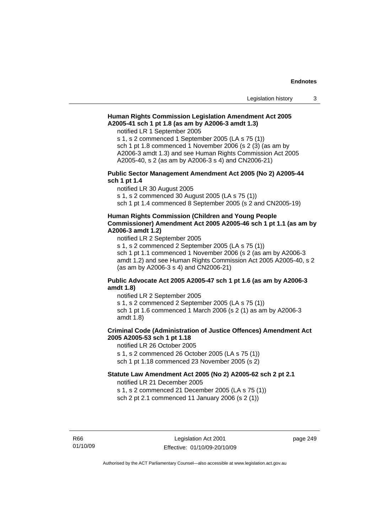### **Human Rights Commission Legislation Amendment Act 2005 A2005-41 sch 1 pt 1.8 (as am by A2006-3 amdt 1.3)**

notified LR 1 September 2005

s 1, s 2 commenced 1 September 2005 (LA s 75 (1)) sch 1 pt 1.8 commenced 1 November 2006 (s 2 (3) (as am by A2006-3 amdt 1.3) and see Human Rights Commission Act 2005 A2005-40, s 2 (as am by A2006-3 s 4) and CN2006-21)

### **Public Sector Management Amendment Act 2005 (No 2) A2005-44 sch 1 pt 1.4**

notified LR 30 August 2005

s 1, s 2 commenced 30 August 2005 (LA s 75 (1))

sch 1 pt 1.4 commenced 8 September 2005 (s 2 and CN2005-19)

### **Human Rights Commission (Children and Young People Commissioner) Amendment Act 2005 A2005-46 sch 1 pt 1.1 (as am by A2006-3 amdt 1.2)**

notified LR 2 September 2005

s 1, s 2 commenced 2 September 2005 (LA s 75 (1)) sch 1 pt 1.1 commenced 1 November 2006 (s 2 (as am by A2006-3 amdt 1.2) and see Human Rights Commission Act 2005 A2005-40, s 2 (as am by A2006-3 s 4) and CN2006-21)

### **Public Advocate Act 2005 A2005-47 sch 1 pt 1.6 (as am by A2006-3 amdt 1.8)**

notified LR 2 September 2005 s 1, s 2 commenced 2 September 2005 (LA s 75 (1)) sch 1 pt 1.6 commenced 1 March 2006 (s 2 (1) as am by A2006-3 amdt 1.8)

# **Criminal Code (Administration of Justice Offences) Amendment Act 2005 A2005-53 sch 1 pt 1.18**

notified LR 26 October 2005 s 1, s 2 commenced 26 October 2005 (LA s 75 (1)) sch 1 pt 1.18 commenced 23 November 2005 (s 2)

### **Statute Law Amendment Act 2005 (No 2) A2005-62 sch 2 pt 2.1**

notified LR 21 December 2005

s 1, s 2 commenced 21 December 2005 (LA s 75 (1)) sch 2 pt 2.1 commenced 11 January 2006 (s 2 (1))

R66 01/10/09 page 249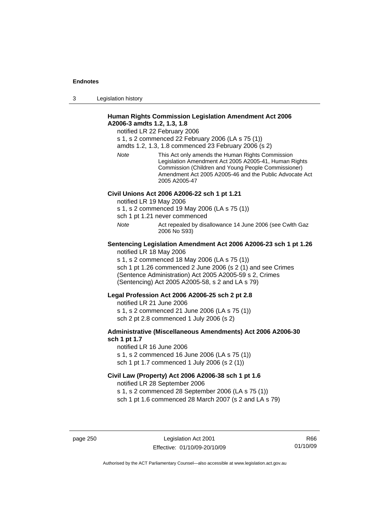3 Legislation history

### **Human Rights Commission Legislation Amendment Act 2006 A2006-3 amdts 1.2, 1.3, 1.8**

notified LR 22 February 2006

s 1, s 2 commenced 22 February 2006 (LA s 75 (1))

amdts 1.2, 1.3, 1.8 commenced 23 February 2006 (s 2)

*Note* This Act only amends the Human Rights Commission Legislation Amendment Act 2005 A2005-41, Human Rights Commission (Children and Young People Commissioner) Amendment Act 2005 A2005-46 and the Public Advocate Act 2005 A2005-47

### **Civil Unions Act 2006 A2006-22 sch 1 pt 1.21**

notified LR 19 May 2006

s 1, s 2 commenced 19 May 2006 (LA s 75 (1))

sch 1 pt 1.21 never commenced

*Note* Act repealed by disallowance 14 June 2006 (see Cwlth Gaz 2006 No S93)

### **Sentencing Legislation Amendment Act 2006 A2006-23 sch 1 pt 1.26**  notified LR 18 May 2006

s 1, s 2 commenced 18 May 2006 (LA s 75 (1))

sch 1 pt 1.26 commenced 2 June 2006 (s 2 (1) and see Crimes (Sentence Administration) Act 2005 A2005-59 s 2, Crimes (Sentencing) Act 2005 A2005-58, s 2 and LA s 79)

### **Legal Profession Act 2006 A2006-25 sch 2 pt 2.8**

notified LR 21 June 2006 s 1, s 2 commenced 21 June 2006 (LA s 75 (1)) sch 2 pt 2.8 commenced 1 July 2006 (s 2)

### **Administrative (Miscellaneous Amendments) Act 2006 A2006-30 sch 1 pt 1.7**

notified LR 16 June 2006 s 1, s 2 commenced 16 June 2006 (LA s 75 (1)) sch 1 pt 1.7 commenced 1 July 2006 (s 2 (1))

# **Civil Law (Property) Act 2006 A2006-38 sch 1 pt 1.6**  notified LR 28 September 2006

s 1, s 2 commenced 28 September 2006 (LA s 75 (1)) sch 1 pt 1.6 commenced 28 March 2007 (s 2 and LA s 79)

page 250 Legislation Act 2001 Effective: 01/10/09-20/10/09

R66 01/10/09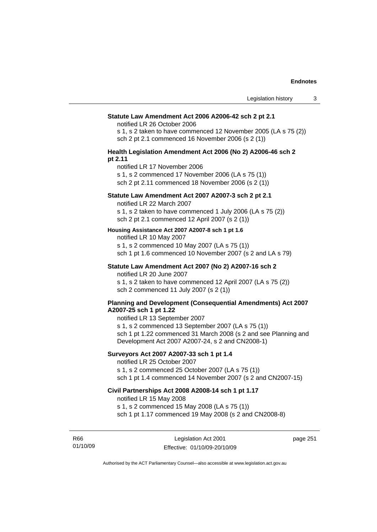#### **Statute Law Amendment Act 2006 A2006-42 sch 2 pt 2.1**

notified LR 26 October 2006

s 1, s 2 taken to have commenced 12 November 2005 (LA s 75 (2)) sch 2 pt 2.1 commenced 16 November 2006 (s 2 (1))

### **Health Legislation Amendment Act 2006 (No 2) A2006-46 sch 2 pt 2.11**

notified LR 17 November 2006

s 1, s 2 commenced 17 November 2006 (LA s 75 (1))

sch 2 pt 2.11 commenced 18 November 2006 (s 2 (1))

# **Statute Law Amendment Act 2007 A2007-3 sch 2 pt 2.1**

notified LR 22 March 2007

s 1, s 2 taken to have commenced 1 July 2006 (LA s 75 (2)) sch 2 pt 2.1 commenced 12 April 2007 (s 2 (1))

#### **Housing Assistance Act 2007 A2007-8 sch 1 pt 1.6**

notified LR 10 May 2007

s 1, s 2 commenced 10 May 2007 (LA s 75 (1)) sch 1 pt 1.6 commenced 10 November 2007 (s 2 and LA s 79)

# **Statute Law Amendment Act 2007 (No 2) A2007-16 sch 2**

notified LR 20 June 2007

s 1, s 2 taken to have commenced 12 April 2007 (LA s 75 (2)) sch 2 commenced 11 July 2007 (s 2 (1))

### **Planning and Development (Consequential Amendments) Act 2007 A2007-25 sch 1 pt 1.22**

notified LR 13 September 2007

s 1, s 2 commenced 13 September 2007 (LA s 75 (1)) sch 1 pt 1.22 commenced 31 March 2008 (s 2 and see Planning and Development Act 2007 A2007-24, s 2 and CN2008-1)

# **Surveyors Act 2007 A2007-33 sch 1 pt 1.4**

notified LR 25 October 2007

s 1, s 2 commenced 25 October 2007 (LA s 75 (1))

sch 1 pt 1.4 commenced 14 November 2007 (s 2 and CN2007-15)

### **Civil Partnerships Act 2008 A2008-14 sch 1 pt 1.17**

notified LR 15 May 2008

s 1, s 2 commenced 15 May 2008 (LA s 75 (1))

R66 01/10/09 page 251

sch 1 pt 1.17 commenced 19 May 2008 (s 2 and CN2008-8)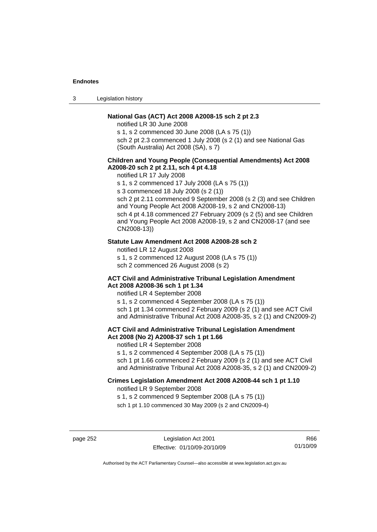3 Legislation history

### **National Gas (ACT) Act 2008 A2008-15 sch 2 pt 2.3**

notified LR 30 June 2008

s 1, s 2 commenced 30 June 2008 (LA s 75 (1))

sch 2 pt 2.3 commenced 1 July 2008 (s 2 (1) and see National Gas (South Australia) Act 2008 (SA), s 7)

### **Children and Young People (Consequential Amendments) Act 2008 A2008-20 sch 2 pt 2.11, sch 4 pt 4.18**

notified LR 17 July 2008

s 1, s 2 commenced 17 July 2008 (LA s 75 (1))

s 3 commenced 18 July 2008 (s 2 (1))

sch 2 pt 2.11 commenced 9 September 2008 (s 2 (3) and see Children and Young People Act 2008 A2008-19, s 2 and CN2008-13) sch 4 pt 4.18 commenced 27 February 2009 (s 2 (5) and see Children and Young People Act 2008 A2008-19, s 2 and CN2008-17 (and see CN2008-13))

### **Statute Law Amendment Act 2008 A2008-28 sch 2**

notified LR 12 August 2008 s 1, s 2 commenced 12 August 2008 (LA s 75 (1)) sch 2 commenced 26 August 2008 (s 2)

### **ACT Civil and Administrative Tribunal Legislation Amendment Act 2008 A2008-36 sch 1 pt 1.34**

notified LR 4 September 2008

s 1, s 2 commenced 4 September 2008 (LA s 75 (1)) sch 1 pt 1.34 commenced 2 February 2009 (s 2 (1) and see ACT Civil and Administrative Tribunal Act 2008 A2008-35, s 2 (1) and CN2009-2)

### **ACT Civil and Administrative Tribunal Legislation Amendment Act 2008 (No 2) A2008-37 sch 1 pt 1.66**

notified LR 4 September 2008

s 1, s 2 commenced 4 September 2008 (LA s 75 (1))

sch 1 pt 1.66 commenced 2 February 2009 (s 2 (1) and see ACT Civil and Administrative Tribunal Act 2008 A2008-35, s 2 (1) and CN2009-2)

# **Crimes Legislation Amendment Act 2008 A2008-44 sch 1 pt 1.10**

notified LR 9 September 2008

s 1, s 2 commenced 9 September 2008 (LA s 75 (1))

sch 1 pt 1.10 commenced 30 May 2009 (s 2 and CN2009-4)

page 252 Legislation Act 2001 Effective: 01/10/09-20/10/09

R66 01/10/09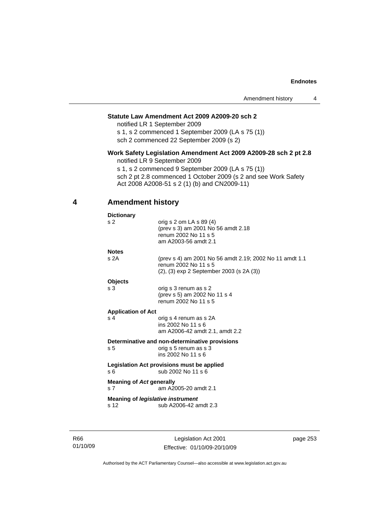### **Statute Law Amendment Act 2009 A2009-20 sch 2**

notified LR 1 September 2009 s 1, s 2 commenced 1 September 2009 (LA s 75 (1))

sch 2 commenced 22 September 2009 (s 2)

### **Work Safety Legislation Amendment Act 2009 A2009-28 sch 2 pt 2.8**  notified LR 9 September 2009

s 1, s 2 commenced 9 September 2009 (LA s 75 (1)) sch 2 pt 2.8 commenced 1 October 2009 (s 2 and see Work Safety Act 2008 A2008-51 s 2 (1) (b) and CN2009-11)

# **4 Amendment history**

| <b>Dictionary</b>                                 |                                                                                                                             |
|---------------------------------------------------|-----------------------------------------------------------------------------------------------------------------------------|
| s 2                                               | orig s $2$ om LA s $89(4)$<br>(prev s 3) am 2001 No 56 amdt 2.18<br>renum 2002 No 11 s 5<br>am A2003-56 amdt 2.1            |
| <b>Notes</b>                                      |                                                                                                                             |
| s <sub>2A</sub>                                   | (prev s 4) am 2001 No 56 amdt 2.19; 2002 No 11 amdt 1.1<br>renum 2002 No 11 s 5<br>(2), (3) exp 2 September 2003 (s 2A (3)) |
| <b>Objects</b>                                    |                                                                                                                             |
| s <sub>3</sub>                                    | orig s 3 renum as s 2<br>(prev s 5) am 2002 No 11 s 4<br>renum 2002 No 11 s 5                                               |
| <b>Application of Act</b>                         |                                                                                                                             |
| s <sub>4</sub>                                    | orig s 4 renum as s 2A<br>ins 2002 No 11 s 6<br>am A2006-42 amdt 2.1, amdt 2.2                                              |
|                                                   | Determinative and non-determinative provisions                                                                              |
| s <sub>5</sub>                                    | orig s 5 renum as s 3<br>ins 2002 No 11 s 6                                                                                 |
| s 6                                               | Legislation Act provisions must be applied<br>sub 2002 No 11 s 6                                                            |
| <b>Meaning of Act generally</b><br>s <sub>7</sub> | am A2005-20 amdt 2.1                                                                                                        |
| s <sub>12</sub>                                   | Meaning of <i>legislative instrument</i><br>sub A2006-42 amdt 2.3                                                           |
|                                                   |                                                                                                                             |

R66 01/10/09

Legislation Act 2001 Effective: 01/10/09-20/10/09 page 253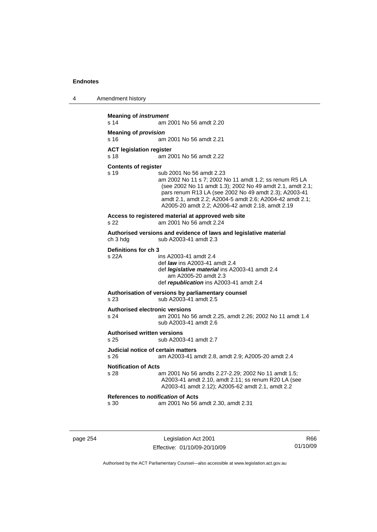4 Amendment history

| s 14                                                  | am 2001 No 56 amdt 2.20                                                                                                                                                                                                                                                                                                  |
|-------------------------------------------------------|--------------------------------------------------------------------------------------------------------------------------------------------------------------------------------------------------------------------------------------------------------------------------------------------------------------------------|
| <b>Meaning of provision</b>                           |                                                                                                                                                                                                                                                                                                                          |
| s 16                                                  | am 2001 No 56 amdt 2.21                                                                                                                                                                                                                                                                                                  |
| <b>ACT legislation register</b><br>s 18               | am 2001 No 56 amdt 2.22                                                                                                                                                                                                                                                                                                  |
| <b>Contents of register</b>                           |                                                                                                                                                                                                                                                                                                                          |
| s <sub>19</sub>                                       | sub 2001 No 56 amdt 2.23<br>am 2002 No 11 s 7; 2002 No 11 amdt 1.2; ss renum R5 LA<br>(see 2002 No 11 amdt 1.3); 2002 No 49 amdt 2.1, amdt 2.1;<br>pars renum R13 LA (see 2002 No 49 amdt 2.3); A2003-41<br>amdt 2.1, amdt 2.2; A2004-5 amdt 2.6; A2004-42 amdt 2.1;<br>A2005-20 amdt 2.2; A2006-42 amdt 2.18, amdt 2.19 |
| s 22                                                  | Access to registered material at approved web site<br>am 2001 No 56 amdt 2.24                                                                                                                                                                                                                                            |
| ch 3 hdg                                              | Authorised versions and evidence of laws and legislative material<br>sub A2003-41 amdt 2.3                                                                                                                                                                                                                               |
| Definitions for ch 3                                  |                                                                                                                                                                                                                                                                                                                          |
| s 22A                                                 | ins A2003-41 amdt 2.4<br>def <i>law</i> ins A2003-41 amdt 2.4<br>def legislative material ins A2003-41 amdt 2.4<br>am A2005-20 amdt 2.3<br>def republication ins A2003-41 amdt 2.4                                                                                                                                       |
| s <sub>23</sub>                                       | Authorisation of versions by parliamentary counsel<br>sub A2003-41 amdt 2.5                                                                                                                                                                                                                                              |
| s <sub>24</sub>                                       | <b>Authorised electronic versions</b><br>am 2001 No 56 amdt 2.25, amdt 2.26; 2002 No 11 amdt 1.4<br>sub A2003-41 amdt 2.6                                                                                                                                                                                                |
| <b>Authorised written versions</b><br>s <sub>25</sub> | sub A2003-41 amdt 2.7                                                                                                                                                                                                                                                                                                    |
| s 26                                                  | Judicial notice of certain matters<br>am A2003-41 amdt 2.8, amdt 2.9; A2005-20 amdt 2.4                                                                                                                                                                                                                                  |
| <b>Notification of Acts</b>                           |                                                                                                                                                                                                                                                                                                                          |
| s 28                                                  | am 2001 No 56 amdts 2.27-2.29; 2002 No 11 amdt 1.5;<br>A2003-41 amdt 2.10, amdt 2.11; ss renum R20 LA (see<br>A2003-41 amdt 2.12); A2005-62 amdt 2.1, amdt 2.2                                                                                                                                                           |
|                                                       | References to notification of Acts                                                                                                                                                                                                                                                                                       |

page 254 Legislation Act 2001 Effective: 01/10/09-20/10/09

R66 01/10/09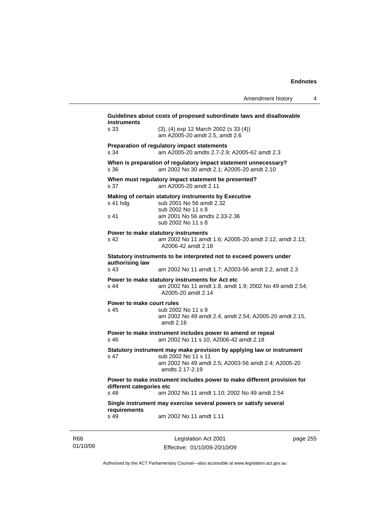| s 33                                        | (3), (4) exp 12 March 2002 (s 33 (4))                                                                             |
|---------------------------------------------|-------------------------------------------------------------------------------------------------------------------|
|                                             | am A2005-20 amdt 2.5, amdt 2.6                                                                                    |
|                                             | Preparation of regulatory impact statements                                                                       |
| s 34                                        | am A2005-20 amdts 2.7-2.9; A2005-62 amdt 2.3                                                                      |
| s 36                                        | When is preparation of regulatory impact statement unnecessary?<br>am 2002 No 30 amdt 2.1: A2005-20 amdt 2.10     |
| s 37                                        | When must regulatory impact statement be presented?<br>am A2005-20 amdt 2.11                                      |
|                                             | Making of certain statutory instruments by Executive                                                              |
| s 41 hda                                    | sub 2001 No 56 amdt 2.32                                                                                          |
|                                             | sub 2002 No 11 s 8                                                                                                |
| s 41                                        | am 2001 No 56 amdts 2.33-2.36<br>sub 2002 No 11 s 8                                                               |
|                                             |                                                                                                                   |
| s 42                                        | Power to make statutory instruments<br>am 2002 No 11 amdt 1.6; A2005-20 amdt 2.12, amdt 2.13;                     |
|                                             | A2006-42 amdt 2.18                                                                                                |
|                                             | Statutory instruments to be interpreted not to exceed powers under                                                |
| authorising law                             |                                                                                                                   |
|                                             |                                                                                                                   |
| s 43                                        | am 2002 No 11 amdt 1.7; A2003-56 amdt 2.2, amdt 2.3                                                               |
|                                             | Power to make statutory instruments for Act etc                                                                   |
| s 44                                        | am 2002 No 11 amdt 1.8, amdt 1.9; 2002 No 49 amdt 2.54;<br>A2005-20 amdt 2.14                                     |
| Power to make court rules                   |                                                                                                                   |
| s <sub>45</sub>                             | sub 2002 No 11 s 9                                                                                                |
|                                             | am 2002 No 49 amdt 2.4, amdt 2.54; A2005-20 amdt 2.15,<br>amdt 2.16                                               |
| s, 46                                       | Power to make instrument includes power to amend or repeal<br>am 2002 No 11 s 10; A2006-42 amdt 2.18              |
|                                             | Statutory instrument may make provision by applying law or instrument                                             |
| s 47                                        | sub 2002 No 11 s 11                                                                                               |
|                                             | am 2002 No 49 amdt 2.5; A2003-56 amdt 2.4; A2005-20<br>amdts 2.17-2.19                                            |
|                                             | Power to make instrument includes power to make different provision for                                           |
| different categories etc<br>s <sub>48</sub> |                                                                                                                   |
| requirements                                | am 2002 No 11 amdt 1.10; 2002 No 49 amdt 2.54<br>Single instrument may exercise several powers or satisfy several |

R66 01/10/09

Legislation Act 2001 Effective: 01/10/09-20/10/09 page 255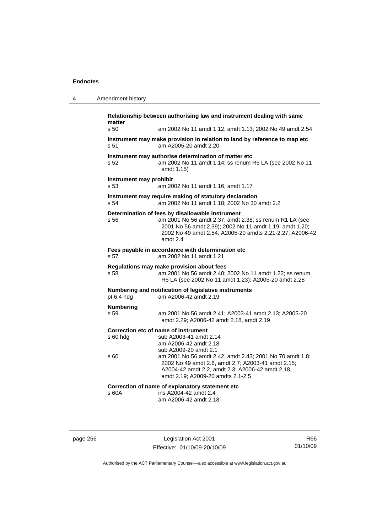| 4 | Amendment history                                                                                                                                                                                                                                      |
|---|--------------------------------------------------------------------------------------------------------------------------------------------------------------------------------------------------------------------------------------------------------|
|   | Relationship between authorising law and instrument dealing with same<br>matter                                                                                                                                                                        |
|   | s, 50<br>am 2002 No 11 amdt 1.12, amdt 1.13; 2002 No 49 amdt 2.54                                                                                                                                                                                      |
|   | Instrument may make provision in relation to land by reference to map etc<br>am A2005-20 amdt 2.20<br>s 51                                                                                                                                             |
|   | Instrument may authorise determination of matter etc<br>am 2002 No 11 amdt 1.14; ss renum R5 LA (see 2002 No 11<br>s 52<br>amdt 1.15)                                                                                                                  |
|   | Instrument may prohibit<br>s 53<br>am 2002 No 11 amdt 1.16, amdt 1.17                                                                                                                                                                                  |
|   | Instrument may require making of statutory declaration<br>am 2002 No 11 amdt 1.18; 2002 No 30 amdt 2.2<br>s <sub>54</sub>                                                                                                                              |
|   | Determination of fees by disallowable instrument<br>am 2001 No 56 amdt 2.37, amdt 2.38; ss renum R1 LA (see<br>s 56<br>2001 No 56 amdt 2.39); 2002 No 11 amdt 1.19, amdt 1.20;<br>2002 No 49 amdt 2.54; A2005-20 amdts 2.21-2.27; A2006-42<br>amdt 2.4 |
|   | Fees payable in accordance with determination etc<br>s 57<br>am 2002 No 11 amdt 1.21                                                                                                                                                                   |
|   | Regulations may make provision about fees<br>s 58<br>am 2001 No 56 amdt 2.40; 2002 No 11 amdt 1.22; ss renum<br>R5 LA (see 2002 No 11 amdt 1.23); A2005-20 amdt 2.28                                                                                   |
|   | Numbering and notification of legislative instruments<br>am A2006-42 amdt 2.19<br>pt 6.4 hdg                                                                                                                                                           |
|   | Numbering<br>s 59<br>am 2001 No 56 amdt 2.41; A2003-41 amdt 2.13; A2005-20<br>amdt 2.29; A2006-42 amdt 2.18, amdt 2.19                                                                                                                                 |
|   | Correction etc of name of instrument<br>sub A2003-41 amdt 2.14<br>s 60 hdg<br>am A2006-42 amdt 2.18<br>sub A2009-20 amdt 2.1                                                                                                                           |
|   | s 60<br>am 2001 No 56 amdt 2.42, amdt 2.43; 2001 No 70 amdt 1.8;<br>2002 No 49 amdt 2.6, amdt 2.7; A2003-41 amdt 2.15;<br>A2004-42 amdt 2.2, amdt 2.3; A2006-42 amdt 2.18,<br>amdt 2.19; A2009-20 amdts 2.1-2.5                                        |
|   | Correction of name of explanatory statement etc                                                                                                                                                                                                        |
|   | ins A2004-42 amdt 2.4<br>s 60A<br>am A2006-42 amdt 2.18                                                                                                                                                                                                |
|   |                                                                                                                                                                                                                                                        |

page 256 Legislation Act 2001 Effective: 01/10/09-20/10/09

R66 01/10/09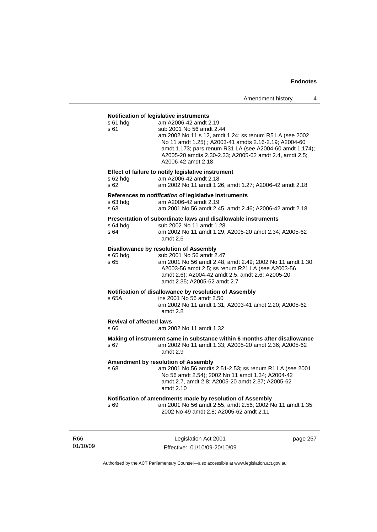### **Notification of legislative instruments**

| s 61 hdg<br>s 61                        | am A2006-42 amdt 2.19<br>sub 2001 No 56 amdt 2.44<br>am 2002 No 11 s 12, amdt 1.24; ss renum R5 LA (see 2002<br>No 11 amdt 1.25); A2003-41 amdts 2.16-2.19; A2004-60<br>amdt 1.173; pars renum R31 LA (see A2004-60 amdt 1.174);<br>A2005-20 amdts 2.30-2.33; A2005-62 amdt 2.4, amdt 2.5;<br>A2006-42 amdt 2.18 |
|-----------------------------------------|------------------------------------------------------------------------------------------------------------------------------------------------------------------------------------------------------------------------------------------------------------------------------------------------------------------|
| s 62 hda<br>s 62                        | Effect of failure to notify legislative instrument<br>am A2006-42 amdt 2.18<br>am 2002 No 11 amdt 1.26, amdt 1.27; A2006-42 amdt 2.18                                                                                                                                                                            |
| $s$ 63 hdg<br>s 63                      | References to notification of legislative instruments<br>am A2006-42 amdt 2.19<br>am 2001 No 56 amdt 2.45, amdt 2.46; A2006-42 amdt 2.18                                                                                                                                                                         |
| s 64 hdg<br>s 64                        | Presentation of subordinate laws and disallowable instruments<br>sub 2002 No 11 amdt 1.28<br>am 2002 No 11 amdt 1.29; A2005-20 amdt 2.34; A2005-62<br>amdt 2.6                                                                                                                                                   |
| s 65 hdg<br>s 65                        | <b>Disallowance by resolution of Assembly</b><br>sub 2001 No 56 amdt 2.47<br>am 2001 No 56 amdt 2.48, amdt 2.49; 2002 No 11 amdt 1.30;<br>A2003-56 amdt 2.5; ss renum R21 LA (see A2003-56<br>amdt 2.6); A2004-42 amdt 2.5, amdt 2.6; A2005-20<br>amdt 2.35; A2005-62 amdt 2.7                                   |
| s 65A                                   | Notification of disallowance by resolution of Assembly<br>ins 2001 No 56 amdt 2.50<br>am 2002 No 11 amdt 1.31; A2003-41 amdt 2.20; A2005-62<br>amdt 2.8                                                                                                                                                          |
| <b>Revival of affected laws</b><br>s 66 | am 2002 No 11 amdt 1.32                                                                                                                                                                                                                                                                                          |
| s 67                                    | Making of instrument same in substance within 6 months after disallowance<br>am 2002 No 11 amdt 1.33; A2005-20 amdt 2.36; A2005-62<br>amdt 2.9                                                                                                                                                                   |
| s 68                                    | <b>Amendment by resolution of Assembly</b><br>am 2001 No 56 amdts 2.51-2.53; ss renum R1 LA (see 2001<br>No 56 amdt 2.54); 2002 No 11 amdt 1.34; A2004-42<br>amdt 2.7, amdt 2.8; A2005-20 amdt 2.37; A2005-62<br>amdt 2.10                                                                                       |
| s 69                                    | Notification of amendments made by resolution of Assembly<br>am 2001 No 56 amdt 2.55, amdt 2.56; 2002 No 11 amdt 1.35;<br>2002 No 49 amdt 2.8; A2005-62 amdt 2.11                                                                                                                                                |

R66 01/10/09

Legislation Act 2001 Effective: 01/10/09-20/10/09 page 257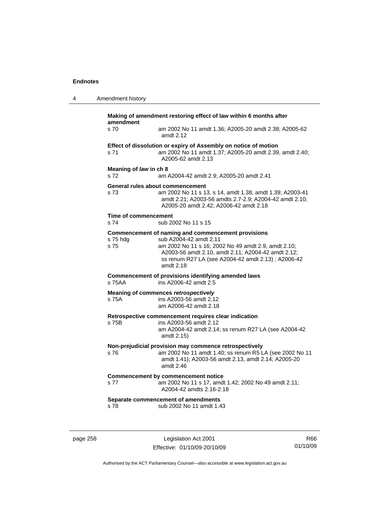4 **America** 

| Amendment history |                                                                                |                                                                                                                                                                                                                                                              |  |
|-------------------|--------------------------------------------------------------------------------|--------------------------------------------------------------------------------------------------------------------------------------------------------------------------------------------------------------------------------------------------------------|--|
|                   | Making of amendment restoring effect of law within 6 months after<br>amendment |                                                                                                                                                                                                                                                              |  |
|                   | s 70                                                                           | am 2002 No 11 amdt 1.36; A2005-20 amdt 2.38; A2005-62<br>amdt 2.12                                                                                                                                                                                           |  |
|                   | s 71                                                                           | Effect of dissolution or expiry of Assembly on notice of motion<br>am 2002 No 11 amdt 1.37; A2005-20 amdt 2.39, amdt 2.40;<br>A2005-62 amdt 2.13                                                                                                             |  |
|                   | Meaning of law in ch 8<br>s 72                                                 | am A2004-42 amdt 2.9; A2005-20 amdt 2.41                                                                                                                                                                                                                     |  |
|                   | s 73                                                                           | General rules about commencement<br>am 2002 No 11 s 13, s 14, amdt 1.38, amdt 1.39; A2003-41<br>amdt 2.21; A2003-56 amdts 2.7-2.9; A2004-42 amdt 2.10;<br>A2005-20 amdt 2.42; A2006-42 amdt 2.18                                                             |  |
|                   | Time of commencement<br>s 74                                                   | sub 2002 No 11 s 15                                                                                                                                                                                                                                          |  |
|                   | s 75 hdg<br>s 75                                                               | Commencement of naming and commencement provisions<br>sub A2004-42 amdt 2.11<br>am 2002 No 11 s 16; 2002 No 49 amdt 2.9, amdt 2.10;<br>A2003-56 amdt 2.10, amdt 2.11; A2004-42 amdt 2.12;<br>ss renum R27 LA (see A2004-42 amdt 2.13); A2006-42<br>amdt 2.18 |  |
|                   | s 75AA                                                                         | Commencement of provisions identifying amended laws<br>ins A2006-42 amdt 2.5                                                                                                                                                                                 |  |
|                   | s 75A                                                                          | Meaning of commences retrospectively<br>ins A2003-56 amdt 2.12<br>am A2006-42 amdt 2.18                                                                                                                                                                      |  |
|                   | s 75B                                                                          | Retrospective commencement requires clear indication<br>ins A2003-56 amdt 2.12<br>am A2004-42 amdt 2.14; ss renum R27 LA (see A2004-42<br>amdt 2.15)                                                                                                         |  |
|                   | s 76                                                                           | Non-prejudicial provision may commence retrospectively<br>am 2002 No 11 amdt 1.40; ss renum R5 LA (see 2002 No 11<br>amdt 1.41); A2003-56 amdt 2.13, amdt 2.14; A2005-20<br>amdt $2.46$                                                                      |  |
|                   | s 77                                                                           | <b>Commencement by commencement notice</b><br>am 2002 No 11 s 17, amdt 1.42; 2002 No 49 amdt 2.11;<br>A2004-42 amdts 2.16-2.18                                                                                                                               |  |
|                   | s 78                                                                           | Separate commencement of amendments<br>sub 2002 No 11 amdt 1.43                                                                                                                                                                                              |  |

page 258 Legislation Act 2001 Effective: 01/10/09-20/10/09

R66 01/10/09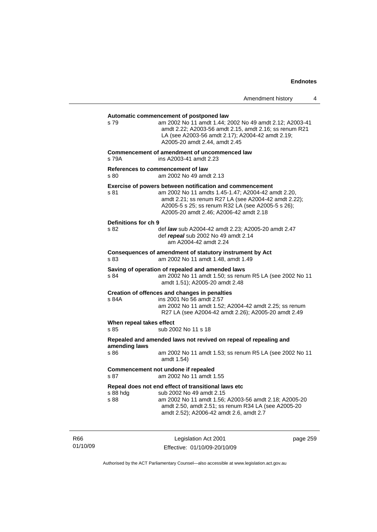# **Automatic commencement of postponed law**  s 79 am 2002 No 11 amdt 1.44; 2002 No 49 amdt 2.12; A2003-41 amdt 2.22; A2003-56 amdt 2.15, amdt 2.16; ss renum R21 LA (see A2003-56 amdt 2.17); A2004-42 amdt 2.19; A2005-20 amdt 2.44, amdt 2.45 **Commencement of amendment of uncommenced law**  s 79A ins A2003-41 amdt 2.23 **References to** *commencement* **of law**  s 80 am 2002 No 49 amdt 2.13 **Exercise of powers between notification and commencement**  s 81 am 2002 No 11 amdts 1.45-1.47; A2004-42 amdt 2.20, amdt 2.21; ss renum R27 LA (see A2004-42 amdt 2.22); A2005-5 s 25; ss renum R32 LA (see A2005-5 s 26); A2005-20 amdt 2.46; A2006-42 amdt 2.18 **Definitions for ch 9**  s 82 def *law* sub A2004-42 amdt 2.23; A2005-20 amdt 2.47 def *repeal* sub 2002 No 49 amdt 2.14 am A2004-42 amdt 2.24 **Consequences of amendment of statutory instrument by Act**  s 83 am 2002 No 11 amdt 1.48, amdt 1.49 **Saving of operation of repealed and amended laws**  s 84 am 2002 No 11 amdt 1.50; ss renum R5 LA (see 2002 No 11 amdt 1.51); A2005-20 amdt 2.48 **Creation of offences and changes in penalties**  s 84A ins 2001 No 56 amdt 2.57 am 2002 No 11 amdt 1.52; A2004-42 amdt 2.25; ss renum R27 LA (see A2004-42 amdt 2.26); A2005-20 amdt 2.49 **When repeal takes effect**  s 85 sub 2002 No 11 s 18 **Repealed and amended laws not revived on repeal of repealing and amending laws**  s 86 am 2002 No 11 amdt 1.53; ss renum R5 LA (see 2002 No 11 amdt 1.54) **Commencement not undone if repealed**  s 87 am 2002 No 11 amdt 1.55 **Repeal does not end effect of transitional laws etc**  s 88 hdg sub 2002 No 49 amdt 2.15<br>s 88 se sam 2002 No 11 amdt 1.56: am 2002 No 11 amdt 1.56; A2003-56 amdt 2.18; A2005-20 amdt 2.50, amdt 2.51; ss renum R34 LA (see A2005-20 amdt 2.52); A2006-42 amdt 2.6, amdt 2.7

R66 01/10/09

Legislation Act 2001 Effective: 01/10/09-20/10/09 page 259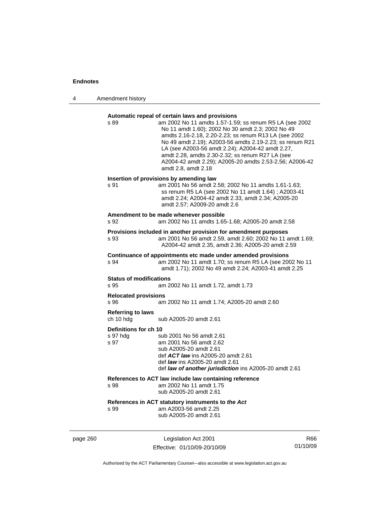4 Amendment history

# **Automatic repeal of certain laws and provisions**  s 89 am 2002 No 11 amdts 1.57-1.59; ss renum R5 LA (see 2002 No 11 amdt 1.60); 2002 No 30 amdt 2.3; 2002 No 49 amdts 2.16-2.18, 2.20-2.23; ss renum R13 LA (see 2002 No 49 amdt 2.19); A2003-56 amdts 2.19-2.23; ss renum R21 LA (see A2003-56 amdt 2.24); A2004-42 amdt 2.27, amdt 2.28, amdts 2.30-2.32; ss renum R27 LA (see A2004-42 amdt 2.29); A2005-20 amdts 2.53-2.56; A2006-42 amdt 2.8, amdt 2.18 **Insertion of provisions by amending law**  s 91 am 2001 No 56 amdt 2.58; 2002 No 11 amdts 1.61-1.63; ss renum R5 LA (see 2002 No 11 amdt 1.64) ; A2003-41 amdt 2.24; A2004-42 amdt 2.33, amdt 2.34; A2005-20 amdt 2.57; A2009-20 amdt 2.6 **Amendment to be made whenever possible**  s 92 am 2002 No 11 amdts 1.65-1.68; A2005-20 amdt 2.58 **Provisions included in another provision for amendment purposes**  s 93 am 2001 No 56 amdt 2.59, amdt 2.60; 2002 No 11 amdt 1.69; A2004-42 amdt 2.35, amdt 2.36; A2005-20 amdt 2.59 **Continuance of appointments etc made under amended provisions**  s 94 am 2002 No 11 amdt 1.70; ss renum R5 LA (see 2002 No 11 amdt 1.71); 2002 No 49 amdt 2.24; A2003-41 amdt 2.25 **Status of modifications**  s 95 am 2002 No 11 amdt 1.72, amdt 1.73 **Relocated provisions**  s 96 am 2002 No 11 amdt 1.74; A2005-20 amdt 2.60 **Referring to laws**  ch 10 hdg sub A2005-20 amdt 2.61 **Definitions for ch 10**  s 97 hdg sub 2001 No 56 amdt 2.61<br>s 97 am 2001 No 56 amdt 2.62 am 2001 No 56 amdt 2.62 sub A2005-20 amdt 2.61 def *ACT law* ins A2005-20 amdt 2.61 def *law* ins A2005-20 amdt 2.61 def *law of another jurisdiction* ins A2005-20 amdt 2.61 **References to ACT law include law containing reference**  am 2002 No 11 amdt 1.75 sub A2005-20 amdt 2.61 **References in ACT statutory instruments to** *the Act* s 99 am A2003-56 amdt 2.25 sub A2005-20 amdt 2.61

page 260 Legislation Act 2001 Effective: 01/10/09-20/10/09

R66 01/10/09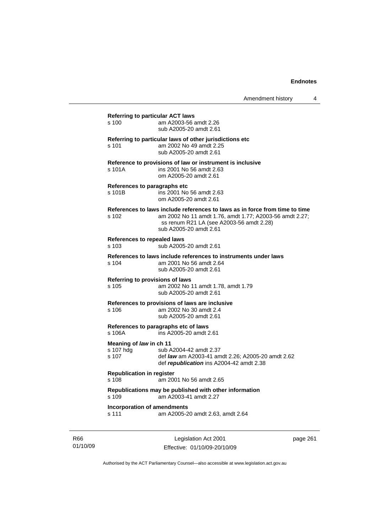| s 100                                         | am A2003-56 amdt 2.26<br>sub A2005-20 amdt 2.61                                                                                                                                                              |
|-----------------------------------------------|--------------------------------------------------------------------------------------------------------------------------------------------------------------------------------------------------------------|
| s 101                                         | Referring to particular laws of other jurisdictions etc<br>am 2002 No 49 amdt 2.25<br>sub A2005-20 amdt 2.61                                                                                                 |
| s 101A                                        | Reference to provisions of law or instrument is inclusive<br>ins 2001 No 56 amdt 2.63<br>om A2005-20 amdt 2.61                                                                                               |
| s 101B                                        | References to paragraphs etc<br>ins 2001 No 56 amdt 2.63<br>om A2005-20 amdt 2.61                                                                                                                            |
| s 102                                         | References to laws include references to laws as in force from time to time<br>am 2002 No 11 amdt 1.76, amdt 1.77; A2003-56 amdt 2.27;<br>ss renum R21 LA (see A2003-56 amdt 2.28)<br>sub A2005-20 amdt 2.61 |
| <b>References to repealed laws</b><br>s 103   | sub A2005-20 amdt 2.61                                                                                                                                                                                       |
| s 104                                         | References to laws include references to instruments under laws<br>am 2001 No 56 amdt 2.64<br>sub A2005-20 amdt 2.61                                                                                         |
| s 105                                         | Referring to provisions of laws<br>am 2002 No 11 amdt 1.78, amdt 1.79<br>sub A2005-20 amdt 2.61                                                                                                              |
| s 106                                         | References to provisions of laws are inclusive<br>am 2002 No 30 amdt 2.4<br>sub A2005-20 amdt 2.61                                                                                                           |
| s 106A                                        | References to paragraphs etc of laws<br>ins A2005-20 amdt 2.61                                                                                                                                               |
| Meaning of law in ch 11<br>s 107 hdg<br>s 107 | sub A2004-42 amdt 2.37<br>def law am A2003-41 amdt 2.26; A2005-20 amdt 2.62<br>def republication ins A2004-42 amdt 2.38                                                                                      |
| <b>Republication in register</b><br>s 108     | am 2001 No 56 amdt 2.65                                                                                                                                                                                      |
| s 109                                         | Republications may be published with other information<br>am A2003-41 amdt 2.27                                                                                                                              |
| s 111                                         | <b>Incorporation of amendments</b><br>am A2005-20 amdt 2.63, amdt 2.64                                                                                                                                       |

R66 01/10/09

Legislation Act 2001 Effective: 01/10/09-20/10/09 page 261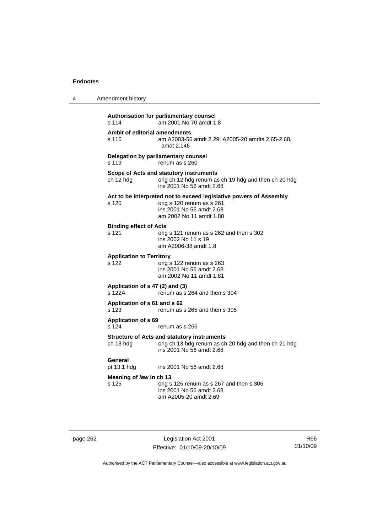| 4 | Amendment history                         |                                                                                                                                                        |
|---|-------------------------------------------|--------------------------------------------------------------------------------------------------------------------------------------------------------|
|   | s 114                                     | Authorisation for parliamentary counsel<br>am 2001 No 70 amdt 1.8                                                                                      |
|   | Ambit of editorial amendments<br>s 116    | am A2003-56 amdt 2.29; A2005-20 amdts 2.65-2.68,<br>amdt 2.146                                                                                         |
|   | s 119                                     | Delegation by parliamentary counsel<br>renum as s 260                                                                                                  |
|   | ch 12 hdg                                 | Scope of Acts and statutory instruments<br>orig ch 12 hdg renum as ch 19 hdg and then ch 20 hdg<br>ins 2001 No 56 amdt 2.68                            |
|   | s 120                                     | Act to be interpreted not to exceed legislative powers of Assembly<br>orig s 120 renum as s 261<br>ins 2001 No 56 amdt 2.68<br>am 2002 No 11 amdt 1.80 |
|   | <b>Binding effect of Acts</b><br>s 121    | orig s 121 renum as s 262 and then s 302<br>ins 2002 No 11 s 19<br>am A2006-38 amdt 1.8                                                                |
|   | <b>Application to Territory</b><br>s 122  | orig s 122 renum as s 263<br>ins 2001 No 56 amdt 2.68<br>am 2002 No 11 amdt 1.81                                                                       |
|   | Application of s 47 (2) and (3)<br>s 122A | renum as s 264 and then s 304                                                                                                                          |
|   | Application of s 61 and s 62<br>s 123     | renum as s 265 and then s 305                                                                                                                          |
|   | Application of s 69<br>s 124              | renum as s 266                                                                                                                                         |
|   | ch 13 hdg                                 | <b>Structure of Acts and statutory instruments</b><br>orig ch 13 hdg renum as ch 20 hdg and then ch 21 hdg<br>ins 2001 No 56 amdt 2.68                 |
|   | General<br>pt 13.1 hdg                    | ins 2001 No 56 amdt 2.68                                                                                                                               |
|   | Meaning of law in ch 13<br>s 125          | orig s 125 renum as s 267 and then s 306<br>ins 2001 No 56 amdt 2.68<br>am A2005-20 amdt 2.69                                                          |

page 262 Legislation Act 2001 Effective: 01/10/09-20/10/09

R66 01/10/09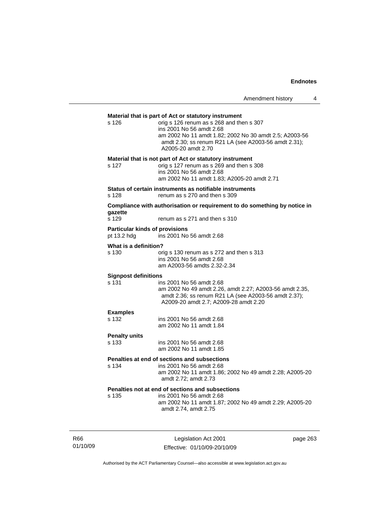# **Material that is part of Act or statutory instrument**  s 126 orig s 126 renum as s 268 and then s 307 ins 2001 No 56 amdt 2.68 am 2002 No 11 amdt 1.82; 2002 No 30 amdt 2.5; A2003-56 amdt 2.30; ss renum R21 LA (see A2003-56 amdt 2.31); A2005-20 amdt 2.70 **Material that is not part of Act or statutory instrument**  s 127 orig s 127 renum as s 269 and then s 308 ins 2001 No 56 amdt 2.68 am 2002 No 11 amdt 1.83; A2005-20 amdt 2.71 **Status of certain instruments as notifiable instruments**  s 128 renum as s 270 and then s 309 **Compliance with authorisation or requirement to do something by notice in**  gazette<br>s 129 renum as s 271 and then s 310 **Particular kinds of provisions**  pt 13.2 hdg ins 2001 No 56 amdt 2.68 **What is a definition?**  s 130 orig s 130 renum as s 272 and then s 313 ins 2001 No 56 amdt 2.68 am A2003-56 amdts 2.32-2.34 **Signpost definitions**  s 131 ins 2001 No 56 amdt 2.68 am 2002 No 49 amdt 2.26, amdt 2.27; A2003-56 amdt 2.35, amdt 2.36; ss renum R21 LA (see A2003-56 amdt 2.37); A2009-20 amdt 2.7; A2009-28 amdt 2.20 **Examples**  s 132 ins 2001 No 56 amdt 2.68 am 2002 No 11 amdt 1.84 **Penalty units**  ins 2001 No 56 amdt 2.68 am 2002 No 11 amdt 1.85 **Penalties at end of sections and subsections**  s 134 ins 2001 No 56 amdt 2.68 am 2002 No 11 amdt 1.86; 2002 No 49 amdt 2.28; A2005-20 amdt 2.72; amdt 2.73 **Penalties not at end of sections and subsections**  s 135 ins 2001 No 56 amdt 2.68 am 2002 No 11 amdt 1.87; 2002 No 49 amdt 2.29; A2005-20 amdt 2.74, amdt 2.75

R66 01/10/09

Legislation Act 2001 Effective: 01/10/09-20/10/09 page 263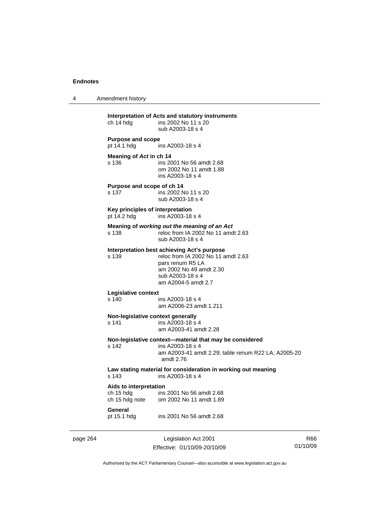4 Amendment history page 264 Legislation Act 2001 Effective: 01/10/09-20/10/09 **Interpretation of Acts and statutory instruments**  ch 14 hdg ins 2002 No 11 s 20 sub A2003-18 s 4 **Purpose and scope**  ins A2003-18 s 4 **Meaning of** *Act* **in ch 14**  s 136 ins 2001 No 56 amdt 2.68 om 2002 No 11 amdt 1.88 ins A2003-18 s 4 **Purpose and scope of ch 14**  s 137 ins 2002 No 11 s 20 sub A2003-18 s 4 **Key principles of interpretation**  pt 14.2 hdg ins A2003-18 s 4 **Meaning of** *working out the meaning of an Act* s 138 reloc from IA 2002 No 11 amdt 2.63 sub A2003-18 s 4 **Interpretation best achieving Act's purpose**  s 139 reloc from IA 2002 No 11 amdt 2.63 pars renum R5 LA am 2002 No 49 amdt 2.30 sub A2003-18 s 4 am A2004-5 amdt 2.7 **Legislative context**  s 140 ins A2003-18 s 4 am A2006-23 amdt 1.211 **Non-legislative context generally**<br>s 141 **ins A2003-18 s**  $ins$  A2003-18 s 4 am A2003-41 amdt 2.28 **Non-legislative context—material that may be considered**  s 142 ins A2003-18 s 4 am A2003-41 amdt 2.29; table renum R22 LA; A2005-20 amdt 2.76 **Law stating material for consideration in working out meaning**  ins A2003-18 s 4 **Aids to interpretation**  ch 15 hdg ins 2001 No 56 amdt 2.68<br>ch 15 hdg note om 2002 No 11 amdt 1.89 om 2002 No 11 amdt 1.89 **General**  pt 15.1 hdg ins 2001 No 56 amdt 2.68

R66 01/10/09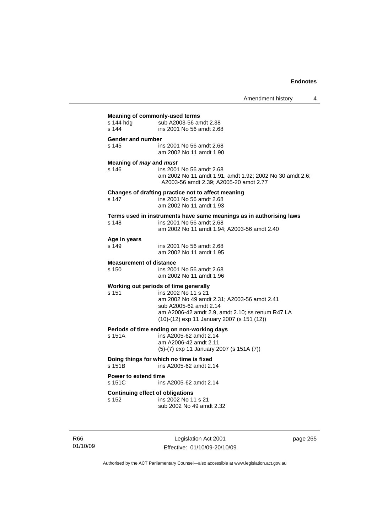| <b>Meaning of commonly-used terms</b>   |                                                                     |  |  |
|-----------------------------------------|---------------------------------------------------------------------|--|--|
| s 144 hdg<br>sub A2003-56 amdt 2.38     |                                                                     |  |  |
| s 144                                   | ins 2001 No 56 amdt 2.68                                            |  |  |
|                                         |                                                                     |  |  |
| <b>Gender and number</b>                |                                                                     |  |  |
| s 145                                   | ins 2001 No 56 amdt 2.68                                            |  |  |
|                                         | am 2002 No 11 amdt 1.90                                             |  |  |
|                                         |                                                                     |  |  |
| Meaning of may and must                 |                                                                     |  |  |
| s 146                                   | ins 2001 No 56 amdt 2.68                                            |  |  |
|                                         | am 2002 No 11 amdt 1.91, amdt 1.92; 2002 No 30 amdt 2.6;            |  |  |
|                                         | A2003-56 amdt 2.39; A2005-20 amdt 2.77                              |  |  |
|                                         | Changes of drafting practice not to affect meaning                  |  |  |
| s 147                                   | ins 2001 No 56 amdt 2.68                                            |  |  |
|                                         | am 2002 No 11 amdt 1.93                                             |  |  |
|                                         |                                                                     |  |  |
|                                         | Terms used in instruments have same meanings as in authorising laws |  |  |
| s 148                                   | ins 2001 No 56 amdt 2.68                                            |  |  |
|                                         | am 2002 No 11 amdt 1.94; A2003-56 amdt 2.40                         |  |  |
| Age in years                            |                                                                     |  |  |
| s 149                                   | ins 2001 No 56 amdt 2.68                                            |  |  |
|                                         | am 2002 No 11 amdt 1.95                                             |  |  |
|                                         |                                                                     |  |  |
| <b>Measurement of distance</b>          |                                                                     |  |  |
| s 150                                   | ins 2001 No 56 amdt 2.68                                            |  |  |
|                                         | am 2002 No 11 amdt 1.96                                             |  |  |
|                                         | Working out periods of time generally                               |  |  |
| s 151                                   | ins 2002 No 11 s 21                                                 |  |  |
|                                         | am 2002 No 49 amdt 2.31; A2003-56 amdt 2.41                         |  |  |
|                                         | sub A2005-62 amdt 2.14                                              |  |  |
|                                         | am A2006-42 amdt 2.9, amdt 2.10; ss renum R47 LA                    |  |  |
|                                         | (10)-(12) exp 11 January 2007 (s 151 (12))                          |  |  |
|                                         |                                                                     |  |  |
|                                         | Periods of time ending on non-working days                          |  |  |
| s 151A                                  | ins A2005-62 amdt 2.14                                              |  |  |
|                                         | am A2006-42 amdt 2.11                                               |  |  |
|                                         | (5)-(7) exp 11 January 2007 (s 151A (7))                            |  |  |
|                                         | Doing things for which no time is fixed                             |  |  |
| s 151B                                  | ins A2005-62 amdt 2.14                                              |  |  |
|                                         |                                                                     |  |  |
| <b>Power to extend time</b>             |                                                                     |  |  |
| s 151C                                  | ins A2005-62 amdt 2.14                                              |  |  |
|                                         |                                                                     |  |  |
| <b>Continuing effect of obligations</b> |                                                                     |  |  |
| s 152                                   | ins 2002 No 11 s 21                                                 |  |  |
|                                         | sub 2002 No 49 amdt 2.32                                            |  |  |

R66 01/10/09

Legislation Act 2001 Effective: 01/10/09-20/10/09 page 265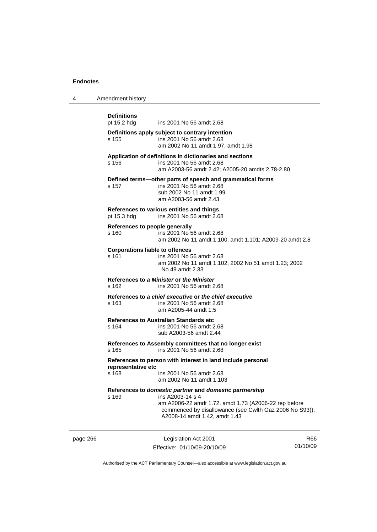| Amendment history<br>$\overline{4}$ |  |
|-------------------------------------|--|
|-------------------------------------|--|

|          | <b>Definitions</b><br>pt 15.2 hdg               | ins 2001 No 56 amdt 2.68                                                                                                                                                                                                         |     |
|----------|-------------------------------------------------|----------------------------------------------------------------------------------------------------------------------------------------------------------------------------------------------------------------------------------|-----|
|          | s 155                                           | Definitions apply subject to contrary intention<br>ins 2001 No 56 amdt 2.68<br>am 2002 No 11 amdt 1.97, amdt 1.98                                                                                                                |     |
|          | s 156                                           | Application of definitions in dictionaries and sections<br>ins 2001 No 56 amdt 2.68<br>am A2003-56 amdt 2.42; A2005-20 amdts 2.78-2.80                                                                                           |     |
|          | s 157                                           | Defined terms-other parts of speech and grammatical forms<br>ins 2001 No 56 amdt 2.68<br>sub 2002 No 11 amdt 1.99<br>am A2003-56 amdt 2.43                                                                                       |     |
|          | pt 15.3 hdg                                     | References to various entities and things<br>ins 2001 No 56 amdt 2.68                                                                                                                                                            |     |
|          | References to people generally<br>s 160         | ins 2001 No 56 amdt 2.68<br>am 2002 No 11 amdt 1.100, amdt 1.101; A2009-20 amdt 2.8                                                                                                                                              |     |
|          | <b>Corporations liable to offences</b><br>s 161 | ins 2001 No 56 amdt 2.68<br>am 2002 No 11 amdt 1.102; 2002 No 51 amdt 1.23; 2002<br>No 49 amdt 2.33                                                                                                                              |     |
|          | s 162                                           | References to a Minister or the Minister<br>ins 2001 No 56 amdt 2.68                                                                                                                                                             |     |
|          | s 163                                           | References to a chief executive or the chief executive<br>ins 2001 No 56 amdt 2.68<br>am A2005-44 amdt 1.5                                                                                                                       |     |
|          | s 164                                           | <b>References to Australian Standards etc</b><br>ins 2001 No 56 amdt 2.68<br>sub A2003-56 amdt 2.44                                                                                                                              |     |
|          | s 165                                           | References to Assembly committees that no longer exist<br>ins 2001 No 56 amdt 2.68                                                                                                                                               |     |
|          | representative etc<br>s 168                     | References to person with interest in land include personal<br>ins 2001 No 56 amdt 2.68<br>am 2002 No 11 amdt 1.103                                                                                                              |     |
|          | s 169                                           | References to domestic partner and domestic partnership<br>ins A2003-14 s 4<br>am A2006-22 amdt 1.72, amdt 1.73 (A2006-22 rep before<br>commenced by disallowance (see Cwlth Gaz 2006 No S93));<br>A2008-14 amdt 1.42, amdt 1.43 |     |
| page 266 |                                                 | Legislation Act 2001                                                                                                                                                                                                             | R66 |

Effective: 01/10/09-20/10/09

R66 01/10/09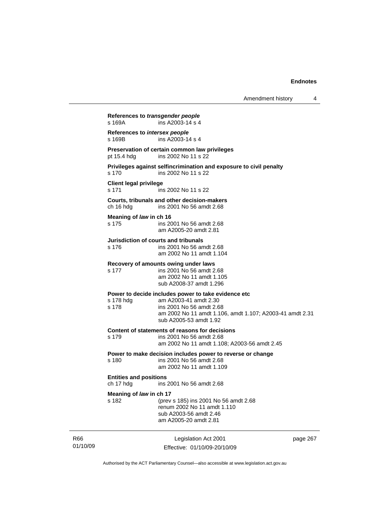Amendment history 4

**References to** *transgender people*  s 169A ins A2003-14 s 4 **References to** *intersex people*   $ins A2003-14 s 4$ **Preservation of certain common law privileges**  pt 15.4 hdg ins 2002 No 11 s 22 **Privileges against selfincrimination and exposure to civil penalty**  s 170 ins 2002 No 11 s 22 **Client legal privilege**  s 171 ins 2002 No 11 s 22 **Courts, tribunals and other decision-makers**  ch 16 hdg ins 2001 No 56 amdt 2.68 **Meaning of** *law* **in ch 16**  s 175 ins 2001 No 56 amdt 2.68 am A2005-20 amdt 2.81 **Jurisdiction of courts and tribunals**  s 176 ins 2001 No 56 amdt 2.68 am 2002 No 11 amdt 1.104 **Recovery of amounts owing under laws**  s 177 ins 2001 No 56 amdt 2.68 am 2002 No 11 amdt 1.105 sub A2008-37 amdt 1.296 **Power to decide includes power to take evidence etc**  s 178 hdg am A2003-41 amdt 2.30<br>s 178 ins 2001 No 56 amdt 2.6 ins 2001 No 56 amdt 2.68 am 2002 No 11 amdt 1.106, amdt 1.107; A2003-41 amdt 2.31 sub A2005-53 amdt 1.92 **Content of statements of reasons for decisions**  s 179 ins 2001 No 56 amdt 2.68 am 2002 No 11 amdt 1.108; A2003-56 amdt 2.45 **Power to make decision includes power to reverse or change**  s 180 ins 2001 No 56 amdt 2.68 am 2002 No 11 amdt 1.109 **Entities and positions**  ch 17 hdg ins 2001 No 56 amdt 2.68 **Meaning of** *law* **in ch 17**  s 182 (prev s 185) ins 2001 No 56 amdt 2.68 renum 2002 No 11 amdt 1.110 sub A2003-56 amdt 2.46 am A2005-20 amdt 2.81

R66 01/10/09

Legislation Act 2001 Effective: 01/10/09-20/10/09 page 267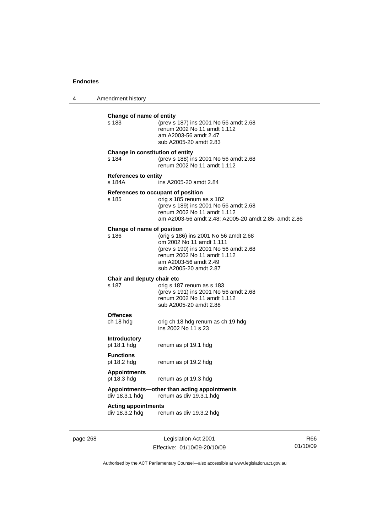4 Amendment history

| s 183                                 | Change of name of entity<br>(prev s 187) ins 2001 No 56 amdt 2.68<br>renum 2002 No 11 amdt 1.112<br>am A2003-56 amdt 2.47<br>sub A2005-20 amdt 2.83                                             |
|---------------------------------------|-------------------------------------------------------------------------------------------------------------------------------------------------------------------------------------------------|
| s 184                                 | Change in constitution of entity<br>(prev s 188) ins 2001 No 56 amdt 2.68<br>renum 2002 No 11 amdt 1.112                                                                                        |
| <b>References to entity</b><br>s 184A | ins A2005-20 amdt 2.84                                                                                                                                                                          |
| s 185                                 | References to occupant of position<br>orig s 185 renum as s 182<br>(prev s 189) ins 2001 No 56 amdt 2.68<br>renum 2002 No 11 amdt 1.112<br>am A2003-56 amdt 2.48; A2005-20 amdt 2.85, amdt 2.86 |
| Change of name of position<br>s 186   | (orig s 186) ins 2001 No 56 amdt 2.68<br>om 2002 No 11 amdt 1.111<br>(prev s 190) ins 2001 No 56 amdt 2.68<br>renum 2002 No 11 amdt 1.112<br>am A2003-56 amdt 2.49<br>sub A2005-20 amdt 2.87    |
| Chair and deputy chair etc<br>s 187   | orig s 187 renum as s 183<br>(prev s 191) ins 2001 No 56 amdt 2.68<br>renum 2002 No 11 amdt 1.112<br>sub A2005-20 amdt 2.88                                                                     |
| <b>Offences</b><br>ch 18 hdg          | orig ch 18 hdg renum as ch 19 hdg<br>ins 2002 No 11 s 23                                                                                                                                        |
| <b>Introductory</b><br>pt 18.1 hdg    | renum as pt 19.1 hdg                                                                                                                                                                            |
| <b>Functions</b><br>pt 18.2 hdg       | renum as pt 19.2 hdg                                                                                                                                                                            |
| <b>Appointments</b><br>pt 18.3 hdg    | renum as pt 19.3 hdg                                                                                                                                                                            |
|                                       | Appointments-other than acting appointments<br>renum as div 19.3.1.hdg                                                                                                                          |
| div 18.3.1 hdg                        |                                                                                                                                                                                                 |

page 268 Legislation Act 2001 Effective: 01/10/09-20/10/09

R66 01/10/09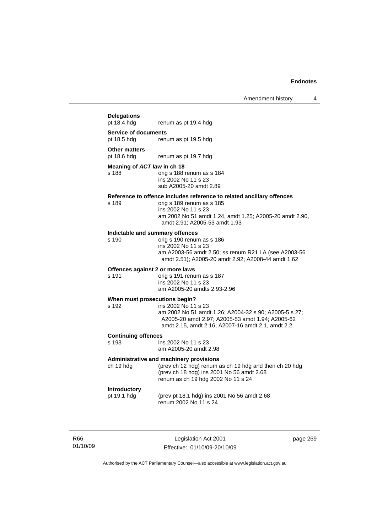# Amendment history 4 **Delegations**  renum as pt 19.4 hdg **Service of documents**  pt 18.5 hdg renum as pt 19.5 hdg **Other matters**  pt 18.6 hdg renum as pt 19.7 hdg **Meaning of** *ACT law* **in ch 18**  s 188 orig s 188 renum as s 184 ins 2002 No 11 s 23 sub A2005-20 amdt 2.89 **Reference to offence includes reference to related ancillary offences**  orig s 189 renum as s 185 ins 2002 No 11 s 23 am 2002 No 51 amdt 1.24, amdt 1.25; A2005-20 amdt 2.90, amdt 2.91; A2005-53 amdt 1.93 **Indictable and summary offences**  orig s 190 renum as s 186 ins 2002 No 11 s 23 am A2003-56 amdt 2.50; ss renum R21 LA (see A2003-56 amdt 2.51); A2005-20 amdt 2.92; A2008-44 amdt 1.62 **Offences against 2 or more laws**  s 191 orig s 191 renum as s 187 ins 2002 No 11 s 23 am A2005-20 amdts 2.93-2.96 **When must prosecutions begin?**  s 192 ins 2002 No 11 s 23 am 2002 No 51 amdt 1.26; A2004-32 s 90; A2005-5 s 27; A2005-20 amdt 2.97; A2005-53 amdt 1.94; A2005-62 amdt 2.15, amdt 2.16; A2007-16 amdt 2.1, amdt 2.2 **Continuing offences**  ins 2002 No 11 s 23 am A2005-20 amdt 2.98 **Administrative and machinery provisions**  ch 19 hdg (prev ch 12 hdg) renum as ch 19 hdg and then ch 20 hdg (prev ch 18 hdg) ins 2001 No 56 amdt 2.68 renum as ch 19 hdg 2002 No 11 s 24 **Introductory**  pt 19.1 hdg (prev pt 18.1 hdg) ins 2001 No 56 amdt 2.68 renum 2002 No 11 s 24

R66 01/10/09

Legislation Act 2001 Effective: 01/10/09-20/10/09 page 269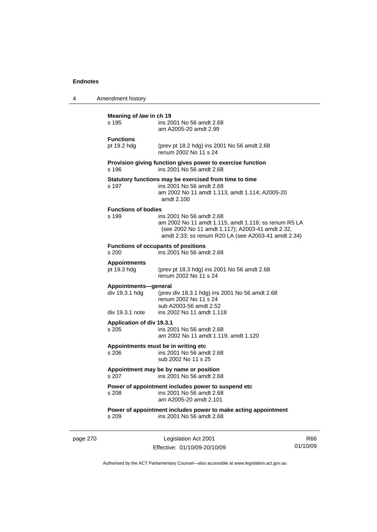| 4 | Amendment history                                         |                                                                                                                                                                                             |
|---|-----------------------------------------------------------|---------------------------------------------------------------------------------------------------------------------------------------------------------------------------------------------|
|   | Meaning of law in ch 19<br>s 195                          | ins 2001 No 56 amdt 2.68<br>am A2005-20 amdt 2.99                                                                                                                                           |
|   | <b>Functions</b><br>pt 19.2 hdg                           | (prev pt 18.2 hdg) ins 2001 No 56 amdt 2.68<br>renum 2002 No 11 s 24                                                                                                                        |
|   | s 196                                                     | Provision giving function gives power to exercise function<br>ins 2001 No 56 amdt 2.68                                                                                                      |
|   | s 197                                                     | Statutory functions may be exercised from time to time<br>ins 2001 No 56 amdt 2.68<br>am 2002 No 11 amdt 1.113, amdt 1.114; A2005-20<br>amdt 2.100                                          |
|   | <b>Functions of bodies</b><br>s 199                       | ins 2001 No 56 amdt 2.68<br>am 2002 No 11 amdt 1.115, amdt 1.116; ss renum R5 LA<br>(see 2002 No 11 amdt 1.117); A2003-41 amdt 2.32,<br>amdt 2.33; ss renum R20 LA (see A2003-41 amdt 2.34) |
|   | s 200                                                     | <b>Functions of occupants of positions</b><br>ins 2001 No 56 amdt 2.68                                                                                                                      |
|   | <b>Appointments</b><br>pt 19.3 hdg                        | (prev pt 18.3 hdg) ins 2001 No 56 amdt 2.68<br>renum 2002 No 11 s 24                                                                                                                        |
|   | Appointments-general<br>div 19.3.1 hdg<br>div 19.3.1 note | (prev div 18.3.1 hdg) ins 2001 No 56 amdt 2.68<br>renum 2002 No 11 s 24<br>sub A2003-56 amdt 2.52<br>ins 2002 No 11 amdt 1.118                                                              |
|   | <b>Application of div 19.3.1</b><br>s 205                 | ins 2001 No 56 amdt 2.68<br>am 2002 No 11 amdt 1.119, amdt 1.120                                                                                                                            |
|   | s 206                                                     | Appointments must be in writing etc<br>ins 2001 No 56 amdt 2.68<br>sub 2002 No 11 s 25                                                                                                      |
|   | s 207                                                     | Appointment may be by name or position<br>ins 2001 No 56 amdt 2.68                                                                                                                          |
|   | s 208                                                     | Power of appointment includes power to suspend etc<br>ins 2001 No 56 amdt 2.68<br>am A2005-20 amdt 2.101                                                                                    |
|   | s 209                                                     | Power of appointment includes power to make acting appointment<br>ins 2001 No 56 amdt 2.68                                                                                                  |
|   |                                                           |                                                                                                                                                                                             |

page 270 Legislation Act 2001 Effective: 01/10/09-20/10/09

R66 01/10/09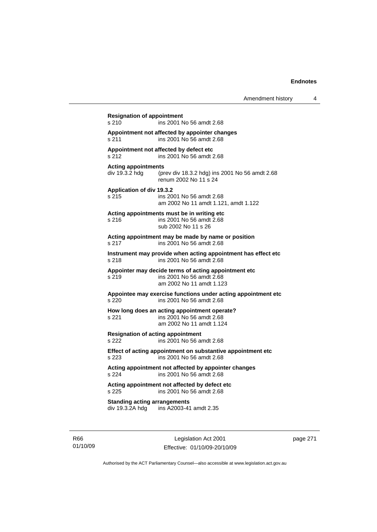**Resignation of appointment**  s 210 ins 2001 No 56 amdt 2.68 **Appointment not affected by appointer changes**  s 211 ins 2001 No 56 amdt 2.68 **Appointment not affected by defect etc**  s 212 ins 2001 No 56 amdt 2.68 **Acting appointments**  div 19.3.2 hdg (prev div 18.3.2 hdg) ins 2001 No 56 amdt 2.68 renum 2002 No 11 s 24 **Application of div 19.3.2**  s 215 ins 2001 No 56 amdt 2.68 am 2002 No 11 amdt 1.121, amdt 1.122 **Acting appointments must be in writing etc**  s 216 ins 2001 No 56 amdt 2.68 sub 2002 No 11 s 26 **Acting appointment may be made by name or position**  s 217 ins 2001 No 56 amdt 2.68 **Instrument may provide when acting appointment has effect etc**  s 218 ins 2001 No 56 amdt 2.68 **Appointer may decide terms of acting appointment etc**  s 219 ins 2001 No 56 amdt 2.68 am 2002 No 11 amdt 1.123 **Appointee may exercise functions under acting appointment etc**  s 220 ins 2001 No 56 amdt 2.68 **How long does an acting appointment operate?**  s 221 ins 2001 No 56 amdt 2.68 am 2002 No 11 amdt 1.124 **Resignation of acting appointment**  s 222 ins 2001 No 56 amdt 2.68 **Effect of acting appointment on substantive appointment etc**  s 223 ins 2001 No 56 amdt 2.68 **Acting appointment not affected by appointer changes**  s 224 ins 2001 No 56 amdt 2.68 **Acting appointment not affected by defect etc**  s 225 ins 2001 No 56 amdt 2.68 **Standing acting arrangements**  div 19.3.2A hdg ins A2003-41 amdt 2.35

R66 01/10/09

Legislation Act 2001 Effective: 01/10/09-20/10/09 page 271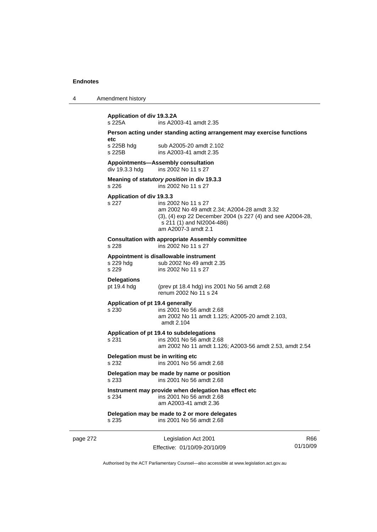|  | Amendment history |
|--|-------------------|
|--|-------------------|

| s 225A                             | ins A2003-41 amdt 2.35                                                                                                                                                               |
|------------------------------------|--------------------------------------------------------------------------------------------------------------------------------------------------------------------------------------|
| etc                                | Person acting under standing acting arrangement may exercise functions                                                                                                               |
| s 225B hdg<br>s 225B               | sub A2005-20 amdt 2.102<br>ins A2003-41 amdt 2.35                                                                                                                                    |
| div 19.3.3 hdg                     | Appointments-Assembly consultation<br>ins 2002 No 11 s 27                                                                                                                            |
| s 226                              | Meaning of statutory position in div 19.3.3<br>ins 2002 No 11 s 27                                                                                                                   |
| Application of div 19.3.3<br>s 227 | ins 2002 No 11 s 27<br>am 2002 No 49 amdt 2.34; A2004-28 amdt 3.32<br>(3), (4) exp 22 December 2004 (s 227 (4) and see A2004-28,<br>s 211 (1) and NI2004-486)<br>am A2007-3 amdt 2.1 |
| s 228                              | <b>Consultation with appropriate Assembly committee</b><br>ins 2002 No 11 s 27                                                                                                       |
| s 229 hdg<br>s 229                 | Appointment is disallowable instrument<br>sub 2002 No 49 amdt 2.35<br>ins 2002 No 11 s 27                                                                                            |
| <b>Delegations</b><br>pt 19.4 hdg  | (prev pt 18.4 hdg) ins 2001 No 56 amdt 2.68<br>renum 2002 No 11 s 24                                                                                                                 |
| $s$ 230                            | Application of pt 19.4 generally<br>ins 2001 No 56 amdt 2.68<br>am 2002 No 11 amdt 1.125; A2005-20 amdt 2.103,<br>amdt 2.104                                                         |
| s 231                              | Application of pt 19.4 to subdelegations<br>ins 2001 No 56 amdt 2.68<br>am 2002 No 11 amdt 1.126; A2003-56 amdt 2.53, amdt 2.54                                                      |
| s 232                              | Delegation must be in writing etc<br>ins 2001 No 56 amdt 2.68                                                                                                                        |
| s 233                              | Delegation may be made by name or position<br>ins 2001 No 56 amdt 2.68                                                                                                               |
| s 234                              | Instrument may provide when delegation has effect etc<br>ins 2001 No 56 amdt 2.68<br>am A2003-41 amdt 2.36                                                                           |
|                                    | Delegation may be made to 2 or more delegates                                                                                                                                        |
| s 235                              | ins 2001 No 56 amdt 2.68                                                                                                                                                             |

page 272 Legislation Act 2001 Effective: 01/10/09-20/10/09

R66 01/10/09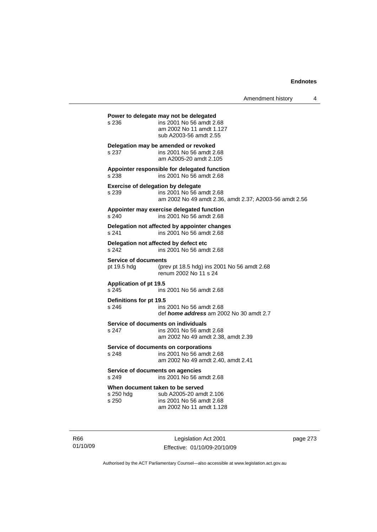Amendment history 4

**Power to delegate may not be delegated**  s 236 ins 2001 No 56 amdt 2.68 am 2002 No 11 amdt 1.127 sub A2003-56 amdt 2.55 **Delegation may be amended or revoked**  s 237 ins 2001 No 56 amdt 2.68 am A2005-20 amdt 2.105 **Appointer responsible for delegated function**  s 238 ins 2001 No 56 amdt 2.68 **Exercise of delegation by delegate**  s 239 ins 2001 No 56 amdt 2.68 am 2002 No 49 amdt 2.36, amdt 2.37; A2003-56 amdt 2.56 **Appointer may exercise delegated function**  s 240 ins 2001 No 56 amdt 2.68 **Delegation not affected by appointer changes**  s 241 ins 2001 No 56 amdt 2.68 **Delegation not affected by defect etc**  s 242 ins 2001 No 56 amdt 2.68 **Service of documents**<br>pt 19.5 hdg (pre (prev pt 18.5 hdg) ins 2001 No 56 amdt  $2.68$ renum 2002 No 11 s 24 **Application of pt 19.5**  s 245 ins 2001 No 56 amdt 2.68 **Definitions for pt 19.5**  ins 2001 No 56 amdt 2.68 def *home address* am 2002 No 30 amdt 2.7 **Service of documents on individuals**<br>s 247 **ins 2001 No 56 am** ins 2001 No 56 amdt 2.68 am 2002 No 49 amdt 2.38, amdt 2.39 **Service of documents on corporations**  s 248 ins 2001 No 56 amdt 2.68 am 2002 No 49 amdt 2.40, amdt 2.41 **Service of documents on agencies**  s 249 ins 2001 No 56 amdt 2.68 **When document taken to be served**  s 250 hdg sub A2005-20 amdt 2.106 s 250 ins 2001 No 56 amdt 2.68 am 2002 No 11 amdt 1.128

R66 01/10/09

Legislation Act 2001 Effective: 01/10/09-20/10/09 page 273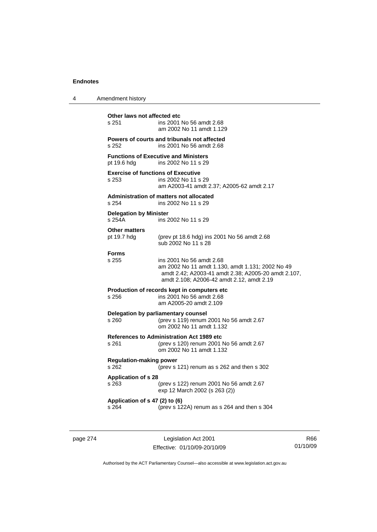| 4 | Amendment history                                  |                                                                                                                                                                                  |
|---|----------------------------------------------------|----------------------------------------------------------------------------------------------------------------------------------------------------------------------------------|
|   | Other laws not affected etc<br>s 251               | ins 2001 No 56 amdt 2.68<br>am 2002 No 11 amdt 1.129                                                                                                                             |
|   | s 252                                              | Powers of courts and tribunals not affected<br>ins 2001 No 56 amdt 2.68                                                                                                          |
|   | pt 19.6 hdg                                        | <b>Functions of Executive and Ministers</b><br>ins 2002 No 11 s 29                                                                                                               |
|   | <b>Exercise of functions of Executive</b><br>s 253 | ins 2002 No 11 s 29<br>am A2003-41 amdt 2.37; A2005-62 amdt 2.17                                                                                                                 |
|   | s 254                                              | <b>Administration of matters not allocated</b><br>ins 2002 No 11 s 29                                                                                                            |
|   | <b>Delegation by Minister</b><br>s 254A            | ins 2002 No 11 s 29                                                                                                                                                              |
|   | <b>Other matters</b><br>pt 19.7 hdg                | (prev pt 18.6 hdg) ins 2001 No 56 amdt 2.68<br>sub 2002 No 11 s 28                                                                                                               |
|   | <b>Forms</b><br>s 255                              | ins 2001 No 56 amdt 2.68<br>am 2002 No 11 amdt 1.130, amdt 1.131; 2002 No 49<br>amdt 2.42; A2003-41 amdt 2.38; A2005-20 amdt 2.107,<br>amdt 2.108; A2006-42 amdt 2.12, amdt 2.19 |
|   | s 256                                              | Production of records kept in computers etc<br>ins 2001 No 56 amdt 2.68<br>am A2005-20 amdt 2.109                                                                                |
|   | s 260.                                             | Delegation by parliamentary counsel<br>(prev s 119) renum 2001 No 56 amdt 2.67<br>om 2002 No 11 amdt 1.132                                                                       |
|   | s 261                                              | <b>References to Administration Act 1989 etc</b><br>(prev s 120) renum 2001 No 56 amdt 2.67<br>om 2002 No 11 amdt 1.132                                                          |
|   | <b>Regulation-making power</b><br>s 262            | (prev s 121) renum as s 262 and then s 302                                                                                                                                       |
|   | <b>Application of s 28</b><br>s 263                | (prev s 122) renum 2001 No 56 amdt 2.67<br>exp 12 March 2002 (s 263 (2))                                                                                                         |
|   | Application of s 47 (2) to (6)<br>s 264            | (prev s 122A) renum as s 264 and then s 304                                                                                                                                      |
|   |                                                    |                                                                                                                                                                                  |

page 274 Legislation Act 2001 Effective: 01/10/09-20/10/09

R66 01/10/09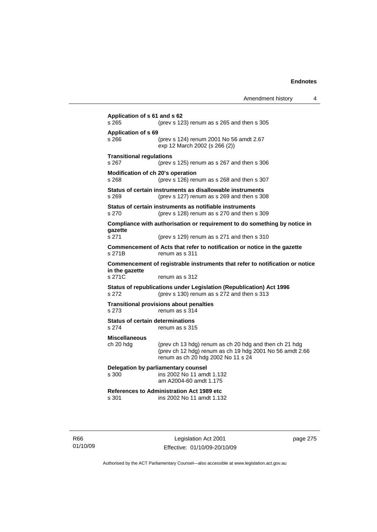| Amendment history |  |
|-------------------|--|
|-------------------|--|

**Application of s 61 and s 62**  s 265 (prev s 123) renum as s 265 and then s 305 **Application of s 69**  s 266 (prev s 124) renum 2001 No 56 amdt 2.67 exp 12 March 2002 (s 266 (2)) **Transitional regulations**  s 267 (prev s 125) renum as s 267 and then s 306 **Modification of ch 20's operation**  s 268 (prev s 126) renum as s 268 and then s 307 **Status of certain instruments as disallowable instruments**  s 269 (prev s 127) renum as s 269 and then s 308 **Status of certain instruments as notifiable instruments**  s 270 (prev s 128) renum as s 270 and then s 309 **Compliance with authorisation or requirement to do something by notice in gazette**  s 271 (prev s 129) renum as s 271 and then s 310 **Commencement of Acts that refer to notification or notice in the gazette**  s 271B renum as s 311 **Commencement of registrable instruments that refer to notification or notice in the gazette**  s 271C renum as s 312 **Status of republications under Legislation (Republication) Act 1996**  s 272 (prev s 130) renum as s 272 and then s 313 **Transitional provisions about penalties** s 273 renum as s 314 **Status of certain determinations**  s 274 renum as s 315 **Miscellaneous**  ch 20 hdg (prev ch 13 hdg) renum as ch 20 hdg and then ch 21 hdg (prev ch 12 hdg) renum as ch 19 hdg 2001 No 56 amdt 2.66 renum as ch 20 hdg 2002 No 11 s 24 **Delegation by parliamentary counsel**  s 300 ins 2002 No 11 amdt 1.132 am A2004-60 amdt 1.175 **References to Administration Act 1989 etc**  ins 2002 No 11 amdt 1.132

R66 01/10/09

Legislation Act 2001 Effective: 01/10/09-20/10/09 page 275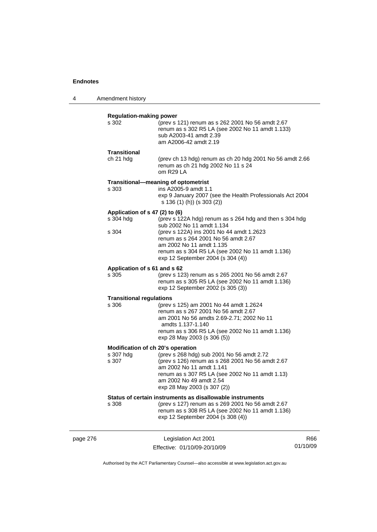4 Amendment history

|          |                                                         | renum as s 264 2001 No 56 amdt 2.67<br>am 2002 No 11 amdt 1.135<br>renum as s 304 R5 LA (see 2002 No 11 amdt 1.136)                                                                                                                    |     |
|----------|---------------------------------------------------------|----------------------------------------------------------------------------------------------------------------------------------------------------------------------------------------------------------------------------------------|-----|
|          | Application of s 61 and s 62                            | exp 12 September 2004 (s 304 (4))                                                                                                                                                                                                      |     |
|          | s 305                                                   | (prev s 123) renum as s 265 2001 No 56 amdt 2.67<br>renum as s 305 R5 LA (see 2002 No 11 amdt 1.136)<br>exp 12 September 2002 (s 305 (3))                                                                                              |     |
|          | <b>Transitional regulations</b><br>s 306                | (prev s 125) am 2001 No 44 amdt 1.2624<br>renum as s 267 2001 No 56 amdt 2.67<br>am 2001 No 56 amdts 2.69-2.71; 2002 No 11<br>amdts 1.137-1.140<br>renum as s 306 R5 LA (see 2002 No 11 amdt 1.136)<br>exp 28 May 2003 (s 306 (5))     |     |
|          | Modification of ch 20's operation<br>s 307 hdg<br>s 307 | (prev s 268 hdg) sub 2001 No 56 amdt 2.72<br>(prev s 126) renum as s 268 2001 No 56 amdt 2.67<br>am 2002 No 11 amdt 1.141<br>renum as s 307 R5 LA (see 2002 No 11 amdt 1.13)<br>am 2002 No 49 amdt 2.54<br>exp 28 May 2003 (s 307 (2)) |     |
|          | s 308                                                   | Status of certain instruments as disallowable instruments<br>(prev s 127) renum as s 269 2001 No 56 amdt 2.67<br>renum as s 308 R5 LA (see 2002 No 11 amdt 1.136)<br>exp 12 September 2004 (s 308 (4))                                 |     |
| page 276 |                                                         | Legislation Act 2001                                                                                                                                                                                                                   | R66 |

Authorised by the ACT Parliamentary Counsel—also accessible at www.legislation.act.gov.au

01/10/09

Effective: 01/10/09-20/10/09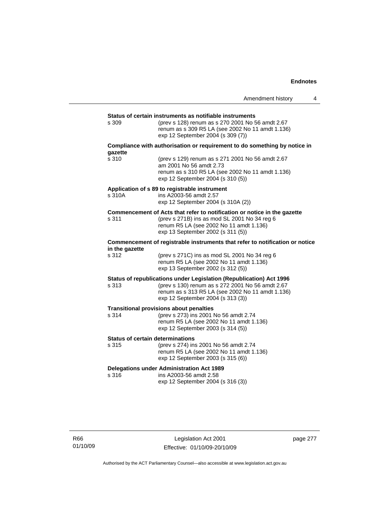|                                                                                                |                                                                                                                                                                                                                  | Amendment history | 4 |  |
|------------------------------------------------------------------------------------------------|------------------------------------------------------------------------------------------------------------------------------------------------------------------------------------------------------------------|-------------------|---|--|
|                                                                                                |                                                                                                                                                                                                                  |                   |   |  |
| s 309                                                                                          | Status of certain instruments as notifiable instruments<br>(prev s 128) renum as s 270 2001 No 56 amdt 2.67<br>renum as s 309 R5 LA (see 2002 No 11 amdt 1.136)<br>exp 12 September 2004 (s 309 (7))             |                   |   |  |
| gazette                                                                                        | Compliance with authorisation or requirement to do something by notice in                                                                                                                                        |                   |   |  |
| s 310                                                                                          | (prev s 129) renum as s 271 2001 No 56 amdt 2.67<br>am 2001 No 56 amdt 2.73<br>renum as s 310 R5 LA (see 2002 No 11 amdt 1.136)<br>exp 12 September 2004 (s 310 (5))                                             |                   |   |  |
| s 310A                                                                                         | Application of s 89 to registrable instrument<br>ins A2003-56 amdt 2.57<br>exp 12 September 2004 (s 310A (2))                                                                                                    |                   |   |  |
| s 311                                                                                          | Commencement of Acts that refer to notification or notice in the gazette<br>(prev s 271B) ins as mod SL 2001 No 34 reg 6<br>renum R5 LA (see 2002 No 11 amdt 1.136)<br>exp 13 September 2002 (s 311 (5))         |                   |   |  |
| Commencement of registrable instruments that refer to notification or notice<br>in the gazette |                                                                                                                                                                                                                  |                   |   |  |
| s 312                                                                                          | (prev s 271C) ins as mod SL 2001 No 34 reg 6<br>renum R5 LA (see 2002 No 11 amdt 1.136)<br>exp 13 September 2002 (s 312 (5))                                                                                     |                   |   |  |
| s 313                                                                                          | Status of republications under Legislation (Republication) Act 1996<br>(prev s 130) renum as s 272 2001 No 56 amdt 2.67<br>renum as s 313 R5 LA (see 2002 No 11 amdt 1.136)<br>exp 12 September 2004 (s 313 (3)) |                   |   |  |
| s 314                                                                                          | <b>Transitional provisions about penalties</b><br>(prev s 273) ins 2001 No 56 amdt 2.74<br>renum R5 LA (see 2002 No 11 amdt 1.136)<br>exp 12 September 2003 (s 314 (5))                                          |                   |   |  |
| <b>Status of certain determinations</b><br>s 315                                               | (prev s 274) ins 2001 No 56 amdt 2.74<br>renum R5 LA (see 2002 No 11 amdt 1.136)<br>exp 12 September 2003 (s 315 (6))                                                                                            |                   |   |  |
| s 316                                                                                          | <b>Delegations under Administration Act 1989</b><br>ins A2003-56 amdt 2.58<br>exp 12 September 2004 (s 316 (3))                                                                                                  |                   |   |  |

Legislation Act 2001 Effective: 01/10/09-20/10/09 page 277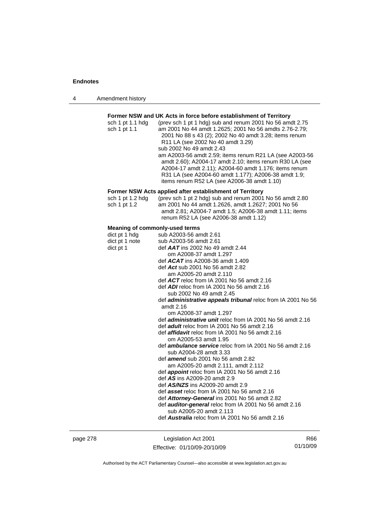| Amendment history<br>4 |  |
|------------------------|--|
|------------------------|--|

## **Former NSW and UK Acts in force before establishment of Territory**

| sch 1 pt 1.1 hdg | (prev sch 1 pt 1 hdg) sub and renum 2001 No 56 amdt 2.75 |
|------------------|----------------------------------------------------------|
| sch 1 pt 1.1     | am 2001 No 44 amdt 1.2625; 2001 No 56 amdts 2.76-2.79;   |
|                  | 2001 No 88 s 43 (2); 2002 No 40 amdt 3.28; items renum   |
|                  | R <sub>11</sub> LA (see 2002 No 40 amdt 3.29)            |
|                  | sub 2002 No 49 amdt 2.43                                 |
|                  | am A2003-56 amdt 2.59; items renum R21 LA (see A2003-56  |
|                  | amdt 2.60); A2004-17 amdt 2.10; items renum R30 LA (see  |
|                  | A2004-17 amdt 2.11); A2004-60 amdt 1.176; items renum    |
|                  | R31 LA (see A2004-60 amdt 1.177); A2006-38 amdt 1.9;     |
|                  | items renum R52 LA (see A2006-38 amdt 1.10)              |

## **Former NSW Acts applied after establishment of Territory**

| sch 1 pt 1.2 hdg | (prev sch 1 pt 2 hdg) sub and renum 2001 No 56 amdt 2.80 |
|------------------|----------------------------------------------------------|
| sch 1 pt 1.2     | am 2001 No 44 amdt 1.2626, amdt 1.2627; 2001 No 56       |
|                  | amdt 2.81; A2004-7 amdt 1.5; A2006-38 amdt 1.11; items   |
|                  | renum R52 LA (see A2006-38 amdt 1.12)                    |

## **Meaning of commonly-used terms**

| dict pt 1 hdg  | sub A2003-56 amdt 2.61                                              |
|----------------|---------------------------------------------------------------------|
| dict pt 1 note | sub A2003-56 amdt 2.61                                              |
| dict pt 1      | def <b>AAT</b> ins 2002 No 49 amdt 2.44                             |
|                | om A2008-37 amdt 1.297                                              |
|                | def $ACAT$ ins A2008-36 amdt 1.409                                  |
|                | def Act sub 2001 No 56 amdt 2.82                                    |
|                | am A2005-20 amdt 2.110                                              |
|                | def $ACT$ reloc from IA 2001 No 56 amdt 2.16                        |
|                |                                                                     |
|                | def $ADI$ reloc from IA 2001 No 56 amdt 2.16                        |
|                | sub 2002 No 49 amdt 2.45                                            |
|                | def <i>administrative appeals tribunal</i> reloc from IA 2001 No 56 |
|                | amdt 2.16                                                           |
|                | om A2008-37 amdt 1.297                                              |
|                | def <b>administrative unit</b> reloc from IA 2001 No 56 amdt 2.16   |
|                | def adult reloc from IA 2001 No 56 amdt 2.16                        |
|                | def <i>affidavit</i> reloc from IA 2001 No 56 amdt 2.16             |
|                | om A2005-53 amdt 1.95                                               |
|                | def <b>ambulance service</b> reloc from IA 2001 No 56 amdt 2.16     |
|                | sub A2004-28 amdt 3.33                                              |
|                | def <b>amend</b> sub 2001 No 56 amdt 2.82                           |
|                | am A2005-20 amdt 2.111, amdt 2.112                                  |
|                | def <b>appoint</b> reloc from IA 2001 No 56 amdt 2.16               |
|                | def AS ins A2009-20 amdt 2.9                                        |
|                | def AS/NZS ins A2009-20 amdt 2.9                                    |
|                | def asset reloc from IA 2001 No 56 amdt 2.16                        |
|                | def Attorney-General ins 2001 No 56 amdt 2.82                       |
|                | def <b>auditor-general</b> reloc from IA 2001 No 56 amdt 2.16       |
|                | sub A2005-20 amdt 2.113                                             |
|                | def <b>Australia</b> reloc from IA 2001 No 56 amdt 2.16             |
|                |                                                                     |

page 278 Legislation Act 2001 Effective: 01/10/09-20/10/09

R66 01/10/09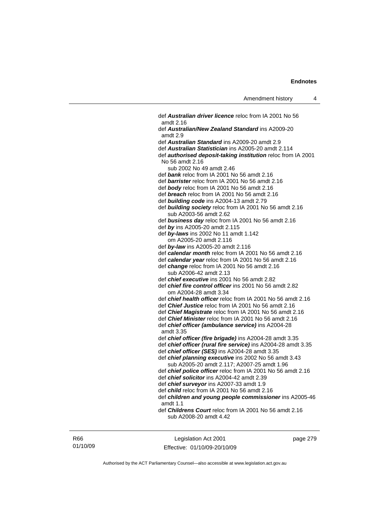def *Australian driver licence* reloc from IA 2001 No 56 amdt 2.16 def *Australian/New Zealand Standard* ins A2009-20 amdt 2.9 def *Australian Standard* ins A2009-20 amdt 2.9 def *Australian Statistician* ins A2005-20 amdt 2.114 def *authorised deposit-taking institution* reloc from IA 2001 No 56 amdt 2.16 sub 2002 No 49 amdt 2.46 def *bank* reloc from IA 2001 No 56 amdt 2.16 def *barrister* reloc from IA 2001 No 56 amdt 2.16 def *body* reloc from IA 2001 No 56 amdt 2.16 def *breach* reloc from IA 2001 No 56 amdt 2.16 def *building code* ins A2004-13 amdt 2.79 def *building society* reloc from IA 2001 No 56 amdt 2.16 sub A2003-56 amdt 2.62 def *business day* reloc from IA 2001 No 56 amdt 2.16 def *by* ins A2005-20 amdt 2.115 def *by-laws* ins 2002 No 11 amdt 1.142 om A2005-20 amdt 2.116 def *by-law* ins A2005-20 amdt 2.116 def *calendar month* reloc from IA 2001 No 56 amdt 2.16 def *calendar year* reloc from IA 2001 No 56 amdt 2.16 def *change* reloc from IA 2001 No 56 amdt 2.16 sub A2006-42 amdt 2.13 def *chief executive* ins 2001 No 56 amdt 2.82 def *chief fire control officer* ins 2001 No 56 amdt 2.82 om A2004-28 amdt 3.34 def *chief health officer* reloc from IA 2001 No 56 amdt 2.16 def *Chief Justice* reloc from IA 2001 No 56 amdt 2.16 def *Chief Magistrate* reloc from IA 2001 No 56 amdt 2.16 def *Chief Minister* reloc from IA 2001 No 56 amdt 2.16 def *chief officer (ambulance service)* ins A2004-28 amdt 3.35 def *chief officer (fire brigade)* ins A2004-28 amdt 3.35 def *chief officer (rural fire service)* ins A2004-28 amdt 3.35 def *chief officer (SES)* ins A2004-28 amdt 3.35 def *chief planning executive* ins 2002 No 56 amdt 3.43 sub A2005-20 amdt 2.117; A2007-25 amdt 1.96 def *chief police officer* reloc from IA 2001 No 56 amdt 2.16 def *chief solicitor* ins A2004-42 amdt 2.39 def *chief surveyor* ins A2007-33 amdt 1.9 def *child* reloc from IA 2001 No 56 amdt 2.16 def *children and young people commissioner* ins A2005-46 amdt 1.1 def *Childrens Court* reloc from IA 2001 No 56 amdt 2.16 sub A2008-20 amdt 4.42

R66 01/10/09

Legislation Act 2001 Effective: 01/10/09-20/10/09 page 279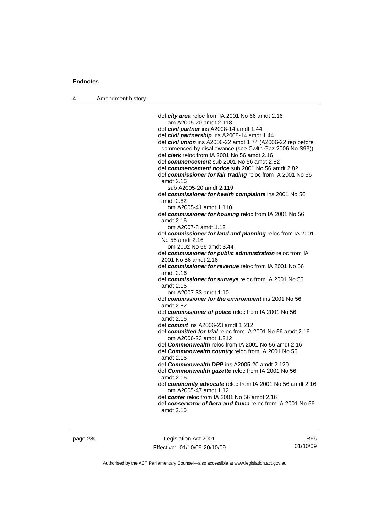4 Amendment history

 def *city area* reloc from IA 2001 No 56 amdt 2.16 am A2005-20 amdt 2.118 def *civil partner* ins A2008-14 amdt 1.44 def *civil partnership* ins A2008-14 amdt 1.44 def *civil union* ins A2006-22 amdt 1.74 (A2006-22 rep before commenced by disallowance (see Cwlth Gaz 2006 No S93)) def *clerk* reloc from IA 2001 No 56 amdt 2.16 def *commencement* sub 2001 No 56 amdt 2.82 def *commencement notice* sub 2001 No 56 amdt 2.82 def *commissioner for fair trading* reloc from IA 2001 No 56 amdt 2.16 sub A2005-20 amdt 2.119 def *commissioner for health complaints* ins 2001 No 56 amdt 2.82 om A2005-41 amdt 1.110 def *commissioner for housing* reloc from IA 2001 No 56 amdt 2.16 om A2007-8 amdt 1.12 def *commissioner for land and planning* reloc from IA 2001 No 56 amdt 2.16 om 2002 No 56 amdt 3.44 def *commissioner for public administration* reloc from IA 2001 No 56 amdt 2.16 def *commissioner for revenue* reloc from IA 2001 No 56 amdt 2.16 def *commissioner for surveys* reloc from IA 2001 No 56 amdt 2.16 om A2007-33 amdt 1.10 def *commissioner for the environment* ins 2001 No 56 amdt 2.82 def *commissioner of police* reloc from IA 2001 No 56 amdt 2.16 def *commit* ins A2006-23 amdt 1.212 def *committed for trial* reloc from IA 2001 No 56 amdt 2.16 om A2006-23 amdt 1.212 def *Commonwealth* reloc from IA 2001 No 56 amdt 2.16 def *Commonwealth country* reloc from IA 2001 No 56 amdt 2.16 def *Commonwealth DPP* ins A2005-20 amdt 2.120 def *Commonwealth gazette* reloc from IA 2001 No 56 amdt 2.16 def *community advocate* reloc from IA 2001 No 56 amdt 2.16 om A2005-47 amdt 1.12 def *confer* reloc from IA 2001 No 56 amdt 2.16 def *conservator of flora and fauna* reloc from IA 2001 No 56 amdt 2.16

page 280 Legislation Act 2001 Effective: 01/10/09-20/10/09

R66 01/10/09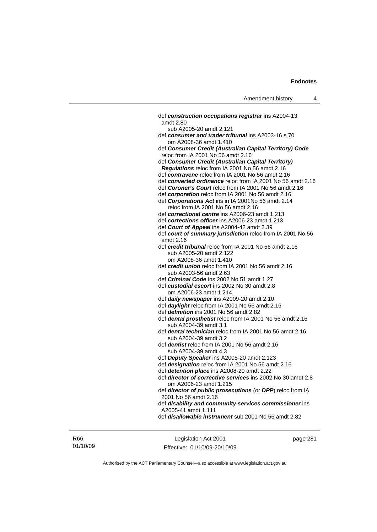def *construction occupations registrar* ins A2004-13 amdt 2.80 sub A2005-20 amdt 2.121 def *consumer and trader tribunal* ins A2003-16 s 70 om A2008-36 amdt 1.410 def *Consumer Credit (Australian Capital Territory) Code* reloc from IA 2001 No 56 amdt 2.16 def *Consumer Credit (Australian Capital Territory) Regulations* reloc from IA 2001 No 56 amdt 2.16 def *contravene* reloc from IA 2001 No 56 amdt 2.16 def *converted ordinance* reloc from IA 2001 No 56 amdt 2.16 def *Coroner's Court* reloc from IA 2001 No 56 amdt 2.16 def *corporation* reloc from IA 2001 No 56 amdt 2.16 def *Corporations Act* ins in IA 2001No 56 amdt 2.14 reloc from IA 2001 No 56 amdt 2.16 def *correctional centre* ins A2006-23 amdt 1.213 def *corrections officer* ins A2006-23 amdt 1.213 def *Court of Appeal* ins A2004-42 amdt 2.39 def *court of summary jurisdiction* reloc from IA 2001 No 56 amdt 2.16 def *credit tribunal* reloc from IA 2001 No 56 amdt 2.16 sub A2005-20 amdt 2.122 om A2008-36 amdt 1.410 def *credit union* reloc from IA 2001 No 56 amdt 2.16 sub A2003-56 amdt 2.63 def *Criminal Code* ins 2002 No 51 amdt 1.27 def *custodial escort* ins 2002 No 30 amdt 2.8 om A2006-23 amdt 1.214 def *daily newspaper* ins A2009-20 amdt 2.10 def *daylight* reloc from IA 2001 No 56 amdt 2.16 def *definition* ins 2001 No 56 amdt 2.82 def *dental prosthetist* reloc from IA 2001 No 56 amdt 2.16 sub A2004-39 amdt 3.1 def *dental technician* reloc from IA 2001 No 56 amdt 2.16 sub A2004-39 amdt 3.2 def *dentist* reloc from IA 2001 No 56 amdt 2.16 sub A2004-39 amdt 4.3 def *Deputy Speaker* ins A2005-20 amdt 2.123 def *designation* reloc from IA 2001 No 56 amdt 2.16 def *detention place* ins A2008-20 amdt 2.22 def *director of corrective services* ins 2002 No 30 amdt 2.8 om A2006-23 amdt 1.215 def *director of public prosecutions* (or *DPP*) reloc from IA 2001 No 56 amdt 2.16 def *disability and community services commissioner* ins

A2005-41 amdt 1.111

def *disallowable instrument* sub 2001 No 56 amdt 2.82

R66 01/10/09

Legislation Act 2001 Effective: 01/10/09-20/10/09 page 281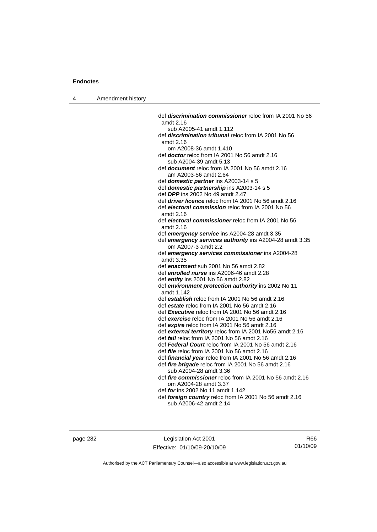4 Amendment history

 def *discrimination commissioner* reloc from IA 2001 No 56 amdt 2.16 sub A2005-41 amdt 1.112 def *discrimination tribunal* reloc from IA 2001 No 56 amdt 2.16 om A2008-36 amdt 1.410 def *doctor* reloc from IA 2001 No 56 amdt 2.16 sub A2004-39 amdt 5.13 def *document* reloc from IA 2001 No 56 amdt 2.16 am A2003-56 amdt 2.64 def *domestic partner* ins A2003-14 s 5 def *domestic partnership* ins A2003-14 s 5 def *DPP* ins 2002 No 49 amdt 2.47 def *driver licence* reloc from IA 2001 No 56 amdt 2.16 def *electoral commission* reloc from IA 2001 No 56 amdt 2.16 def *electoral commissioner* reloc from IA 2001 No 56 amdt 2.16 def *emergency service* ins A2004-28 amdt 3.35 def *emergency services authority* ins A2004-28 amdt 3.35 om A2007-3 amdt 2.2 def *emergency services commissioner* ins A2004-28 amdt 3.35 def *enactment* sub 2001 No 56 amdt 2.82 def *enrolled nurse* ins A2006-46 amdt 2.28 def *entity* ins 2001 No 56 amdt 2.82 def *environment protection authority* ins 2002 No 11 amdt 1.142 def *establish* reloc from IA 2001 No 56 amdt 2.16 def *estate* reloc from IA 2001 No 56 amdt 2.16 def *Executive* reloc from IA 2001 No 56 amdt 2.16 def *exercise* reloc from IA 2001 No 56 amdt 2.16 def *expire* reloc from IA 2001 No 56 amdt 2.16 def *external territory* reloc from IA 2001 No56 amdt 2.16 def *fail* reloc from IA 2001 No 56 amdt 2.16 def *Federal Court* reloc from IA 2001 No 56 amdt 2.16 def *file* reloc from IA 2001 No 56 amdt 2.16 def *financial year* reloc from IA 2001 No 56 amdt 2.16 def *fire brigade* reloc from IA 2001 No 56 amdt 2.16 sub A2004-28 amdt 3.36 def *fire commissioner* reloc from IA 2001 No 56 amdt 2.16 om A2004-28 amdt 3.37 def *for* ins 2002 No 11 amdt 1.142 def *foreign country* reloc from IA 2001 No 56 amdt 2.16 sub A2006-42 amdt 2.14

page 282 Legislation Act 2001 Effective: 01/10/09-20/10/09

R66 01/10/09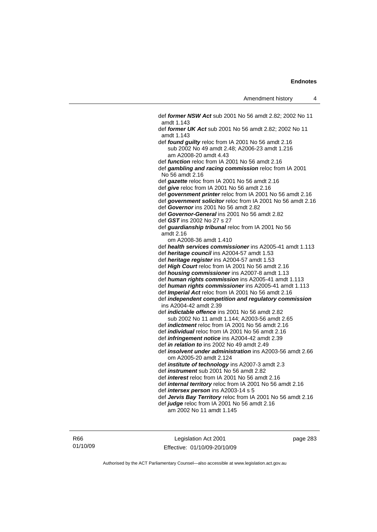def *former NSW Act* sub 2001 No 56 amdt 2.82; 2002 No 11 amdt 1.143 def *former UK Act* sub 2001 No 56 amdt 2.82; 2002 No 11 amdt 1.143 def *found guilty* reloc from IA 2001 No 56 amdt 2.16 sub 2002 No 49 amdt 2.48; A2006-23 amdt 1.216 am A2008-20 amdt 4.43 def *function* reloc from IA 2001 No 56 amdt 2.16 def *gambling and racing commission* reloc from IA 2001 No 56 amdt 2.16 def *gazette* reloc from IA 2001 No 56 amdt 2.16 def *give* reloc from IA 2001 No 56 amdt 2.16 def *government printer* reloc from IA 2001 No 56 amdt 2.16 def *government solicitor* reloc from IA 2001 No 56 amdt 2.16 def *Governor* ins 2001 No 56 amdt 2.82 def *Governor-General* ins 2001 No 56 amdt 2.82 def *GST* ins 2002 No 27 s 27 def *guardianship tribunal* reloc from IA 2001 No 56 amdt 2.16 om A2008-36 amdt 1.410 def *health services commissioner* ins A2005-41 amdt 1.113 def *heritage council* ins A2004-57 amdt 1.53 def *heritage register* ins A2004-57 amdt 1.53 def *High Court* reloc from IA 2001 No 56 amdt 2.16 def *housing commissioner* ins A2007-8 amdt 1.13 def *human rights commission* ins A2005-41 amdt 1.113 def *human rights commissioner* ins A2005-41 amdt 1.113 def *Imperial Act* reloc from IA 2001 No 56 amdt 2.16 def *independent competition and regulatory commission*  ins A2004-42 amdt 2.39 def *indictable offence* ins 2001 No 56 amdt 2.82 sub 2002 No 11 amdt 1.144; A2003-56 amdt 2.65 def *indictment* reloc from IA 2001 No 56 amdt 2.16 def *individual* reloc from IA 2001 No 56 amdt 2.16 def *infringement notice* ins A2004-42 amdt 2.39 def *in relation to* ins 2002 No 49 amdt 2.49 def *insolvent under administration* ins A2003-56 amdt 2.66 om A2005-20 amdt 2.124 def *institute of technology* ins A2007-3 amdt 2.3 def *instrument* sub 2001 No 56 amdt 2.82 def *interest* reloc from IA 2001 No 56 amdt 2.16 def *internal territory* reloc from IA 2001 No 56 amdt 2.16 def *intersex person* ins A2003-14 s 5 def *Jervis Bay Territory* reloc from IA 2001 No 56 amdt 2.16 def *judge* reloc from IA 2001 No 56 amdt 2.16 am 2002 No 11 amdt 1.145

R66 01/10/09

Legislation Act 2001 Effective: 01/10/09-20/10/09 page 283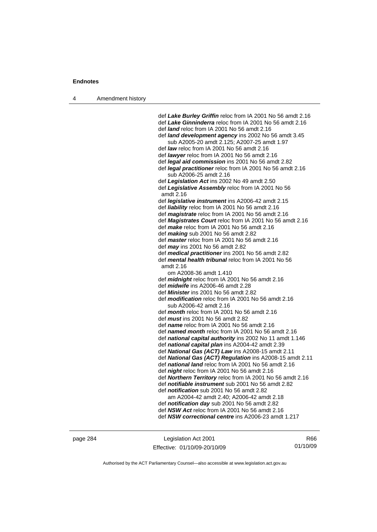4 Amendment history

 def *Lake Burley Griffin* reloc from IA 2001 No 56 amdt 2.16 def *Lake Ginninderra* reloc from IA 2001 No 56 amdt 2.16 def *land* reloc from IA 2001 No 56 amdt 2.16 def *land development agency* ins 2002 No 56 amdt 3.45 sub A2005-20 amdt 2.125; A2007-25 amdt 1.97 def *law* reloc from IA 2001 No 56 amdt 2.16 def *lawyer* reloc from IA 2001 No 56 amdt 2.16 def *legal aid commission* ins 2001 No 56 amdt 2.82 def *legal practitioner* reloc from IA 2001 No 56 amdt 2.16 sub A2006-25 amdt 2.16 def *Legislation Act* ins 2002 No 49 amdt 2.50 def *Legislative Assembly* reloc from IA 2001 No 56 amdt 2.16 def *legislative instrument* ins A2006-42 amdt 2.15 def *liability* reloc from IA 2001 No 56 amdt 2.16 def *magistrate* reloc from IA 2001 No 56 amdt 2.16 def *Magistrates Court* reloc from IA 2001 No 56 amdt 2.16 def *make* reloc from IA 2001 No 56 amdt 2.16 def *making* sub 2001 No 56 amdt 2.82 def *master* reloc from IA 2001 No 56 amdt 2.16 def *may* ins 2001 No 56 amdt 2.82 def *medical practitioner* ins 2001 No 56 amdt 2.82 def *mental health tribunal* reloc from IA 2001 No 56 amdt 2.16 om A2008-36 amdt 1.410 def *midnight* reloc from IA 2001 No 56 amdt 2.16 def *midwife* ins A2006-46 amdt 2.28 def *Minister* ins 2001 No 56 amdt 2.82 def *modification* reloc from IA 2001 No 56 amdt 2.16 sub A2006-42 amdt 2.16 def *month* reloc from IA 2001 No 56 amdt 2.16 def *must* ins 2001 No 56 amdt 2.82 def *name* reloc from IA 2001 No 56 amdt 2.16 def *named month* reloc from IA 2001 No 56 amdt 2.16 def *national capital authority* ins 2002 No 11 amdt 1.146 def *national capital plan* ins A2004-42 amdt 2.39 def *National Gas (ACT) Law* ins A2008-15 amdt 2.11 def *National Gas (ACT) Regulation* ins A2008-15 amdt 2.11 def *national land* reloc from IA 2001 No 56 amdt 2.16 def *night* reloc from IA 2001 No 56 amdt 2.16 def *Northern Territory* reloc from IA 2001 No 56 amdt 2.16 def *notifiable instrument* sub 2001 No 56 amdt 2.82 def *notification* sub 2001 No 56 amdt 2.82 am A2004-42 amdt 2.40; A2006-42 amdt 2.18 def *notification day* sub 2001 No 56 amdt 2.82 def *NSW Act* reloc from IA 2001 No 56 amdt 2.16 def *NSW correctional centre* ins A2006-23 amdt 1.217

page 284 Legislation Act 2001 Effective: 01/10/09-20/10/09

R66 01/10/09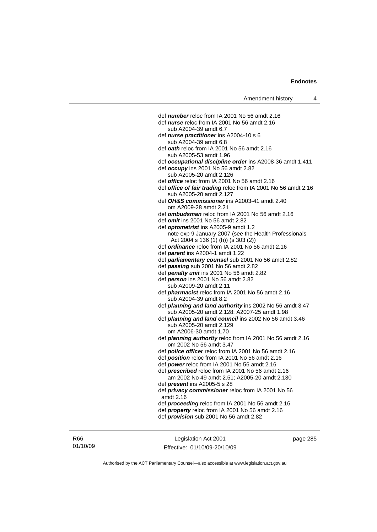def *number* reloc from IA 2001 No 56 amdt 2.16 def *nurse* reloc from IA 2001 No 56 amdt 2.16 sub A2004-39 amdt 6.7 def *nurse practitioner* ins A2004-10 s 6 sub A2004-39 amdt 6.8 def *oath* reloc from IA 2001 No 56 amdt 2.16 sub A2005-53 amdt 1.96 def *occupational discipline order* ins A2008-36 amdt 1.411 def *occupy* ins 2001 No 56 amdt 2.82 sub A2005-20 amdt 2.126 def *office* reloc from IA 2001 No 56 amdt 2.16 def *office of fair trading* reloc from IA 2001 No 56 amdt 2.16 sub A2005-20 amdt 2.127 def *OH&S commissioner* ins A2003-41 amdt 2.40 om A2009-28 amdt 2.21 def *ombudsman* reloc from IA 2001 No 56 amdt 2.16 def *omit* ins 2001 No 56 amdt 2.82 def *optometrist* ins A2005-9 amdt 1.2 note exp 9 January 2007 (see the Health Professionals Act 2004 s 136 (1) (h)) (s 303 (2)) def *ordinance* reloc from IA 2001 No 56 amdt 2.16 def *parent* ins A2004-1 amdt 1.22 def *parliamentary counsel* sub 2001 No 56 amdt 2.82 def *passing* sub 2001 No 56 amdt 2.82 def *penalty unit* ins 2001 No 56 amdt 2.82 def *person* ins 2001 No 56 amdt 2.82 sub A2009-20 amdt 2.11 def *pharmacist* reloc from IA 2001 No 56 amdt 2.16 sub A2004-39 amdt 8.2 def *planning and land authority* ins 2002 No 56 amdt 3.47 sub A2005-20 amdt 2.128; A2007-25 amdt 1.98 def *planning and land council* ins 2002 No 56 amdt 3.46 sub A2005-20 amdt 2.129 om A2006-30 amdt 1.70 def *planning authority* reloc from IA 2001 No 56 amdt 2.16 om 2002 No 56 amdt 3.47 def *police officer* reloc from IA 2001 No 56 amdt 2.16 def *position* reloc from IA 2001 No 56 amdt 2.16 def *power* reloc from IA 2001 No 56 amdt 2.16 def *prescribed* reloc from IA 2001 No 56 amdt 2.16 am 2002 No 49 amdt 2.51; A2005-20 amdt 2.130 def *present* ins A2005-5 s 28 def *privacy commissioner* reloc from IA 2001 No 56 amdt 2.16 def *proceeding* reloc from IA 2001 No 56 amdt 2.16 def *property* reloc from IA 2001 No 56 amdt 2.16 def *provision* sub 2001 No 56 amdt 2.82

Legislation Act 2001 Effective: 01/10/09-20/10/09 page 285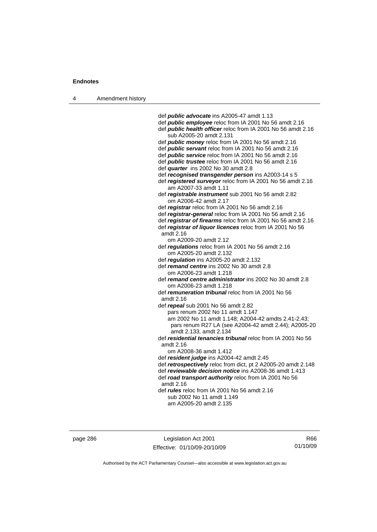| 4 | Amendment history |                                                               |
|---|-------------------|---------------------------------------------------------------|
|   |                   |                                                               |
|   |                   | def <i>public</i> advocate ins A2005-47 amdt 1.13             |
|   |                   | def <i>public</i> employee reloc from IA 2001 No 56 amdt 2.16 |
|   |                   | def public health officer reloc from IA 2001 No 56 amdt 2.16  |
|   |                   | sub A2005-20 amdt 2.131                                       |
|   |                   | def <b>public money</b> reloc from IA 2001 No 56 amdt 2.16    |
|   |                   | def <i>public servant</i> reloc from IA 2001 No 56 amdt 2.16  |
|   |                   | def <i>public</i> service reloc from IA 2001 No 56 amdt 2.16  |
|   |                   | def <i>public trustee</i> reloc from IA 2001 No 56 amdt 2.16  |
|   |                   | def quarter ins 2002 No 30 amdt 2.8                           |
|   |                   | def recognised transgender person ins A2003-14 s 5            |
|   |                   | def registered surveyor reloc from IA 2001 No 56 amdt 2.16    |
|   |                   | am A2007-33 amdt 1.11                                         |
|   |                   | def registrable instrument sub 2001 No 56 amdt 2.82           |
|   |                   | om A2006-42 amdt 2.17                                         |
|   |                   | def registrar reloc from IA 2001 No 56 amdt 2.16              |
|   |                   |                                                               |
|   |                   | def registrar-general reloc from IA 2001 No 56 amdt 2.16      |
|   |                   | def registrar of firearms reloc from IA 2001 No 56 amdt 2.16  |
|   |                   | def registrar of liquor licences reloc from IA 2001 No 56     |
|   |                   | amdt 2.16                                                     |
|   |                   | om A2009-20 amdt 2.12                                         |
|   |                   | def regulations reloc from IA 2001 No 56 amdt 2.16            |
|   |                   | om A2005-20 amdt 2.132                                        |
|   |                   | def regulation ins A2005-20 amdt 2.132                        |
|   |                   | def remand centre ins 2002 No 30 amdt 2.8                     |
|   |                   | om A2006-23 amdt 1.218                                        |
|   |                   | def remand centre administrator ins 2002 No 30 amdt 2.8       |
|   |                   | om A2006-23 amdt 1.218                                        |
|   |                   | def remuneration tribunal reloc from IA 2001 No 56            |
|   |                   | amdt 2.16                                                     |
|   |                   | def repeal sub 2001 No 56 amdt 2.82                           |
|   |                   | pars renum 2002 No 11 amdt 1.147                              |
|   |                   | am 2002 No 11 amdt 1.148; A2004-42 amdts 2.41-2.43;           |
|   |                   | pars renum R27 LA (see A2004-42 amdt 2.44); A2005-20          |
|   |                   | amdt 2.133, amdt 2.134                                        |
|   |                   | def residential tenancies tribunal reloc from IA 2001 No 56   |
|   |                   | amdt 2.16                                                     |
|   |                   | om A2008-36 amdt 1.412                                        |
|   |                   | def resident judge ins A2004-42 amdt 2.45                     |
|   |                   | def retrospectively reloc from dict, pt 2 A2005-20 amdt 2.148 |
|   |                   | def reviewable decision notice ins A2008-36 amdt 1.413        |
|   |                   | def road transport authority reloc from IA 2001 No 56         |
|   |                   | amdt $2.16$                                                   |
|   |                   | def <i>rules</i> reloc from IA 2001 No 56 amdt 2.16           |
|   |                   | sub 2002 No 11 amdt 1.149                                     |
|   |                   | am A2005-20 amdt 2.135                                        |
|   |                   |                                                               |

page 286 Legislation Act 2001 Effective: 01/10/09-20/10/09

R66 01/10/09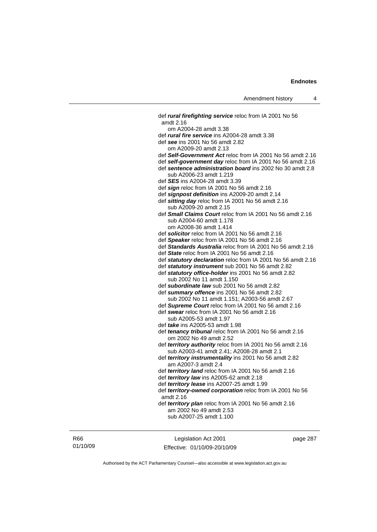def *rural firefighting service* reloc from IA 2001 No 56 amdt 2.16 om A2004-28 amdt 3.38 def *rural fire service* ins A2004-28 amdt 3.38 def *see* ins 2001 No 56 amdt 2.82 om A2009-20 amdt 2.13 def *Self-Government Act* reloc from IA 2001 No 56 amdt 2.16 def *self-government day* reloc from IA 2001 No 56 amdt 2.16 def *sentence administration board* ins 2002 No 30 amdt 2.8 sub A2006-23 amdt 1.219 def *SES* ins A2004-28 amdt 3.39 def *sign* reloc from IA 2001 No 56 amdt 2.16 def *signpost definition* ins A2009-20 amdt 2.14 def *sitting day* reloc from IA 2001 No 56 amdt 2.16 sub A2009-20 amdt 2.15 def *Small Claims Court* reloc from IA 2001 No 56 amdt 2.16 sub A2004-60 amdt 1.178 om A2008-36 amdt 1.414 def *solicitor* reloc from IA 2001 No 56 amdt 2.16 def *Speaker* reloc from IA 2001 No 56 amdt 2.16 def *Standards Australia* reloc from IA 2001 No 56 amdt 2.16 def *State* reloc from IA 2001 No 56 amdt 2.16 def *statutory declaration* reloc from IA 2001 No 56 amdt 2.16 def *statutory instrument* sub 2001 No 56 amdt 2.82 def *statutory office-holder* ins 2001 No 56 amdt 2.82 sub 2002 No 11 amdt 1.150 def *subordinate law* sub 2001 No 56 amdt 2.82 def *summary offence* ins 2001 No 56 amdt 2.82 sub 2002 No 11 amdt 1.151; A2003-56 amdt 2.67 def *Supreme Court* reloc from IA 2001 No 56 amdt 2.16 def *swear* reloc from IA 2001 No 56 amdt 2.16 sub A2005-53 amdt 1.97 def *take* ins A2005-53 amdt 1.98 def *tenancy tribunal* reloc from IA 2001 No 56 amdt 2.16 om 2002 No 49 amdt 2.52 def *territory authority* reloc from IA 2001 No 56 amdt 2.16 sub A2003-41 amdt 2.41; A2008-28 amdt 2.1 def *territory instrumentality* ins 2001 No 56 amdt 2.82 am A2007-3 amdt 2.4 def *territory land* reloc from IA 2001 No 56 amdt 2.16 def *territory law* ins A2005-62 amdt 2.18 def *territory lease* ins A2007-25 amdt 1.99 def *territory-owned corporation* reloc from IA 2001 No 56 amdt 2.16 def *territory plan* reloc from IA 2001 No 56 amdt 2.16 am 2002 No 49 amdt 2.53 sub A2007-25 amdt 1.100

R66 01/10/09

Legislation Act 2001 Effective: 01/10/09-20/10/09 page 287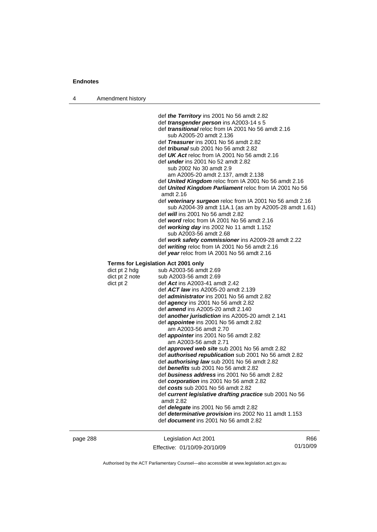| 4        | Amendment history                            |                                                                                                                                                                                                                                                                                                                                                                                                                                                                                                                                                                                                                                                                                                                                                                                                                                                                                                                                                                                                                                                                                                                       |     |
|----------|----------------------------------------------|-----------------------------------------------------------------------------------------------------------------------------------------------------------------------------------------------------------------------------------------------------------------------------------------------------------------------------------------------------------------------------------------------------------------------------------------------------------------------------------------------------------------------------------------------------------------------------------------------------------------------------------------------------------------------------------------------------------------------------------------------------------------------------------------------------------------------------------------------------------------------------------------------------------------------------------------------------------------------------------------------------------------------------------------------------------------------------------------------------------------------|-----|
|          |                                              | def the Territory ins 2001 No 56 amdt 2.82<br>def <i>transgender person</i> ins A2003-14 s 5<br>def <i>transitional</i> reloc from IA 2001 No 56 amdt 2.16<br>sub A2005-20 amdt 2.136<br>def Treasurer ins 2001 No 56 amdt 2.82<br>def <i>tribunal</i> sub 2001 No 56 amdt 2.82<br>def UK Act reloc from IA 2001 No 56 amdt 2.16<br>def <i>under</i> ins 2001 No 52 amdt 2.82<br>sub 2002 No 30 amdt 2.9<br>am A2005-20 amdt 2.137, amdt 2.138<br>def United Kingdom reloc from IA 2001 No 56 amdt 2.16<br>def United Kingdom Parliament reloc from IA 2001 No 56<br>amdt 2.16<br>def veterinary surgeon reloc from IA 2001 No 56 amdt 2.16<br>sub A2004-39 amdt 11A.1 (as am by A2005-28 amdt 1.61)<br>def <i>will</i> ins 2001 No 56 amdt 2.82<br>def word reloc from IA 2001 No 56 amdt 2.16<br>def working day ins 2002 No 11 amdt 1.152<br>sub A2003-56 amdt 2.68<br>def work safety commissioner ins A2009-28 amdt 2.22<br>def writing reloc from IA 2001 No 56 amdt 2.16<br>def year reloc from IA 2001 No 56 amdt 2.16                                                                                        |     |
|          |                                              |                                                                                                                                                                                                                                                                                                                                                                                                                                                                                                                                                                                                                                                                                                                                                                                                                                                                                                                                                                                                                                                                                                                       |     |
|          | dict pt 2 hdg<br>dict pt 2 note<br>dict pt 2 | <b>Terms for Legislation Act 2001 only</b><br>sub A2003-56 amdt 2.69<br>sub A2003-56 amdt 2.69<br>def Act ins A2003-41 amdt 2.42<br>def ACT law ins A2005-20 amdt 2.139<br>def <i>administrator</i> ins 2001 No 56 amdt 2.82<br>def <b>agency</b> ins 2001 No 56 amdt 2.82<br>def amend ins A2005-20 amdt 2.140<br>def <b>another jurisdiction</b> ins A2005-20 amdt 2.141<br>def <i>appointee</i> ins 2001 No 56 amdt 2.82<br>am A2003-56 amdt 2.70<br>def <i>appointer</i> ins 2001 No 56 amdt 2.82<br>am A2003-56 amdt 2.71<br>def <i>approved web site</i> sub 2001 No 56 amdt 2.82<br>def <b>authorised republication</b> sub 2001 No 56 amdt 2.82<br>def <b>authorising law</b> sub 2001 No 56 amdt 2.82<br>def benefits sub 2001 No 56 amdt 2.82<br>def business address ins 2001 No 56 amdt 2.82<br>def corporation ins 2001 No 56 amdt 2.82<br>def costs sub 2001 No 56 amdt 2.82<br>def current legislative drafting practice sub 2001 No 56<br>amdt 2.82<br>def delegate ins 2001 No 56 amdt 2.82<br>def determinative provision ins 2002 No 11 amdt 1.153<br>def <i>document</i> ins 2001 No 56 amdt 2.82 |     |
| page 288 |                                              | Legislation Act 2001                                                                                                                                                                                                                                                                                                                                                                                                                                                                                                                                                                                                                                                                                                                                                                                                                                                                                                                                                                                                                                                                                                  | R66 |

Authorised by the ACT Parliamentary Counsel—also accessible at www.legislation.act.gov.au

01/10/09

Effective: 01/10/09-20/10/09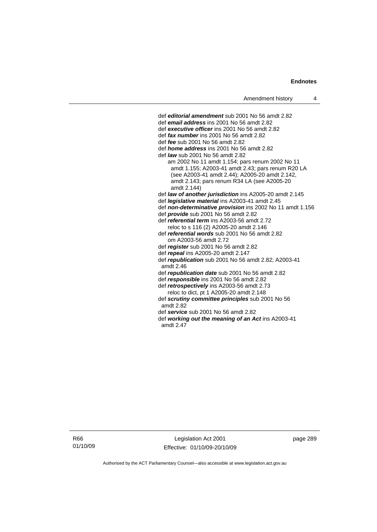def *editorial amendment* sub 2001 No 56 amdt 2.82 def *email address* ins 2001 No 56 amdt 2.82 def *executive officer* ins 2001 No 56 amdt 2.82 def *fax number* ins 2001 No 56 amdt 2.82 def *fee* sub 2001 No 56 amdt 2.82 def *home address* ins 2001 No 56 amdt 2.82 def *law* sub 2001 No 56 amdt 2.82 am 2002 No 11 amdt 1.154; pars renum 2002 No 11 amdt 1.155; A2003-41 amdt 2.43; pars renum R20 LA (see A2003-41 amdt 2.44); A2005-20 amdt 2.142, amdt 2.143; pars renum R34 LA (see A2005-20 amdt 2.144) def *law of another jurisdiction* ins A2005-20 amdt 2.145 def *legislative material* ins A2003-41 amdt 2.45 def *non-determinative provision* ins 2002 No 11 amdt 1.156 def *provide* sub 2001 No 56 amdt 2.82 def *referential term* ins A2003-56 amdt 2.72 reloc to s 116 (2) A2005-20 amdt 2.146 def *referential words* sub 2001 No 56 amdt 2.82 om A2003-56 amdt 2.72 def *register* sub 2001 No 56 amdt 2.82 def *repeal* ins A2005-20 amdt 2.147 def *republication* sub 2001 No 56 amdt 2.82; A2003-41 amdt 2.46 def *republication date* sub 2001 No 56 amdt 2.82 def *responsible* ins 2001 No 56 amdt 2.82 def *retrospectively* ins A2003-56 amdt 2.73 reloc to dict, pt 1 A2005-20 amdt 2.148 def *scrutiny committee principles* sub 2001 No 56 amdt 2.82 def *service* sub 2001 No 56 amdt 2.82 def *working out the meaning of an Act* ins A2003-41 amdt 2.47

R66 01/10/09

Legislation Act 2001 Effective: 01/10/09-20/10/09 page 289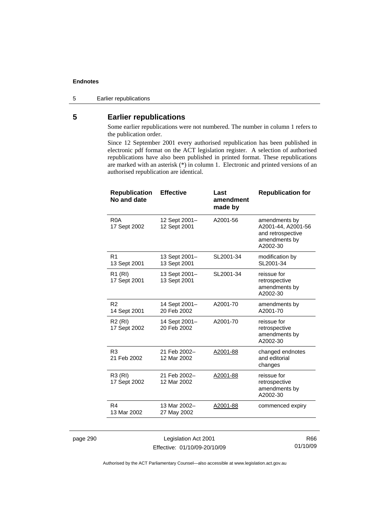5 Earlier republications

# **5 Earlier republications**

Some earlier republications were not numbered. The number in column 1 refers to the publication order.

Since 12 September 2001 every authorised republication has been published in electronic pdf format on the ACT legislation register. A selection of authorised republications have also been published in printed format. These republications are marked with an asterisk (\*) in column 1. Electronic and printed versions of an authorised republication are identical.

| <b>Republication</b><br>No and date | <b>Effective</b>              | Last<br>amendment<br>made by | <b>Republication for</b>                                                              |
|-------------------------------------|-------------------------------|------------------------------|---------------------------------------------------------------------------------------|
| R <sub>0</sub> A<br>17 Sept 2002    | 12 Sept 2001-<br>12 Sept 2001 | A2001-56                     | amendments by<br>A2001-44, A2001-56<br>and retrospective<br>amendments by<br>A2002-30 |
| R <sub>1</sub><br>13 Sept 2001      | 13 Sept 2001-<br>13 Sept 2001 | SL2001-34                    | modification by<br>SL2001-34                                                          |
| R <sub>1</sub> (RI)<br>17 Sept 2001 | 13 Sept 2001-<br>13 Sept 2001 | SL2001-34                    | reissue for<br>retrospective<br>amendments by<br>A2002-30                             |
| R <sub>2</sub><br>14 Sept 2001      | 14 Sept 2001-<br>20 Feb 2002  | A2001-70                     | amendments by<br>A2001-70                                                             |
| R <sub>2</sub> (RI)<br>17 Sept 2002 | 14 Sept 2001-<br>20 Feb 2002  | A2001-70                     | reissue for<br>retrospective<br>amendments by<br>A2002-30                             |
| R <sub>3</sub><br>21 Feb 2002       | 21 Feb 2002-<br>12 Mar 2002   | A2001-88                     | changed endnotes<br>and editorial<br>changes                                          |
| R3 (RI)<br>17 Sept 2002             | 21 Feb 2002-<br>12 Mar 2002   | A2001-88                     | reissue for<br>retrospective<br>amendments by<br>A2002-30                             |
| R4<br>13 Mar 2002                   | 13 Mar 2002-<br>27 May 2002   | A2001-88                     | commenced expiry                                                                      |
|                                     |                               |                              |                                                                                       |

page 290 Legislation Act 2001 Effective: 01/10/09-20/10/09

R66 01/10/09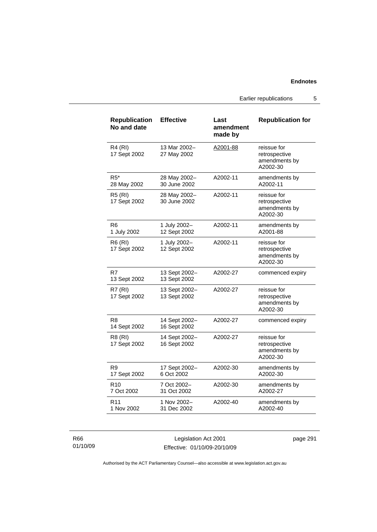Earlier republications 5

| <b>Republication</b><br>No and date | <b>Effective</b>              | Last<br>amendment<br>made by | <b>Republication for</b>                                  |
|-------------------------------------|-------------------------------|------------------------------|-----------------------------------------------------------|
| <b>R4 (RI)</b><br>17 Sept 2002      | 13 Mar 2002-<br>27 May 2002   | A2001-88                     | reissue for<br>retrospective<br>amendments by<br>A2002-30 |
| $R5*$<br>28 May 2002                | 28 May 2002-<br>30 June 2002  | A2002-11                     | amendments by<br>A2002-11                                 |
| <b>R5 (RI)</b><br>17 Sept 2002      | 28 May 2002-<br>30 June 2002  | A2002-11                     | reissue for<br>retrospective<br>amendments by<br>A2002-30 |
| R6<br>1 July 2002                   | 1 July 2002-<br>12 Sept 2002  | A2002-11                     | amendments by<br>A2001-88                                 |
| <b>R6 (RI)</b><br>17 Sept 2002      | 1 July 2002-<br>12 Sept 2002  | A2002-11                     | reissue for<br>retrospective<br>amendments by<br>A2002-30 |
| R7<br>13 Sept 2002                  | 13 Sept 2002-<br>13 Sept 2002 | A2002-27                     | commenced expiry                                          |
| <b>R7 (RI)</b><br>17 Sept 2002      | 13 Sept 2002-<br>13 Sept 2002 | A2002-27                     | reissue for<br>retrospective<br>amendments by<br>A2002-30 |
| R8<br>14 Sept 2002                  | 14 Sept 2002–<br>16 Sept 2002 | A2002-27                     | commenced expiry                                          |
| R8 (RI)<br>17 Sept 2002             | 14 Sept 2002-<br>16 Sept 2002 | A2002-27                     | reissue for<br>retrospective<br>amendments by<br>A2002-30 |
| R <sub>9</sub><br>17 Sept 2002      | 17 Sept 2002-<br>6 Oct 2002   | A2002-30                     | amendments by<br>A2002-30                                 |
| R <sub>10</sub><br>7 Oct 2002       | 7 Oct 2002-<br>31 Oct 2002    | A2002-30                     | amendments by<br>A2002-27                                 |
| R <sub>11</sub><br>1 Nov 2002       | 1 Nov 2002-<br>31 Dec 2002    | A2002-40                     | amendments by<br>A2002-40                                 |

R66 01/10/09

Legislation Act 2001 Effective: 01/10/09-20/10/09 page 291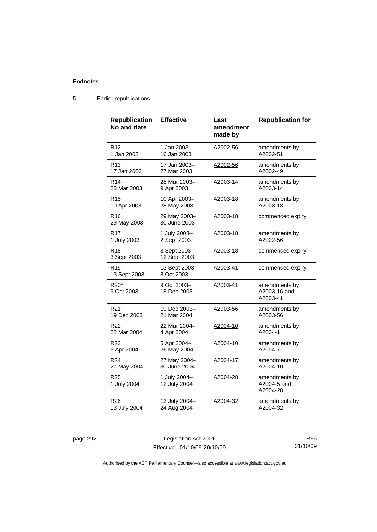| <b>Republication</b><br>No and date | <b>Effective</b>             | Last<br>amendment<br>made by | <b>Republication for</b>                  |
|-------------------------------------|------------------------------|------------------------------|-------------------------------------------|
| R <sub>12</sub>                     | 1 Jan 2003-                  | A2002-56                     | amendments by                             |
| 1 Jan 2003                          | 16 Jan 2003                  |                              | A2002-51                                  |
| R <sub>13</sub>                     | 17 Jan 2003-                 | A2002-56                     | amendments by                             |
| 17 Jan 2003                         | 27 Mar 2003                  |                              | A2002-49                                  |
| R <sub>14</sub>                     | 28 Mar 2003-                 | A2003-14                     | amendments by                             |
| 28 Mar 2003                         | 9 Apr 2003                   |                              | A2003-14                                  |
| R <sub>15</sub>                     | 10 Apr 2003-                 | A2003-18                     | amendments by                             |
| 10 Apr 2003                         | 28 May 2003                  |                              | A2003-18                                  |
| R <sub>16</sub><br>29 May 2003      | 29 May 2003-<br>30 June 2003 | A2003-18                     | commenced expiry                          |
| <b>R17</b>                          | 1 July 2003-                 | A2003-18                     | amendments by                             |
| 1 July 2003                         | 2 Sept 2003                  |                              | A2002-56                                  |
| R <sub>18</sub><br>3 Sept 2003      | 3 Sept 2003-<br>12 Sept 2003 | A2003-18                     | commenced expiry                          |
| R <sub>19</sub><br>13 Sept 2003     | 13 Sept 2003-<br>8 Oct 2003  | A2003-41                     | commenced expiry                          |
| $R20*$<br>9 Oct 2003                | 9 Oct 2003-<br>18 Dec 2003   | A2003-41                     | amendments by<br>A2003-16 and<br>A2003-41 |
| R <sub>21</sub>                     | 19 Dec 2003-                 | A2003-56                     | amendments by                             |
| 19 Dec 2003                         | 21 Mar 2004                  |                              | A2003-56                                  |
| R22                                 | 22 Mar 2004-                 | A2004-10                     | amendments by                             |
| 22 Mar 2004                         | 4 Apr 2004                   |                              | A2004-1                                   |
| R <sub>23</sub>                     | 5 Apr 2004-                  | A2004-10                     | amendments by                             |
| 5 Apr 2004                          | 26 May 2004                  |                              | A2004-7                                   |
| R <sub>24</sub>                     | 27 May 2004-                 | A2004-17                     | amendments by                             |
| 27 May 2004                         | 30 June 2004                 |                              | A2004-10                                  |
| R <sub>25</sub><br>1 July 2004      | 1 July 2004-<br>12 July 2004 | A2004-28                     | amendments by<br>A2004-5 and<br>A2004-28  |
| R <sub>26</sub>                     | 13 July 2004-                | A2004-32                     | amendments by                             |
| 13 July 2004                        | 24 Aug 2004                  |                              | A2004-32                                  |

## 5 Earlier republications

page 292 Legislation Act 2001 Effective: 01/10/09-20/10/09

R66 01/10/09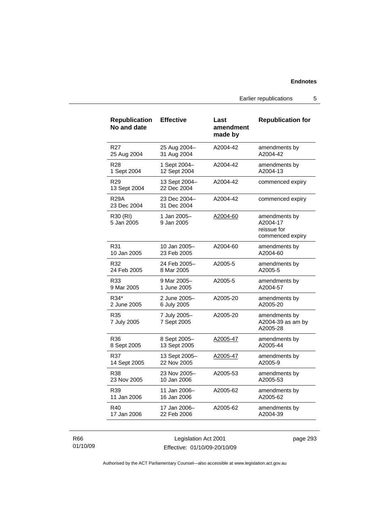Earlier republications 5

| <b>Republication</b><br>No and date | <b>Effective</b>             | Last<br>amendment<br>made by | <b>Republication for</b>                                     |
|-------------------------------------|------------------------------|------------------------------|--------------------------------------------------------------|
| R <sub>27</sub>                     | 25 Aug 2004-                 | A2004-42                     | amendments by                                                |
| 25 Aug 2004                         | 31 Aug 2004                  |                              | A2004-42                                                     |
| <b>R28</b>                          | 1 Sept 2004-                 | A2004-42                     | amendments by                                                |
| 1 Sept 2004                         | 12 Sept 2004                 |                              | A2004-13                                                     |
| R <sub>29</sub><br>13 Sept 2004     | 13 Sept 2004–<br>22 Dec 2004 | A2004-42                     | commenced expiry                                             |
| <b>R29A</b><br>23 Dec 2004          | 23 Dec 2004-<br>31 Dec 2004  | A2004-42                     | commenced expiry                                             |
| R30 (RI)<br>5 Jan 2005              | 1 Jan 2005-<br>9 Jan 2005    | A2004-60                     | amendments by<br>A2004-17<br>reissue for<br>commenced expiry |
| R31                                 | 10 Jan 2005-                 | A2004-60                     | amendments by                                                |
| 10 Jan 2005                         | 23 Feb 2005                  |                              | A2004-60                                                     |
| R32                                 | 24 Feb 2005-                 | A2005-5                      | amendments by                                                |
| 24 Feb 2005                         | 8 Mar 2005                   |                              | A2005-5                                                      |
| R33                                 | 9 Mar 2005–                  | A2005-5                      | amendments by                                                |
| 9 Mar 2005                          | 1 June 2005                  |                              | A2004-57                                                     |
| R34*                                | 2 June 2005–                 | A2005-20                     | amendments by                                                |
| 2 June 2005                         | 6 July 2005                  |                              | A2005-20                                                     |
| R <sub>35</sub><br>7 July 2005      | 7 July 2005-<br>7 Sept 2005  | A2005-20                     | amendments by<br>A2004-39 as am by<br>A2005-28               |
| R36                                 | 8 Sept 2005-                 | A2005-47                     | amendments by                                                |
| 8 Sept 2005                         | 13 Sept 2005                 |                              | A2005-44                                                     |
| R37                                 | 13 Sept 2005-                | A2005-47                     | amendments by                                                |
| 14 Sept 2005                        | 22 Nov 2005                  |                              | A2005-9                                                      |
| R38                                 | 23 Nov 2005-                 | A2005-53                     | amendments by                                                |
| 23 Nov 2005                         | 10 Jan 2006                  |                              | A2005-53                                                     |
| R39                                 | 11 Jan 2006-                 | A2005-62                     | amendments by                                                |
| 11 Jan 2006                         | 16 Jan 2006                  |                              | A2005-62                                                     |
| R40                                 | 17 Jan 2006-                 | A2005-62                     | amendments by                                                |
| 17 Jan 2006                         | 22 Feb 2006                  |                              | A2004-39                                                     |

R66 01/10/09

Legislation Act 2001 Effective: 01/10/09-20/10/09 page 293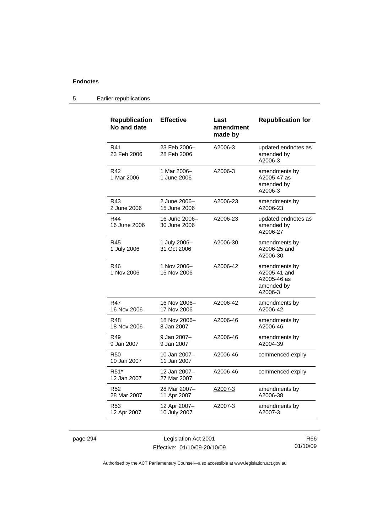#### **Republication No and date Effective Last amendment made by Republication for**  R41 23 Feb 2006 23 Feb 2006– 28 Feb 2006 A2006-3 updated endnotes as amended by A2006-3 R42 1 Mar 2006 1 Mar 2006– 1 June 2006 A2006-3 amendments by A2005-47 as amended by A2006-3 R43 2 June 2006 2 June 2006– 15 June 2006 A2006-23 amendments by A2006-23 R44 16 June 2006 16 June 2006– 30 June 2006 A2006-23 updated endnotes as amended by A2006-27 R45 1 July 2006 1 July 2006– 31 Oct 2006 A2006-30 amendments by A2006-25 and A2006-30 R46 1 Nov 2006 1 Nov 2006– 15 Nov 2006 A2006-42 amendments by A2005-41 and A2005-46 as amended by A2006-3 R47 16 Nov 2006 16 Nov 2006– 17 Nov 2006 A2006-42 amendments by A2006-42 R48 18 Nov 2006 18 Nov 2006– 8 Jan 2007 A2006-46 amendments by A2006-46 R49 9 Jan 2007 9 Jan 2007– 9 Jan 2007 A2006-46 amendments by A2004-39 R50 10 Jan 2007 10 Jan 2007– 11 Jan 2007 A2006-46 commenced expiry R51\* 12 Jan 2007 12 Jan 2007– 27 Mar 2007 A2006-46 commenced expiry R52 28 Mar 2007 28 Mar 2007– 11 Apr 2007 A2007-3 amendments by A2006-38 R53 12 Apr 2007 12 Apr 2007– 10 July 2007 A2007-3 amendments by A2007-3

## 5 Earlier republications

page 294 Legislation Act 2001 Effective: 01/10/09-20/10/09

R66 01/10/09